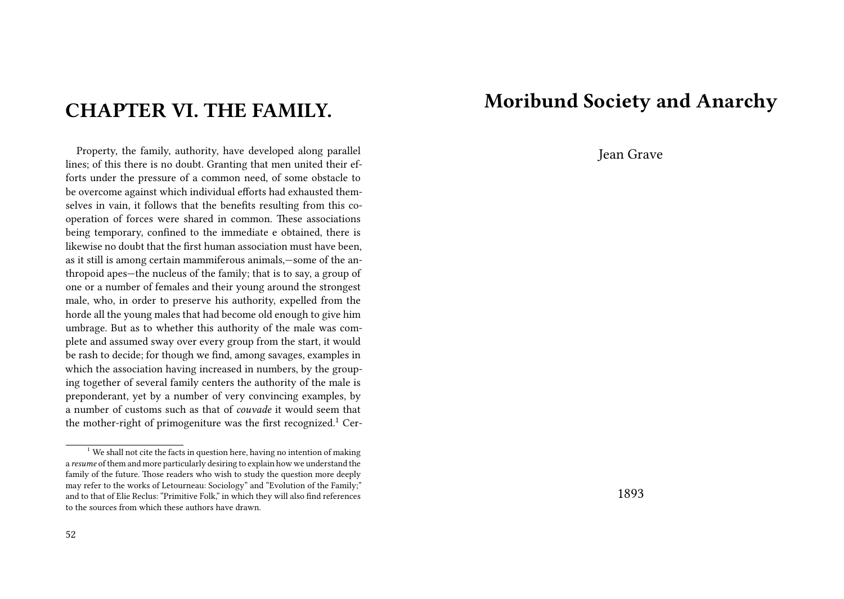#### **CHAPTER VI. THE FAMILY.**

Property, the family, authority, have developed along parallel lines; of this there is no doubt. Granting that men united their efforts under the pressure of a common need, of some obstacle to be overcome against which individual efforts had exhausted themselves in vain, it follows that the benefits resulting from this cooperation of forces were shared in common. These associations being temporary, confined to the immediate e obtained, there is likewise no doubt that the first human association must have been, as it still is among certain mammiferous animals,—some of the anthropoid apes—the nucleus of the family; that is to say, a group of one or a number of females and their young around the strongest male, who, in order to preserve his authority, expelled from the horde all the young males that had become old enough to give him umbrage. But as to whether this authority of the male was complete and assumed sway over every group from the start, it would be rash to decide; for though we find, among savages, examples in which the association having increased in numbers, by the grouping together of several family centers the authority of the male is preponderant, yet by a number of very convincing examples, by a number of customs such as that of *couvade* it would seem that the mother-right of primogeniture was the first recognized.<sup>1</sup> Cer-

#### **Moribund Society and Anarchy**

Jean Grave

 $1$  We shall not cite the facts in question here, having no intention of making a *resume* of them and more particularly desiring to explain how we understand the family of the future. Those readers who wish to study the question more deeply may refer to the works of Letourneau: Sociology" and "Evolution of the Family;" and to that of Elie Reclus: "Primitive Folk," in which they will also find references to the sources from which these authors have drawn.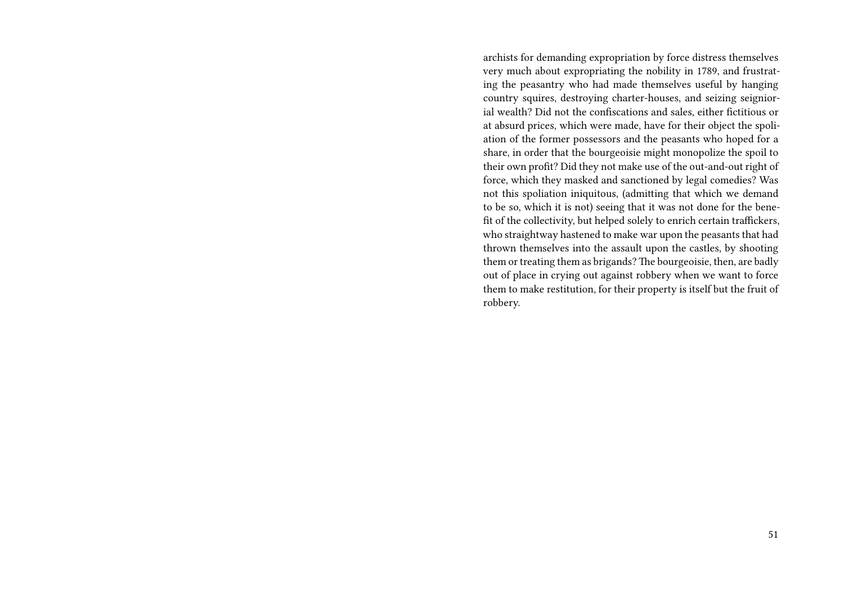archists for demanding expropriation by force distress themselves very much about expropriating the nobility in 1789, and frustrating the peasantry who had made themselves useful by hanging country squires, destroying charter-houses, and seizing seigniorial wealth? Did not the confiscations and sales, either fictitious or at absurd prices, which were made, have for their object the spoliation of the former possessors and the peasants who hoped for a share, in order that the bourgeoisie might monopolize the spoil to their own profit? Did they not make use of the out-and-out right of force, which they masked and sanctioned by legal comedies? Was not this spoliation iniquitous, (admitting that which we demand to be so, which it is not) seeing that it was not done for the benefit of the collectivity, but helped solely to enrich certain traffickers, who straightway hastened to make war upon the peasants that had thrown themselves into the assault upon the castles, by shooting them or treating them as brigands? The bourgeoisie, then, are badly out of place in crying out against robbery when we want to force them to make restitution, for their property is itself but the fruit of robbery.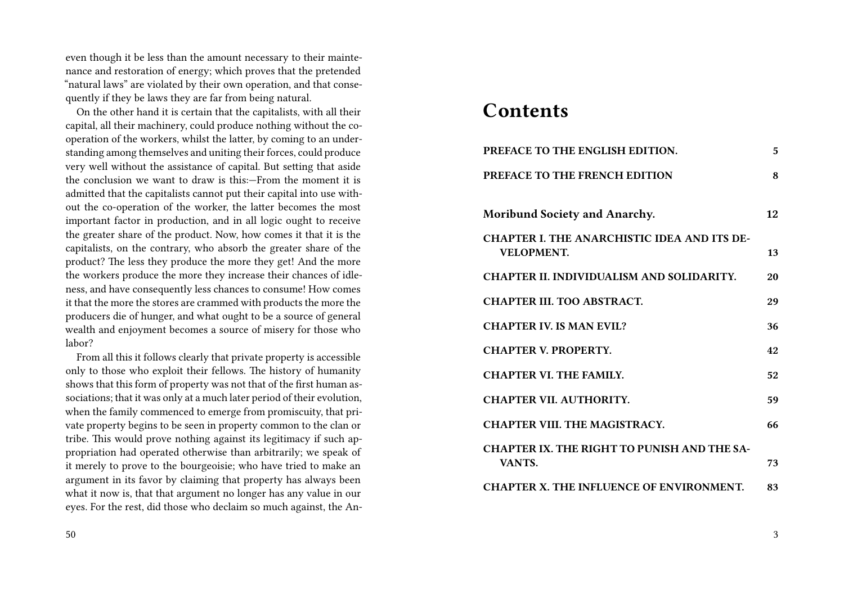even though it be less than the amount necessary to their maintenance and restoration of energy; which proves that the pretended "natural laws" are violated by their own operation, and that consequently if they be laws they are far from being natural.

On the other hand it is certain that the capitalists, with all their capital, all their machinery, could produce nothing without the cooperation of the workers, whilst the latter, by coming to an understanding among themselves and uniting their forces, could produce very well without the assistance of capital. But setting that aside the conclusion we want to draw is this:—From the moment it is admitted that the capitalists cannot put their capital into use without the co-operation of the worker, the latter becomes the most important factor in production, and in all logic ought to receive the greater share of the product. Now, how comes it that it is the capitalists, on the contrary, who absorb the greater share of the product? The less they produce the more they get! And the more the workers produce the more they increase their chances of idleness, and have consequently less chances to consume! How comes it that the more the stores are crammed with products the more the producers die of hunger, and what ought to be a source of general wealth and enjoyment becomes a source of misery for those who labor?

From all this it follows clearly that private property is accessible only to those who exploit their fellows. The history of humanity shows that this form of property was not that of the first human associations; that it was only at a much later period of their evolution, when the family commenced to emerge from promiscuity, that private property begins to be seen in property common to the clan or tribe. This would prove nothing against its legitimacy if such appropriation had operated otherwise than arbitrarily; we speak of it merely to prove to the bourgeoisie; who have tried to make an argument in its favor by claiming that property has always been what it now is, that that argument no longer has any value in our eyes. For the rest, did those who declaim so much against, the An-

#### **Contents**

| PREFACE TO THE ENGLISH EDITION.                                         | 5  |
|-------------------------------------------------------------------------|----|
| PREFACE TO THE FRENCH EDITION                                           | 8  |
| <b>Moribund Society and Anarchy.</b>                                    | 12 |
| <b>CHAPTER I. THE ANARCHISTIC IDEA AND ITS DE-</b><br><b>VELOPMENT.</b> | 13 |
| CHAPTER II. INDIVIDUALISM AND SOLIDARITY.                               | 20 |
| <b>CHAPTER III. TOO ABSTRACT.</b>                                       | 29 |
| <b>CHAPTER IV. IS MAN EVIL?</b>                                         | 36 |
| <b>CHAPTER V. PROPERTY.</b>                                             | 42 |
| CHAPTER VI. THE FAMILY.                                                 | 52 |
| <b>CHAPTER VII. AUTHORITY.</b>                                          | 59 |
| <b>CHAPTER VIII. THE MAGISTRACY.</b>                                    | 66 |
| <b>CHAPTER IX. THE RIGHT TO PUNISH AND THE SA-</b><br>VANTS.            | 73 |
| <b>CHAPTER X. THE INFLUENCE OF ENVIRONMENT.</b>                         | 83 |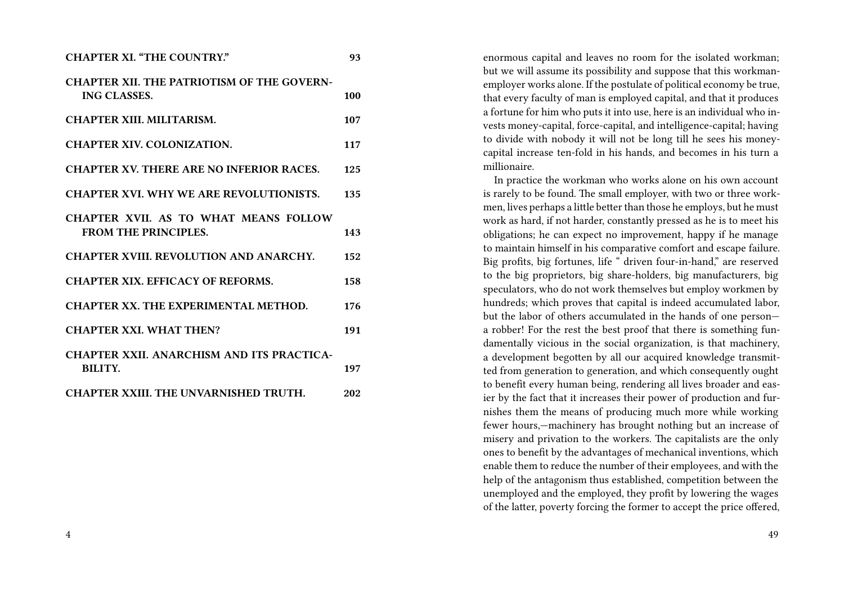| CHAF IER AL - HIE COUNTRI.                                               | 7J  |
|--------------------------------------------------------------------------|-----|
| <b>CHAPTER XII. THE PATRIOTISM OF THE GOVERN-</b><br><b>ING CLASSES.</b> | 100 |
| CHAPTER XIII. MILITARISM.                                                | 107 |
| <b>CHAPTER XIV. COLONIZATION.</b>                                        | 117 |
| <b>CHAPTER XV. THERE ARE NO INFERIOR RACES.</b>                          | 125 |
| <b>CHAPTER XVI. WHY WE ARE REVOLUTIONISTS.</b>                           | 135 |
| CHAPTER XVII. AS TO WHAT MEANS FOLLOW<br><b>FROM THE PRINCIPLES.</b>     | 143 |
| <b>CHAPTER XVIII. REVOLUTION AND ANARCHY.</b>                            | 152 |
| <b>CHAPTER XIX. EFFICACY OF REFORMS.</b>                                 | 158 |
| CHAPTER XX. THE EXPERIMENTAL METHOD.                                     | 176 |
| <b>CHAPTER XXI. WHAT THEN?</b>                                           | 191 |
| <b>CHAPTER XXII. ANARCHISM AND ITS PRACTICA-</b><br>BILITY.              | 197 |
| <b>CHAPTER XXIII. THE UNVARNISHED TRUTH.</b>                             | 202 |

**CHAPTER XI. "THE COUNTRY." 93**

enormous capital and leaves no room for the isolated workman; but we will assume its possibility and suppose that this workmanemployer works alone. If the postulate of political economy be true, that every faculty of man is employed capital, and that it produces a fortune for him who puts it into use, here is an individual who invests money-capital, force-capital, and intelligence-capital; having to divide with nobody it will not be long till he sees his moneycapital increase ten-fold in his hands, and becomes in his turn a millionaire.

In practice the workman who works alone on his own account is rarely to be found. The small employer, with two or three workmen, lives perhaps a little better than those he employs, but he must work as hard, if not harder, constantly pressed as he is to meet his obligations; he can expect no improvement, happy if he manage to maintain himself in his comparative comfort and escape failure. Big profits, big fortunes, life " driven four-in-hand," are reserved to the big proprietors, big share-holders, big manufacturers, big speculators, who do not work themselves but employ workmen by hundreds; which proves that capital is indeed accumulated labor, but the labor of others accumulated in the hands of one person a robber! For the rest the best proof that there is something fundamentally vicious in the social organization, is that machinery, a development begotten by all our acquired knowledge transmitted from generation to generation, and which consequently ought to benefit every human being, rendering all lives broader and easier by the fact that it increases their power of production and furnishes them the means of producing much more while working fewer hours,—machinery has brought nothing but an increase of misery and privation to the workers. The capitalists are the only ones to benefit by the advantages of mechanical inventions, which enable them to reduce the number of their employees, and with the help of the antagonism thus established, competition between the unemployed and the employed, they profit by lowering the wages of the latter, poverty forcing the former to accept the price offered,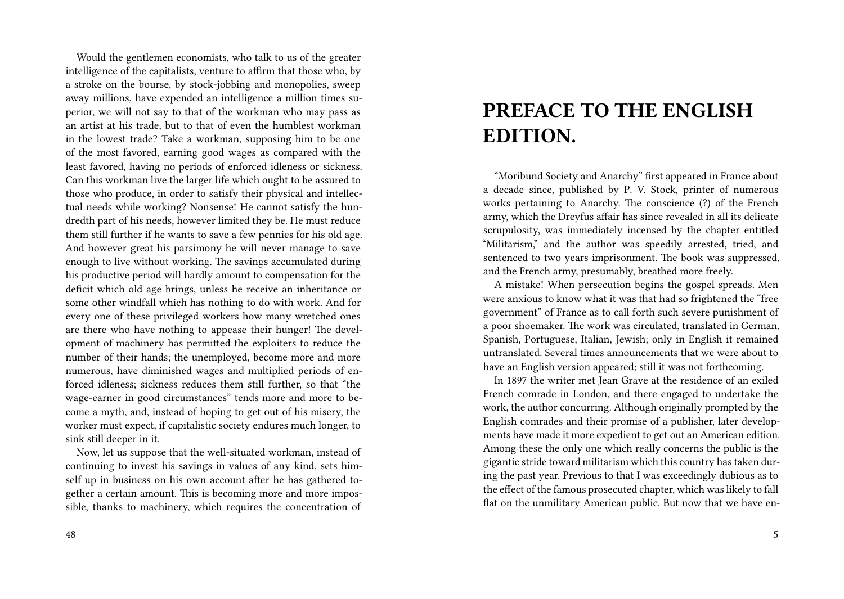Would the gentlemen economists, who talk to us of the greater intelligence of the capitalists, venture to affirm that those who, by a stroke on the bourse, by stock-jobbing and monopolies, sweep away millions, have expended an intelligence a million times superior, we will not say to that of the workman who may pass as an artist at his trade, but to that of even the humblest workman in the lowest trade? Take a workman, supposing him to be one of the most favored, earning good wages as compared with the least favored, having no periods of enforced idleness or sickness. Can this workman live the larger life which ought to be assured to those who produce, in order to satisfy their physical and intellectual needs while working? Nonsense! He cannot satisfy the hundredth part of his needs, however limited they be. He must reduce them still further if he wants to save a few pennies for his old age. And however great his parsimony he will never manage to save enough to live without working. The savings accumulated during his productive period will hardly amount to compensation for the deficit which old age brings, unless he receive an inheritance or some other windfall which has nothing to do with work. And for every one of these privileged workers how many wretched ones are there who have nothing to appease their hunger! The development of machinery has permitted the exploiters to reduce the number of their hands; the unemployed, become more and more numerous, have diminished wages and multiplied periods of enforced idleness; sickness reduces them still further, so that "the wage-earner in good circumstances" tends more and more to become a myth, and, instead of hoping to get out of his misery, the worker must expect, if capitalistic society endures much longer, to sink still deeper in it.

Now, let us suppose that the well-situated workman, instead of continuing to invest his savings in values of any kind, sets himself up in business on his own account after he has gathered together a certain amount. This is becoming more and more impossible, thanks to machinery, which requires the concentration of

#### **PREFACE TO THE ENGLISH EDITION.**

"Moribund Society and Anarchy" first appeared in France about a decade since, published by P. V. Stock, printer of numerous works pertaining to Anarchy. The conscience (?) of the French army, which the Dreyfus affair has since revealed in all its delicate scrupulosity, was immediately incensed by the chapter entitled "Militarism," and the author was speedily arrested, tried, and sentenced to two years imprisonment. The book was suppressed, and the French army, presumably, breathed more freely.

A mistake! When persecution begins the gospel spreads. Men were anxious to know what it was that had so frightened the "free government" of France as to call forth such severe punishment of a poor shoemaker. The work was circulated, translated in German, Spanish, Portuguese, Italian, Jewish; only in English it remained untranslated. Several times announcements that we were about to have an English version appeared; still it was not forthcoming.

In 1897 the writer met Jean Grave at the residence of an exiled French comrade in London, and there engaged to undertake the work, the author concurring. Although originally prompted by the English comrades and their promise of a publisher, later developments have made it more expedient to get out an American edition. Among these the only one which really concerns the public is the gigantic stride toward militarism which this country has taken during the past year. Previous to that I was exceedingly dubious as to the effect of the famous prosecuted chapter, which was likely to fall flat on the unmilitary American public. But now that we have en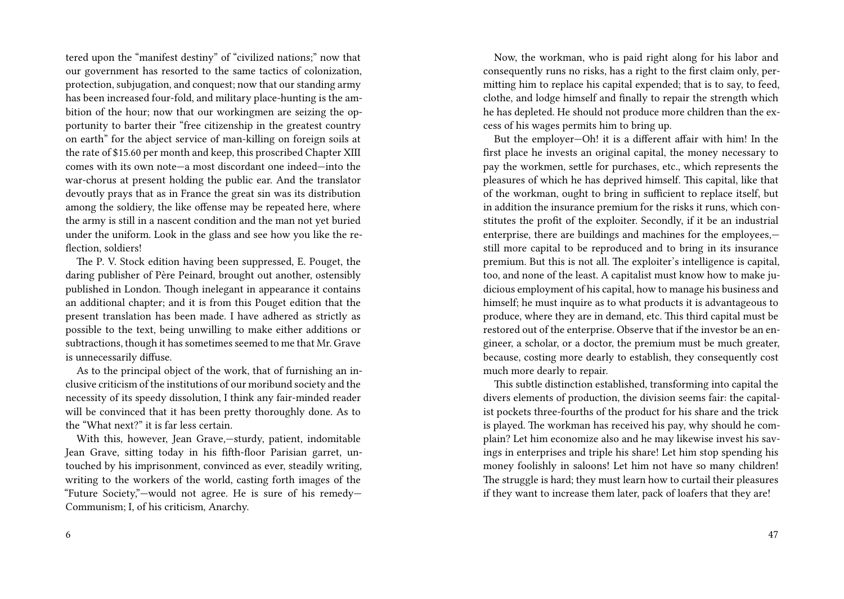tered upon the "manifest destiny" of "civilized nations;" now that our government has resorted to the same tactics of colonization, protection, subjugation, and conquest; now that our standing army has been increased four-fold, and military place-hunting is the ambition of the hour; now that our workingmen are seizing the opportunity to barter their "free citizenship in the greatest country on earth" for the abject service of man-killing on foreign soils at the rate of \$15.60 per month and keep, this proscribed Chapter XIII comes with its own note—a most discordant one indeed—into the war-chorus at present holding the public ear. And the translator devoutly prays that as in France the great sin was its distribution among the soldiery, the like offense may be repeated here, where the army is still in a nascent condition and the man not yet buried under the uniform. Look in the glass and see how you like the reflection, soldiers!

The P. V. Stock edition having been suppressed, E. Pouget, the daring publisher of Père Peinard, brought out another, ostensibly published in London. Though inelegant in appearance it contains an additional chapter; and it is from this Pouget edition that the present translation has been made. I have adhered as strictly as possible to the text, being unwilling to make either additions or subtractions, though it has sometimes seemed to me that Mr. Grave is unnecessarily diffuse.

As to the principal object of the work, that of furnishing an inclusive criticism of the institutions of our moribund society and the necessity of its speedy dissolution, I think any fair-minded reader will be convinced that it has been pretty thoroughly done. As to the "What next?" it is far less certain.

With this, however, Jean Grave,—sturdy, patient, indomitable Jean Grave, sitting today in his fifth-floor Parisian garret, untouched by his imprisonment, convinced as ever, steadily writing, writing to the workers of the world, casting forth images of the "Future Society,"—would not agree. He is sure of his remedy— Communism; I, of his criticism, Anarchy.

6

Now, the workman, who is paid right along for his labor and consequently runs no risks, has a right to the first claim only, permitting him to replace his capital expended; that is to say, to feed, clothe, and lodge himself and finally to repair the strength which he has depleted. He should not produce more children than the excess of his wages permits him to bring up.

But the employer—Oh! it is a different affair with him! In the first place he invests an original capital, the money necessary to pay the workmen, settle for purchases, etc., which represents the pleasures of which he has deprived himself. This capital, like that of the workman, ought to bring in sufficient to replace itself, but in addition the insurance premium for the risks it runs, which constitutes the profit of the exploiter. Secondly, if it be an industrial enterprise, there are buildings and machines for the employees, still more capital to be reproduced and to bring in its insurance premium. But this is not all. The exploiter's intelligence is capital, too, and none of the least. A capitalist must know how to make judicious employment of his capital, how to manage his business and himself; he must inquire as to what products it is advantageous to produce, where they are in demand, etc. This third capital must be restored out of the enterprise. Observe that if the investor be an engineer, a scholar, or a doctor, the premium must be much greater, because, costing more dearly to establish, they consequently cost much more dearly to repair.

This subtle distinction established, transforming into capital the divers elements of production, the division seems fair: the capitalist pockets three-fourths of the product for his share and the trick is played. The workman has received his pay, why should he complain? Let him economize also and he may likewise invest his savings in enterprises and triple his share! Let him stop spending his money foolishly in saloons! Let him not have so many children! The struggle is hard; they must learn how to curtail their pleasures if they want to increase them later, pack of loafers that they are!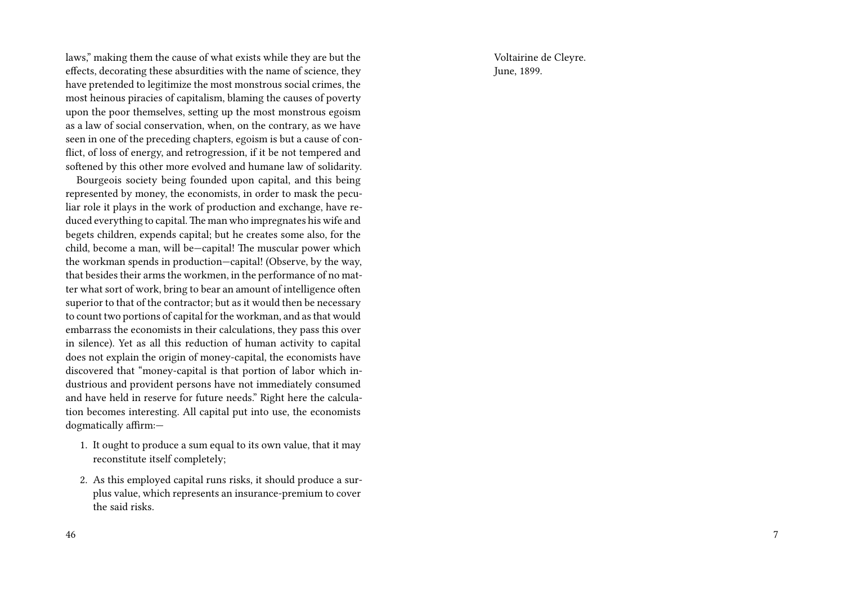laws," making them the cause of what exists while they are but the effects, decorating these absurdities with the name of science, they have pretended to legitimize the most monstrous social crimes, the most heinous piracies of capitalism, blaming the causes of poverty upon the poor themselves, setting up the most monstrous egoism as a law of social conservation, when, on the contrary, as we have seen in one of the preceding chapters, egoism is but a cause of conflict, of loss of energy, and retrogression, if it be not tempered and softened by this other more evolved and humane law of solidarity.

Bourgeois society being founded upon capital, and this being represented by money, the economists, in order to mask the peculiar role it plays in the work of production and exchange, have reduced everything to capital.The man who impregnates his wife and begets children, expends capital; but he creates some also, for the child, become a man, will be—capital! The muscular power which the workman spends in production—capital! (Observe, by the way, that besides their arms the workmen, in the performance of no matter what sort of work, bring to bear an amount of intelligence often superior to that of the contractor; but as it would then be necessary to count two portions of capital for the workman, and as that would embarrass the economists in their calculations, they pass this over in silence). Yet as all this reduction of human activity to capital does not explain the origin of money-capital, the economists have discovered that "money-capital is that portion of labor which industrious and provident persons have not immediately consumed and have held in reserve for future needs." Right here the calculation becomes interesting. All capital put into use, the economists dogmatically affirm:—

- 1. It ought to produce a sum equal to its own value, that it may reconstitute itself completely;
- 2. As this employed capital runs risks, it should produce a surplus value, which represents an insurance-premium to cover the said risks.

Voltairine de Cleyre. June, 1899.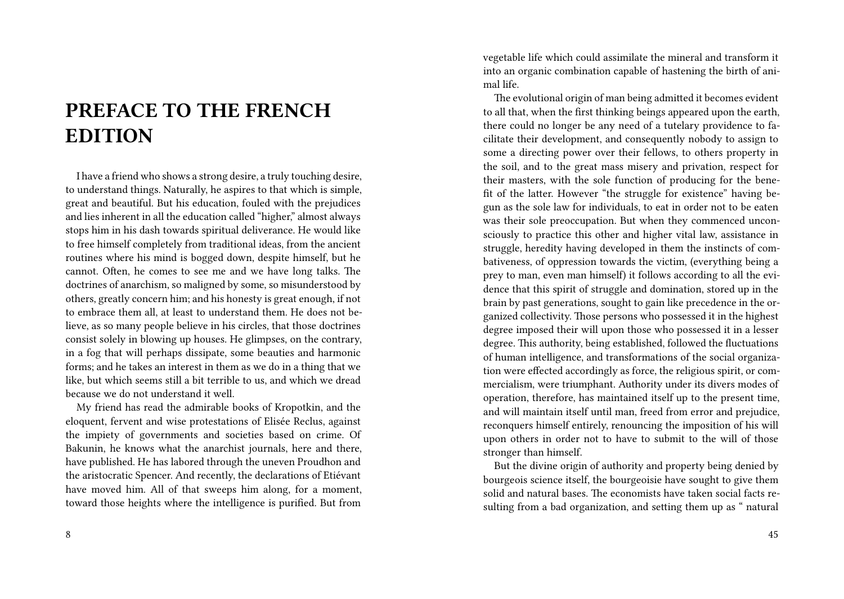## **PREFACE TO THE FRENCH EDITION**

I have a friend who shows a strong desire, a truly touching desire, to understand things. Naturally, he aspires to that which is simple, great and beautiful. But his education, fouled with the prejudices and lies inherent in all the education called "higher," almost always stops him in his dash towards spiritual deliverance. He would like to free himself completely from traditional ideas, from the ancient routines where his mind is bogged down, despite himself, but he cannot. Often, he comes to see me and we have long talks. The doctrines of anarchism, so maligned by some, so misunderstood by others, greatly concern him; and his honesty is great enough, if not to embrace them all, at least to understand them. He does not believe, as so many people believe in his circles, that those doctrines consist solely in blowing up houses. He glimpses, on the contrary, in a fog that will perhaps dissipate, some beauties and harmonic forms; and he takes an interest in them as we do in a thing that we like, but which seems still a bit terrible to us, and which we dread because we do not understand it well.

My friend has read the admirable books of Kropotkin, and the eloquent, fervent and wise protestations of Elisée Reclus, against the impiety of governments and societies based on crime. Of Bakunin, he knows what the anarchist journals, here and there, have published. He has labored through the uneven Proudhon and the aristocratic Spencer. And recently, the declarations of Etiévant have moved him. All of that sweeps him along, for a moment, toward those heights where the intelligence is purified. But from vegetable life which could assimilate the mineral and transform it into an organic combination capable of hastening the birth of animal life.

The evolutional origin of man being admitted it becomes evident to all that, when the first thinking beings appeared upon the earth, there could no longer be any need of a tutelary providence to facilitate their development, and consequently nobody to assign to some a directing power over their fellows, to others property in the soil, and to the great mass misery and privation, respect for their masters, with the sole function of producing for the benefit of the latter. However "the struggle for existence" having begun as the sole law for individuals, to eat in order not to be eaten was their sole preoccupation. But when they commenced unconsciously to practice this other and higher vital law, assistance in struggle, heredity having developed in them the instincts of combativeness, of oppression towards the victim, (everything being a prey to man, even man himself) it follows according to all the evidence that this spirit of struggle and domination, stored up in the brain by past generations, sought to gain like precedence in the organized collectivity. Those persons who possessed it in the highest degree imposed their will upon those who possessed it in a lesser degree. This authority, being established, followed the fluctuations of human intelligence, and transformations of the social organization were effected accordingly as force, the religious spirit, or commercialism, were triumphant. Authority under its divers modes of operation, therefore, has maintained itself up to the present time, and will maintain itself until man, freed from error and prejudice, reconquers himself entirely, renouncing the imposition of his will upon others in order not to have to submit to the will of those stronger than himself.

But the divine origin of authority and property being denied by bourgeois science itself, the bourgeoisie have sought to give them solid and natural bases. The economists have taken social facts resulting from a bad organization, and setting them up as " natural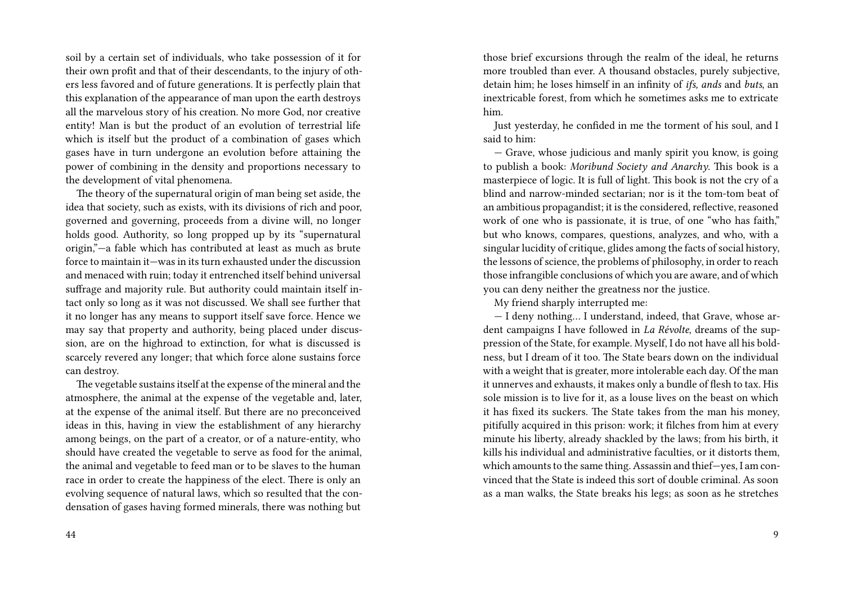soil by a certain set of individuals, who take possession of it for their own profit and that of their descendants, to the injury of others less favored and of future generations. It is perfectly plain that this explanation of the appearance of man upon the earth destroys all the marvelous story of his creation. No more God, nor creative entity! Man is but the product of an evolution of terrestrial life which is itself but the product of a combination of gases which gases have in turn undergone an evolution before attaining the power of combining in the density and proportions necessary to the development of vital phenomena.

The theory of the supernatural origin of man being set aside, the idea that society, such as exists, with its divisions of rich and poor, governed and governing, proceeds from a divine will, no longer holds good. Authority, so long propped up by its "supernatural origin,"—a fable which has contributed at least as much as brute force to maintain it—was in its turn exhausted under the discussion and menaced with ruin; today it entrenched itself behind universal suffrage and majority rule. But authority could maintain itself intact only so long as it was not discussed. We shall see further that it no longer has any means to support itself save force. Hence we may say that property and authority, being placed under discussion, are on the highroad to extinction, for what is discussed is scarcely revered any longer; that which force alone sustains force can destroy.

The vegetable sustains itself at the expense of the mineral and the atmosphere, the animal at the expense of the vegetable and, later, at the expense of the animal itself. But there are no preconceived ideas in this, having in view the establishment of any hierarchy among beings, on the part of a creator, or of a nature-entity, who should have created the vegetable to serve as food for the animal, the animal and vegetable to feed man or to be slaves to the human race in order to create the happiness of the elect. There is only an evolving sequence of natural laws, which so resulted that the condensation of gases having formed minerals, there was nothing but

those brief excursions through the realm of the ideal, he returns more troubled than ever. A thousand obstacles, purely subjective, detain him; he loses himself in an infinity of *ifs, ands* and *buts*, an inextricable forest, from which he sometimes asks me to extricate him.

Just yesterday, he confided in me the torment of his soul, and I said to him:

— Grave, whose judicious and manly spirit you know, is going to publish a book: *Moribund Society and Anarchy*. This book is a masterpiece of logic. It is full of light. This book is not the cry of a blind and narrow-minded sectarian; nor is it the tom-tom beat of an ambitious propagandist; it is the considered, reflective, reasoned work of one who is passionate, it is true, of one "who has faith," but who knows, compares, questions, analyzes, and who, with a singular lucidity of critique, glides among the facts of social history, the lessons of science, the problems of philosophy, in order to reach those infrangible conclusions of which you are aware, and of which you can deny neither the greatness nor the justice.

My friend sharply interrupted me:

— I deny nothing… I understand, indeed, that Grave, whose ardent campaigns I have followed in *La Révolte*, dreams of the suppression of the State, for example. Myself, I do not have all his boldness, but I dream of it too. The State bears down on the individual with a weight that is greater, more intolerable each day. Of the man it unnerves and exhausts, it makes only a bundle of flesh to tax. His sole mission is to live for it, as a louse lives on the beast on which it has fixed its suckers. The State takes from the man his money, pitifully acquired in this prison: work; it filches from him at every minute his liberty, already shackled by the laws; from his birth, it kills his individual and administrative faculties, or it distorts them, which amounts to the same thing. Assassin and thief—yes, I am convinced that the State is indeed this sort of double criminal. As soon as a man walks, the State breaks his legs; as soon as he stretches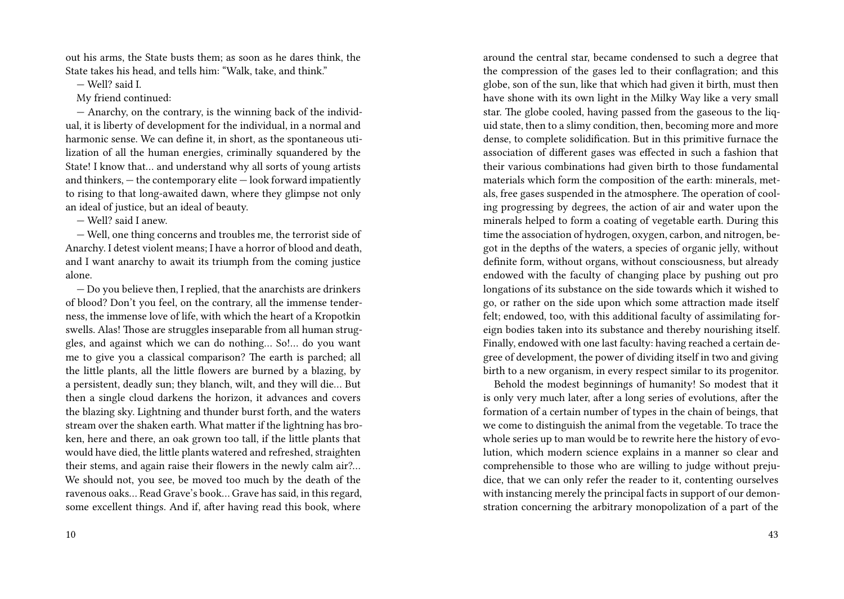out his arms, the State busts them; as soon as he dares think, the State takes his head, and tells him: "Walk, take, and think."

— Well? said I.

My friend continued:

— Anarchy, on the contrary, is the winning back of the individual, it is liberty of development for the individual, in a normal and harmonic sense. We can define it, in short, as the spontaneous utilization of all the human energies, criminally squandered by the State! I know that… and understand why all sorts of young artists and thinkers, — the contemporary elite — look forward impatiently to rising to that long-awaited dawn, where they glimpse not only an ideal of justice, but an ideal of beauty.

— Well? said I anew.

— Well, one thing concerns and troubles me, the terrorist side of Anarchy. I detest violent means; I have a horror of blood and death, and I want anarchy to await its triumph from the coming justice alone.

— Do you believe then, I replied, that the anarchists are drinkers of blood? Don't you feel, on the contrary, all the immense tenderness, the immense love of life, with which the heart of a Kropotkin swells. Alas! Those are struggles inseparable from all human struggles, and against which we can do nothing… So!… do you want me to give you a classical comparison? The earth is parched; all the little plants, all the little flowers are burned by a blazing, by a persistent, deadly sun; they blanch, wilt, and they will die… But then a single cloud darkens the horizon, it advances and covers the blazing sky. Lightning and thunder burst forth, and the waters stream over the shaken earth. What matter if the lightning has broken, here and there, an oak grown too tall, if the little plants that would have died, the little plants watered and refreshed, straighten their stems, and again raise their flowers in the newly calm air?… We should not, you see, be moved too much by the death of the ravenous oaks… Read Grave's book… Grave has said, in this regard, some excellent things. And if, after having read this book, where around the central star, became condensed to such a degree that the compression of the gases led to their conflagration; and this globe, son of the sun, like that which had given it birth, must then have shone with its own light in the Milky Way like a very small star. The globe cooled, having passed from the gaseous to the liquid state, then to a slimy condition, then, becoming more and more dense, to complete solidification. But in this primitive furnace the association of different gases was effected in such a fashion that their various combinations had given birth to those fundamental materials which form the composition of the earth: minerals, metals, free gases suspended in the atmosphere. The operation of cooling progressing by degrees, the action of air and water upon the minerals helped to form a coating of vegetable earth. During this time the association of hydrogen, oxygen, carbon, and nitrogen, begot in the depths of the waters, a species of organic jelly, without definite form, without organs, without consciousness, but already endowed with the faculty of changing place by pushing out pro longations of its substance on the side towards which it wished to go, or rather on the side upon which some attraction made itself felt; endowed, too, with this additional faculty of assimilating foreign bodies taken into its substance and thereby nourishing itself. Finally, endowed with one last faculty: having reached a certain degree of development, the power of dividing itself in two and giving birth to a new organism, in every respect similar to its progenitor.

Behold the modest beginnings of humanity! So modest that it is only very much later, after a long series of evolutions, after the formation of a certain number of types in the chain of beings, that we come to distinguish the animal from the vegetable. To trace the whole series up to man would be to rewrite here the history of evolution, which modern science explains in a manner so clear and comprehensible to those who are willing to judge without prejudice, that we can only refer the reader to it, contenting ourselves with instancing merely the principal facts in support of our demonstration concerning the arbitrary monopolization of a part of the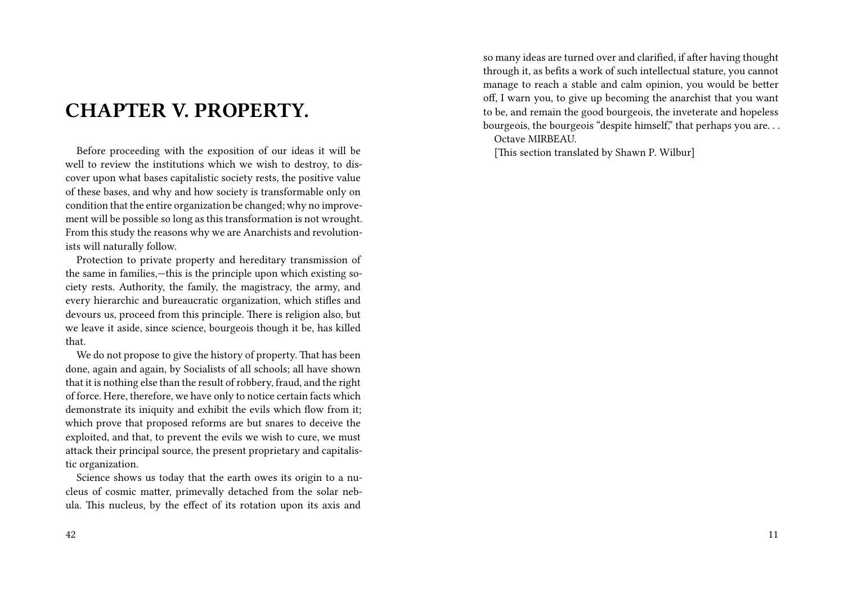#### **CHAPTER V. PROPERTY.**

Before proceeding with the exposition of our ideas it will be well to review the institutions which we wish to destroy, to discover upon what bases capitalistic society rests, the positive value of these bases, and why and how society is transformable only on condition that the entire organization be changed; why no improvement will be possible so long as this transformation is not wrought. From this study the reasons why we are Anarchists and revolutionists will naturally follow.

Protection to private property and hereditary transmission of the same in families,—this is the principle upon which existing society rests. Authority, the family, the magistracy, the army, and every hierarchic and bureaucratic organization, which stifles and devours us, proceed from this principle. There is religion also, but we leave it aside, since science, bourgeois though it be, has killed that.

We do not propose to give the history of property. That has been done, again and again, by Socialists of all schools; all have shown that it is nothing else than the result of robbery, fraud, and the right of force. Here, therefore, we have only to notice certain facts which demonstrate its iniquity and exhibit the evils which flow from it; which prove that proposed reforms are but snares to deceive the exploited, and that, to prevent the evils we wish to cure, we must attack their principal source, the present proprietary and capitalistic organization.

Science shows us today that the earth owes its origin to a nucleus of cosmic matter, primevally detached from the solar nebula. This nucleus, by the effect of its rotation upon its axis and so many ideas are turned over and clarified, if after having thought through it, as befits a work of such intellectual stature, you cannot manage to reach a stable and calm opinion, you would be better off, I warn you, to give up becoming the anarchist that you want to be, and remain the good bourgeois, the inveterate and hopeless bourgeois, the bourgeois "despite himself," that perhaps you are. . .

Octave MIRBEAU.

[This section translated by Shawn P. Wilbur]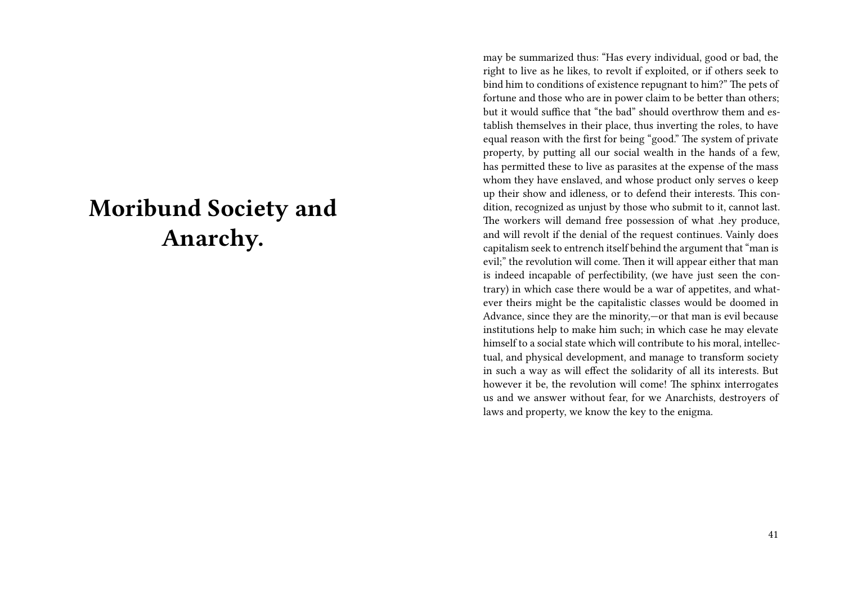# **Moribund Society and Anarchy.**

may be summarized thus: "Has every individual, good or bad, the right to live as he likes, to revolt if exploited, or if others seek to bind him to conditions of existence repugnant to him?" The pets of fortune and those who are in power claim to be better than others; but it would suffice that "the bad" should overthrow them and establish themselves in their place, thus inverting the roles, to have equal reason with the first for being "good." The system of private property, by putting all our social wealth in the hands of a few, has permitted these to live as parasites at the expense of the mass whom they have enslaved, and whose product only serves o keep up their show and idleness, or to defend their interests. This condition, recognized as unjust by those who submit to it, cannot last. The workers will demand free possession of what .hey produce, and will revolt if the denial of the request continues. Vainly does capitalism seek to entrench itself behind the argument that "man is evil;" the revolution will come. Then it will appear either that man is indeed incapable of perfectibility, (we have just seen the contrary) in which case there would be a war of appetites, and whatever theirs might be the capitalistic classes would be doomed in Advance, since they are the minority,—or that man is evil because institutions help to make him such; in which case he may elevate himself to a social state which will contribute to his moral, intellectual, and physical development, and manage to transform society in such a way as will effect the solidarity of all its interests. But however it be, the revolution will come! The sphinx interrogates us and we answer without fear, for we Anarchists, destroyers of laws and property, we know the key to the enigma.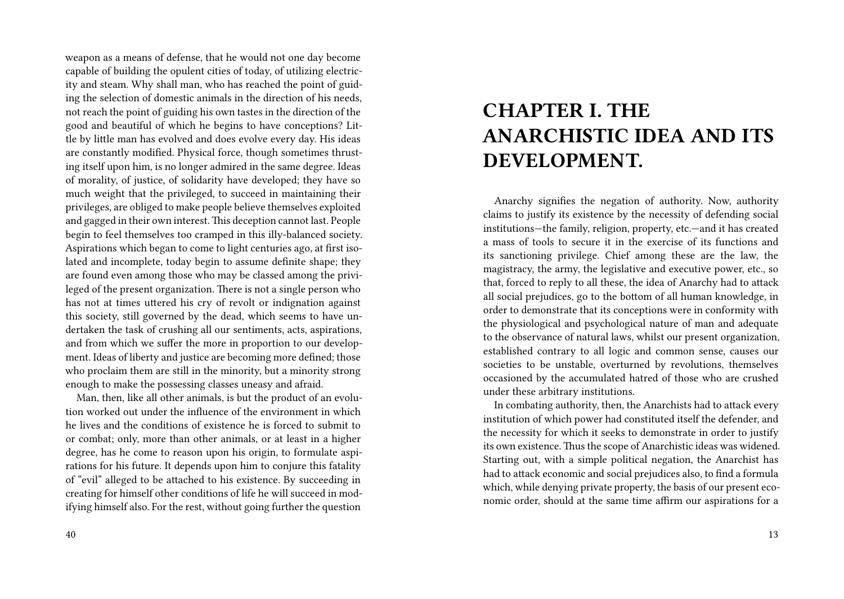weapon as a means of defense, that he would not one day become capable of building the opulent cities of today, of utilizing electricity and steam. Why shall man, who has reached the point of guiding the selection of domestic animals in the direction of his needs, not reach the point of guiding his own tastes in the direction of the good and beautiful of which he begins to have conceptions? Little by little man has evolved and does evolve every day. His ideas are constantly modified. Physical force, though sometimes thrusting itself upon him, is no longer admired in the same degree. Ideas of morality, of justice, of solidarity have developed; they have so much weight that the privileged, to succeed in maintaining their privileges, are obliged to make people believe themselves exploited and gagged in their own interest.This deception cannot last. People begin to feel themselves too cramped in this illy-balanced society. Aspirations which began to come to light centuries ago, at first isolated and incomplete, today begin to assume definite shape; they are found even among those who may be classed among the privileged of the present organization. There is not a single person who has not at times uttered his cry of revolt or indignation against this society, still governed by the dead, which seems to have undertaken the task of crushing all our sentiments, acts, aspirations, and from which we suffer the more in proportion to our development. Ideas of liberty and justice are becoming more defined; those who proclaim them are still in the minority, but a minority strong enough to make the possessing classes uneasy and afraid.

Man, then, like all other animals, is but the product of an evolution worked out under the influence of the environment in which he lives and the conditions of existence he is forced to submit to or combat; only, more than other animals, or at least in a higher degree, has he come to reason upon his origin, to formulate aspirations for his future. It depends upon him to conjure this fatality of "evil" alleged to be attached to his existence. By succeeding in creating for himself other conditions of life he will succeed in modifying himself also. For the rest, without going further the question

#### **CHAPTER I. THE ANARCHISTIC IDEA AND ITS DEVELOPMENT.**

Anarchy signifies the negation of authority. Now, authority claims to justify its existence by the necessity of defending social institutions—the family, religion, property, etc.—and it has created a mass of tools to secure it in the exercise of its functions and its sanctioning privilege. Chief among these are the law, the magistracy, the army, the legislative and executive power, etc., so that, forced to reply to all these, the idea of Anarchy had to attack all social prejudices, go to the bottom of all human knowledge, in order to demonstrate that its conceptions were in conformity with the physiological and psychological nature of man and adequate to the observance of natural laws, whilst our present organization, established contrary to all logic and common sense, causes our societies to be unstable, overturned by revolutions, themselves occasioned by the accumulated hatred of those who are crushed under these arbitrary institutions.

In combating authority, then, the Anarchists had to attack every institution of which power had constituted itself the defender, and the necessity for which it seeks to demonstrate in order to justify its own existence. Thus the scope of Anarchistic ideas was widened. Starting out, with a simple political negation, the Anarchist has had to attack economic and social prejudices also, to find a formula which, while denying private property, the basis of our present economic order, should at the same time affirm our aspirations for a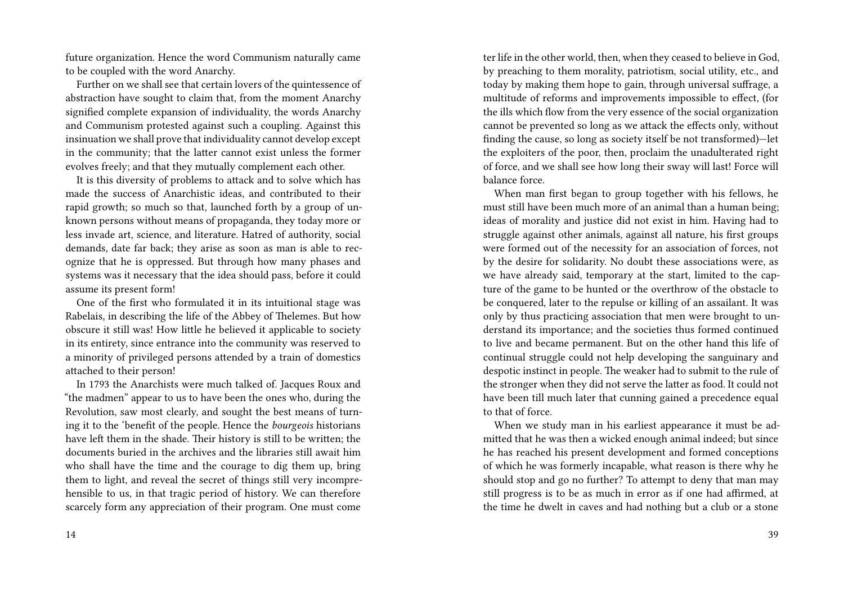future organization. Hence the word Communism naturally came to be coupled with the word Anarchy.

Further on we shall see that certain lovers of the quintessence of abstraction have sought to claim that, from the moment Anarchy signified complete expansion of individuality, the words Anarchy and Communism protested against such a coupling. Against this insinuation we shall prove that individuality cannot develop except in the community; that the latter cannot exist unless the former evolves freely; and that they mutually complement each other.

It is this diversity of problems to attack and to solve which has made the success of Anarchistic ideas, and contributed to their rapid growth; so much so that, launched forth by a group of unknown persons without means of propaganda, they today more or less invade art, science, and literature. Hatred of authority, social demands, date far back; they arise as soon as man is able to recognize that he is oppressed. But through how many phases and systems was it necessary that the idea should pass, before it could assume its present form!

One of the first who formulated it in its intuitional stage was Rabelais, in describing the life of the Abbey of Thelemes. But how obscure it still was! How little he believed it applicable to society in its entirety, since entrance into the community was reserved to a minority of privileged persons attended by a train of domestics attached to their person!

In 1793 the Anarchists were much talked of. Jacques Roux and "the madmen" appear to us to have been the ones who, during the Revolution, saw most clearly, and sought the best means of turning it to the 'benefit of the people. Hence the *bourgeois* historians have left them in the shade. Their history is still to be written; the documents buried in the archives and the libraries still await him who shall have the time and the courage to dig them up, bring them to light, and reveal the secret of things still very incomprehensible to us, in that tragic period of history. We can therefore scarcely form any appreciation of their program. One must come

ter life in the other world, then, when they ceased to believe in God, by preaching to them morality, patriotism, social utility, etc., and today by making them hope to gain, through universal suffrage, a multitude of reforms and improvements impossible to effect, (for the ills which flow from the very essence of the social organization cannot be prevented so long as we attack the effects only, without finding the cause, so long as society itself be not transformed)—let the exploiters of the poor, then, proclaim the unadulterated right of force, and we shall see how long their sway will last! Force will balance force.

When man first began to group together with his fellows, he must still have been much more of an animal than a human being; ideas of morality and justice did not exist in him. Having had to struggle against other animals, against all nature, his first groups were formed out of the necessity for an association of forces, not by the desire for solidarity. No doubt these associations were, as we have already said, temporary at the start, limited to the capture of the game to be hunted or the overthrow of the obstacle to be conquered, later to the repulse or killing of an assailant. It was only by thus practicing association that men were brought to understand its importance; and the societies thus formed continued to live and became permanent. But on the other hand this life of continual struggle could not help developing the sanguinary and despotic instinct in people. The weaker had to submit to the rule of the stronger when they did not serve the latter as food. It could not have been till much later that cunning gained a precedence equal to that of force.

When we study man in his earliest appearance it must be admitted that he was then a wicked enough animal indeed; but since he has reached his present development and formed conceptions of which he was formerly incapable, what reason is there why he should stop and go no further? To attempt to deny that man may still progress is to be as much in error as if one had affirmed, at the time he dwelt in caves and had nothing but a club or a stone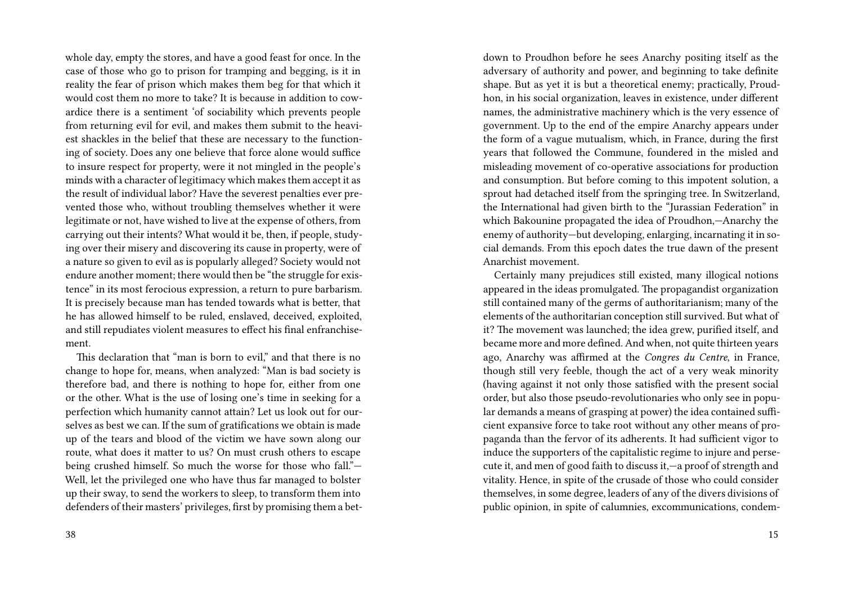whole day, empty the stores, and have a good feast for once. In the case of those who go to prison for tramping and begging, is it in reality the fear of prison which makes them beg for that which it would cost them no more to take? It is because in addition to cowardice there is a sentiment 'of sociability which prevents people from returning evil for evil, and makes them submit to the heaviest shackles in the belief that these are necessary to the functioning of society. Does any one believe that force alone would suffice to insure respect for property, were it not mingled in the people's minds with a character of legitimacy which makes them accept it as the result of individual labor? Have the severest penalties ever prevented those who, without troubling themselves whether it were legitimate or not, have wished to live at the expense of others, from carrying out their intents? What would it be, then, if people, studying over their misery and discovering its cause in property, were of a nature so given to evil as is popularly alleged? Society would not endure another moment; there would then be "the struggle for existence" in its most ferocious expression, a return to pure barbarism. It is precisely because man has tended towards what is better, that he has allowed himself to be ruled, enslaved, deceived, exploited, and still repudiates violent measures to effect his final enfranchisement.

This declaration that "man is born to evil." and that there is no change to hope for, means, when analyzed: "Man is bad society is therefore bad, and there is nothing to hope for, either from one or the other. What is the use of losing one's time in seeking for a perfection which humanity cannot attain? Let us look out for ourselves as best we can. If the sum of gratifications we obtain is made up of the tears and blood of the victim we have sown along our route, what does it matter to us? On must crush others to escape being crushed himself. So much the worse for those who fall."— Well, let the privileged one who have thus far managed to bolster up their sway, to send the workers to sleep, to transform them into defenders of their masters' privileges, first by promising them a betdown to Proudhon before he sees Anarchy positing itself as the adversary of authority and power, and beginning to take definite shape. But as yet it is but a theoretical enemy; practically, Proudhon, in his social organization, leaves in existence, under different names, the administrative machinery which is the very essence of government. Up to the end of the empire Anarchy appears under the form of a vague mutualism, which, in France, during the first years that followed the Commune, foundered in the misled and misleading movement of co-operative associations for production and consumption. But before coming to this impotent solution, a sprout had detached itself from the springing tree. In Switzerland, the International had given birth to the "Jurassian Federation" in which Bakounine propagated the idea of Proudhon,—Anarchy the enemy of authority—but developing, enlarging, incarnating it in social demands. From this epoch dates the true dawn of the present Anarchist movement.

Certainly many prejudices still existed, many illogical notions appeared in the ideas promulgated. The propagandist organization still contained many of the germs of authoritarianism; many of the elements of the authoritarian conception still survived. But what of it? The movement was launched; the idea grew, purified itself, and became more and more defined. And when, not quite thirteen years ago, Anarchy was affirmed at the *Congres du Centre*, in France, though still very feeble, though the act of a very weak minority (having against it not only those satisfied with the present social order, but also those pseudo-revolutionaries who only see in popular demands a means of grasping at power) the idea contained sufficient expansive force to take root without any other means of propaganda than the fervor of its adherents. It had sufficient vigor to induce the supporters of the capitalistic regime to injure and persecute it, and men of good faith to discuss it,—a proof of strength and vitality. Hence, in spite of the crusade of those who could consider themselves, in some degree, leaders of any of the divers divisions of public opinion, in spite of calumnies, excommunications, condem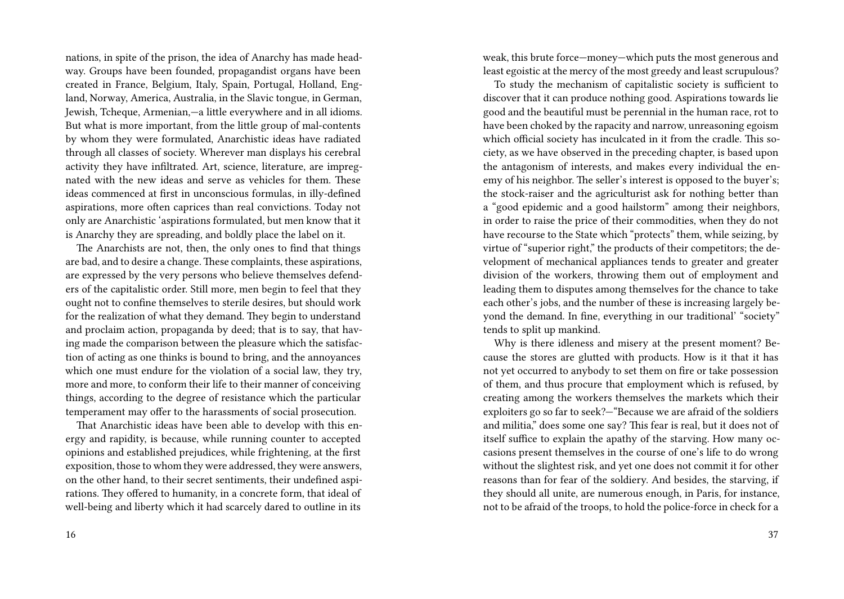nations, in spite of the prison, the idea of Anarchy has made headway. Groups have been founded, propagandist organs have been created in France, Belgium, Italy, Spain, Portugal, Holland, England, Norway, America, Australia, in the Slavic tongue, in German, Jewish, Tcheque, Armenian,—a little everywhere and in all idioms. But what is more important, from the little group of mal-contents by whom they were formulated, Anarchistic ideas have radiated through all classes of society. Wherever man displays his cerebral activity they have infiltrated. Art, science, literature, are impregnated with the new ideas and serve as vehicles for them. These ideas commenced at first in unconscious formulas, in illy-defined aspirations, more often caprices than real convictions. Today not only are Anarchistic 'aspirations formulated, but men know that it is Anarchy they are spreading, and boldly place the label on it.

The Anarchists are not, then, the only ones to find that things are bad, and to desire a change. These complaints, these aspirations, are expressed by the very persons who believe themselves defenders of the capitalistic order. Still more, men begin to feel that they ought not to confine themselves to sterile desires, but should work for the realization of what they demand. They begin to understand and proclaim action, propaganda by deed; that is to say, that having made the comparison between the pleasure which the satisfaction of acting as one thinks is bound to bring, and the annoyances which one must endure for the violation of a social law, they try, more and more, to conform their life to their manner of conceiving things, according to the degree of resistance which the particular temperament may offer to the harassments of social prosecution.

That Anarchistic ideas have been able to develop with this energy and rapidity, is because, while running counter to accepted opinions and established prejudices, while frightening, at the first exposition, those to whom they were addressed, they were answers, on the other hand, to their secret sentiments, their undefined aspirations. They offered to humanity, in a concrete form, that ideal of well-being and liberty which it had scarcely dared to outline in its

16

weak, this brute force—money—which puts the most generous and least egoistic at the mercy of the most greedy and least scrupulous?

To study the mechanism of capitalistic society is sufficient to discover that it can produce nothing good. Aspirations towards lie good and the beautiful must be perennial in the human race, rot to have been choked by the rapacity and narrow, unreasoning egoism which official society has inculcated in it from the cradle. This society, as we have observed in the preceding chapter, is based upon the antagonism of interests, and makes every individual the enemy of his neighbor. The seller's interest is opposed to the buyer's; the stock-raiser and the agriculturist ask for nothing better than a "good epidemic and a good hailstorm" among their neighbors, in order to raise the price of their commodities, when they do not have recourse to the State which "protects" them, while seizing, by virtue of "superior right," the products of their competitors; the development of mechanical appliances tends to greater and greater division of the workers, throwing them out of employment and leading them to disputes among themselves for the chance to take each other's jobs, and the number of these is increasing largely beyond the demand. In fine, everything in our traditional' "society" tends to split up mankind.

Why is there idleness and misery at the present moment? Because the stores are glutted with products. How is it that it has not yet occurred to anybody to set them on fire or take possession of them, and thus procure that employment which is refused, by creating among the workers themselves the markets which their exploiters go so far to seek?—"Because we are afraid of the soldiers and militia," does some one say? This fear is real, but it does not of itself suffice to explain the apathy of the starving. How many occasions present themselves in the course of one's life to do wrong without the slightest risk, and yet one does not commit it for other reasons than for fear of the soldiery. And besides, the starving, if they should all unite, are numerous enough, in Paris, for instance, not to be afraid of the troops, to hold the police-force in check for a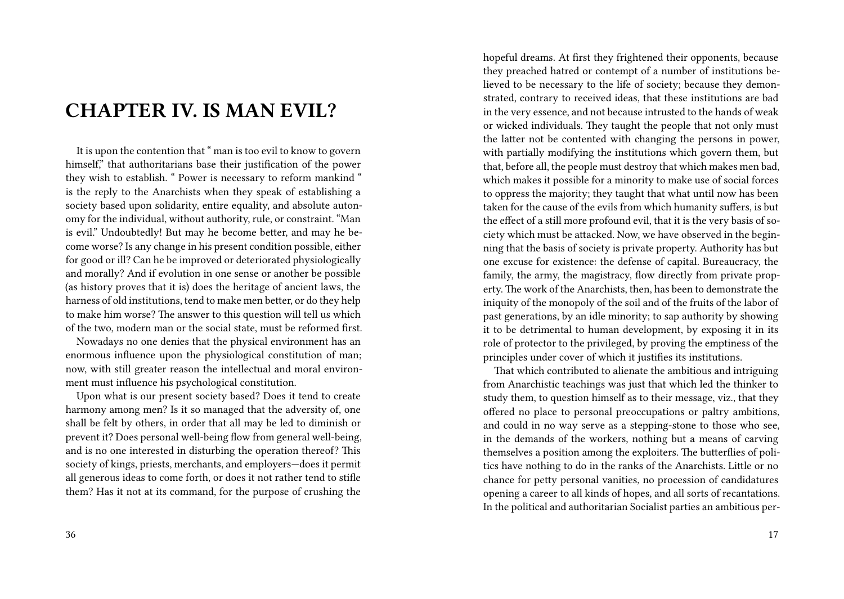#### **CHAPTER IV. IS MAN EVIL?**

It is upon the contention that " man is too evil to know to govern himself," that authoritarians base their justification of the power they wish to establish. " Power is necessary to reform mankind " is the reply to the Anarchists when they speak of establishing a society based upon solidarity, entire equality, and absolute autonomy for the individual, without authority, rule, or constraint. "Man is evil." Undoubtedly! But may he become better, and may he become worse? Is any change in his present condition possible, either for good or ill? Can he be improved or deteriorated physiologically and morally? And if evolution in one sense or another be possible (as history proves that it is) does the heritage of ancient laws, the harness of old institutions, tend to make men better, or do they help to make him worse? The answer to this question will tell us which of the two, modern man or the social state, must be reformed first.

Nowadays no one denies that the physical environment has an enormous influence upon the physiological constitution of man; now, with still greater reason the intellectual and moral environment must influence his psychological constitution.

Upon what is our present society based? Does it tend to create harmony among men? Is it so managed that the adversity of, one shall be felt by others, in order that all may be led to diminish or prevent it? Does personal well-being flow from general well-being, and is no one interested in disturbing the operation thereof? This society of kings, priests, merchants, and employers—does it permit all generous ideas to come forth, or does it not rather tend to stifle them? Has it not at its command, for the purpose of crushing the

hopeful dreams. At first they frightened their opponents, because they preached hatred or contempt of a number of institutions believed to be necessary to the life of society; because they demonstrated, contrary to received ideas, that these institutions are bad in the very essence, and not because intrusted to the hands of weak or wicked individuals. They taught the people that not only must the latter not be contented with changing the persons in power, with partially modifying the institutions which govern them, but that, before all, the people must destroy that which makes men bad, which makes it possible for a minority to make use of social forces to oppress the majority; they taught that what until now has been taken for the cause of the evils from which humanity suffers, is but the effect of a still more profound evil, that it is the very basis of society which must be attacked. Now, we have observed in the beginning that the basis of society is private property. Authority has but one excuse for existence: the defense of capital. Bureaucracy, the family, the army, the magistracy, flow directly from private property. The work of the Anarchists, then, has been to demonstrate the iniquity of the monopoly of the soil and of the fruits of the labor of past generations, by an idle minority; to sap authority by showing it to be detrimental to human development, by exposing it in its role of protector to the privileged, by proving the emptiness of the principles under cover of which it justifies its institutions.

That which contributed to alienate the ambitious and intriguing from Anarchistic teachings was just that which led the thinker to study them, to question himself as to their message, viz., that they offered no place to personal preoccupations or paltry ambitions, and could in no way serve as a stepping-stone to those who see, in the demands of the workers, nothing but a means of carving themselves a position among the exploiters. The butterflies of politics have nothing to do in the ranks of the Anarchists. Little or no chance for petty personal vanities, no procession of candidatures opening a career to all kinds of hopes, and all sorts of recantations. In the political and authoritarian Socialist parties an ambitious per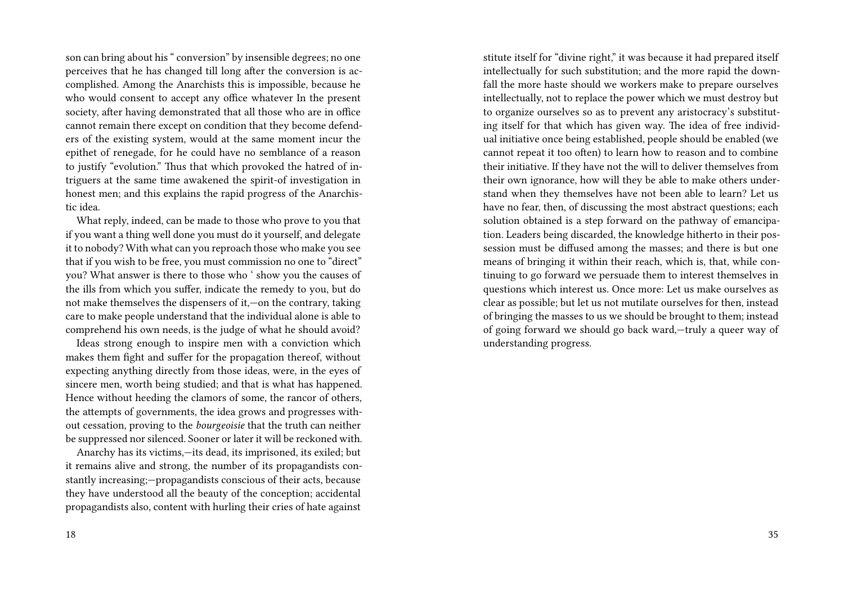son can bring about his " conversion" by insensible degrees; no one perceives that he has changed till long after the conversion is accomplished. Among the Anarchists this is impossible, because he who would consent to accept any office whatever In the present society, after having demonstrated that all those who are in office cannot remain there except on condition that they become defenders of the existing system, would at the same moment incur the epithet of renegade, for he could have no semblance of a reason to justify "evolution." Thus that which provoked the hatred of intriguers at the same time awakened the spirit-of investigation in honest men; and this explains the rapid progress of the Anarchistic idea.

What reply, indeed, can be made to those who prove to you that if you want a thing well done you must do it yourself, and delegate it to nobody? With what can you reproach those who make you see that if you wish to be free, you must commission no one to "direct" you? What answer is there to those who ' show you the causes of the ills from which you suffer, indicate the remedy to you, but do not make themselves the dispensers of it,—on the contrary, taking care to make people understand that the individual alone is able to comprehend his own needs, is the judge of what he should avoid?

Ideas strong enough to inspire men with a conviction which makes them fight and suffer for the propagation thereof, without expecting anything directly from those ideas, were, in the eyes of sincere men, worth being studied; and that is what has happened. Hence without heeding the clamors of some, the rancor of others, the attempts of governments, the idea grows and progresses without cessation, proving to the *bourgeoisie* that the truth can neither be suppressed nor silenced. Sooner or later it will be reckoned with.

Anarchy has its victims,—its dead, its imprisoned, its exiled; but it remains alive and strong, the number of its propagandists constantly increasing;—propagandists conscious of their acts, because they have understood all the beauty of the conception; accidental propagandists also, content with hurling their cries of hate against

stitute itself for "divine right," it was because it had prepared itself intellectually for such substitution; and the more rapid the downfall the more haste should we workers make to prepare ourselves intellectually, not to replace the power which we must destroy but to organize ourselves so as to prevent any aristocracy's substituting itself for that which has given way. The idea of free individual initiative once being established, people should be enabled (we cannot repeat it too often) to learn how to reason and to combine their initiative. If they have not the will to deliver themselves from their own ignorance, how will they be able to make others understand when they themselves have not been able to learn? Let us have no fear, then, of discussing the most abstract questions; each solution obtained is a step forward on the pathway of emancipation. Leaders being discarded, the knowledge hitherto in their possession must be diffused among the masses; and there is but one means of bringing it within their reach, which is, that, while continuing to go forward we persuade them to interest themselves in questions which interest us. Once more: Let us make ourselves as clear as possible; but let us not mutilate ourselves for then, instead of bringing the masses to us we should be brought to them; instead of going forward we should go back ward,—truly a queer way of understanding progress.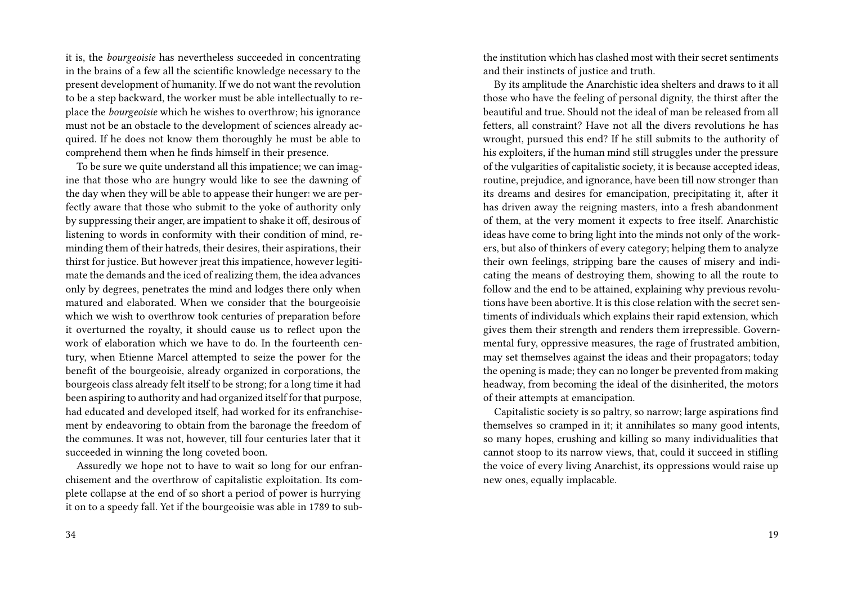it is, the *bourgeoisie* has nevertheless succeeded in concentrating in the brains of a few all the scientific knowledge necessary to the present development of humanity. If we do not want the revolution to be a step backward, the worker must be able intellectually to replace the *bourgeoisie* which he wishes to overthrow; his ignorance must not be an obstacle to the development of sciences already acquired. If he does not know them thoroughly he must be able to comprehend them when he finds himself in their presence.

To be sure we quite understand all this impatience; we can imagine that those who are hungry would like to see the dawning of the day when they will be able to appease their hunger: we are perfectly aware that those who submit to the yoke of authority only by suppressing their anger, are impatient to shake it off, desirous of listening to words in conformity with their condition of mind, reminding them of their hatreds, their desires, their aspirations, their thirst for justice. But however jreat this impatience, however legitimate the demands and the iced of realizing them, the idea advances only by degrees, penetrates the mind and lodges there only when matured and elaborated. When we consider that the bourgeoisie which we wish to overthrow took centuries of preparation before it overturned the royalty, it should cause us to reflect upon the work of elaboration which we have to do. In the fourteenth century, when Etienne Marcel attempted to seize the power for the benefit of the bourgeoisie, already organized in corporations, the bourgeois class already felt itself to be strong; for a long time it had been aspiring to authority and had organized itself for that purpose, had educated and developed itself, had worked for its enfranchisement by endeavoring to obtain from the baronage the freedom of the communes. It was not, however, till four centuries later that it succeeded in winning the long coveted boon.

Assuredly we hope not to have to wait so long for our enfranchisement and the overthrow of capitalistic exploitation. Its complete collapse at the end of so short a period of power is hurrying it on to a speedy fall. Yet if the bourgeoisie was able in 1789 to sub-

the institution which has clashed most with their secret sentiments and their instincts of justice and truth.

By its amplitude the Anarchistic idea shelters and draws to it all those who have the feeling of personal dignity, the thirst after the beautiful and true. Should not the ideal of man be released from all fetters, all constraint? Have not all the divers revolutions he has wrought, pursued this end? If he still submits to the authority of his exploiters, if the human mind still struggles under the pressure of the vulgarities of capitalistic society, it is because accepted ideas, routine, prejudice, and ignorance, have been till now stronger than its dreams and desires for emancipation, precipitating it, after it has driven away the reigning masters, into a fresh abandonment of them, at the very moment it expects to free itself. Anarchistic ideas have come to bring light into the minds not only of the workers, but also of thinkers of every category; helping them to analyze their own feelings, stripping bare the causes of misery and indicating the means of destroying them, showing to all the route to follow and the end to be attained, explaining why previous revolutions have been abortive. It is this close relation with the secret sentiments of individuals which explains their rapid extension, which gives them their strength and renders them irrepressible. Governmental fury, oppressive measures, the rage of frustrated ambition, may set themselves against the ideas and their propagators; today the opening is made; they can no longer be prevented from making headway, from becoming the ideal of the disinherited, the motors of their attempts at emancipation.

Capitalistic society is so paltry, so narrow; large aspirations find themselves so cramped in it; it annihilates so many good intents, so many hopes, crushing and killing so many individualities that cannot stoop to its narrow views, that, could it succeed in stifling the voice of every living Anarchist, its oppressions would raise up new ones, equally implacable.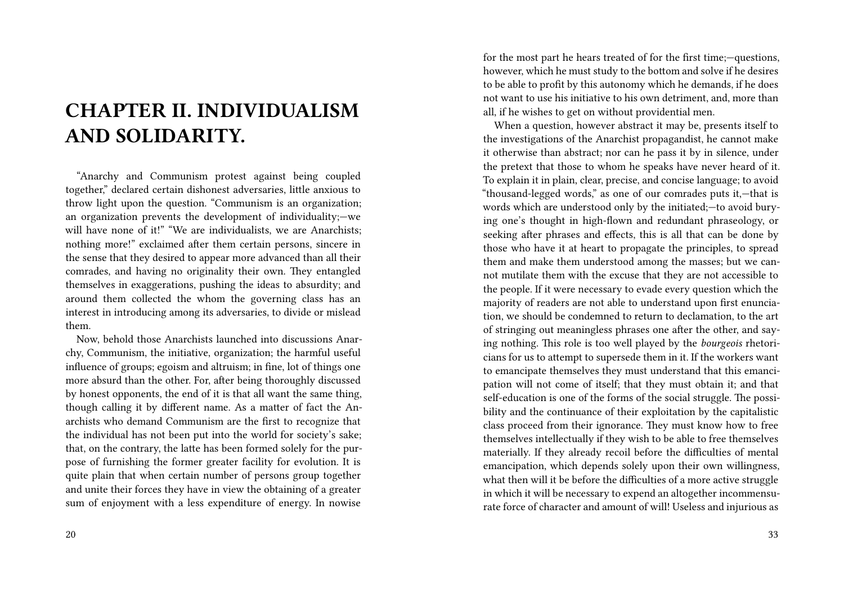#### **CHAPTER II. INDIVIDUALISM AND SOLIDARITY.**

"Anarchy and Communism protest against being coupled together," declared certain dishonest adversaries, little anxious to throw light upon the question. "Communism is an organization; an organization prevents the development of individuality;—we will have none of it!" "We are individualists, we are Anarchists; nothing more!" exclaimed after them certain persons, sincere in the sense that they desired to appear more advanced than all their comrades, and having no originality their own. They entangled themselves in exaggerations, pushing the ideas to absurdity; and around them collected the whom the governing class has an interest in introducing among its adversaries, to divide or mislead them.

Now, behold those Anarchists launched into discussions Anarchy, Communism, the initiative, organization; the harmful useful influence of groups; egoism and altruism; in fine, lot of things one more absurd than the other. For, after being thoroughly discussed by honest opponents, the end of it is that all want the same thing, though calling it by different name. As a matter of fact the Anarchists who demand Communism are the first to recognize that the individual has not been put into the world for society's sake; that, on the contrary, the latte has been formed solely for the purpose of furnishing the former greater facility for evolution. It is quite plain that when certain number of persons group together and unite their forces they have in view the obtaining of a greater sum of enjoyment with a less expenditure of energy. In nowise for the most part he hears treated of for the first time;—questions, however, which he must study to the bottom and solve if he desires to be able to profit by this autonomy which he demands, if he does not want to use his initiative to his own detriment, and, more than all, if he wishes to get on without providential men.

When a question, however abstract it may be, presents itself to the investigations of the Anarchist propagandist, he cannot make it otherwise than abstract; nor can he pass it by in silence, under the pretext that those to whom he speaks have never heard of it. To explain it in plain, clear, precise, and concise language; to avoid "thousand-legged words," as one of our comrades puts it,—that is words which are understood only by the initiated;—to avoid burying one's thought in high-flown and redundant phraseology, or seeking after phrases and effects, this is all that can be done by those who have it at heart to propagate the principles, to spread them and make them understood among the masses; but we cannot mutilate them with the excuse that they are not accessible to the people. If it were necessary to evade every question which the majority of readers are not able to understand upon first enunciation, we should be condemned to return to declamation, to the art of stringing out meaningless phrases one after the other, and saying nothing. This role is too well played by the *bourgeois* rhetoricians for us to attempt to supersede them in it. If the workers want to emancipate themselves they must understand that this emancipation will not come of itself; that they must obtain it; and that self-education is one of the forms of the social struggle. The possibility and the continuance of their exploitation by the capitalistic class proceed from their ignorance. They must know how to free themselves intellectually if they wish to be able to free themselves materially. If they already recoil before the difficulties of mental emancipation, which depends solely upon their own willingness, what then will it be before the difficulties of a more active struggle in which it will be necessary to expend an altogether incommensurate force of character and amount of will! Useless and injurious as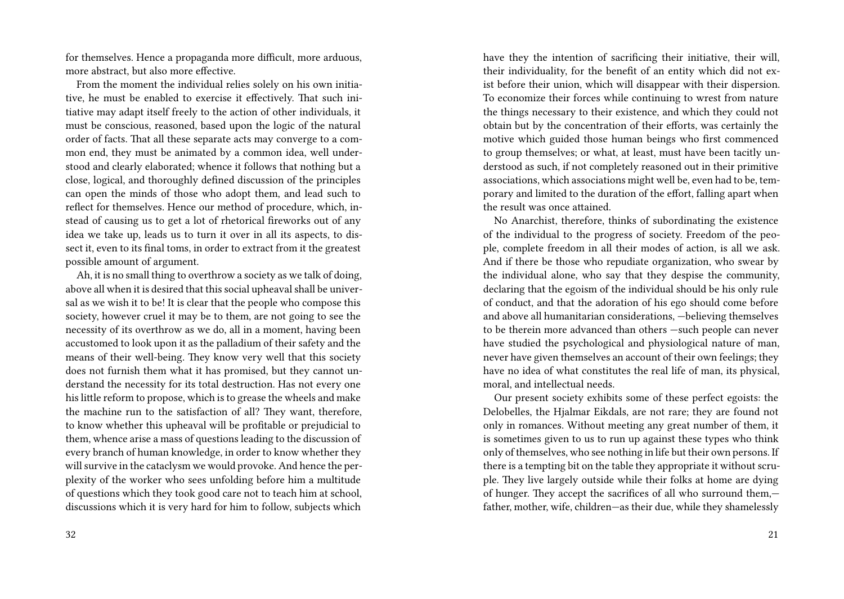for themselves. Hence a propaganda more difficult, more arduous, more abstract, but also more effective.

From the moment the individual relies solely on his own initiative, he must be enabled to exercise it effectively. That such initiative may adapt itself freely to the action of other individuals, it must be conscious, reasoned, based upon the logic of the natural order of facts. That all these separate acts may converge to a common end, they must be animated by a common idea, well understood and clearly elaborated; whence it follows that nothing but a close, logical, and thoroughly defined discussion of the principles can open the minds of those who adopt them, and lead such to reflect for themselves. Hence our method of procedure, which, instead of causing us to get a lot of rhetorical fireworks out of any idea we take up, leads us to turn it over in all its aspects, to dissect it, even to its final toms, in order to extract from it the greatest possible amount of argument.

Ah, it is no small thing to overthrow a society as we talk of doing, above all when it is desired that this social upheaval shall be universal as we wish it to be! It is clear that the people who compose this society, however cruel it may be to them, are not going to see the necessity of its overthrow as we do, all in a moment, having been accustomed to look upon it as the palladium of their safety and the means of their well-being. They know very well that this society does not furnish them what it has promised, but they cannot understand the necessity for its total destruction. Has not every one his little reform to propose, which is to grease the wheels and make the machine run to the satisfaction of all? They want, therefore, to know whether this upheaval will be profitable or prejudicial to them, whence arise a mass of questions leading to the discussion of every branch of human knowledge, in order to know whether they will survive in the cataclysm we would provoke. And hence the perplexity of the worker who sees unfolding before him a multitude of questions which they took good care not to teach him at school, discussions which it is very hard for him to follow, subjects which have they the intention of sacrificing their initiative, their will, their individuality, for the benefit of an entity which did not exist before their union, which will disappear with their dispersion. To economize their forces while continuing to wrest from nature the things necessary to their existence, and which they could not obtain but by the concentration of their efforts, was certainly the motive which guided those human beings who first commenced to group themselves; or what, at least, must have been tacitly understood as such, if not completely reasoned out in their primitive associations, which associations might well be, even had to be, temporary and limited to the duration of the effort, falling apart when the result was once attained. No Anarchist, therefore, thinks of subordinating the existence

of the individual to the progress of society. Freedom of the people, complete freedom in all their modes of action, is all we ask. And if there be those who repudiate organization, who swear by the individual alone, who say that they despise the community, declaring that the egoism of the individual should be his only rule of conduct, and that the adoration of his ego should come before and above all humanitarian considerations, —believing themselves to be therein more advanced than others —such people can never have studied the psychological and physiological nature of man, never have given themselves an account of their own feelings; they have no idea of what constitutes the real life of man, its physical, moral, and intellectual needs.

Our present society exhibits some of these perfect egoists: the Delobelles, the Hjalmar Eikdals, are not rare; they are found not only in romances. Without meeting any great number of them, it is sometimes given to us to run up against these types who think only of themselves, who see nothing in life but their own persons. If there is a tempting bit on the table they appropriate it without scruple. They live largely outside while their folks at home are dying of hunger. They accept the sacrifices of all who surround them, father, mother, wife, children—as their due, while they shamelessly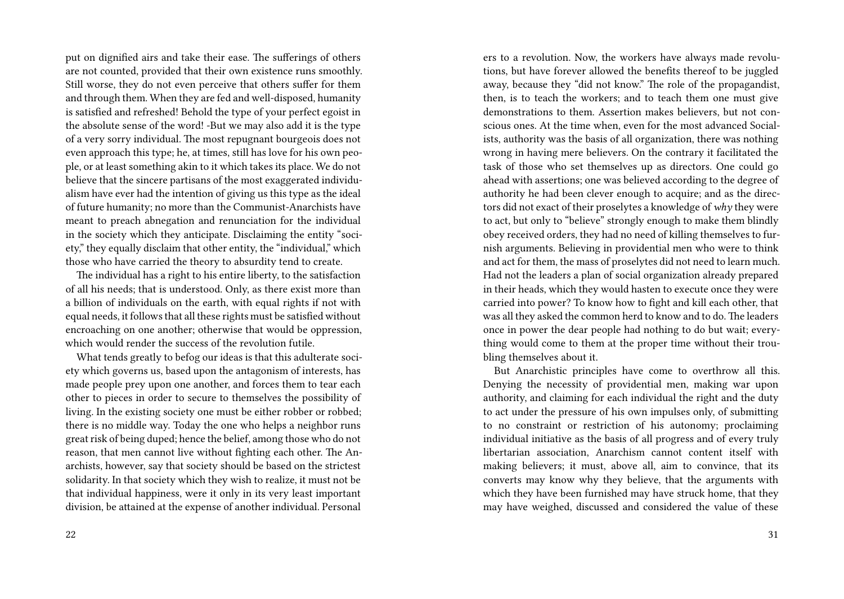put on dignified airs and take their ease. The sufferings of others are not counted, provided that their own existence runs smoothly. Still worse, they do not even perceive that others suffer for them and through them. When they are fed and well-disposed, humanity is satisfied and refreshed! Behold the type of your perfect egoist in the absolute sense of the word! -But we may also add it is the type of a very sorry individual. The most repugnant bourgeois does not even approach this type; he, at times, still has love for his own people, or at least something akin to it which takes its place. We do not believe that the sincere partisans of the most exaggerated individualism have ever had the intention of giving us this type as the ideal of future humanity; no more than the Communist-Anarchists have meant to preach abnegation and renunciation for the individual in the society which they anticipate. Disclaiming the entity "society," they equally disclaim that other entity, the "individual," which those who have carried the theory to absurdity tend to create.

The individual has a right to his entire liberty, to the satisfaction of all his needs; that is understood. Only, as there exist more than a billion of individuals on the earth, with equal rights if not with equal needs, it follows that all these rights must be satisfied without encroaching on one another; otherwise that would be oppression, which would render the success of the revolution futile.

What tends greatly to befog our ideas is that this adulterate society which governs us, based upon the antagonism of interests, has made people prey upon one another, and forces them to tear each other to pieces in order to secure to themselves the possibility of living. In the existing society one must be either robber or robbed; there is no middle way. Today the one who helps a neighbor runs great risk of being duped; hence the belief, among those who do not reason, that men cannot live without fighting each other. The Anarchists, however, say that society should be based on the strictest solidarity. In that society which they wish to realize, it must not be that individual happiness, were it only in its very least important division, be attained at the expense of another individual. Personal

ers to a revolution. Now, the workers have always made revolutions, but have forever allowed the benefits thereof to be juggled away, because they "did not know." The role of the propagandist, then, is to teach the workers; and to teach them one must give demonstrations to them. Assertion makes believers, but not conscious ones. At the time when, even for the most advanced Socialists, authority was the basis of all organization, there was nothing wrong in having mere believers. On the contrary it facilitated the task of those who set themselves up as directors. One could go ahead with assertions; one was believed according to the degree of authority he had been clever enough to acquire; and as the directors did not exact of their proselytes a knowledge of *why* they were to act, but only to "believe" strongly enough to make them blindly obey received orders, they had no need of killing themselves to furnish arguments. Believing in providential men who were to think and act for them, the mass of proselytes did not need to learn much. Had not the leaders a plan of social organization already prepared in their heads, which they would hasten to execute once they were carried into power? To know how to fight and kill each other, that was all they asked the common herd to know and to do. The leaders once in power the dear people had nothing to do but wait; everything would come to them at the proper time without their troubling themselves about it.

But Anarchistic principles have come to overthrow all this. Denying the necessity of providential men, making war upon authority, and claiming for each individual the right and the duty to act under the pressure of his own impulses only, of submitting to no constraint or restriction of his autonomy; proclaiming individual initiative as the basis of all progress and of every truly libertarian association, Anarchism cannot content itself with making believers; it must, above all, aim to convince, that its converts may know why they believe, that the arguments with which they have been furnished may have struck home, that they may have weighed, discussed and considered the value of these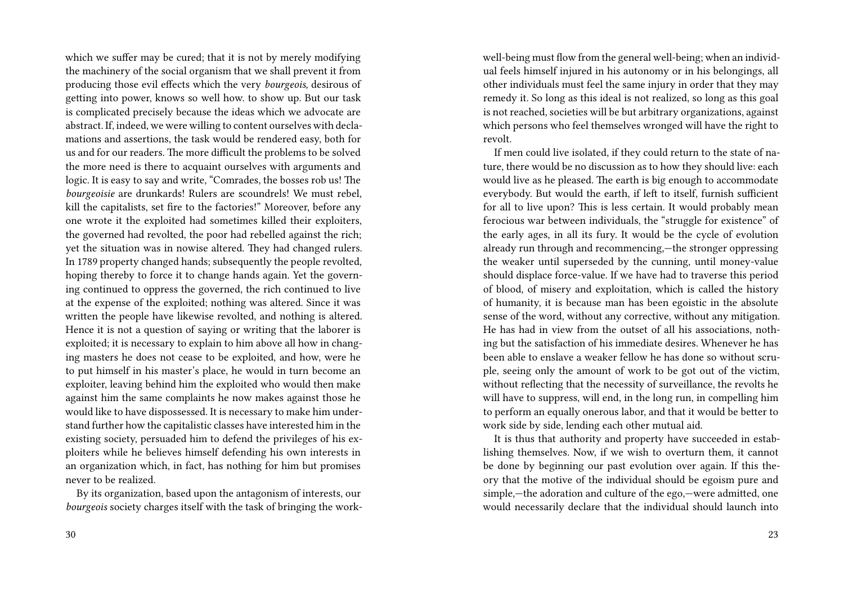which we suffer may be cured; that it is not by merely modifying the machinery of the social organism that we shall prevent it from producing those evil effects which the very *bourgeois,* desirous of getting into power, knows so well how. to show up. But our task is complicated precisely because the ideas which we advocate are abstract. If, indeed, we were willing to content ourselves with declamations and assertions, the task would be rendered easy, both for us and for our readers. The more difficult the problems to be solved the more need is there to acquaint ourselves with arguments and logic. It is easy to say and write, "Comrades, the bosses rob us! The *bourgeoisie* are drunkards! Rulers are scoundrels! We must rebel, kill the capitalists, set fire to the factories!" Moreover, before any one wrote it the exploited had sometimes killed their exploiters, the governed had revolted, the poor had rebelled against the rich; yet the situation was in nowise altered. They had changed rulers. In 1789 property changed hands; subsequently the people revolted, hoping thereby to force it to change hands again. Yet the governing continued to oppress the governed, the rich continued to live at the expense of the exploited; nothing was altered. Since it was written the people have likewise revolted, and nothing is altered. Hence it is not a question of saying or writing that the laborer is exploited; it is necessary to explain to him above all how in changing masters he does not cease to be exploited, and how, were he to put himself in his master's place, he would in turn become an exploiter, leaving behind him the exploited who would then make against him the same complaints he now makes against those he would like to have dispossessed. It is necessary to make him understand further how the capitalistic classes have interested him in the existing society, persuaded him to defend the privileges of his exploiters while he believes himself defending his own interests in an organization which, in fact, has nothing for him but promises never to be realized.

By its organization, based upon the antagonism of interests, our *bourgeois* society charges itself with the task of bringing the workwell-being must flow from the general well-being; when an individual feels himself injured in his autonomy or in his belongings, all other individuals must feel the same injury in order that they may remedy it. So long as this ideal is not realized, so long as this goal is not reached, societies will be but arbitrary organizations, against which persons who feel themselves wronged will have the right to revolt.

If men could live isolated, if they could return to the state of nature, there would be no discussion as to how they should live: each would live as he pleased. The earth is big enough to accommodate everybody. But would the earth, if left to itself, furnish sufficient for all to live upon? This is less certain. It would probably mean ferocious war between individuals, the "struggle for existence" of the early ages, in all its fury. It would be the cycle of evolution already run through and recommencing,—the stronger oppressing the weaker until superseded by the cunning, until money-value should displace force-value. If we have had to traverse this period of blood, of misery and exploitation, which is called the history of humanity, it is because man has been egoistic in the absolute sense of the word, without any corrective, without any mitigation. He has had in view from the outset of all his associations, nothing but the satisfaction of his immediate desires. Whenever he has been able to enslave a weaker fellow he has done so without scruple, seeing only the amount of work to be got out of the victim, without reflecting that the necessity of surveillance, the revolts he will have to suppress, will end, in the long run, in compelling him to perform an equally onerous labor, and that it would be better to work side by side, lending each other mutual aid.

It is thus that authority and property have succeeded in establishing themselves. Now, if we wish to overturn them, it cannot be done by beginning our past evolution over again. If this theory that the motive of the individual should be egoism pure and simple,—the adoration and culture of the ego,—were admitted, one would necessarily declare that the individual should launch into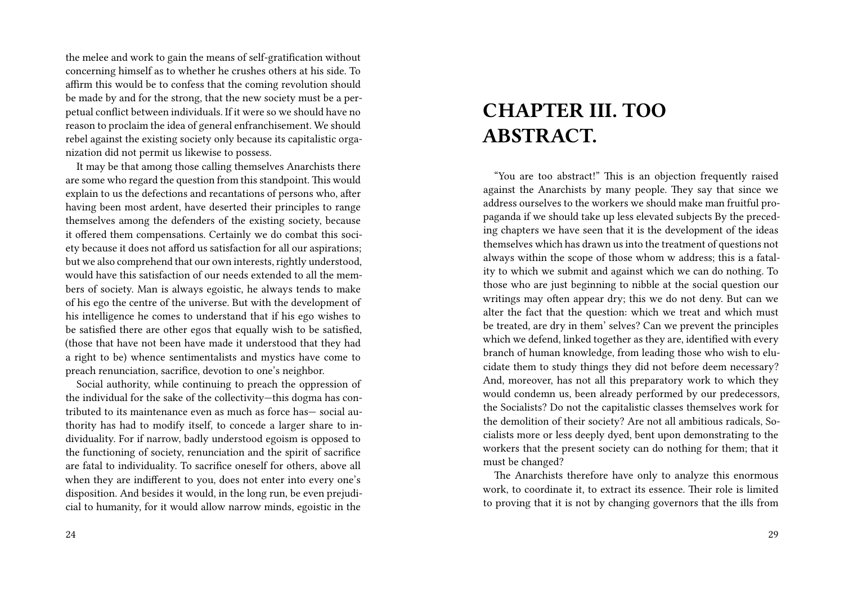the melee and work to gain the means of self-gratification without concerning himself as to whether he crushes others at his side. To affirm this would be to confess that the coming revolution should be made by and for the strong, that the new society must be a perpetual conflict between individuals. If it were so we should have no reason to proclaim the idea of general enfranchisement. We should rebel against the existing society only because its capitalistic organization did not permit us likewise to possess.

It may be that among those calling themselves Anarchists there are some who regard the question from this standpoint. This would explain to us the defections and recantations of persons who, after having been most ardent, have deserted their principles to range themselves among the defenders of the existing society, because it offered them compensations. Certainly we do combat this society because it does not afford us satisfaction for all our aspirations; but we also comprehend that our own interests, rightly understood, would have this satisfaction of our needs extended to all the members of society. Man is always egoistic, he always tends to make of his ego the centre of the universe. But with the development of his intelligence he comes to understand that if his ego wishes to be satisfied there are other egos that equally wish to be satisfied, (those that have not been have made it understood that they had a right to be) whence sentimentalists and mystics have come to preach renunciation, sacrifice, devotion to one's neighbor.

Social authority, while continuing to preach the oppression of the individual for the sake of the collectivity—this dogma has contributed to its maintenance even as much as force has— social authority has had to modify itself, to concede a larger share to individuality. For if narrow, badly understood egoism is opposed to the functioning of society, renunciation and the spirit of sacrifice are fatal to individuality. To sacrifice oneself for others, above all when they are indifferent to you, does not enter into every one's disposition. And besides it would, in the long run, be even prejudicial to humanity, for it would allow narrow minds, egoistic in the

#### 24

#### **CHAPTER III. TOO ABSTRACT.**

"You are too abstract!" This is an objection frequently raised against the Anarchists by many people. They say that since we address ourselves to the workers we should make man fruitful propaganda if we should take up less elevated subjects By the preceding chapters we have seen that it is the development of the ideas themselves which has drawn us into the treatment of questions not always within the scope of those whom w address; this is a fatality to which we submit and against which we can do nothing. To those who are just beginning to nibble at the social question our writings may often appear dry; this we do not deny. But can we alter the fact that the question: which we treat and which must be treated, are dry in them' selves? Can we prevent the principles which we defend, linked together as they are, identified with every branch of human knowledge, from leading those who wish to elucidate them to study things they did not before deem necessary? And, moreover, has not all this preparatory work to which they would condemn us, been already performed by our predecessors, the Socialists? Do not the capitalistic classes themselves work for the demolition of their society? Are not all ambitious radicals, Socialists more or less deeply dyed, bent upon demonstrating to the workers that the present society can do nothing for them; that it must be changed?

The Anarchists therefore have only to analyze this enormous work, to coordinate it, to extract its essence. Their role is limited to proving that it is not by changing governors that the ills from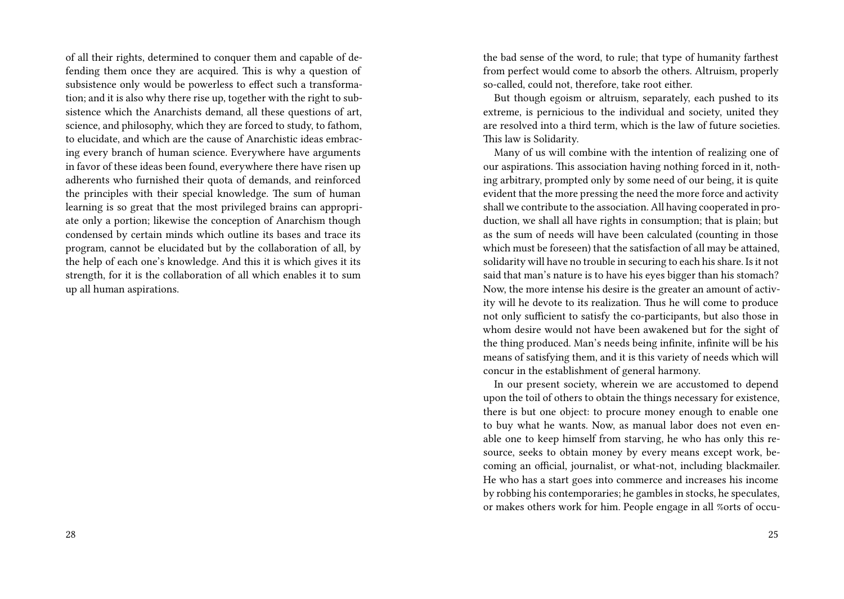of all their rights, determined to conquer them and capable of defending them once they are acquired. This is why a question of subsistence only would be powerless to effect such a transformation; and it is also why there rise up, together with the right to subsistence which the Anarchists demand, all these questions of art, science, and philosophy, which they are forced to study, to fathom, to elucidate, and which are the cause of Anarchistic ideas embracing every branch of human science. Everywhere have arguments in favor of these ideas been found, everywhere there have risen up adherents who furnished their quota of demands, and reinforced the principles with their special knowledge. The sum of human learning is so great that the most privileged brains can appropriate only a portion; likewise the conception of Anarchism though condensed by certain minds which outline its bases and trace its program, cannot be elucidated but by the collaboration of all, by the help of each one's knowledge. And this it is which gives it its strength, for it is the collaboration of all which enables it to sum up all human aspirations.

But though egoism or altruism, separately, each pushed to its extreme, is pernicious to the individual and society, united they are resolved into a third term, which is the law of future societies. This law is Solidarity.

Many of us will combine with the intention of realizing one of our aspirations. This association having nothing forced in it, nothing arbitrary, prompted only by some need of our being, it is quite evident that the more pressing the need the more force and activity shall we contribute to the association. All having cooperated in production, we shall all have rights in consumption; that is plain; but as the sum of needs will have been calculated (counting in those which must be foreseen) that the satisfaction of all may be attained, solidarity will have no trouble in securing to each his share. Is it not said that man's nature is to have his eyes bigger than his stomach? Now, the more intense his desire is the greater an amount of activity will he devote to its realization. Thus he will come to produce not only sufficient to satisfy the co-participants, but also those in whom desire would not have been awakened but for the sight of the thing produced. Man's needs being infinite, infinite will be his means of satisfying them, and it is this variety of needs which will concur in the establishment of general harmony.

In our present society, wherein we are accustomed to depend upon the toil of others to obtain the things necessary for existence, there is but one object: to procure money enough to enable one to buy what he wants. Now, as manual labor does not even enable one to keep himself from starving, he who has only this resource, seeks to obtain money by every means except work, becoming an official, journalist, or what-not, including blackmailer. He who has a start goes into commerce and increases his income by robbing his contemporaries; he gambles in stocks, he speculates, or makes others work for him. People engage in all %orts of occu-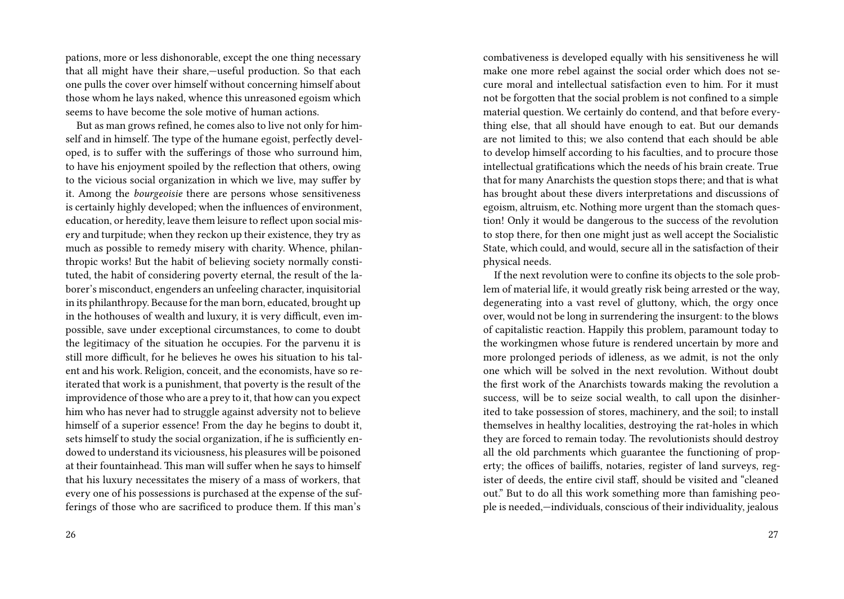pations, more or less dishonorable, except the one thing necessary that all might have their share,—useful production. So that each one pulls the cover over himself without concerning himself about those whom he lays naked, whence this unreasoned egoism which seems to have become the sole motive of human actions.

But as man grows refined, he comes also to live not only for himself and in himself. The type of the humane egoist, perfectly developed, is to suffer with the sufferings of those who surround him, to have his enjoyment spoiled by the reflection that others, owing to the vicious social organization in which we live, may suffer by it. Among the *bourgeoisie* there are persons whose sensitiveness is certainly highly developed; when the influences of environment, education, or heredity, leave them leisure to reflect upon social misery and turpitude; when they reckon up their existence, they try as much as possible to remedy misery with charity. Whence, philanthropic works! But the habit of believing society normally constituted, the habit of considering poverty eternal, the result of the laborer's misconduct, engenders an unfeeling character, inquisitorial in its philanthropy. Because for the man born, educated, brought up in the hothouses of wealth and luxury, it is very difficult, even impossible, save under exceptional circumstances, to come to doubt the legitimacy of the situation he occupies. For the parvenu it is still more difficult, for he believes he owes his situation to his talent and his work. Religion, conceit, and the economists, have so reiterated that work is a punishment, that poverty is the result of the improvidence of those who are a prey to it, that how can you expect him who has never had to struggle against adversity not to believe himself of a superior essence! From the day he begins to doubt it, sets himself to study the social organization, if he is sufficiently endowed to understand its viciousness, his pleasures will be poisoned at their fountainhead. This man will suffer when he says to himself that his luxury necessitates the misery of a mass of workers, that every one of his possessions is purchased at the expense of the sufferings of those who are sacrificed to produce them. If this man's

26

combativeness is developed equally with his sensitiveness he will make one more rebel against the social order which does not secure moral and intellectual satisfaction even to him. For it must not be forgotten that the social problem is not confined to a simple material question. We certainly do contend, and that before everything else, that all should have enough to eat. But our demands are not limited to this; we also contend that each should be able to develop himself according to his faculties, and to procure those intellectual gratifications which the needs of his brain create. True that for many Anarchists the question stops there; and that is what has brought about these divers interpretations and discussions of egoism, altruism, etc. Nothing more urgent than the stomach question! Only it would be dangerous to the success of the revolution to stop there, for then one might just as well accept the Socialistic State, which could, and would, secure all in the satisfaction of their physical needs.

If the next revolution were to confine its objects to the sole problem of material life, it would greatly risk being arrested or the way, degenerating into a vast revel of gluttony, which, the orgy once over, would not be long in surrendering the insurgent: to the blows of capitalistic reaction. Happily this problem, paramount today to the workingmen whose future is rendered uncertain by more and more prolonged periods of idleness, as we admit, is not the only one which will be solved in the next revolution. Without doubt the first work of the Anarchists towards making the revolution a success, will be to seize social wealth, to call upon the disinherited to take possession of stores, machinery, and the soil; to install themselves in healthy localities, destroying the rat-holes in which they are forced to remain today. The revolutionists should destroy all the old parchments which guarantee the functioning of property; the offices of bailiffs, notaries, register of land surveys, register of deeds, the entire civil staff, should be visited and "cleaned out." But to do all this work something more than famishing people is needed,—individuals, conscious of their individuality, jealous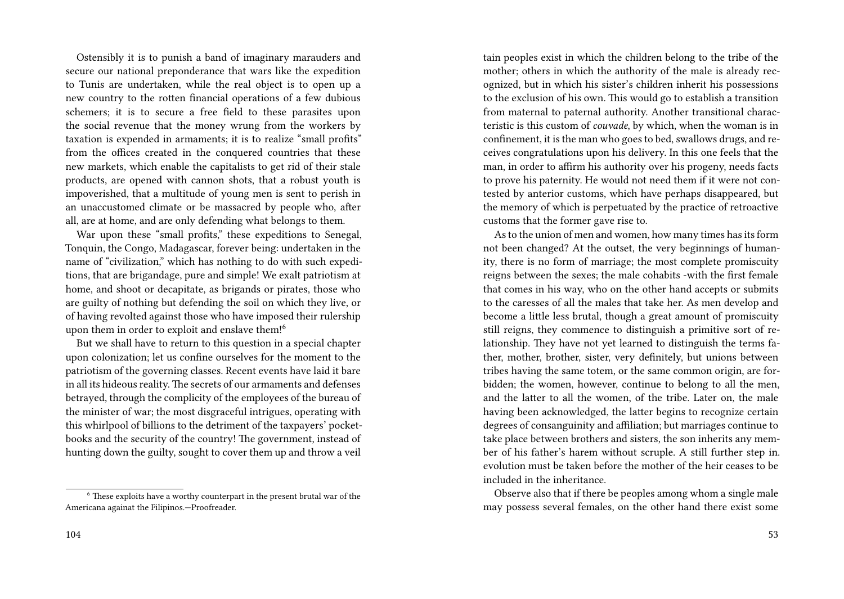Ostensibly it is to punish a band of imaginary marauders and secure our national preponderance that wars like the expedition to Tunis are undertaken, while the real object is to open up a new country to the rotten financial operations of a few dubious schemers; it is to secure a free field to these parasites upon the social revenue that the money wrung from the workers by taxation is expended in armaments; it is to realize "small profits" from the offices created in the conquered countries that these new markets, which enable the capitalists to get rid of their stale products, are opened with cannon shots, that a robust youth is impoverished, that a multitude of young men is sent to perish in an unaccustomed climate or be massacred by people who, after all, are at home, and are only defending what belongs to them.

War upon these "small profits," these expeditions to Senegal, Tonquin, the Congo, Madagascar, forever being: undertaken in the name of "civilization," which has nothing to do with such expeditions, that are brigandage, pure and simple! We exalt patriotism at home, and shoot or decapitate, as brigands or pirates, those who are guilty of nothing but defending the soil on which they live, or of having revolted against those who have imposed their rulership upon them in order to exploit and enslave them!<sup>6</sup>

But we shall have to return to this question in a special chapter upon colonization; let us confine ourselves for the moment to the patriotism of the governing classes. Recent events have laid it bare in all its hideous reality. The secrets of our armaments and defenses betrayed, through the complicity of the employees of the bureau of the minister of war; the most disgraceful intrigues, operating with this whirlpool of billions to the detriment of the taxpayers' pocketbooks and the security of the country! The government, instead of hunting down the guilty, sought to cover them up and throw a veil

 $6<sup>6</sup>$  These exploits have a worthy counterpart in the present brutal war of the Americana againat the Filipinos.—Proofreader.

tain peoples exist in which the children belong to the tribe of the mother; others in which the authority of the male is already recognized, but in which his sister's children inherit his possessions to the exclusion of his own. This would go to establish a transition from maternal to paternal authority. Another transitional characteristic is this custom of *couvade*, by which, when the woman is in confinement, it is the man who goes to bed, swallows drugs, and receives congratulations upon his delivery. In this one feels that the man, in order to affirm his authority over his progeny, needs facts to prove his paternity. He would not need them if it were not contested by anterior customs, which have perhaps disappeared, but the memory of which is perpetuated by the practice of retroactive customs that the former gave rise to.

As to the union of men and women, how many times has its form not been changed? At the outset, the very beginnings of humanity, there is no form of marriage; the most complete promiscuity reigns between the sexes; the male cohabits -with the first female that comes in his way, who on the other hand accepts or submits to the caresses of all the males that take her. As men develop and become a little less brutal, though a great amount of promiscuity still reigns, they commence to distinguish a primitive sort of relationship. They have not yet learned to distinguish the terms father, mother, brother, sister, very definitely, but unions between tribes having the same totem, or the same common origin, are forbidden; the women, however, continue to belong to all the men, and the latter to all the women, of the tribe. Later on, the male having been acknowledged, the latter begins to recognize certain degrees of consanguinity and affiliation; but marriages continue to take place between brothers and sisters, the son inherits any member of his father's harem without scruple. A still further step in. evolution must be taken before the mother of the heir ceases to be included in the inheritance.

Observe also that if there be peoples among whom a single male may possess several females, on the other hand there exist some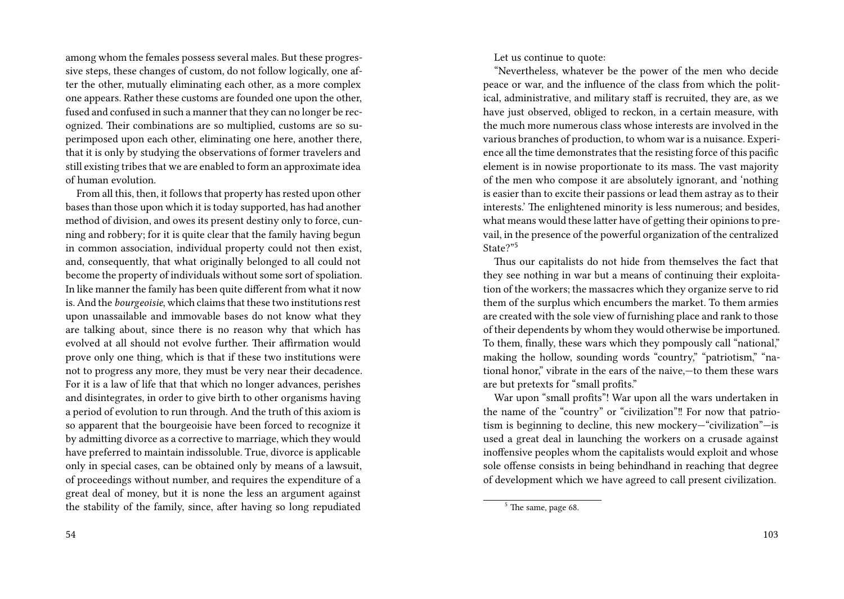among whom the females possess several males. But these progressive steps, these changes of custom, do not follow logically, one after the other, mutually eliminating each other, as a more complex one appears. Rather these customs are founded one upon the other, fused and confused in such a manner that they can no longer be recognized. Their combinations are so multiplied, customs are so superimposed upon each other, eliminating one here, another there, that it is only by studying the observations of former travelers and still existing tribes that we are enabled to form an approximate idea of human evolution.

From all this, then, it follows that property has rested upon other bases than those upon which it is today supported, has had another method of division, and owes its present destiny only to force, cunning and robbery; for it is quite clear that the family having begun in common association, individual property could not then exist, and, consequently, that what originally belonged to all could not become the property of individuals without some sort of spoliation. In like manner the family has been quite different from what it now is. And the *bourgeoisie*, which claims that these two institutions rest upon unassailable and immovable bases do not know what they are talking about, since there is no reason why that which has evolved at all should not evolve further. Their affirmation would prove only one thing, which is that if these two institutions were not to progress any more, they must be very near their decadence. For it is a law of life that that which no longer advances, perishes and disintegrates, in order to give birth to other organisms having a period of evolution to run through. And the truth of this axiom is so apparent that the bourgeoisie have been forced to recognize it by admitting divorce as a corrective to marriage, which they would have preferred to maintain indissoluble. True, divorce is applicable only in special cases, can be obtained only by means of a lawsuit, of proceedings without number, and requires the expenditure of a great deal of money, but it is none the less an argument against the stability of the family, since, after having so long repudiated

54

Let us continue to quote:

"Nevertheless, whatever be the power of the men who decide peace or war, and the influence of the class from which the political, administrative, and military staff is recruited, they are, as we have just observed, obliged to reckon, in a certain measure, with the much more numerous class whose interests are involved in the various branches of production, to whom war is a nuisance. Experience all the time demonstrates that the resisting force of this pacific element is in nowise proportionate to its mass. The vast majority of the men who compose it are absolutely ignorant, and 'nothing is easier than to excite their passions or lead them astray as to their interests.' The enlightened minority is less numerous; and besides, what means would these latter have of getting their opinions to prevail, in the presence of the powerful organization of the centralized State?"<sup>5</sup>

Thus our capitalists do not hide from themselves the fact that they see nothing in war but a means of continuing their exploitation of the workers; the massacres which they organize serve to rid them of the surplus which encumbers the market. To them armies are created with the sole view of furnishing place and rank to those of their dependents by whom they would otherwise be importuned. To them, finally, these wars which they pompously call "national," making the hollow, sounding words "country," "patriotism," "national honor," vibrate in the ears of the naive,—to them these wars are but pretexts for "small profits."

War upon "small profits"! War upon all the wars undertaken in the name of the "country" or "civilization"‼ For now that patriotism is beginning to decline, this new mockery—"civilization"—is used a great deal in launching the workers on a crusade against inoffensive peoples whom the capitalists would exploit and whose sole offense consists in being behindhand in reaching that degree of development which we have agreed to call present civilization.

<sup>&</sup>lt;sup>5</sup> The same, page 68.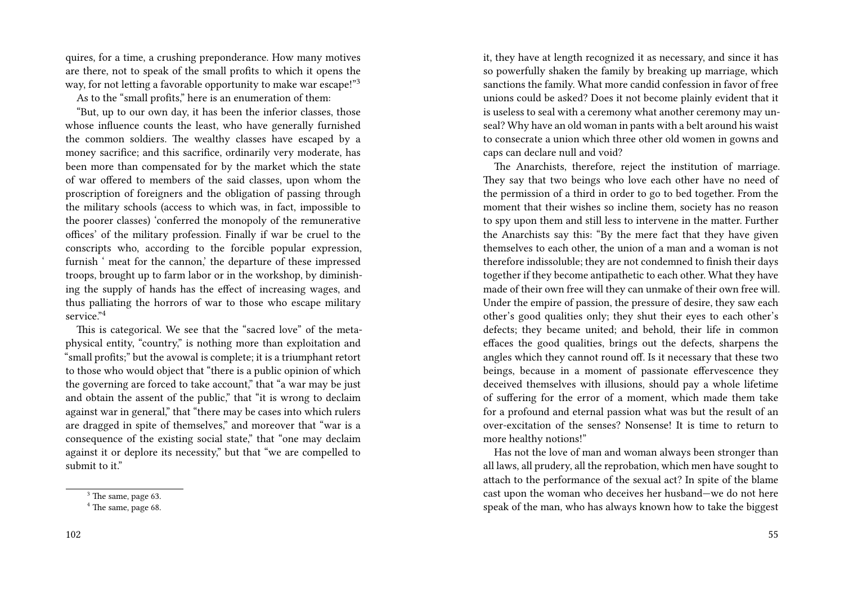quires, for a time, a crushing preponderance. How many motives are there, not to speak of the small profits to which it opens the way, for not letting a favorable opportunity to make war escape!"<sup>3</sup>

As to the "small profits," here is an enumeration of them:

"But, up to our own day, it has been the inferior classes, those whose influence counts the least, who have generally furnished the common soldiers. The wealthy classes have escaped by a money sacrifice; and this sacrifice, ordinarily very moderate, has been more than compensated for by the market which the state of war offered to members of the said classes, upon whom the proscription of foreigners and the obligation of passing through the military schools (access to which was, in fact, impossible to the poorer classes) 'conferred the monopoly of the remunerative offices' of the military profession. Finally if war be cruel to the conscripts who, according to the forcible popular expression, furnish ' meat for the cannon,' the departure of these impressed troops, brought up to farm labor or in the workshop, by diminishing the supply of hands has the effect of increasing wages, and thus palliating the horrors of war to those who escape military service."4

This is categorical. We see that the "sacred love" of the metaphysical entity, "country," is nothing more than exploitation and "small profits;" but the avowal is complete; it is a triumphant retort to those who would object that "there is a public opinion of which the governing are forced to take account," that "a war may be just and obtain the assent of the public," that "it is wrong to declaim against war in general," that "there may be cases into which rulers are dragged in spite of themselves," and moreover that "war is a consequence of the existing social state," that "one may declaim against it or deplore its necessity," but that "we are compelled to submit to it."

it, they have at length recognized it as necessary, and since it has so powerfully shaken the family by breaking up marriage, which sanctions the family. What more candid confession in favor of free unions could be asked? Does it not become plainly evident that it is useless to seal with a ceremony what another ceremony may unseal? Why have an old woman in pants with a belt around his waist to consecrate a union which three other old women in gowns and caps can declare null and void?

The Anarchists, therefore, reject the institution of marriage. They say that two beings who love each other have no need of the permission of a third in order to go to bed together. From the moment that their wishes so incline them, society has no reason to spy upon them and still less to intervene in the matter. Further the Anarchists say this: "By the mere fact that they have given themselves to each other, the union of a man and a woman is not therefore indissoluble; they are not condemned to finish their days together if they become antipathetic to each other. What they have made of their own free will they can unmake of their own free will. Under the empire of passion, the pressure of desire, they saw each other's good qualities only; they shut their eyes to each other's defects; they became united; and behold, their life in common effaces the good qualities, brings out the defects, sharpens the angles which they cannot round off. Is it necessary that these two beings, because in a moment of passionate effervescence they deceived themselves with illusions, should pay a whole lifetime of suffering for the error of a moment, which made them take for a profound and eternal passion what was but the result of an over-excitation of the senses? Nonsense! It is time to return to more healthy notions!"

Has not the love of man and woman always been stronger than all laws, all prudery, all the reprobation, which men have sought to attach to the performance of the sexual act? In spite of the blame cast upon the woman who deceives her husband—we do not here speak of the man, who has always known how to take the biggest

 $3$  The same, page 63.

<sup>&</sup>lt;sup>4</sup> The same, page 68.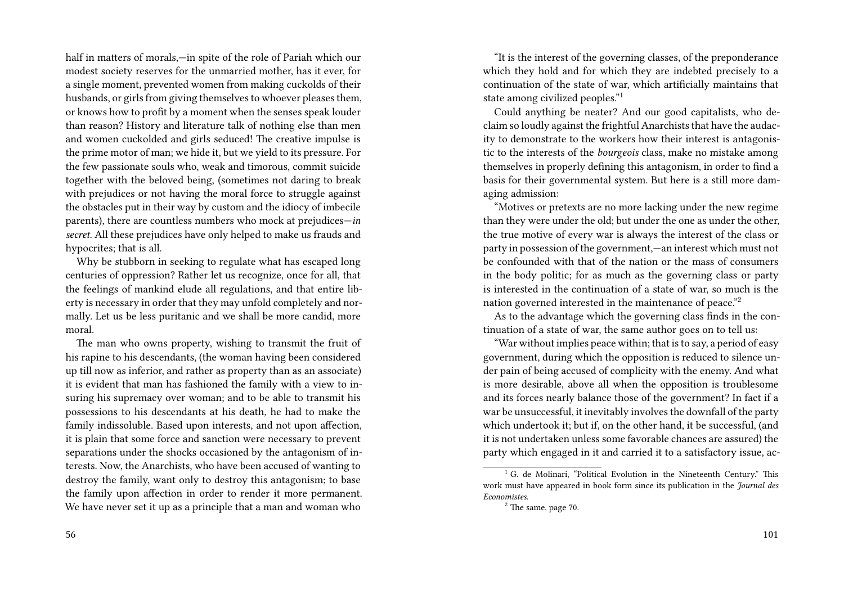half in matters of morals,—in spite of the role of Pariah which our modest society reserves for the unmarried mother, has it ever, for a single moment, prevented women from making cuckolds of their husbands, or girls from giving themselves to whoever pleases them, or knows how to profit by a moment when the senses speak louder than reason? History and literature talk of nothing else than men and women cuckolded and girls seduced! The creative impulse is the prime motor of man; we hide it, but we yield to its pressure. For the few passionate souls who, weak and timorous, commit suicide together with the beloved being, (sometimes not daring to break with prejudices or not having the moral force to struggle against the obstacles put in their way by custom and the idiocy of imbecile parents), there are countless numbers who mock at prejudices—*in secret*. All these prejudices have only helped to make us frauds and hypocrites; that is all.

Why be stubborn in seeking to regulate what has escaped long centuries of oppression? Rather let us recognize, once for all, that the feelings of mankind elude all regulations, and that entire liberty is necessary in order that they may unfold completely and normally. Let us be less puritanic and we shall be more candid, more moral.

The man who owns property, wishing to transmit the fruit of his rapine to his descendants, (the woman having been considered up till now as inferior, and rather as property than as an associate) it is evident that man has fashioned the family with a view to insuring his supremacy over woman; and to be able to transmit his possessions to his descendants at his death, he had to make the family indissoluble. Based upon interests, and not upon affection, it is plain that some force and sanction were necessary to prevent separations under the shocks occasioned by the antagonism of interests. Now, the Anarchists, who have been accused of wanting to destroy the family, want only to destroy this antagonism; to base the family upon affection in order to render it more permanent. We have never set it up as a principle that a man and woman who

"It is the interest of the governing classes, of the preponderance which they hold and for which they are indebted precisely to a continuation of the state of war, which artificially maintains that state among civilized peoples."<sup>1</sup>

Could anything be neater? And our good capitalists, who declaim so loudly against the frightful Anarchists that have the audacity to demonstrate to the workers how their interest is antagonistic to the interests of the *bourgeois* class, make no mistake among themselves in properly defining this antagonism, in order to find a basis for their governmental system. But here is a still more damaging admission:

"Motives or pretexts are no more lacking under the new regime than they were under the old; but under the one as under the other, the true motive of every war is always the interest of the class or party in possession of the government,—an interest which must not be confounded with that of the nation or the mass of consumers in the body politic; for as much as the governing class or party is interested in the continuation of a state of war, so much is the nation governed interested in the maintenance of peace."<sup>2</sup>

As to the advantage which the governing class finds in the continuation of a state of war, the same author goes on to tell us:

"War without implies peace within; that is to say, a period of easy government, during which the opposition is reduced to silence under pain of being accused of complicity with the enemy. And what is more desirable, above all when the opposition is troublesome and its forces nearly balance those of the government? In fact if a war be unsuccessful, it inevitably involves the downfall of the party which undertook it; but if, on the other hand, it be successful, (and it is not undertaken unless some favorable chances are assured) the party which engaged in it and carried it to a satisfactory issue, ac-

 $1$  G. de Molinari, "Political Evolution in the Nineteenth Century." This work must have appeared in book form since its publication in the *Journal des Economistes*.

<sup>&</sup>lt;sup>2</sup> The same, page 70.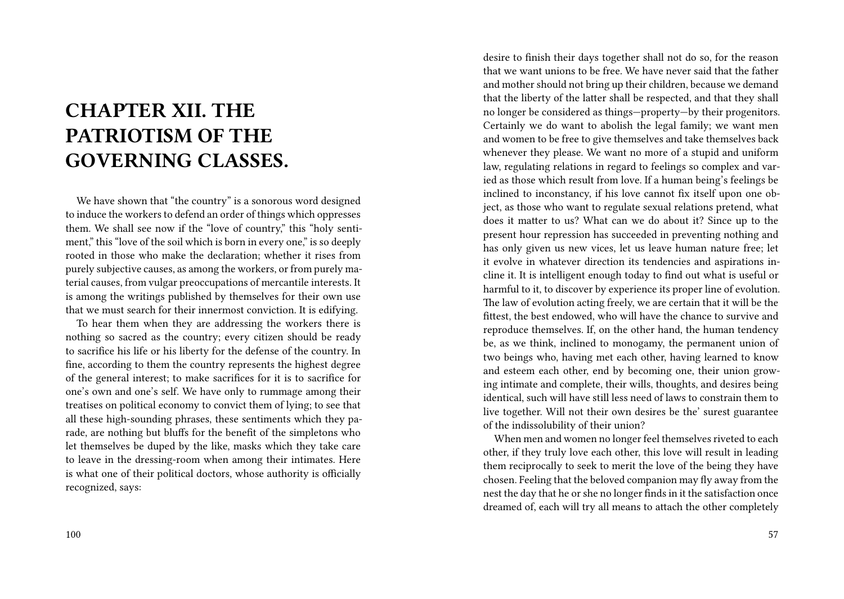## **CHAPTER XII. THE PATRIOTISM OF THE GOVERNING CLASSES.**

We have shown that "the country" is a sonorous word designed to induce the workers to defend an order of things which oppresses them. We shall see now if the "love of country," this "holy sentiment," this "love of the soil which is born in every one," is so deeply rooted in those who make the declaration; whether it rises from purely subjective causes, as among the workers, or from purely material causes, from vulgar preoccupations of mercantile interests. It is among the writings published by themselves for their own use that we must search for their innermost conviction. It is edifying.

To hear them when they are addressing the workers there is nothing so sacred as the country; every citizen should be ready to sacrifice his life or his liberty for the defense of the country. In fine, according to them the country represents the highest degree of the general interest; to make sacrifices for it is to sacrifice for one's own and one's self. We have only to rummage among their treatises on political economy to convict them of lying; to see that all these high-sounding phrases, these sentiments which they parade, are nothing but bluffs for the benefit of the simpletons who let themselves be duped by the like, masks which they take care to leave in the dressing-room when among their intimates. Here is what one of their political doctors, whose authority is officially recognized, says:

desire to finish their days together shall not do so, for the reason that we want unions to be free. We have never said that the father and mother should not bring up their children, because we demand that the liberty of the latter shall be respected, and that they shall no longer be considered as things—property—by their progenitors. Certainly we do want to abolish the legal family; we want men and women to be free to give themselves and take themselves back whenever they please. We want no more of a stupid and uniform law, regulating relations in regard to feelings so complex and varied as those which result from love. If a human being's feelings be inclined to inconstancy, if his love cannot fix itself upon one object, as those who want to regulate sexual relations pretend, what does it matter to us? What can we do about it? Since up to the present hour repression has succeeded in preventing nothing and has only given us new vices, let us leave human nature free; let it evolve in whatever direction its tendencies and aspirations incline it. It is intelligent enough today to find out what is useful or harmful to it, to discover by experience its proper line of evolution. The law of evolution acting freely, we are certain that it will be the fittest, the best endowed, who will have the chance to survive and reproduce themselves. If, on the other hand, the human tendency be, as we think, inclined to monogamy, the permanent union of two beings who, having met each other, having learned to know and esteem each other, end by becoming one, their union growing intimate and complete, their wills, thoughts, and desires being identical, such will have still less need of laws to constrain them to live together. Will not their own desires be the' surest guarantee of the indissolubility of their union?

When men and women no longer feel themselves riveted to each other, if they truly love each other, this love will result in leading them reciprocally to seek to merit the love of the being they have chosen. Feeling that the beloved companion may fly away from the nest the day that he or she no longer finds in it the satisfaction once dreamed of, each will try all means to attach the other completely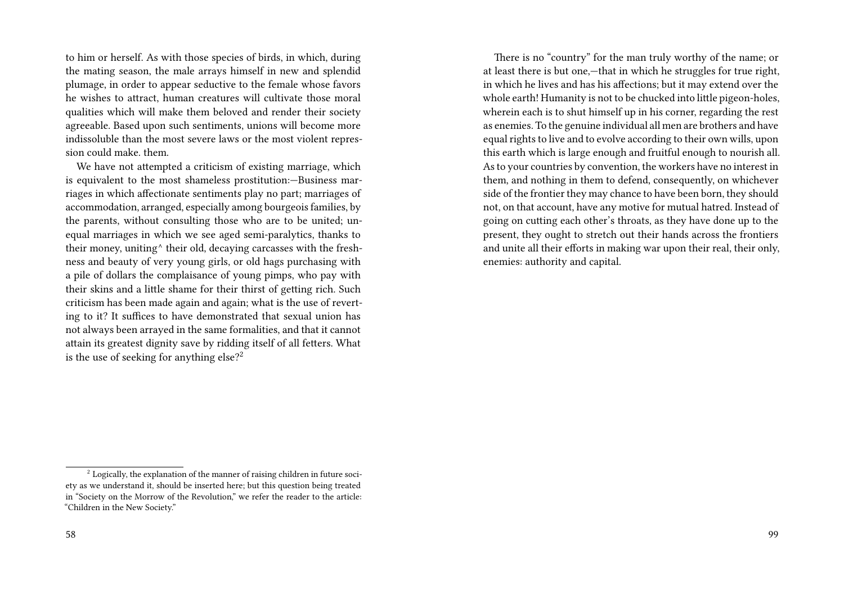to him or herself. As with those species of birds, in which, during the mating season, the male arrays himself in new and splendid plumage, in order to appear seductive to the female whose favors he wishes to attract, human creatures will cultivate those moral qualities which will make them beloved and render their society agreeable. Based upon such sentiments, unions will become more indissoluble than the most severe laws or the most violent repression could make. them.

We have not attempted a criticism of existing marriage, which is equivalent to the most shameless prostitution:—Business marriages in which affectionate sentiments play no part; marriages of accommodation, arranged, especially among bourgeois families, by the parents, without consulting those who are to be united; unequal marriages in which we see aged semi-paralytics, thanks to their money, uniting^ their old, decaying carcasses with the freshness and beauty of very young girls, or old hags purchasing with a pile of dollars the complaisance of young pimps, who pay with their skins and a little shame for their thirst of getting rich. Such criticism has been made again and again; what is the use of reverting to it? It suffices to have demonstrated that sexual union has not always been arrayed in the same formalities, and that it cannot attain its greatest dignity save by ridding itself of all fetters. What is the use of seeking for anything  $else?$ <sup>2</sup>

There is no "country" for the man truly worthy of the name; or at least there is but one,—that in which he struggles for true right, in which he lives and has his affections; but it may extend over the whole earth! Humanity is not to be chucked into little pigeon-holes, wherein each is to shut himself up in his corner, regarding the rest as enemies. To the genuine individual all men are brothers and have equal rights to live and to evolve according to their own wills, upon this earth which is large enough and fruitful enough to nourish all. As to your countries by convention, the workers have no interest in them, and nothing in them to defend, consequently, on whichever side of the frontier they may chance to have been born, they should not, on that account, have any motive for mutual hatred. Instead of going on cutting each other's throats, as they have done up to the present, they ought to stretch out their hands across the frontiers and unite all their efforts in making war upon their real, their only, enemies: authority and capital.

 $2^{2}$  Logically, the explanation of the manner of raising children in future society as we understand it, should be inserted here; but this question being treated in "Society on the Morrow of the Revolution," we refer the reader to the article: "Children in the New Society."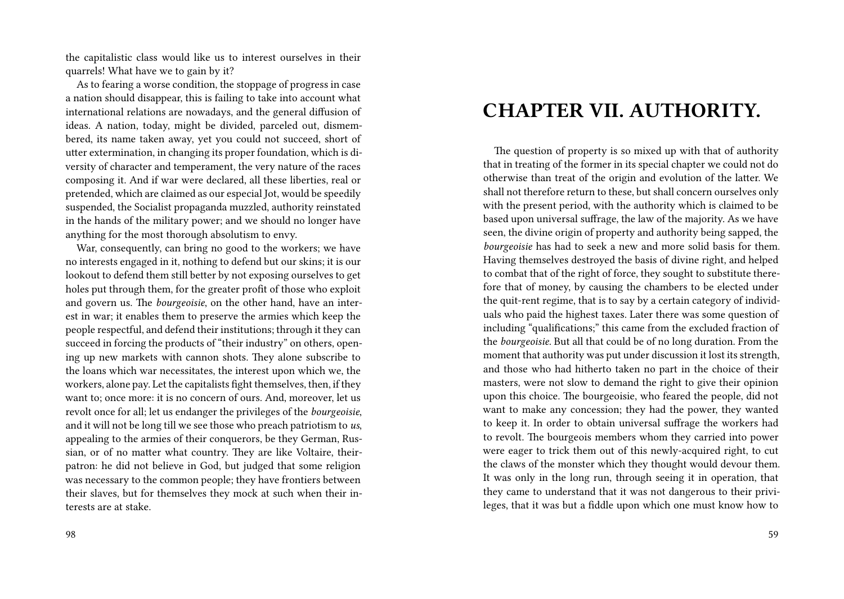the capitalistic class would like us to interest ourselves in their quarrels! What have we to gain by it?

As to fearing a worse condition, the stoppage of progress in case a nation should disappear, this is failing to take into account what international relations are nowadays, and the general diffusion of ideas. A nation, today, might be divided, parceled out, dismembered, its name taken away, yet you could not succeed, short of utter extermination, in changing its proper foundation, which is diversity of character and temperament, the very nature of the races composing it. And if war were declared, all these liberties, real or pretended, which are claimed as our especial Jot, would be speedily suspended, the Socialist propaganda muzzled, authority reinstated in the hands of the military power; and we should no longer have anything for the most thorough absolutism to envy.

War, consequently, can bring no good to the workers; we have no interests engaged in it, nothing to defend but our skins; it is our lookout to defend them still better by not exposing ourselves to get holes put through them, for the greater profit of those who exploit and govern us. The *bourgeoisie*, on the other hand, have an interest in war; it enables them to preserve the armies which keep the people respectful, and defend their institutions; through it they can succeed in forcing the products of "their industry" on others, opening up new markets with cannon shots. They alone subscribe to the loans which war necessitates, the interest upon which we, the workers, alone pay. Let the capitalists fight themselves, then, if they want to; once more: it is no concern of ours. And, moreover, let us revolt once for all; let us endanger the privileges of the *bourgeoisie*, and it will not be long till we see those who preach patriotism to *us*, appealing to the armies of their conquerors, be they German, Russian, or of no matter what country. They are like Voltaire, theirpatron: he did not believe in God, but judged that some religion was necessary to the common people; they have frontiers between their slaves, but for themselves they mock at such when their interests are at stake.

#### **CHAPTER VII. AUTHORITY.**

The question of property is so mixed up with that of authority that in treating of the former in its special chapter we could not do otherwise than treat of the origin and evolution of the latter. We shall not therefore return to these, but shall concern ourselves only with the present period, with the authority which is claimed to be based upon universal suffrage, the law of the majority. As we have seen, the divine origin of property and authority being sapped, the *bourgeoisie* has had to seek a new and more solid basis for them. Having themselves destroyed the basis of divine right, and helped to combat that of the right of force, they sought to substitute therefore that of money, by causing the chambers to be elected under the quit-rent regime, that is to say by a certain category of individuals who paid the highest taxes. Later there was some question of including "qualifications;" this came from the excluded fraction of the *bourgeoisie*. But all that could be of no long duration. From the moment that authority was put under discussion it lost its strength, and those who had hitherto taken no part in the choice of their masters, were not slow to demand the right to give their opinion upon this choice. The bourgeoisie, who feared the people, did not want to make any concession; they had the power, they wanted to keep it. In order to obtain universal suffrage the workers had to revolt. The bourgeois members whom they carried into power were eager to trick them out of this newly-acquired right, to cut the claws of the monster which they thought would devour them. It was only in the long run, through seeing it in operation, that they came to understand that it was not dangerous to their privileges, that it was but a fiddle upon which one must know how to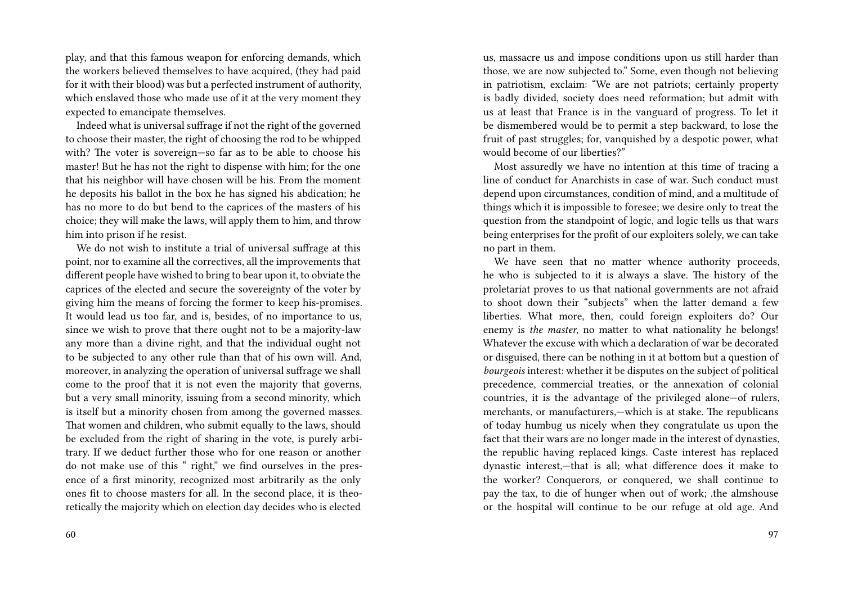play, and that this famous weapon for enforcing demands, which the workers believed themselves to have acquired, (they had paid for it with their blood) was but a perfected instrument of authority, which enslaved those who made use of it at the very moment they expected to emancipate themselves.

Indeed what is universal suffrage if not the right of the governed to choose their master, the right of choosing the rod to be whipped with? The voter is sovereign—so far as to be able to choose his master! But he has not the right to dispense with him; for the one that his neighbor will have chosen will be his. From the moment he deposits his ballot in the box he has signed his abdication; he has no more to do but bend to the caprices of the masters of his choice; they will make the laws, will apply them to him, and throw him into prison if he resist.

We do not wish to institute a trial of universal suffrage at this point, nor to examine all the correctives, all the improvements that different people have wished to bring to bear upon it, to obviate the caprices of the elected and secure the sovereignty of the voter by giving him the means of forcing the former to keep his-promises. It would lead us too far, and is, besides, of no importance to us, since we wish to prove that there ought not to be a majority-law any more than a divine right, and that the individual ought not to be subjected to any other rule than that of his own will. And, moreover, in analyzing the operation of universal suffrage we shall come to the proof that it is not even the majority that governs, but a very small minority, issuing from a second minority, which is itself but a minority chosen from among the governed masses. That women and children, who submit equally to the laws, should be excluded from the right of sharing in the vote, is purely arbitrary. If we deduct further those who for one reason or another do not make use of this " right," we find ourselves in the presence of a first minority, recognized most arbitrarily as the only ones fit to choose masters for all. In the second place, it is theoretically the majority which on election day decides who is elected

us, massacre us and impose conditions upon us still harder than those, we are now subjected to." Some, even though not believing in patriotism, exclaim: "We are not patriots; certainly property is badly divided, society does need reformation; but admit with us at least that France is in the vanguard of progress. To let it be dismembered would be to permit a step backward, to lose the fruit of past struggles; for, vanquished by a despotic power, what would become of our liberties?"

Most assuredly we have no intention at this time of tracing a line of conduct for Anarchists in case of war. Such conduct must depend upon circumstances, condition of mind, and a multitude of things which it is impossible to foresee; we desire only to treat the question from the standpoint of logic, and logic tells us that wars being enterprises for the profit of our exploiters solely, we can take no part in them.

We have seen that no matter whence authority proceeds, he who is subjected to it is always a slave. The history of the proletariat proves to us that national governments are not afraid to shoot down their "subjects" when the latter demand a few liberties. What more, then, could foreign exploiters do? Our enemy is *the master*, no matter to what nationality he belongs! Whatever the excuse with which a declaration of war be decorated or disguised, there can be nothing in it at bottom but a question of *bourgeois* interest: whether it be disputes on the subject of political precedence, commercial treaties, or the annexation of colonial countries, it is the advantage of the privileged alone—of rulers, merchants, or manufacturers,—which is at stake. The republicans of today humbug us nicely when they congratulate us upon the fact that their wars are no longer made in the interest of dynasties, the republic having replaced kings. Caste interest has replaced dynastic interest,—that is all; what difference does it make to the worker? Conquerors, or conquered, we shall continue to pay the tax, to die of hunger when out of work; .the almshouse or the hospital will continue to be our refuge at old age. And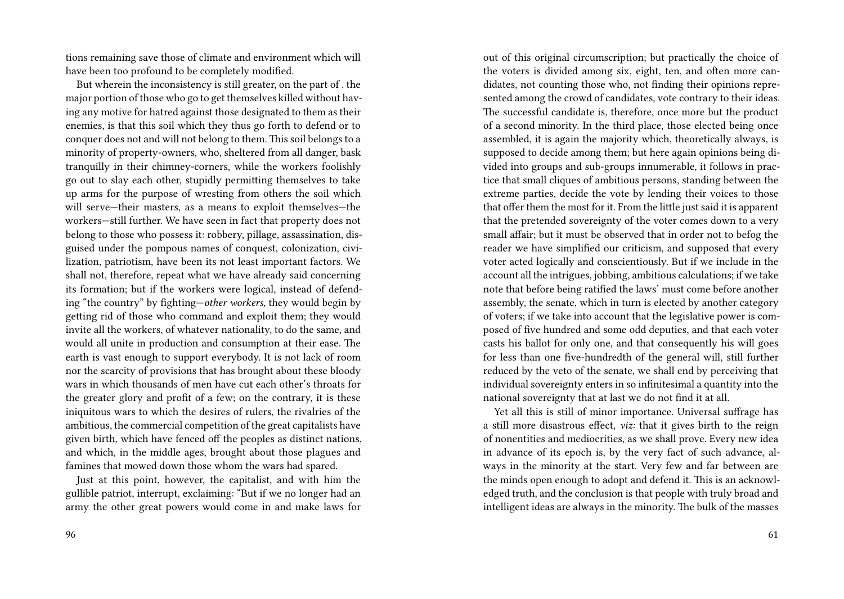tions remaining save those of climate and environment which will have been too profound to be completely modified.

But wherein the inconsistency is still greater, on the part of . the major portion of those who go to get themselves killed without having any motive for hatred against those designated to them as their enemies, is that this soil which they thus go forth to defend or to conquer does not and will not belong to them. This soil belongs to a minority of property-owners, who, sheltered from all danger, bask tranquilly in their chimney-corners, while the workers foolishly go out to slay each other, stupidly permitting themselves to take up arms for the purpose of wresting from others the soil which will serve—their masters, as a means to exploit themselves—the workers—still further. We have seen in fact that property does not belong to those who possess it: robbery, pillage, assassination, disguised under the pompous names of conquest, colonization, civilization, patriotism, have been its not least important factors. We shall not, therefore, repeat what we have already said concerning its formation; but if the workers were logical, instead of defending "the country" by fighting—*other workers*, they would begin by getting rid of those who command and exploit them; they would invite all the workers, of whatever nationality, to do the same, and would all unite in production and consumption at their ease. The earth is vast enough to support everybody. It is not lack of room nor the scarcity of provisions that has brought about these bloody wars in which thousands of men have cut each other's throats for the greater glory and profit of a few; on the contrary, it is these iniquitous wars to which the desires of rulers, the rivalries of the ambitious, the commercial competition of the great capitalists have given birth, which have fenced off the peoples as distinct nations, and which, in the middle ages, brought about those plagues and famines that mowed down those whom the wars had spared.

Just at this point, however, the capitalist, and with him the gullible patriot, interrupt, exclaiming: "But if we no longer had an army the other great powers would come in and make laws for

out of this original circumscription; but practically the choice of the voters is divided among six, eight, ten, and often more candidates, not counting those who, not finding their opinions represented among the crowd of candidates, vote contrary to their ideas. The successful candidate is, therefore, once more but the product of a second minority. In the third place, those elected being once assembled, it is again the majority which, theoretically always, is supposed to decide among them; but here again opinions being divided into groups and sub-groups innumerable, it follows in practice that small cliques of ambitious persons, standing between the extreme parties, decide the vote by lending their voices to those that offer them the most for it. From the little just said it is apparent that the pretended sovereignty of the voter comes down to a very small affair; but it must be observed that in order not to befog the reader we have simplified our criticism, and supposed that every voter acted logically and conscientiously. But if we include in the account all the intrigues, jobbing, ambitious calculations; if we take note that before being ratified the laws' must come before another assembly, the senate, which in turn is elected by another category of voters; if we take into account that the legislative power is composed of five hundred and some odd deputies, and that each voter casts his ballot for only one, and that consequently his will goes for less than one five-hundredth of the general will, still further reduced by the veto of the senate, we shall end by perceiving that individual sovereignty enters in so infinitesimal a quantity into the national sovereignty that at last we do not find it at all.

Yet all this is still of minor importance. Universal suffrage has a still more disastrous effect, *viz:* that it gives birth to the reign of nonentities and mediocrities, as we shall prove. Every new idea in advance of its epoch is, by the very fact of such advance, always in the minority at the start. Very few and far between are the minds open enough to adopt and defend it. This is an acknowledged truth, and the conclusion is that people with truly broad and intelligent ideas are always in the minority. The bulk of the masses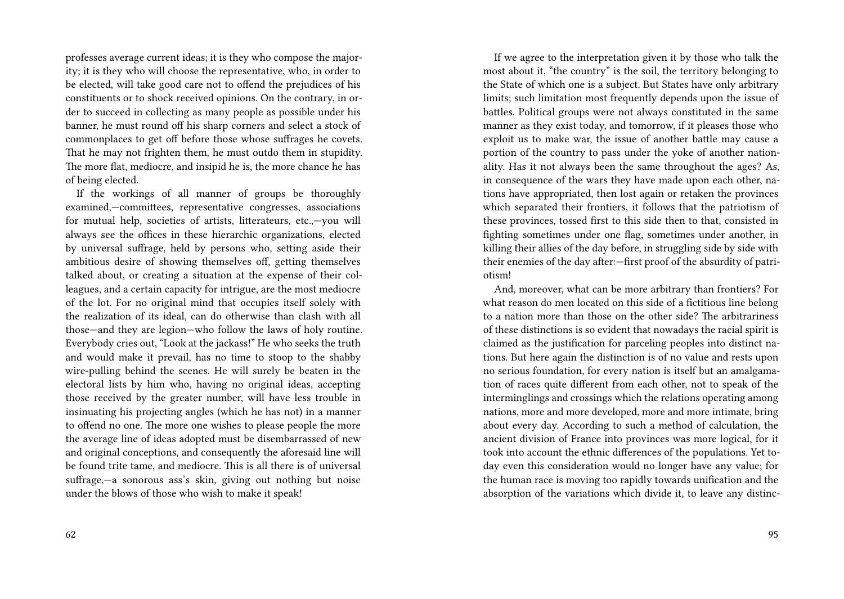professes average current ideas; it is they who compose the majority; it is they who will choose the representative, who, in order to be elected, will take good care not to offend the prejudices of his constituents or to shock received opinions. On the contrary, in order to succeed in collecting as many people as possible under his banner, he must round off his sharp corners and select a stock of commonplaces to get off before those whose suffrages he covets. That he may not frighten them, he must outdo them in stupidity. The more flat, mediocre, and insipid he is, the more chance he has of being elected.

If the workings of all manner of groups be thoroughly examined,—committees, representative congresses, associations for mutual help, societies of artists, litterateurs, etc.,—you will always see the offices in these hierarchic organizations, elected by universal suffrage, held by persons who, setting aside their ambitious desire of showing themselves off, getting themselves talked about, or creating a situation at the expense of their colleagues, and a certain capacity for intrigue, are the most mediocre of the lot. For no original mind that occupies itself solely with the realization of its ideal, can do otherwise than clash with all those—and they are legion—who follow the laws of holy routine. Everybody cries out, "Look at the jackass!" He who seeks the truth and would make it prevail, has no time to stoop to the shabby wire-pulling behind the scenes. He will surely be beaten in the electoral lists by him who, having no original ideas, accepting those received by the greater number, will have less trouble in insinuating his projecting angles (which he has not) in a manner to offend no one. The more one wishes to please people the more the average line of ideas adopted must be disembarrassed of new and original conceptions, and consequently the aforesaid line will be found trite tame, and mediocre. This is all there is of universal suffrage,—a sonorous ass's skin, giving out nothing but noise under the blows of those who wish to make it speak!

If we agree to the interpretation given it by those who talk the most about it, "the country" is the soil, the territory belonging to the State of which one is a subject. But States have only arbitrary limits; such limitation most frequently depends upon the issue of battles. Political groups were not always constituted in the same manner as they exist today, and tomorrow, if it pleases those who exploit us to make war, the issue of another battle may cause a portion of the country to pass under the yoke of another nationality. Has it not always been the same throughout the ages? As, in consequence of the wars they have made upon each other, nations have appropriated, then lost again or retaken the provinces which separated their frontiers, it follows that the patriotism of these provinces, tossed first to this side then to that, consisted in fighting sometimes under one flag, sometimes under another, in killing their allies of the day before, in struggling side by side with their enemies of the day after:—first proof of the absurdity of patriotism!

And, moreover, what can be more arbitrary than frontiers? For what reason do men located on this side of a fictitious line belong to a nation more than those on the other side? The arbitrariness of these distinctions is so evident that nowadays the racial spirit is claimed as the justification for parceling peoples into distinct nations. But here again the distinction is of no value and rests upon no serious foundation, for every nation is itself but an amalgamation of races quite different from each other, not to speak of the interminglings and crossings which the relations operating among nations, more and more developed, more and more intimate, bring about every day. According to such a method of calculation, the ancient division of France into provinces was more logical, for it took into account the ethnic differences of the populations. Yet today even this consideration would no longer have any value; for the human race is moving too rapidly towards unification and the absorption of the variations which divide it, to leave any distinc-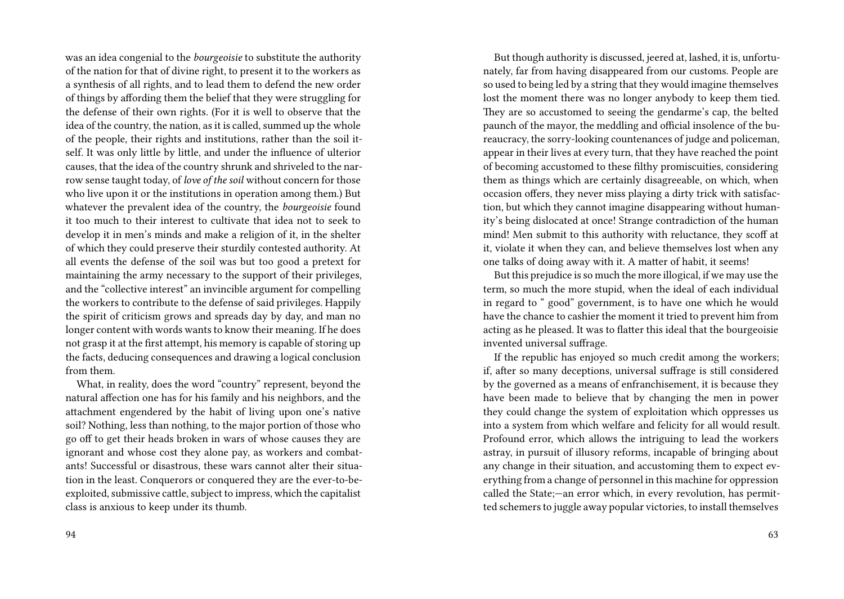was an idea congenial to the *bourgeoisie* to substitute the authority of the nation for that of divine right, to present it to the workers as a synthesis of all rights, and to lead them to defend the new order of things by affording them the belief that they were struggling for the defense of their own rights. (For it is well to observe that the idea of the country, the nation, as it is called, summed up the whole of the people, their rights and institutions, rather than the soil itself. It was only little by little, and under the influence of ulterior causes, that the idea of the country shrunk and shriveled to the narrow sense taught today, of *love of the soil* without concern for those who live upon it or the institutions in operation among them.) But whatever the prevalent idea of the country, the *bourgeoisie* found it too much to their interest to cultivate that idea not to seek to develop it in men's minds and make a religion of it, in the shelter of which they could preserve their sturdily contested authority. At all events the defense of the soil was but too good a pretext for maintaining the army necessary to the support of their privileges, and the "collective interest" an invincible argument for compelling the workers to contribute to the defense of said privileges. Happily the spirit of criticism grows and spreads day by day, and man no longer content with words wants to know their meaning. If he does not grasp it at the first attempt, his memory is capable of storing up the facts, deducing consequences and drawing a logical conclusion from them.

What, in reality, does the word "country" represent, beyond the natural affection one has for his family and his neighbors, and the attachment engendered by the habit of living upon one's native soil? Nothing, less than nothing, to the major portion of those who go off to get their heads broken in wars of whose causes they are ignorant and whose cost they alone pay, as workers and combatants! Successful or disastrous, these wars cannot alter their situation in the least. Conquerors or conquered they are the ever-to-beexploited, submissive cattle, subject to impress, which the capitalist class is anxious to keep under its thumb.

But though authority is discussed, jeered at, lashed, it is, unfortunately, far from having disappeared from our customs. People are so used to being led by a string that they would imagine themselves lost the moment there was no longer anybody to keep them tied. They are so accustomed to seeing the gendarme's cap, the belted paunch of the mayor, the meddling and official insolence of the bureaucracy, the sorry-looking countenances of judge and policeman, appear in their lives at every turn, that they have reached the point of becoming accustomed to these filthy promiscuities, considering them as things which are certainly disagreeable, on which, when occasion offers, they never miss playing a dirty trick with satisfaction, but which they cannot imagine disappearing without humanity's being dislocated at once! Strange contradiction of the human mind! Men submit to this authority with reluctance, they scoff at it, violate it when they can, and believe themselves lost when any one talks of doing away with it. A matter of habit, it seems!

But this prejudice is so much the more illogical, if we may use the term, so much the more stupid, when the ideal of each individual in regard to " good" government, is to have one which he would have the chance to cashier the moment it tried to prevent him from acting as he pleased. It was to flatter this ideal that the bourgeoisie invented universal suffrage.

If the republic has enjoyed so much credit among the workers; if, after so many deceptions, universal suffrage is still considered by the governed as a means of enfranchisement, it is because they have been made to believe that by changing the men in power they could change the system of exploitation which oppresses us into a system from which welfare and felicity for all would result. Profound error, which allows the intriguing to lead the workers astray, in pursuit of illusory reforms, incapable of bringing about any change in their situation, and accustoming them to expect everything from a change of personnel in this machine for oppression called the State;—an error which, in every revolution, has permitted schemers to juggle away popular victories, to install themselves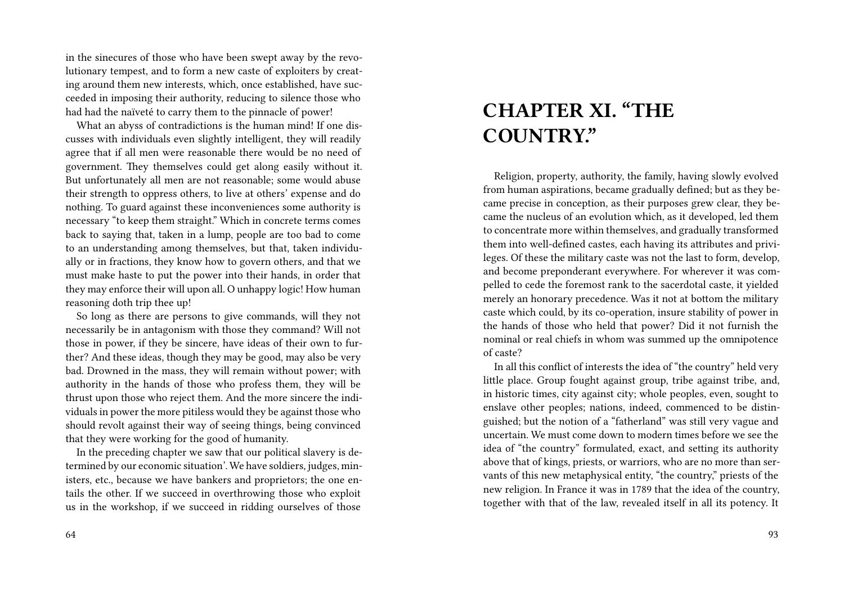in the sinecures of those who have been swept away by the revolutionary tempest, and to form a new caste of exploiters by creating around them new interests, which, once established, have succeeded in imposing their authority, reducing to silence those who had had the naïveté to carry them to the pinnacle of power!

What an abyss of contradictions is the human mind! If one discusses with individuals even slightly intelligent, they will readily agree that if all men were reasonable there would be no need of government. They themselves could get along easily without it. But unfortunately all men are not reasonable; some would abuse their strength to oppress others, to live at others' expense and do nothing. To guard against these inconveniences some authority is necessary "to keep them straight." Which in concrete terms comes back to saying that, taken in a lump, people are too bad to come to an understanding among themselves, but that, taken individually or in fractions, they know how to govern others, and that we must make haste to put the power into their hands, in order that they may enforce their will upon all. O unhappy logic! How human reasoning doth trip thee up!

So long as there are persons to give commands, will they not necessarily be in antagonism with those they command? Will not those in power, if they be sincere, have ideas of their own to further? And these ideas, though they may be good, may also be very bad. Drowned in the mass, they will remain without power; with authority in the hands of those who profess them, they will be thrust upon those who reject them. And the more sincere the individuals in power the more pitiless would they be against those who should revolt against their way of seeing things, being convinced that they were working for the good of humanity.

In the preceding chapter we saw that our political slavery is determined by our economic situation'. We have soldiers, judges, ministers, etc., because we have bankers and proprietors; the one entails the other. If we succeed in overthrowing those who exploit us in the workshop, if we succeed in ridding ourselves of those

## **CHAPTER XI. "THE COUNTRY."**

Religion, property, authority, the family, having slowly evolved from human aspirations, became gradually defined; but as they became precise in conception, as their purposes grew clear, they became the nucleus of an evolution which, as it developed, led them to concentrate more within themselves, and gradually transformed them into well-defined castes, each having its attributes and privileges. Of these the military caste was not the last to form, develop, and become preponderant everywhere. For wherever it was compelled to cede the foremost rank to the sacerdotal caste, it yielded merely an honorary precedence. Was it not at bottom the military caste which could, by its co-operation, insure stability of power in the hands of those who held that power? Did it not furnish the nominal or real chiefs in whom was summed up the omnipotence of caste?

In all this conflict of interests the idea of "the country" held very little place. Group fought against group, tribe against tribe, and, in historic times, city against city; whole peoples, even, sought to enslave other peoples; nations, indeed, commenced to be distinguished; but the notion of a "fatherland" was still very vague and uncertain. We must come down to modern times before we see the idea of "the country" formulated, exact, and setting its authority above that of kings, priests, or warriors, who are no more than servants of this new metaphysical entity, "the country," priests of the new religion. In France it was in 1789 that the idea of the country, together with that of the law, revealed itself in all its potency. It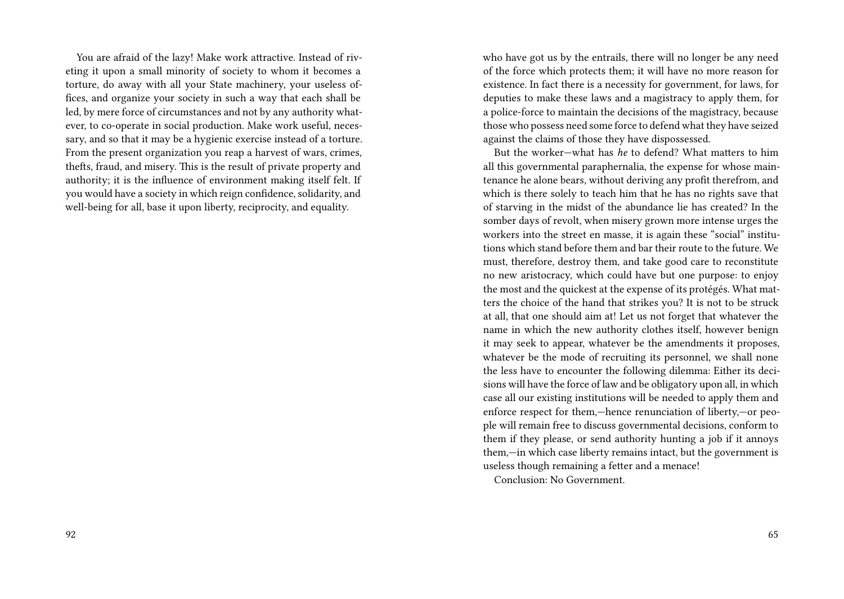You are afraid of the lazy! Make work attractive. Instead of riveting it upon a small minority of society to whom it becomes a torture, do away with all your State machinery, your useless offices, and organize your society in such a way that each shall be led, by mere force of circumstances and not by any authority whatever, to co-operate in social production. Make work useful, necessary, and so that it may be a hygienic exercise instead of a torture. From the present organization you reap a harvest of wars, crimes, thefts, fraud, and misery. This is the result of private property and authority; it is the influence of environment making itself felt. If you would have a society in which reign confidence, solidarity, and well-being for all, base it upon liberty, reciprocity, and equality.

who have got us by the entrails, there will no longer be any need of the force which protects them; it will have no more reason for existence. In fact there is a necessity for government, for laws, for deputies to make these laws and a magistracy to apply them, for a police-force to maintain the decisions of the magistracy, because those who possess need some force to defend what they have seized against the claims of those they have dispossessed.

But the worker—what has *he* to defend? What matters to him all this governmental paraphernalia, the expense for whose maintenance he alone bears, without deriving any profit therefrom, and which is there solely to teach him that he has no rights save that of starving in the midst of the abundance lie has created? In the somber days of revolt, when misery grown more intense urges the workers into the street en masse, it is again these "social" institutions which stand before them and bar their route to the future. We must, therefore, destroy them, and take good care to reconstitute no new aristocracy, which could have but one purpose: to enjoy the most and the quickest at the expense of its protégés. What matters the choice of the hand that strikes you? It is not to be struck at all, that one should aim at! Let us not forget that whatever the name in which the new authority clothes itself, however benign it may seek to appear, whatever be the amendments it proposes, whatever be the mode of recruiting its personnel, we shall none the less have to encounter the following dilemma: Either its decisions will have the force of law and be obligatory upon all, in which case all our existing institutions will be needed to apply them and enforce respect for them,—hence renunciation of liberty,—or people will remain free to discuss governmental decisions, conform to them if they please, or send authority hunting a job if it annoys them,—in which case liberty remains intact, but the government is useless though remaining a fetter and a menace!

Conclusion: No Government.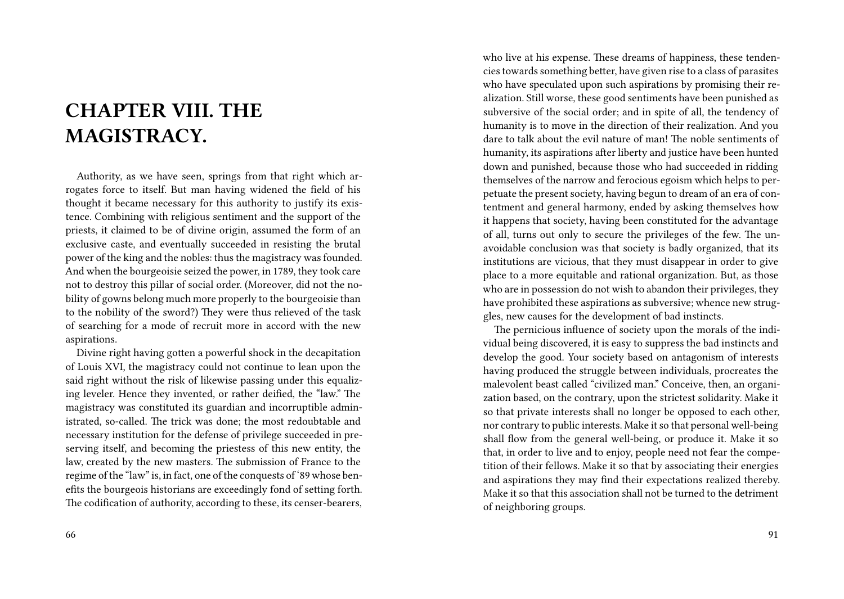## **CHAPTER VIII. THE MAGISTRACY.**

Authority, as we have seen, springs from that right which arrogates force to itself. But man having widened the field of his thought it became necessary for this authority to justify its existence. Combining with religious sentiment and the support of the priests, it claimed to be of divine origin, assumed the form of an exclusive caste, and eventually succeeded in resisting the brutal power of the king and the nobles: thus the magistracy was founded. And when the bourgeoisie seized the power, in 1789, they took care not to destroy this pillar of social order. (Moreover, did not the nobility of gowns belong much more properly to the bourgeoisie than to the nobility of the sword?) They were thus relieved of the task of searching for a mode of recruit more in accord with the new aspirations.

Divine right having gotten a powerful shock in the decapitation of Louis XVI, the magistracy could not continue to lean upon the said right without the risk of likewise passing under this equalizing leveler. Hence they invented, or rather deified, the "law." The magistracy was constituted its guardian and incorruptible administrated, so-called. The trick was done; the most redoubtable and necessary institution for the defense of privilege succeeded in preserving itself, and becoming the priestess of this new entity, the law, created by the new masters. The submission of France to the regime of the "law" is, in fact, one of the conquests of '89 whose benefits the bourgeois historians are exceedingly fond of setting forth. The codification of authority, according to these, its censer-bearers, cies towards something better, have given rise to a class of parasites who have speculated upon such aspirations by promising their realization. Still worse, these good sentiments have been punished as subversive of the social order; and in spite of all, the tendency of humanity is to move in the direction of their realization. And you dare to talk about the evil nature of man! The noble sentiments of humanity, its aspirations after liberty and justice have been hunted down and punished, because those who had succeeded in ridding themselves of the narrow and ferocious egoism which helps to perpetuate the present society, having begun to dream of an era of contentment and general harmony, ended by asking themselves how it happens that society, having been constituted for the advantage of all, turns out only to secure the privileges of the few. The unavoidable conclusion was that society is badly organized, that its institutions are vicious, that they must disappear in order to give place to a more equitable and rational organization. But, as those who are in possession do not wish to abandon their privileges, they have prohibited these aspirations as subversive; whence new struggles, new causes for the development of bad instincts.

who live at his expense. These dreams of happiness, these tenden-

The pernicious influence of society upon the morals of the individual being discovered, it is easy to suppress the bad instincts and develop the good. Your society based on antagonism of interests having produced the struggle between individuals, procreates the malevolent beast called "civilized man." Conceive, then, an organization based, on the contrary, upon the strictest solidarity. Make it so that private interests shall no longer be opposed to each other, nor contrary to public interests. Make it so that personal well-being shall flow from the general well-being, or produce it. Make it so that, in order to live and to enjoy, people need not fear the competition of their fellows. Make it so that by associating their energies and aspirations they may find their expectations realized thereby. Make it so that this association shall not be turned to the detriment of neighboring groups.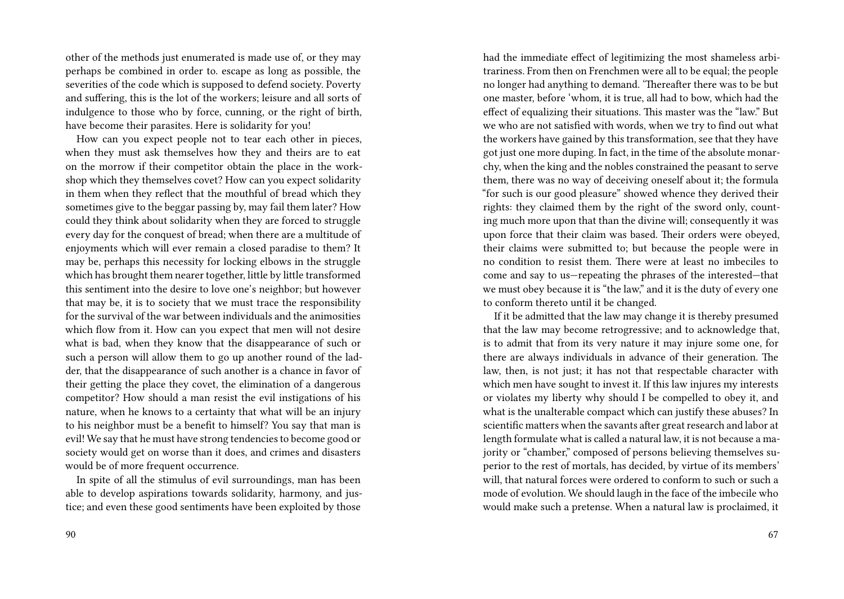other of the methods just enumerated is made use of, or they may perhaps be combined in order to. escape as long as possible, the severities of the code which is supposed to defend society. Poverty and suffering, this is the lot of the workers; leisure and all sorts of indulgence to those who by force, cunning, or the right of birth, have become their parasites. Here is solidarity for you!

How can you expect people not to tear each other in pieces, when they must ask themselves how they and theirs are to eat on the morrow if their competitor obtain the place in the workshop which they themselves covet? How can you expect solidarity in them when they reflect that the mouthful of bread which they sometimes give to the beggar passing by, may fail them later? How could they think about solidarity when they are forced to struggle every day for the conquest of bread; when there are a multitude of enjoyments which will ever remain a closed paradise to them? It may be, perhaps this necessity for locking elbows in the struggle which has brought them nearer together, little by little transformed this sentiment into the desire to love one's neighbor; but however that may be, it is to society that we must trace the responsibility for the survival of the war between individuals and the animosities which flow from it. How can you expect that men will not desire what is bad, when they know that the disappearance of such or such a person will allow them to go up another round of the ladder, that the disappearance of such another is a chance in favor of their getting the place they covet, the elimination of a dangerous competitor? How should a man resist the evil instigations of his nature, when he knows to a certainty that what will be an injury to his neighbor must be a benefit to himself? You say that man is evil! We say that he must have strong tendencies to become good or society would get on worse than it does, and crimes and disasters would be of more frequent occurrence.

In spite of all the stimulus of evil surroundings, man has been able to develop aspirations towards solidarity, harmony, and justice; and even these good sentiments have been exploited by those had the immediate effect of legitimizing the most shameless arbitrariness. From then on Frenchmen were all to be equal; the people no longer had anything to demand. 'Thereafter there was to be but one master, before 'whom, it is true, all had to bow, which had the effect of equalizing their situations. This master was the "law." But we who are not satisfied with words, when we try to find out what the workers have gained by this transformation, see that they have got just one more duping. In fact, in the time of the absolute monarchy, when the king and the nobles constrained the peasant to serve them, there was no way of deceiving oneself about it; the formula "for such is our good pleasure" showed whence they derived their rights: they claimed them by the right of the sword only, counting much more upon that than the divine will; consequently it was upon force that their claim was based. Their orders were obeyed, their claims were submitted to; but because the people were in no condition to resist them. There were at least no imbeciles to come and say to us—repeating the phrases of the interested—that we must obey because it is "the law," and it is the duty of every one to conform thereto until it be changed.

If it be admitted that the law may change it is thereby presumed that the law may become retrogressive; and to acknowledge that, is to admit that from its very nature it may injure some one, for there are always individuals in advance of their generation. The law, then, is not just; it has not that respectable character with which men have sought to invest it. If this law injures my interests or violates my liberty why should I be compelled to obey it, and what is the unalterable compact which can justify these abuses? In scientific matters when the savants after great research and labor at length formulate what is called a natural law, it is not because a majority or "chamber," composed of persons believing themselves superior to the rest of mortals, has decided, by virtue of its members' will, that natural forces were ordered to conform to such or such a mode of evolution. We should laugh in the face of the imbecile who would make such a pretense. When a natural law is proclaimed, it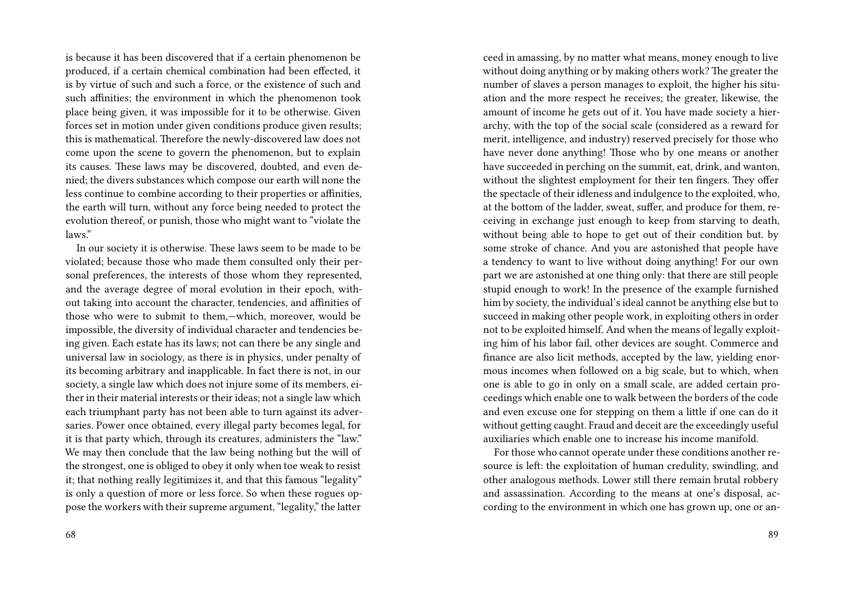is because it has been discovered that if a certain phenomenon be produced, if a certain chemical combination had been effected, it is by virtue of such and such a force, or the existence of such and such affinities; the environment in which the phenomenon took place being given, it was impossible for it to be otherwise. Given forces set in motion under given conditions produce given results; this is mathematical. Therefore the newly-discovered law does not come upon the scene to govern the phenomenon, but to explain its causes. These laws may be discovered, doubted, and even denied; the divers substances which compose our earth will none the less continue to combine according to their properties or affinities, the earth will turn, without any force being needed to protect the evolution thereof, or punish, those who might want to "violate the laws."

In our society it is otherwise. These laws seem to be made to be violated; because those who made them consulted only their personal preferences, the interests of those whom they represented, and the average degree of moral evolution in their epoch, without taking into account the character, tendencies, and affinities of those who were to submit to them,—which, moreover, would be impossible, the diversity of individual character and tendencies being given. Each estate has its laws; not can there be any single and universal law in sociology, as there is in physics, under penalty of its becoming arbitrary and inapplicable. In fact there is not, in our society, a single law which does not injure some of its members, either in their material interests or their ideas; not a single law which each triumphant party has not been able to turn against its adversaries. Power once obtained, every illegal party becomes legal, for it is that party which, through its creatures, administers the "law." We may then conclude that the law being nothing but the will of the strongest, one is obliged to obey it only when toe weak to resist it; that nothing really legitimizes it, and that this famous "legality" is only a question of more or less force. So when these rogues oppose the workers with their supreme argument, "legality," the latter

68

ceed in amassing, by no matter what means, money enough to live without doing anything or by making others work? The greater the number of slaves a person manages to exploit, the higher his situation and the more respect he receives; the greater, likewise, the amount of income he gets out of it. You have made society a hierarchy, with the top of the social scale (considered as a reward for merit, intelligence, and industry) reserved precisely for those who have never done anything! Those who by one means or another have succeeded in perching on the summit, eat, drink, and wanton, without the slightest employment for their ten fingers. They offer the spectacle of their idleness and indulgence to the exploited, who, at the bottom of the ladder, sweat, suffer, and produce for them, receiving in exchange just enough to keep from starving to death, without being able to hope to get out of their condition but. by some stroke of chance. And you are astonished that people have a tendency to want to live without doing anything! For our own part we are astonished at one thing only: that there are still people stupid enough to work! In the presence of the example furnished him by society, the individual's ideal cannot be anything else but to succeed in making other people work, in exploiting others in order not to be exploited himself. And when the means of legally exploiting him of his labor fail, other devices are sought. Commerce and finance are also licit methods, accepted by the law, yielding enormous incomes when followed on a big scale, but to which, when one is able to go in only on a small scale, are added certain proceedings which enable one to walk between the borders of the code and even excuse one for stepping on them a little if one can do it without getting caught. Fraud and deceit are the exceedingly useful auxiliaries which enable one to increase his income manifold.

For those who cannot operate under these conditions another resource is left: the exploitation of human credulity, swindling, and other analogous methods. Lower still there remain brutal robbery and assassination. According to the means at one's disposal, according to the environment in which one has grown up, one or an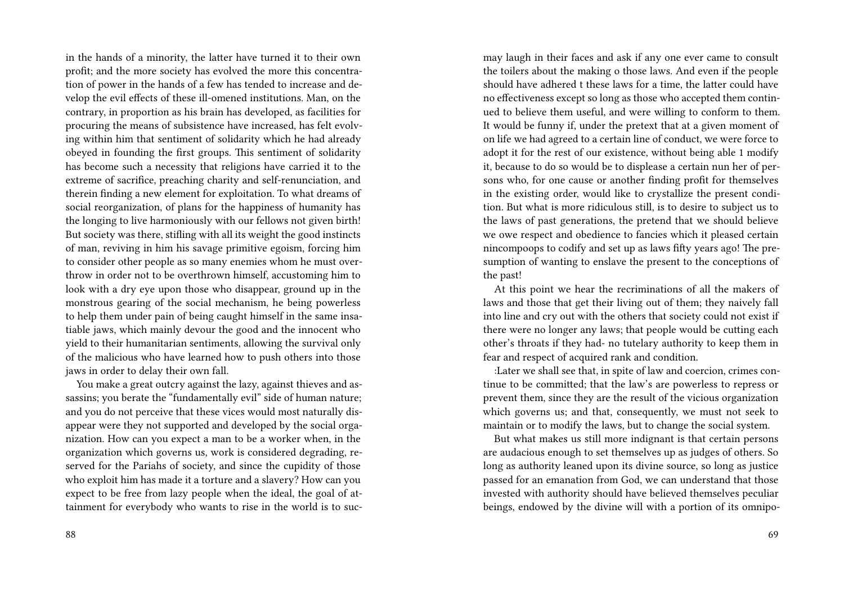in the hands of a minority, the latter have turned it to their own profit; and the more society has evolved the more this concentration of power in the hands of a few has tended to increase and develop the evil effects of these ill-omened institutions. Man, on the contrary, in proportion as his brain has developed, as facilities for procuring the means of subsistence have increased, has felt evolving within him that sentiment of solidarity which he had already obeyed in founding the first groups. This sentiment of solidarity has become such a necessity that religions have carried it to the extreme of sacrifice, preaching charity and self-renunciation, and therein finding a new element for exploitation. To what dreams of social reorganization, of plans for the happiness of humanity has the longing to live harmoniously with our fellows not given birth! But society was there, stifling with all its weight the good instincts of man, reviving in him his savage primitive egoism, forcing him to consider other people as so many enemies whom he must overthrow in order not to be overthrown himself, accustoming him to look with a dry eye upon those who disappear, ground up in the monstrous gearing of the social mechanism, he being powerless to help them under pain of being caught himself in the same insatiable jaws, which mainly devour the good and the innocent who yield to their humanitarian sentiments, allowing the survival only of the malicious who have learned how to push others into those jaws in order to delay their own fall.

You make a great outcry against the lazy, against thieves and assassins; you berate the "fundamentally evil" side of human nature; and you do not perceive that these vices would most naturally disappear were they not supported and developed by the social organization. How can you expect a man to be a worker when, in the organization which governs us, work is considered degrading, reserved for the Pariahs of society, and since the cupidity of those who exploit him has made it a torture and a slavery? How can you expect to be free from lazy people when the ideal, the goal of attainment for everybody who wants to rise in the world is to suc-

88

may laugh in their faces and ask if any one ever came to consult the toilers about the making o those laws. And even if the people should have adhered t these laws for a time, the latter could have no effectiveness except so long as those who accepted them continued to believe them useful, and were willing to conform to them. It would be funny if, under the pretext that at a given moment of on life we had agreed to a certain line of conduct, we were force to adopt it for the rest of our existence, without being able 1 modify it, because to do so would be to displease a certain nun her of persons who, for one cause or another finding profit for themselves in the existing order, would like to crystallize the present condition. But what is more ridiculous still, is to desire to subject us to the laws of past generations, the pretend that we should believe we owe respect and obedience to fancies which it pleased certain nincompoops to codify and set up as laws fifty years ago! The presumption of wanting to enslave the present to the conceptions of the past!

At this point we hear the recriminations of all the makers of laws and those that get their living out of them; they naively fall into line and cry out with the others that society could not exist if there were no longer any laws; that people would be cutting each other's throats if they had- no tutelary authority to keep them in fear and respect of acquired rank and condition.

:Later we shall see that, in spite of law and coercion, crimes continue to be committed; that the law's are powerless to repress or prevent them, since they are the result of the vicious organization which governs us; and that, consequently, we must not seek to maintain or to modify the laws, but to change the social system.

But what makes us still more indignant is that certain persons are audacious enough to set themselves up as judges of others. So long as authority leaned upon its divine source, so long as justice passed for an emanation from God, we can understand that those invested with authority should have believed themselves peculiar beings, endowed by the divine will with a portion of its omnipo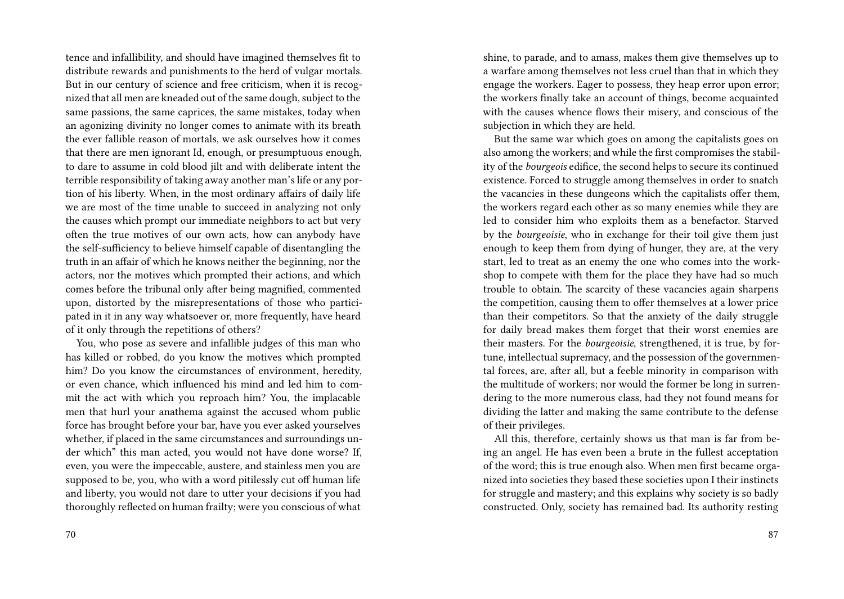tence and infallibility, and should have imagined themselves fit to distribute rewards and punishments to the herd of vulgar mortals. But in our century of science and free criticism, when it is recognized that all men are kneaded out of the same dough, subject to the same passions, the same caprices, the same mistakes, today when an agonizing divinity no longer comes to animate with its breath the ever fallible reason of mortals, we ask ourselves how it comes that there are men ignorant Id, enough, or presumptuous enough, to dare to assume in cold blood jilt and with deliberate intent the terrible responsibility of taking away another man's life or any portion of his liberty. When, in the most ordinary affairs of daily life we are most of the time unable to succeed in analyzing not only the causes which prompt our immediate neighbors to act but very often the true motives of our own acts, how can anybody have the self-sufficiency to believe himself capable of disentangling the truth in an affair of which he knows neither the beginning, nor the actors, nor the motives which prompted their actions, and which comes before the tribunal only after being magnified, commented upon, distorted by the misrepresentations of those who participated in it in any way whatsoever or, more frequently, have heard of it only through the repetitions of others?

You, who pose as severe and infallible judges of this man who has killed or robbed, do you know the motives which prompted him? Do you know the circumstances of environment, heredity, or even chance, which influenced his mind and led him to commit the act with which you reproach him? You, the implacable men that hurl your anathema against the accused whom public force has brought before your bar, have you ever asked yourselves whether, if placed in the same circumstances and surroundings under which" this man acted, you would not have done worse? If, even, you were the impeccable, austere, and stainless men you are supposed to be, you, who with a word pitilessly cut off human life and liberty, you would not dare to utter your decisions if you had thoroughly reflected on human frailty; were you conscious of what

70

shine, to parade, and to amass, makes them give themselves up to a warfare among themselves not less cruel than that in which they engage the workers. Eager to possess, they heap error upon error; the workers finally take an account of things, become acquainted with the causes whence flows their misery, and conscious of the subjection in which they are held.

But the same war which goes on among the capitalists goes on also among the workers; and while the first compromises the stability of the *bourgeois* edifice, the second helps to secure its continued existence. Forced to struggle among themselves in order to snatch the vacancies in these dungeons which the capitalists offer them, the workers regard each other as so many enemies while they are led to consider him who exploits them as a benefactor. Starved by the *bourgeoisie*, who in exchange for their toil give them just enough to keep them from dying of hunger, they are, at the very start, led to treat as an enemy the one who comes into the workshop to compete with them for the place they have had so much trouble to obtain. The scarcity of these vacancies again sharpens the competition, causing them to offer themselves at a lower price than their competitors. So that the anxiety of the daily struggle for daily bread makes them forget that their worst enemies are their masters. For the *bourgeoisie*, strengthened, it is true, by fortune, intellectual supremacy, and the possession of the governmental forces, are, after all, but a feeble minority in comparison with the multitude of workers; nor would the former be long in surrendering to the more numerous class, had they not found means for dividing the latter and making the same contribute to the defense of their privileges.

All this, therefore, certainly shows us that man is far from being an angel. He has even been a brute in the fullest acceptation of the word; this is true enough also. When men first became organized into societies they based these societies upon I their instincts for struggle and mastery; and this explains why society is so badly constructed. Only, society has remained bad. Its authority resting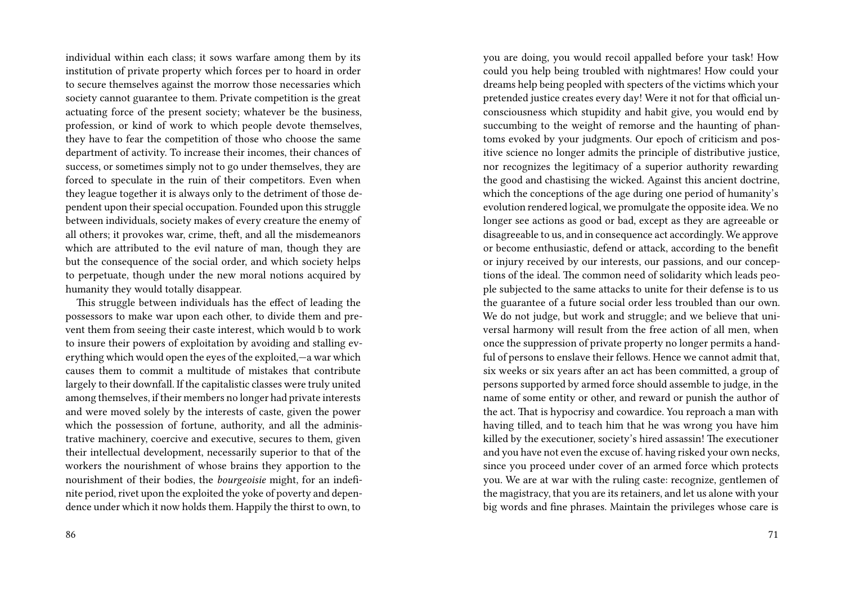individual within each class; it sows warfare among them by its institution of private property which forces per to hoard in order to secure themselves against the morrow those necessaries which society cannot guarantee to them. Private competition is the great actuating force of the present society; whatever be the business, profession, or kind of work to which people devote themselves, they have to fear the competition of those who choose the same department of activity. To increase their incomes, their chances of success, or sometimes simply not to go under themselves, they are forced to speculate in the ruin of their competitors. Even when they league together it is always only to the detriment of those dependent upon their special occupation. Founded upon this struggle between individuals, society makes of every creature the enemy of all others; it provokes war, crime, theft, and all the misdemeanors which are attributed to the evil nature of man, though they are but the consequence of the social order, and which society helps to perpetuate, though under the new moral notions acquired by humanity they would totally disappear.

This struggle between individuals has the effect of leading the possessors to make war upon each other, to divide them and prevent them from seeing their caste interest, which would b to work to insure their powers of exploitation by avoiding and stalling everything which would open the eyes of the exploited,—a war which causes them to commit a multitude of mistakes that contribute largely to their downfall. If the capitalistic classes were truly united among themselves, if their members no longer had private interests and were moved solely by the interests of caste, given the power which the possession of fortune, authority, and all the administrative machinery, coercive and executive, secures to them, given their intellectual development, necessarily superior to that of the workers the nourishment of whose brains they apportion to the nourishment of their bodies, the *bourgeoisie* might, for an indefinite period, rivet upon the exploited the yoke of poverty and dependence under which it now holds them. Happily the thirst to own, to

you are doing, you would recoil appalled before your task! How could you help being troubled with nightmares! How could your dreams help being peopled with specters of the victims which your pretended justice creates every day! Were it not for that official unconsciousness which stupidity and habit give, you would end by succumbing to the weight of remorse and the haunting of phantoms evoked by your judgments. Our epoch of criticism and positive science no longer admits the principle of distributive justice, nor recognizes the legitimacy of a superior authority rewarding the good and chastising the wicked. Against this ancient doctrine, which the conceptions of the age during one period of humanity's evolution rendered logical, we promulgate the opposite idea. We no longer see actions as good or bad, except as they are agreeable or disagreeable to us, and in consequence act accordingly. We approve or become enthusiastic, defend or attack, according to the benefit or injury received by our interests, our passions, and our conceptions of the ideal. The common need of solidarity which leads people subjected to the same attacks to unite for their defense is to us the guarantee of a future social order less troubled than our own. We do not judge, but work and struggle; and we believe that universal harmony will result from the free action of all men, when once the suppression of private property no longer permits a handful of persons to enslave their fellows. Hence we cannot admit that, six weeks or six years after an act has been committed, a group of persons supported by armed force should assemble to judge, in the name of some entity or other, and reward or punish the author of the act. That is hypocrisy and cowardice. You reproach a man with having tilled, and to teach him that he was wrong you have him killed by the executioner, society's hired assassin! The executioner and you have not even the excuse of. having risked your own necks, since you proceed under cover of an armed force which protects you. We are at war with the ruling caste: recognize, gentlemen of the magistracy, that you are its retainers, and let us alone with your big words and fine phrases. Maintain the privileges whose care is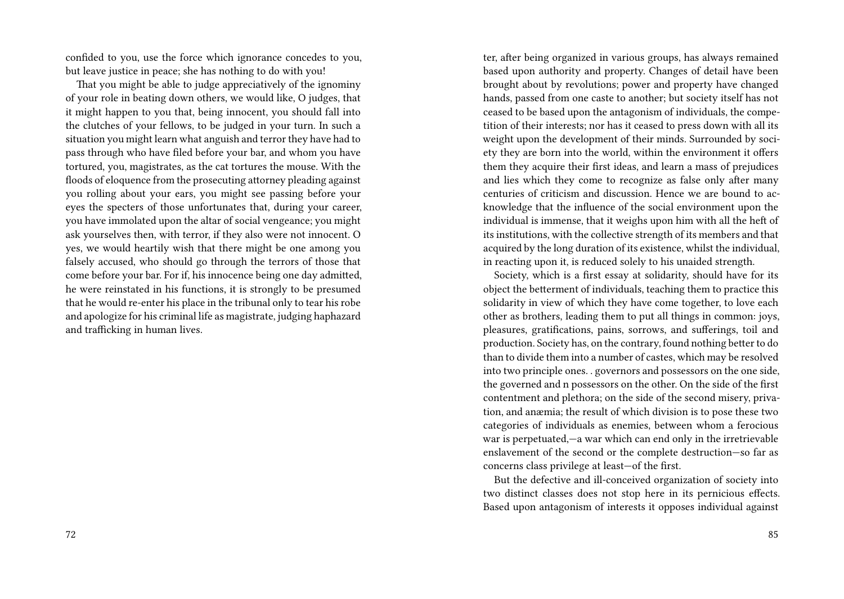confided to you, use the force which ignorance concedes to you, but leave justice in peace; she has nothing to do with you!

That you might be able to judge appreciatively of the ignominy of your role in beating down others, we would like, O judges, that it might happen to you that, being innocent, you should fall into the clutches of your fellows, to be judged in your turn. In such a situation you might learn what anguish and terror they have had to pass through who have filed before your bar, and whom you have tortured, you, magistrates, as the cat tortures the mouse. With the floods of eloquence from the prosecuting attorney pleading against you rolling about your ears, you might see passing before your eyes the specters of those unfortunates that, during your career, you have immolated upon the altar of social vengeance; you might ask yourselves then, with terror, if they also were not innocent. O yes, we would heartily wish that there might be one among you falsely accused, who should go through the terrors of those that come before your bar. For if, his innocence being one day admitted, he were reinstated in his functions, it is strongly to be presumed that he would re-enter his place in the tribunal only to tear his robe and apologize for his criminal life as magistrate, judging haphazard and trafficking in human lives.

ter, after being organized in various groups, has always remained based upon authority and property. Changes of detail have been brought about by revolutions; power and property have changed hands, passed from one caste to another; but society itself has not ceased to be based upon the antagonism of individuals, the competition of their interests; nor has it ceased to press down with all its weight upon the development of their minds. Surrounded by society they are born into the world, within the environment it offers them they acquire their first ideas, and learn a mass of prejudices and lies which they come to recognize as false only after many centuries of criticism and discussion. Hence we are bound to acknowledge that the influence of the social environment upon the individual is immense, that it weighs upon him with all the heft of its institutions, with the collective strength of its members and that acquired by the long duration of its existence, whilst the individual, in reacting upon it, is reduced solely to his unaided strength.

Society, which is a first essay at solidarity, should have for its object the betterment of individuals, teaching them to practice this solidarity in view of which they have come together, to love each other as brothers, leading them to put all things in common: joys, pleasures, gratifications, pains, sorrows, and sufferings, toil and production. Society has, on the contrary, found nothing better to do than to divide them into a number of castes, which may be resolved into two principle ones. . governors and possessors on the one side, the governed and n possessors on the other. On the side of the first contentment and plethora; on the side of the second misery, privation, and anæmia; the result of which division is to pose these two categories of individuals as enemies, between whom a ferocious war is perpetuated,—a war which can end only in the irretrievable enslavement of the second or the complete destruction—so far as concerns class privilege at least—of the first.

But the defective and ill-conceived organization of society into two distinct classes does not stop here in its pernicious effects. Based upon antagonism of interests it opposes individual against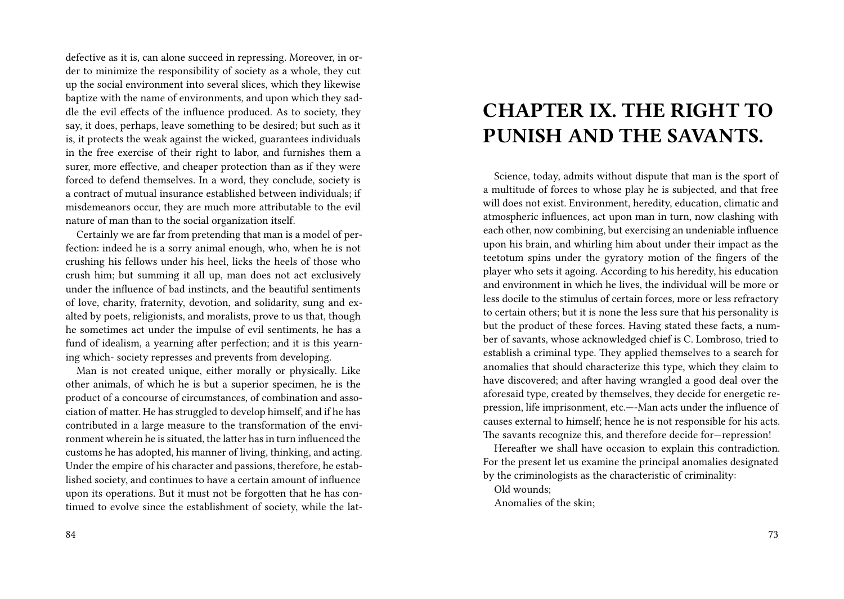defective as it is, can alone succeed in repressing. Moreover, in order to minimize the responsibility of society as a whole, they cut up the social environment into several slices, which they likewise baptize with the name of environments, and upon which they saddle the evil effects of the influence produced. As to society, they say, it does, perhaps, leave something to be desired; but such as it is, it protects the weak against the wicked, guarantees individuals in the free exercise of their right to labor, and furnishes them a surer, more effective, and cheaper protection than as if they were forced to defend themselves. In a word, they conclude, society is a contract of mutual insurance established between individuals; if misdemeanors occur, they are much more attributable to the evil nature of man than to the social organization itself.

Certainly we are far from pretending that man is a model of perfection: indeed he is a sorry animal enough, who, when he is not crushing his fellows under his heel, licks the heels of those who crush him; but summing it all up, man does not act exclusively under the influence of bad instincts, and the beautiful sentiments of love, charity, fraternity, devotion, and solidarity, sung and exalted by poets, religionists, and moralists, prove to us that, though he sometimes act under the impulse of evil sentiments, he has a fund of idealism, a yearning after perfection; and it is this yearning which- society represses and prevents from developing.

Man is not created unique, either morally or physically. Like other animals, of which he is but a superior specimen, he is the product of a concourse of circumstances, of combination and association of matter. He has struggled to develop himself, and if he has contributed in a large measure to the transformation of the environment wherein he is situated, the latter has in turn influenced the customs he has adopted, his manner of living, thinking, and acting. Under the empire of his character and passions, therefore, he established society, and continues to have a certain amount of influence upon its operations. But it must not be forgotten that he has continued to evolve since the establishment of society, while the lat-

#### 84

### **CHAPTER IX. THE RIGHT TO PUNISH AND THE SAVANTS.**

Science, today, admits without dispute that man is the sport of a multitude of forces to whose play he is subjected, and that free will does not exist. Environment, heredity, education, climatic and atmospheric influences, act upon man in turn, now clashing with each other, now combining, but exercising an undeniable influence upon his brain, and whirling him about under their impact as the teetotum spins under the gyratory motion of the fingers of the player who sets it agoing. According to his heredity, his education and environment in which he lives, the individual will be more or less docile to the stimulus of certain forces, more or less refractory to certain others; but it is none the less sure that his personality is but the product of these forces. Having stated these facts, a number of savants, whose acknowledged chief is C. Lombroso, tried to establish a criminal type. They applied themselves to a search for anomalies that should characterize this type, which they claim to have discovered; and after having wrangled a good deal over the aforesaid type, created by themselves, they decide for energetic repression, life imprisonment, etc.—-Man acts under the influence of causes external to himself; hence he is not responsible for his acts. The savants recognize this, and therefore decide for—repression!

Hereafter we shall have occasion to explain this contradiction. For the present let us examine the principal anomalies designated by the criminologists as the characteristic of criminality:

Old wounds;

Anomalies of the skin;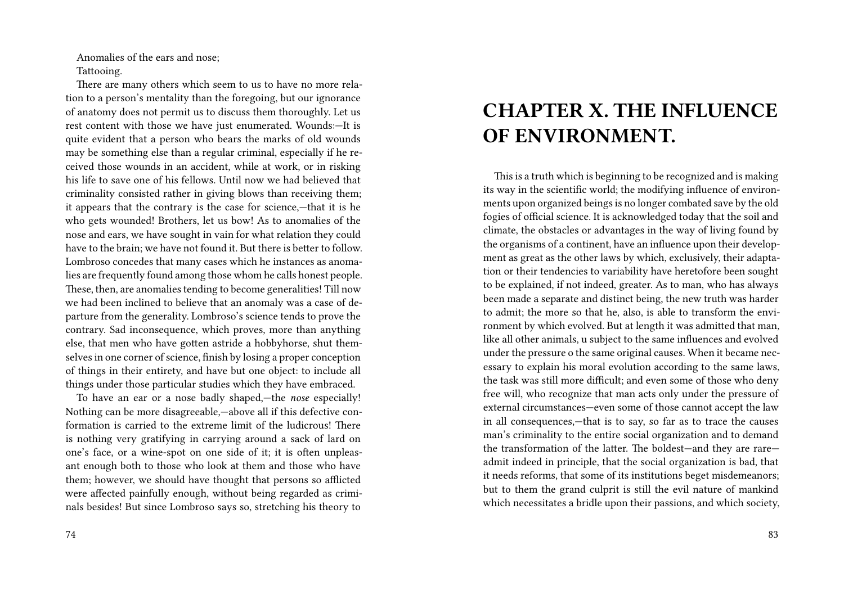Anomalies of the ears and nose; Tattooing.

There are many others which seem to us to have no more relation to a person's mentality than the foregoing, but our ignorance of anatomy does not permit us to discuss them thoroughly. Let us rest content with those we have just enumerated. Wounds:—It is quite evident that a person who bears the marks of old wounds may be something else than a regular criminal, especially if he received those wounds in an accident, while at work, or in risking his life to save one of his fellows. Until now we had believed that criminality consisted rather in giving blows than receiving them; it appears that the contrary is the case for science,—that it is he who gets wounded! Brothers, let us bow! As to anomalies of the nose and ears, we have sought in vain for what relation they could have to the brain; we have not found it. But there is better to follow. Lombroso concedes that many cases which he instances as anomalies are frequently found among those whom he calls honest people. These, then, are anomalies tending to become generalities! Till now we had been inclined to believe that an anomaly was a case of departure from the generality. Lombroso's science tends to prove the contrary. Sad inconsequence, which proves, more than anything else, that men who have gotten astride a hobbyhorse, shut themselves in one corner of science, finish by losing a proper conception of things in their entirety, and have but one object: to include all things under those particular studies which they have embraced.

To have an ear or a nose badly shaped,—the *nose* especially! Nothing can be more disagreeable,—above all if this defective conformation is carried to the extreme limit of the ludicrous! There is nothing very gratifying in carrying around a sack of lard on one's face, or a wine-spot on one side of it; it is often unpleasant enough both to those who look at them and those who have them; however, we should have thought that persons so afflicted were affected painfully enough, without being regarded as criminals besides! But since Lombroso says so, stretching his theory to

### **CHAPTER X. THE INFLUENCE OF ENVIRONMENT.**

This is a truth which is beginning to be recognized and is making its way in the scientific world; the modifying influence of environments upon organized beings is no longer combated save by the old fogies of official science. It is acknowledged today that the soil and climate, the obstacles or advantages in the way of living found by the organisms of a continent, have an influence upon their development as great as the other laws by which, exclusively, their adaptation or their tendencies to variability have heretofore been sought to be explained, if not indeed, greater. As to man, who has always been made a separate and distinct being, the new truth was harder to admit; the more so that he, also, is able to transform the environment by which evolved. But at length it was admitted that man, like all other animals, u subject to the same influences and evolved under the pressure o the same original causes. When it became necessary to explain his moral evolution according to the same laws, the task was still more difficult; and even some of those who deny free will, who recognize that man acts only under the pressure of external circumstances—even some of those cannot accept the law in all consequences,—that is to say, so far as to trace the causes man's criminality to the entire social organization and to demand the transformation of the latter. The boldest—and they are rare admit indeed in principle, that the social organization is bad, that it needs reforms, that some of its institutions beget misdemeanors; but to them the grand culprit is still the evil nature of mankind which necessitates a bridle upon their passions, and which society,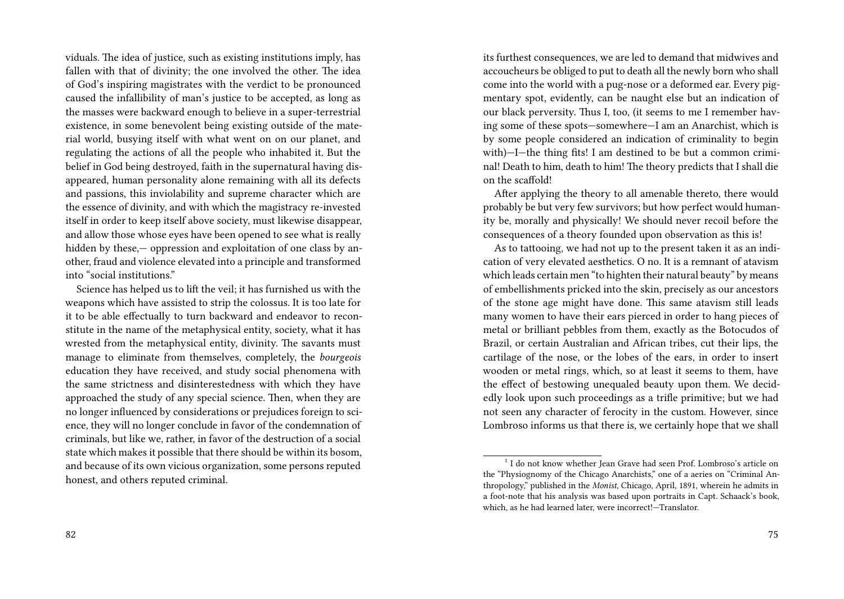viduals. The idea of justice, such as existing institutions imply, has fallen with that of divinity; the one involved the other. The idea of God's inspiring magistrates with the verdict to be pronounced caused the infallibility of man's justice to be accepted, as long as the masses were backward enough to believe in a super-terrestrial existence, in some benevolent being existing outside of the material world, busying itself with what went on on our planet, and regulating the actions of all the people who inhabited it. But the belief in God being destroyed, faith in the supernatural having disappeared, human personality alone remaining with all its defects and passions, this inviolability and supreme character which are the essence of divinity, and with which the magistracy re-invested itself in order to keep itself above society, must likewise disappear, and allow those whose eyes have been opened to see what is really hidden by these,— oppression and exploitation of one class by another, fraud and violence elevated into a principle and transformed into "social institutions."

Science has helped us to lift the veil; it has furnished us with the weapons which have assisted to strip the colossus. It is too late for it to be able effectually to turn backward and endeavor to reconstitute in the name of the metaphysical entity, society, what it has wrested from the metaphysical entity, divinity. The savants must manage to eliminate from themselves, completely, the *bourgeois* education they have received, and study social phenomena with the same strictness and disinterestedness with which they have approached the study of any special science. Then, when they are no longer influenced by considerations or prejudices foreign to science, they will no longer conclude in favor of the condemnation of criminals, but like we, rather, in favor of the destruction of a social state which makes it possible that there should be within its bosom, and because of its own vicious organization, some persons reputed honest, and others reputed criminal.

its furthest consequences, we are led to demand that midwives and accoucheurs be obliged to put to death all the newly born who shall come into the world with a pug-nose or a deformed ear. Every pigmentary spot, evidently, can be naught else but an indication of our black perversity. Thus I, too, (it seems to me I remember having some of these spots—somewhere—I am an Anarchist, which is by some people considered an indication of criminality to begin with)—I—the thing fits! I am destined to be but a common criminal! Death to him, death to him! The theory predicts that I shall die on the scaffold!

After applying the theory to all amenable thereto, there would probably be but very few survivors; but how perfect would humanity be, morally and physically! We should never recoil before the consequences of a theory founded upon observation as this is!

As to tattooing, we had not up to the present taken it as an indication of very elevated aesthetics. O no. It is a remnant of atavism which leads certain men "to highten their natural beauty" by means of embellishments pricked into the skin, precisely as our ancestors of the stone age might have done. This same atavism still leads many women to have their ears pierced in order to hang pieces of metal or brilliant pebbles from them, exactly as the Botocudos of Brazil, or certain Australian and African tribes, cut their lips, the cartilage of the nose, or the lobes of the ears, in order to insert wooden or metal rings, which, so at least it seems to them, have the effect of bestowing unequaled beauty upon them. We decidedly look upon such proceedings as a trifle primitive; but we had not seen any character of ferocity in the custom. However, since Lombroso informs us that there is, we certainly hope that we shall

<sup>&</sup>lt;sup>1</sup> I do not know whether Jean Grave had seen Prof. Lombroso's article on the "Physiognomy of the Chicago Anarchists," one of a aeries on "Criminal Anthropology," published in the *Monist*, Chicago, April, 1891, wherein he admits in a foot-note that his analysis was based upon portraits in Capt. Schaack's book, which, as he had learned later, were incorrect!—Translator.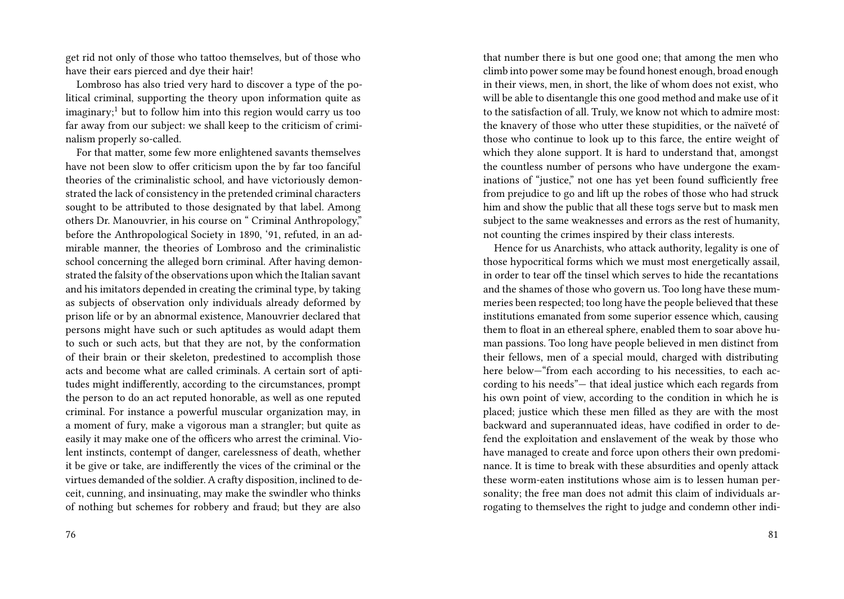get rid not only of those who tattoo themselves, but of those who have their ears pierced and dye their hair!

Lombroso has also tried very hard to discover a type of the political criminal, supporting the theory upon information quite as imaginary;<sup>1</sup> but to follow him into this region would carry us too far away from our subject: we shall keep to the criticism of criminalism properly so-called.

For that matter, some few more enlightened savants themselves have not been slow to offer criticism upon the by far too fanciful theories of the criminalistic school, and have victoriously demonstrated the lack of consistency in the pretended criminal characters sought to be attributed to those designated by that label. Among others Dr. Manouvrier, in his course on " Criminal Anthropology," before the Anthropological Society in 1890, '91, refuted, in an admirable manner, the theories of Lombroso and the criminalistic school concerning the alleged born criminal. After having demonstrated the falsity of the observations upon which the Italian savant and his imitators depended in creating the criminal type, by taking as subjects of observation only individuals already deformed by prison life or by an abnormal existence, Manouvrier declared that persons might have such or such aptitudes as would adapt them to such or such acts, but that they are not, by the conformation of their brain or their skeleton, predestined to accomplish those acts and become what are called criminals. A certain sort of aptitudes might indifferently, according to the circumstances, prompt the person to do an act reputed honorable, as well as one reputed criminal. For instance a powerful muscular organization may, in a moment of fury, make a vigorous man a strangler; but quite as easily it may make one of the officers who arrest the criminal. Violent instincts, contempt of danger, carelessness of death, whether it be give or take, are indifferently the vices of the criminal or the virtues demanded of the soldier. A crafty disposition, inclined to deceit, cunning, and insinuating, may make the swindler who thinks of nothing but schemes for robbery and fraud; but they are also

that number there is but one good one; that among the men who climb into power some may be found honest enough, broad enough in their views, men, in short, the like of whom does not exist, who will be able to disentangle this one good method and make use of it to the satisfaction of all. Truly, we know not which to admire most: the knavery of those who utter these stupidities, or the naïveté of those who continue to look up to this farce, the entire weight of which they alone support. It is hard to understand that, amongst the countless number of persons who have undergone the examinations of "justice," not one has yet been found sufficiently free from prejudice to go and lift up the robes of those who had struck him and show the public that all these togs serve but to mask men subject to the same weaknesses and errors as the rest of humanity, not counting the crimes inspired by their class interests.

Hence for us Anarchists, who attack authority, legality is one of those hypocritical forms which we must most energetically assail, in order to tear off the tinsel which serves to hide the recantations and the shames of those who govern us. Too long have these mummeries been respected; too long have the people believed that these institutions emanated from some superior essence which, causing them to float in an ethereal sphere, enabled them to soar above human passions. Too long have people believed in men distinct from their fellows, men of a special mould, charged with distributing here below—"from each according to his necessities, to each according to his needs"— that ideal justice which each regards from his own point of view, according to the condition in which he is placed; justice which these men filled as they are with the most backward and superannuated ideas, have codified in order to defend the exploitation and enslavement of the weak by those who have managed to create and force upon others their own predominance. It is time to break with these absurdities and openly attack these worm-eaten institutions whose aim is to lessen human personality; the free man does not admit this claim of individuals arrogating to themselves the right to judge and condemn other indi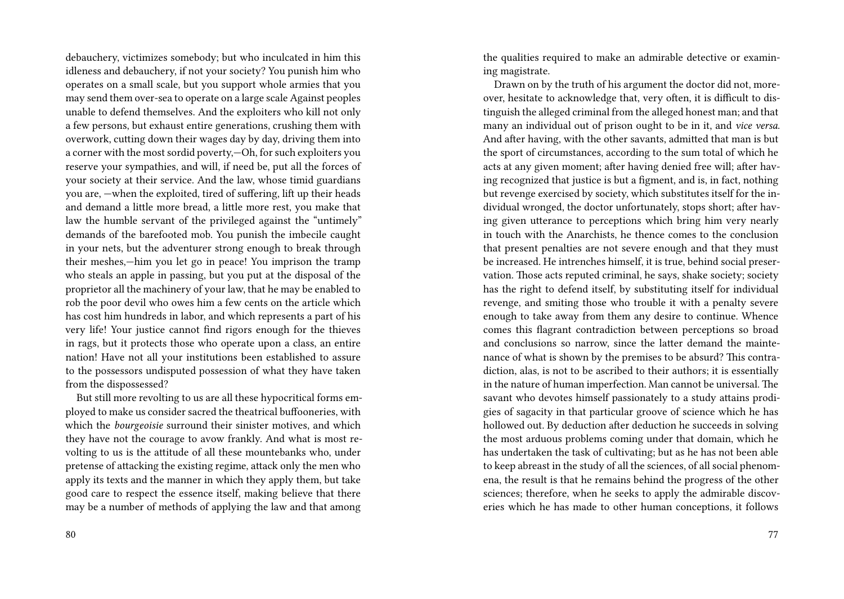debauchery, victimizes somebody; but who inculcated in him this idleness and debauchery, if not your society? You punish him who operates on a small scale, but you support whole armies that you may send them over-sea to operate on a large scale Against peoples unable to defend themselves. And the exploiters who kill not only a few persons, but exhaust entire generations, crushing them with overwork, cutting down their wages day by day, driving them into a corner with the most sordid poverty,—Oh, for such exploiters you reserve your sympathies, and will, if need be, put all the forces of your society at their service. And the law, whose timid guardians you are, —when the exploited, tired of suffering, lift up their heads and demand a little more bread, a little more rest, you make that law the humble servant of the privileged against the "untimely" demands of the barefooted mob. You punish the imbecile caught in your nets, but the adventurer strong enough to break through their meshes,—him you let go in peace! You imprison the tramp who steals an apple in passing, but you put at the disposal of the proprietor all the machinery of your law, that he may be enabled to rob the poor devil who owes him a few cents on the article which has cost him hundreds in labor, and which represents a part of his very life! Your justice cannot find rigors enough for the thieves in rags, but it protects those who operate upon a class, an entire nation! Have not all your institutions been established to assure to the possessors undisputed possession of what they have taken from the dispossessed?

But still more revolting to us are all these hypocritical forms employed to make us consider sacred the theatrical buffooneries, with which the *bourgeoisie* surround their sinister motives, and which they have not the courage to avow frankly. And what is most revolting to us is the attitude of all these mountebanks who, under pretense of attacking the existing regime, attack only the men who apply its texts and the manner in which they apply them, but take good care to respect the essence itself, making believe that there may be a number of methods of applying the law and that among

the qualities required to make an admirable detective or examining magistrate.

Drawn on by the truth of his argument the doctor did not, moreover, hesitate to acknowledge that, very often, it is difficult to distinguish the alleged criminal from the alleged honest man; and that many an individual out of prison ought to be in it, and *vice versa*. And after having, with the other savants, admitted that man is but the sport of circumstances, according to the sum total of which he acts at any given moment; after having denied free will; after having recognized that justice is but a figment, and is, in fact, nothing but revenge exercised by society, which substitutes itself for the individual wronged, the doctor unfortunately, stops short; after having given utterance to perceptions which bring him very nearly in touch with the Anarchists, he thence comes to the conclusion that present penalties are not severe enough and that they must be increased. He intrenches himself, it is true, behind social preservation. Those acts reputed criminal, he says, shake society; society has the right to defend itself, by substituting itself for individual revenge, and smiting those who trouble it with a penalty severe enough to take away from them any desire to continue. Whence comes this flagrant contradiction between perceptions so broad and conclusions so narrow, since the latter demand the maintenance of what is shown by the premises to be absurd? This contradiction, alas, is not to be ascribed to their authors; it is essentially in the nature of human imperfection. Man cannot be universal. The savant who devotes himself passionately to a study attains prodigies of sagacity in that particular groove of science which he has hollowed out. By deduction after deduction he succeeds in solving the most arduous problems coming under that domain, which he has undertaken the task of cultivating; but as he has not been able to keep abreast in the study of all the sciences, of all social phenomena, the result is that he remains behind the progress of the other sciences; therefore, when he seeks to apply the admirable discoveries which he has made to other human conceptions, it follows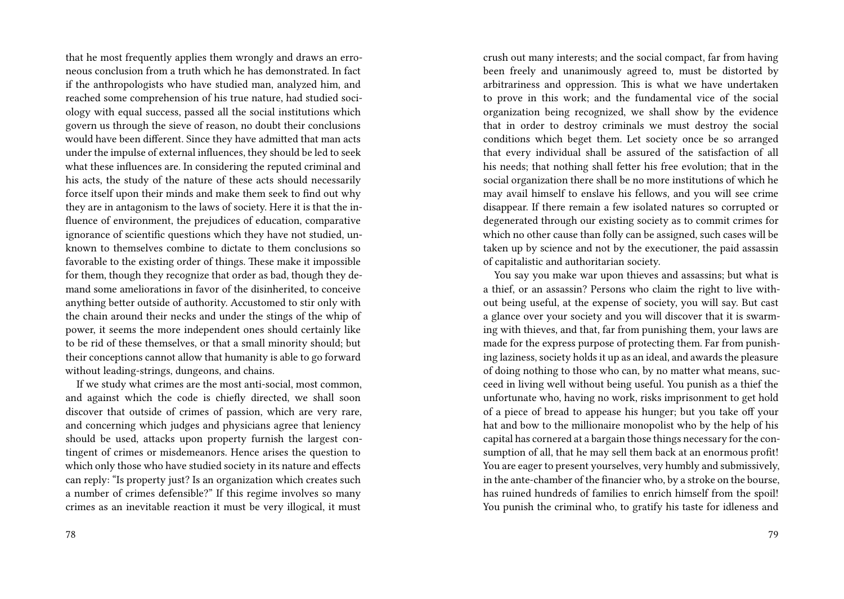that he most frequently applies them wrongly and draws an erroneous conclusion from a truth which he has demonstrated. In fact if the anthropologists who have studied man, analyzed him, and reached some comprehension of his true nature, had studied sociology with equal success, passed all the social institutions which govern us through the sieve of reason, no doubt their conclusions would have been different. Since they have admitted that man acts under the impulse of external influences, they should be led to seek what these influences are. In considering the reputed criminal and his acts, the study of the nature of these acts should necessarily force itself upon their minds and make them seek to find out why they are in antagonism to the laws of society. Here it is that the influence of environment, the prejudices of education, comparative ignorance of scientific questions which they have not studied, unknown to themselves combine to dictate to them conclusions so favorable to the existing order of things. These make it impossible for them, though they recognize that order as bad, though they demand some ameliorations in favor of the disinherited, to conceive anything better outside of authority. Accustomed to stir only with the chain around their necks and under the stings of the whip of power, it seems the more independent ones should certainly like to be rid of these themselves, or that a small minority should; but their conceptions cannot allow that humanity is able to go forward without leading-strings, dungeons, and chains.

If we study what crimes are the most anti-social, most common, and against which the code is chiefly directed, we shall soon discover that outside of crimes of passion, which are very rare, and concerning which judges and physicians agree that leniency should be used, attacks upon property furnish the largest contingent of crimes or misdemeanors. Hence arises the question to which only those who have studied society in its nature and effects can reply: "Is property just? Is an organization which creates such a number of crimes defensible?" If this regime involves so many crimes as an inevitable reaction it must be very illogical, it must crush out many interests; and the social compact, far from having been freely and unanimously agreed to, must be distorted by arbitrariness and oppression. This is what we have undertaken to prove in this work; and the fundamental vice of the social organization being recognized, we shall show by the evidence that in order to destroy criminals we must destroy the social conditions which beget them. Let society once be so arranged that every individual shall be assured of the satisfaction of all his needs; that nothing shall fetter his free evolution; that in the social organization there shall be no more institutions of which he may avail himself to enslave his fellows, and you will see crime disappear. If there remain a few isolated natures so corrupted or degenerated through our existing society as to commit crimes for which no other cause than folly can be assigned, such cases will be taken up by science and not by the executioner, the paid assassin of capitalistic and authoritarian society.

You say you make war upon thieves and assassins; but what is a thief, or an assassin? Persons who claim the right to live without being useful, at the expense of society, you will say. But cast a glance over your society and you will discover that it is swarming with thieves, and that, far from punishing them, your laws are made for the express purpose of protecting them. Far from punishing laziness, society holds it up as an ideal, and awards the pleasure of doing nothing to those who can, by no matter what means, succeed in living well without being useful. You punish as a thief the unfortunate who, having no work, risks imprisonment to get hold of a piece of bread to appease his hunger; but you take off your hat and bow to the millionaire monopolist who by the help of his capital has cornered at a bargain those things necessary for the consumption of all, that he may sell them back at an enormous profit! You are eager to present yourselves, very humbly and submissively, in the ante-chamber of the financier who, by a stroke on the bourse, has ruined hundreds of families to enrich himself from the spoil! You punish the criminal who, to gratify his taste for idleness and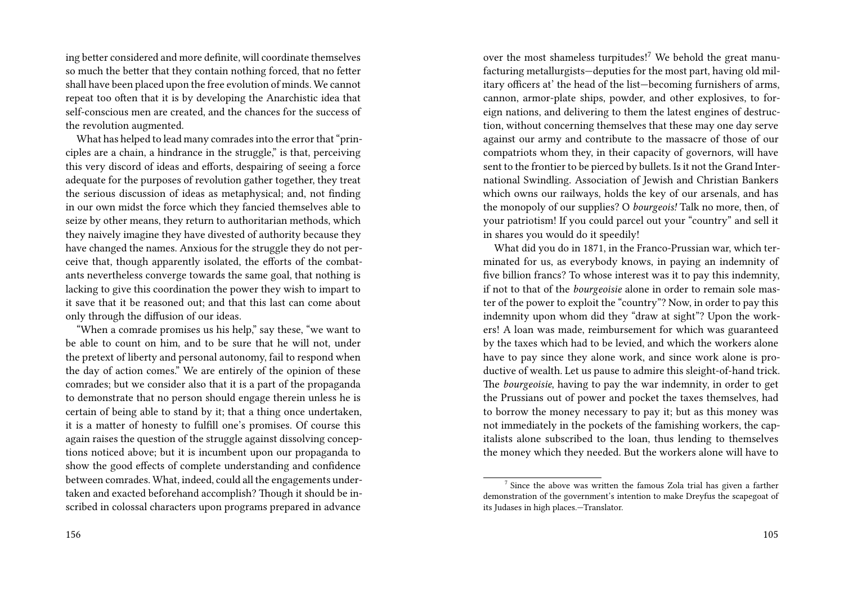ing better considered and more definite, will coordinate themselves so much the better that they contain nothing forced, that no fetter shall have been placed upon the free evolution of minds. We cannot repeat too often that it is by developing the Anarchistic idea that self-conscious men are created, and the chances for the success of the revolution augmented.

What has helped to lead many comrades into the error that "principles are a chain, a hindrance in the struggle," is that, perceiving this very discord of ideas and efforts, despairing of seeing a force adequate for the purposes of revolution gather together, they treat the serious discussion of ideas as metaphysical; and, not finding in our own midst the force which they fancied themselves able to seize by other means, they return to authoritarian methods, which they naively imagine they have divested of authority because they have changed the names. Anxious for the struggle they do not perceive that, though apparently isolated, the efforts of the combatants nevertheless converge towards the same goal, that nothing is lacking to give this coordination the power they wish to impart to it save that it be reasoned out; and that this last can come about only through the diffusion of our ideas.

"When a comrade promises us his help," say these, "we want to be able to count on him, and to be sure that he will not, under the pretext of liberty and personal autonomy, fail to respond when the day of action comes." We are entirely of the opinion of these comrades; but we consider also that it is a part of the propaganda to demonstrate that no person should engage therein unless he is certain of being able to stand by it; that a thing once undertaken, it is a matter of honesty to fulfill one's promises. Of course this again raises the question of the struggle against dissolving conceptions noticed above; but it is incumbent upon our propaganda to show the good effects of complete understanding and confidence between comrades. What, indeed, could all the engagements undertaken and exacted beforehand accomplish? Though it should be inscribed in colossal characters upon programs prepared in advance over the most shameless turpitudes!<sup>7</sup> We behold the great manufacturing metallurgists—deputies for the most part, having old military officers at' the head of the list—becoming furnishers of arms, cannon, armor-plate ships, powder, and other explosives, to foreign nations, and delivering to them the latest engines of destruction, without concerning themselves that these may one day serve against our army and contribute to the massacre of those of our compatriots whom they, in their capacity of governors, will have sent to the frontier to be pierced by bullets. Is it not the Grand International Swindling. Association of Jewish and Christian Bankers which owns our railways, holds the key of our arsenals, and has the monopoly of our supplies? O *bourgeois!* Talk no more, then, of your patriotism! If you could parcel out your "country" and sell it in shares you would do it speedily!

What did you do in 1871, in the Franco-Prussian war, which terminated for us, as everybody knows, in paying an indemnity of five billion francs? To whose interest was it to pay this indemnity, if not to that of the *bourgeoisie* alone in order to remain sole master of the power to exploit the "country"? Now, in order to pay this indemnity upon whom did they "draw at sight"? Upon the workers! A loan was made, reimbursement for which was guaranteed by the taxes which had to be levied, and which the workers alone have to pay since they alone work, and since work alone is productive of wealth. Let us pause to admire this sleight-of-hand trick. The *bourgeoisie*, having to pay the war indemnity, in order to get the Prussians out of power and pocket the taxes themselves, had to borrow the money necessary to pay it; but as this money was not immediately in the pockets of the famishing workers, the capitalists alone subscribed to the loan, thus lending to themselves the money which they needed. But the workers alone will have to

<sup>&</sup>lt;sup>7</sup> Since the above was written the famous Zola trial has given a farther demonstration of the government's intention to make Dreyfus the scapegoat of its Judases in high places.—Translator.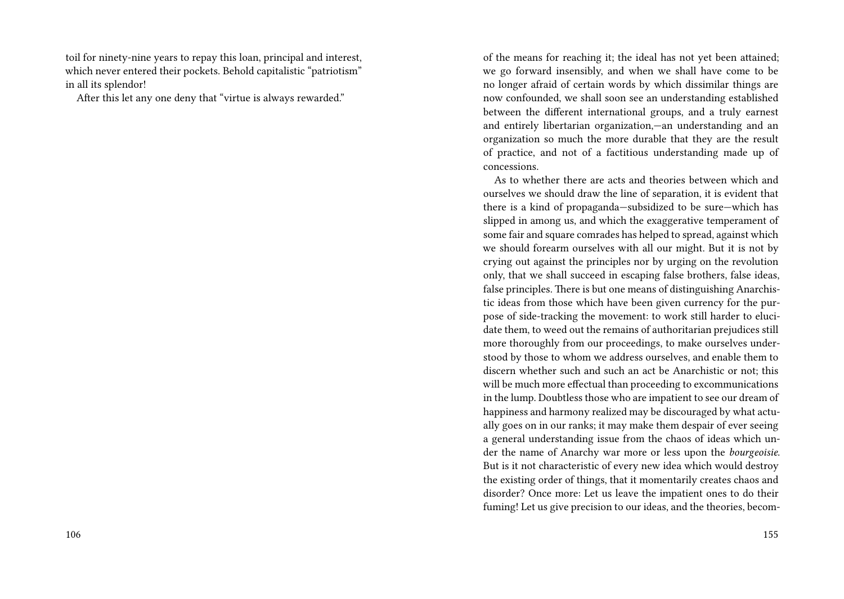toil for ninety-nine years to repay this loan, principal and interest, which never entered their pockets. Behold capitalistic "patriotism" in all its splendor!

After this let any one deny that "virtue is always rewarded."

of the means for reaching it; the ideal has not yet been attained; we go forward insensibly, and when we shall have come to be no longer afraid of certain words by which dissimilar things are now confounded, we shall soon see an understanding established between the different international groups, and a truly earnest and entirely libertarian organization,—an understanding and an organization so much the more durable that they are the result of practice, and not of a factitious understanding made up of concessions.

As to whether there are acts and theories between which and ourselves we should draw the line of separation, it is evident that there is a kind of propaganda—subsidized to be sure—which has slipped in among us, and which the exaggerative temperament of some fair and square comrades has helped to spread, against which we should forearm ourselves with all our might. But it is not by crying out against the principles nor by urging on the revolution only, that we shall succeed in escaping false brothers, false ideas, false principles. There is but one means of distinguishing Anarchistic ideas from those which have been given currency for the purpose of side-tracking the movement: to work still harder to elucidate them, to weed out the remains of authoritarian prejudices still more thoroughly from our proceedings, to make ourselves understood by those to whom we address ourselves, and enable them to discern whether such and such an act be Anarchistic or not; this will be much more effectual than proceeding to excommunications in the lump. Doubtless those who are impatient to see our dream of happiness and harmony realized may be discouraged by what actually goes on in our ranks; it may make them despair of ever seeing a general understanding issue from the chaos of ideas which under the name of Anarchy war more or less upon the *bourgeoisie*. But is it not characteristic of every new idea which would destroy the existing order of things, that it momentarily creates chaos and disorder? Once more: Let us leave the impatient ones to do their fuming! Let us give precision to our ideas, and the theories, becom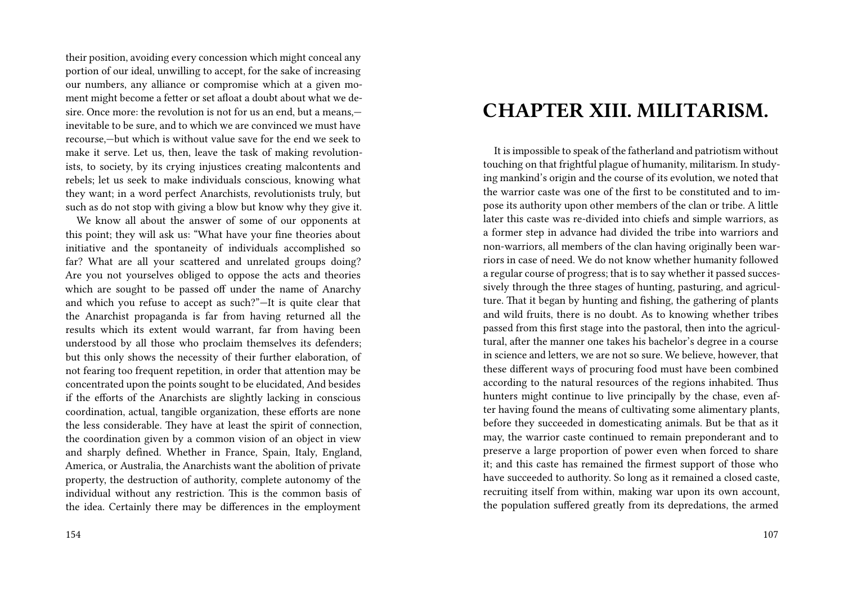their position, avoiding every concession which might conceal any portion of our ideal, unwilling to accept, for the sake of increasing our numbers, any alliance or compromise which at a given moment might become a fetter or set afloat a doubt about what we desire. Once more: the revolution is not for us an end, but a means, inevitable to be sure, and to which we are convinced we must have recourse,—but which is without value save for the end we seek to make it serve. Let us, then, leave the task of making revolutionists, to society, by its crying injustices creating malcontents and rebels; let us seek to make individuals conscious, knowing what they want; in a word perfect Anarchists, revolutionists truly, but such as do not stop with giving a blow but know why they give it.

We know all about the answer of some of our opponents at this point; they will ask us: "What have your fine theories about initiative and the spontaneity of individuals accomplished so far? What are all your scattered and unrelated groups doing? Are you not yourselves obliged to oppose the acts and theories which are sought to be passed off under the name of Anarchy and which you refuse to accept as such?"—It is quite clear that the Anarchist propaganda is far from having returned all the results which its extent would warrant, far from having been understood by all those who proclaim themselves its defenders; but this only shows the necessity of their further elaboration, of not fearing too frequent repetition, in order that attention may be concentrated upon the points sought to be elucidated, And besides if the efforts of the Anarchists are slightly lacking in conscious coordination, actual, tangible organization, these efforts are none the less considerable. They have at least the spirit of connection, the coordination given by a common vision of an object in view and sharply defined. Whether in France, Spain, Italy, England, America, or Australia, the Anarchists want the abolition of private property, the destruction of authority, complete autonomy of the individual without any restriction. This is the common basis of the idea. Certainly there may be differences in the employment

### **CHAPTER XIII. MILITARISM.**

It is impossible to speak of the fatherland and patriotism without touching on that frightful plague of humanity, militarism. In studying mankind's origin and the course of its evolution, we noted that the warrior caste was one of the first to be constituted and to impose its authority upon other members of the clan or tribe. A little later this caste was re-divided into chiefs and simple warriors, as a former step in advance had divided the tribe into warriors and non-warriors, all members of the clan having originally been warriors in case of need. We do not know whether humanity followed a regular course of progress; that is to say whether it passed successively through the three stages of hunting, pasturing, and agriculture. That it began by hunting and fishing, the gathering of plants and wild fruits, there is no doubt. As to knowing whether tribes passed from this first stage into the pastoral, then into the agricultural, after the manner one takes his bachelor's degree in a course in science and letters, we are not so sure. We believe, however, that these different ways of procuring food must have been combined according to the natural resources of the regions inhabited. Thus hunters might continue to live principally by the chase, even after having found the means of cultivating some alimentary plants, before they succeeded in domesticating animals. But be that as it may, the warrior caste continued to remain preponderant and to preserve a large proportion of power even when forced to share it; and this caste has remained the firmest support of those who have succeeded to authority. So long as it remained a closed caste, recruiting itself from within, making war upon its own account, the population suffered greatly from its depredations, the armed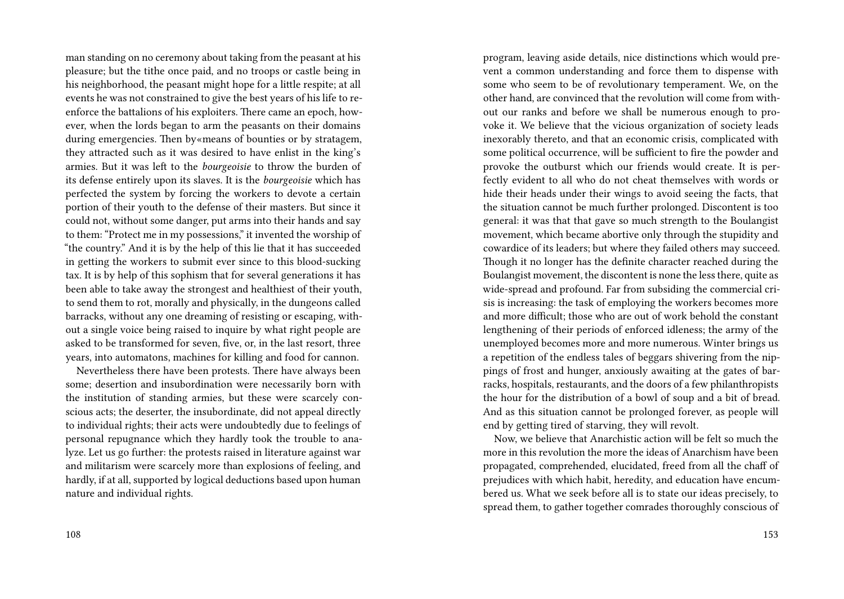man standing on no ceremony about taking from the peasant at his pleasure; but the tithe once paid, and no troops or castle being in his neighborhood, the peasant might hope for a little respite; at all events he was not constrained to give the best years of his life to reenforce the battalions of his exploiters. There came an epoch, however, when the lords began to arm the peasants on their domains during emergencies. Then by«means of bounties or by stratagem, they attracted such as it was desired to have enlist in the king's armies. But it was left to the *bourgeoisie* to throw the burden of its defense entirely upon its slaves. It is the *bourgeoisie* which has perfected the system by forcing the workers to devote a certain portion of their youth to the defense of their masters. But since it could not, without some danger, put arms into their hands and say to them: "Protect me in my possessions," it invented the worship of "the country." And it is by the help of this lie that it has succeeded in getting the workers to submit ever since to this blood-sucking tax. It is by help of this sophism that for several generations it has been able to take away the strongest and healthiest of their youth, to send them to rot, morally and physically, in the dungeons called barracks, without any one dreaming of resisting or escaping, without a single voice being raised to inquire by what right people are asked to be transformed for seven, five, or, in the last resort, three years, into automatons, machines for killing and food for cannon.

Nevertheless there have been protests. There have always been some; desertion and insubordination were necessarily born with the institution of standing armies, but these were scarcely conscious acts; the deserter, the insubordinate, did not appeal directly to individual rights; their acts were undoubtedly due to feelings of personal repugnance which they hardly took the trouble to analyze. Let us go further: the protests raised in literature against war and militarism were scarcely more than explosions of feeling, and hardly, if at all, supported by logical deductions based upon human nature and individual rights.

program, leaving aside details, nice distinctions which would prevent a common understanding and force them to dispense with some who seem to be of revolutionary temperament. We, on the other hand, are convinced that the revolution will come from without our ranks and before we shall be numerous enough to provoke it. We believe that the vicious organization of society leads inexorably thereto, and that an economic crisis, complicated with some political occurrence, will be sufficient to fire the powder and provoke the outburst which our friends would create. It is perfectly evident to all who do not cheat themselves with words or hide their heads under their wings to avoid seeing the facts, that the situation cannot be much further prolonged. Discontent is too general: it was that that gave so much strength to the Boulangist movement, which became abortive only through the stupidity and cowardice of its leaders; but where they failed others may succeed. Though it no longer has the definite character reached during the Boulangist movement, the discontent is none the less there, quite as wide-spread and profound. Far from subsiding the commercial crisis is increasing: the task of employing the workers becomes more and more difficult; those who are out of work behold the constant lengthening of their periods of enforced idleness; the army of the unemployed becomes more and more numerous. Winter brings us a repetition of the endless tales of beggars shivering from the nippings of frost and hunger, anxiously awaiting at the gates of barracks, hospitals, restaurants, and the doors of a few philanthropists the hour for the distribution of a bowl of soup and a bit of bread. And as this situation cannot be prolonged forever, as people will end by getting tired of starving, they will revolt.

Now, we believe that Anarchistic action will be felt so much the more in this revolution the more the ideas of Anarchism have been propagated, comprehended, elucidated, freed from all the chaff of prejudices with which habit, heredity, and education have encumbered us. What we seek before all is to state our ideas precisely, to spread them, to gather together comrades thoroughly conscious of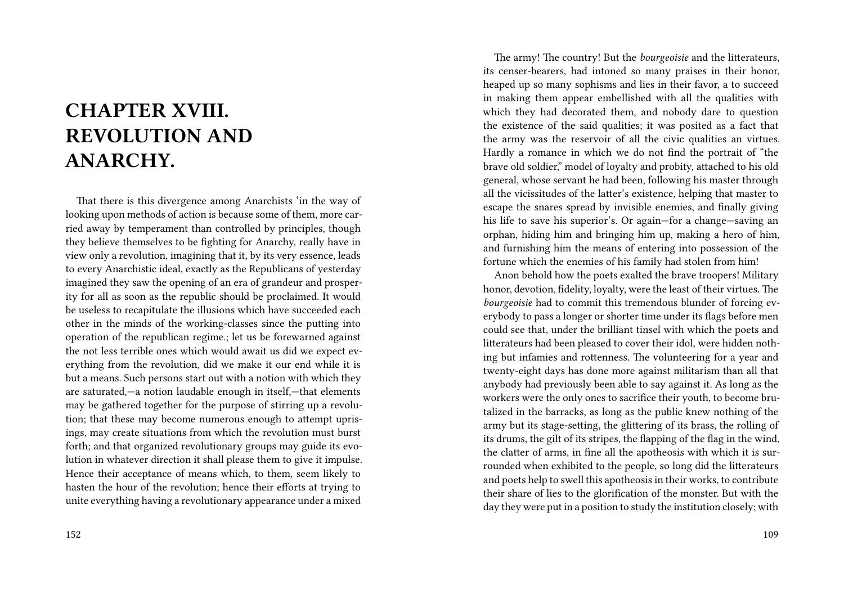# **CHAPTER XVIII. REVOLUTION AND ANARCHY.**

That there is this divergence among Anarchists 'in the way of looking upon methods of action is because some of them, more carried away by temperament than controlled by principles, though they believe themselves to be fighting for Anarchy, really have in view only a revolution, imagining that it, by its very essence, leads to every Anarchistic ideal, exactly as the Republicans of yesterday imagined they saw the opening of an era of grandeur and prosperity for all as soon as the republic should be proclaimed. It would be useless to recapitulate the illusions which have succeeded each other in the minds of the working-classes since the putting into operation of the republican regime.; let us be forewarned against the not less terrible ones which would await us did we expect everything from the revolution, did we make it our end while it is but a means. Such persons start out with a notion with which they are saturated,—a notion laudable enough in itself,—that elements may be gathered together for the purpose of stirring up a revolution; that these may become numerous enough to attempt uprisings, may create situations from which the revolution must burst forth; and that organized revolutionary groups may guide its evolution in whatever direction it shall please them to give it impulse. Hence their acceptance of means which, to them, seem likely to hasten the hour of the revolution; hence their efforts at trying to unite everything having a revolutionary appearance under a mixed

The army! The country! But the *bourgeoisie* and the litterateurs, its censer-bearers, had intoned so many praises in their honor, heaped up so many sophisms and lies in their favor, a to succeed in making them appear embellished with all the qualities with which they had decorated them, and nobody dare to question the existence of the said qualities; it was posited as a fact that the army was the reservoir of all the civic qualities an virtues. Hardly a romance in which we do not find the portrait of "the brave old soldier," model of loyalty and probity, attached to his old general, whose servant he had been, following his master through all the vicissitudes of the latter's existence, helping that master to escape the snares spread by invisible enemies, and finally giving his life to save his superior's. Or again—for a change—saving an orphan, hiding him and bringing him up, making a hero of him, and furnishing him the means of entering into possession of the fortune which the enemies of his family had stolen from him!

Anon behold how the poets exalted the brave troopers! Military honor, devotion, fidelity, loyalty, were the least of their virtues. The *bourgeoisie* had to commit this tremendous blunder of forcing everybody to pass a longer or shorter time under its flags before men could see that, under the brilliant tinsel with which the poets and litterateurs had been pleased to cover their idol, were hidden nothing but infamies and rottenness. The volunteering for a year and twenty-eight days has done more against militarism than all that anybody had previously been able to say against it. As long as the workers were the only ones to sacrifice their youth, to become brutalized in the barracks, as long as the public knew nothing of the army but its stage-setting, the glittering of its brass, the rolling of its drums, the gilt of its stripes, the flapping of the flag in the wind, the clatter of arms, in fine all the apotheosis with which it is surrounded when exhibited to the people, so long did the litterateurs and poets help to swell this apotheosis in their works, to contribute their share of lies to the glorification of the monster. But with the day they were put in a position to study the institution closely; with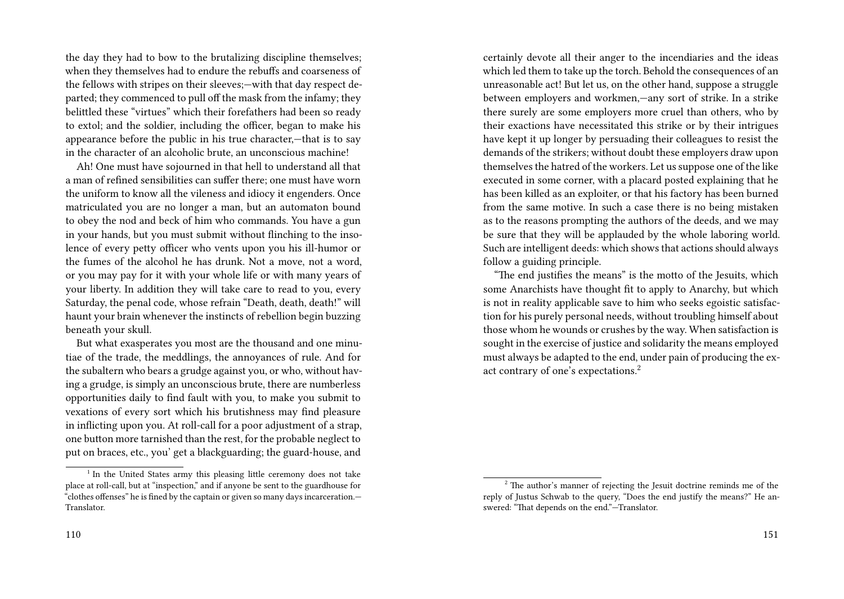the day they had to bow to the brutalizing discipline themselves; when they themselves had to endure the rebuffs and coarseness of the fellows with stripes on their sleeves;—with that day respect departed; they commenced to pull off the mask from the infamy; they belittled these "virtues" which their forefathers had been so ready to extol; and the soldier, including the officer, began to make his appearance before the public in his true character,—that is to say in the character of an alcoholic brute, an unconscious machine!

Ah! One must have sojourned in that hell to understand all that a man of refined sensibilities can suffer there; one must have worn the uniform to know all the vileness and idiocy it engenders. Once matriculated you are no longer a man, but an automaton bound to obey the nod and beck of him who commands. You have a gun in your hands, but you must submit without flinching to the insolence of every petty officer who vents upon you his ill-humor or the fumes of the alcohol he has drunk. Not a move, not a word, or you may pay for it with your whole life or with many years of your liberty. In addition they will take care to read to you, every Saturday, the penal code, whose refrain "Death, death, death!" will haunt your brain whenever the instincts of rebellion begin buzzing beneath your skull.

But what exasperates you most are the thousand and one minutiae of the trade, the meddlings, the annoyances of rule. And for the subaltern who bears a grudge against you, or who, without having a grudge, is simply an unconscious brute, there are numberless opportunities daily to find fault with you, to make you submit to vexations of every sort which his brutishness may find pleasure in inflicting upon you. At roll-call for a poor adjustment of a strap, one button more tarnished than the rest, for the probable neglect to put on braces, etc., you' get a blackguarding; the guard-house, and certainly devote all their anger to the incendiaries and the ideas which led them to take up the torch. Behold the consequences of an unreasonable act! But let us, on the other hand, suppose a struggle between employers and workmen,—any sort of strike. In a strike there surely are some employers more cruel than others, who by their exactions have necessitated this strike or by their intrigues have kept it up longer by persuading their colleagues to resist the demands of the strikers; without doubt these employers draw upon themselves the hatred of the workers. Let us suppose one of the like executed in some corner, with a placard posted explaining that he has been killed as an exploiter, or that his factory has been burned from the same motive. In such a case there is no being mistaken as to the reasons prompting the authors of the deeds, and we may be sure that they will be applauded by the whole laboring world. Such are intelligent deeds: which shows that actions should always follow a guiding principle.

"The end justifies the means" is the motto of the Jesuits, which some Anarchists have thought fit to apply to Anarchy, but which is not in reality applicable save to him who seeks egoistic satisfaction for his purely personal needs, without troubling himself about those whom he wounds or crushes by the way. When satisfaction is sought in the exercise of justice and solidarity the means employed must always be adapted to the end, under pain of producing the exact contrary of one's expectations.<sup>2</sup>

<sup>&</sup>lt;sup>1</sup> In the United States army this pleasing little ceremony does not take place at roll-call, but at "inspection," and if anyone be sent to the guardhouse for "clothes offenses" he is fined by the captain or given so many days incarceration.— **Translator** 

<sup>&</sup>lt;sup>2</sup> The author's manner of rejecting the Jesuit doctrine reminds me of the reply of Justus Schwab to the query, "Does the end justify the means?" He answered: "That depends on the end."—Translator.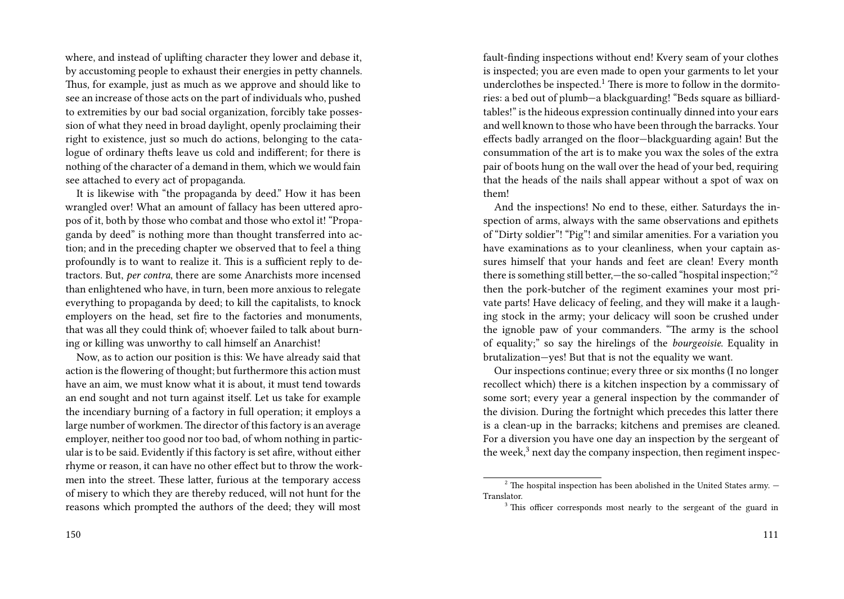where, and instead of uplifting character they lower and debase it, by accustoming people to exhaust their energies in petty channels. Thus, for example, just as much as we approve and should like to see an increase of those acts on the part of individuals who, pushed to extremities by our bad social organization, forcibly take possession of what they need in broad daylight, openly proclaiming their right to existence, just so much do actions, belonging to the catalogue of ordinary thefts leave us cold and indifferent; for there is nothing of the character of a demand in them, which we would fain see attached to every act of propaganda.

It is likewise with "the propaganda by deed." How it has been wrangled over! What an amount of fallacy has been uttered apropos of it, both by those who combat and those who extol it! "Propaganda by deed" is nothing more than thought transferred into action; and in the preceding chapter we observed that to feel a thing profoundly is to want to realize it. This is a sufficient reply to detractors. But, *per contra*, there are some Anarchists more incensed than enlightened who have, in turn, been more anxious to relegate everything to propaganda by deed; to kill the capitalists, to knock employers on the head, set fire to the factories and monuments, that was all they could think of; whoever failed to talk about burning or killing was unworthy to call himself an Anarchist!

Now, as to action our position is this: We have already said that action is the flowering of thought; but furthermore this action must have an aim, we must know what it is about, it must tend towards an end sought and not turn against itself. Let us take for example the incendiary burning of a factory in full operation; it employs a large number of workmen. The director of this factory is an average employer, neither too good nor too bad, of whom nothing in particular is to be said. Evidently if this factory is set afire, without either rhyme or reason, it can have no other effect but to throw the workmen into the street. These latter, furious at the temporary access of misery to which they are thereby reduced, will not hunt for the reasons which prompted the authors of the deed; they will most fault-finding inspections without end! Kvery seam of your clothes is inspected; you are even made to open your garments to let your underclothes be inspected.<sup>1</sup> There is more to follow in the dormitories: a bed out of plumb—a blackguarding! "Beds square as billiardtables!" is the hideous expression continually dinned into your ears and well known to those who have been through the barracks. Your effects badly arranged on the floor—blackguarding again! But the consummation of the art is to make you wax the soles of the extra pair of boots hung on the wall over the head of your bed, requiring that the heads of the nails shall appear without a spot of wax on them!

And the inspections! No end to these, either. Saturdays the inspection of arms, always with the same observations and epithets of "Dirty soldier"! "Pig"! and similar amenities. For a variation you have examinations as to your cleanliness, when your captain assures himself that your hands and feet are clean! Every month there is something still better,—the so-called "hospital inspection;"<sup>2</sup> then the pork-butcher of the regiment examines your most private parts! Have delicacy of feeling, and they will make it a laughing stock in the army; your delicacy will soon be crushed under the ignoble paw of your commanders. "The army is the school of equality;" so say the hirelings of the *bourgeoisie*. Equality in brutalization—yes! But that is not the equality we want.

Our inspections continue; every three or six months (I no longer recollect which) there is a kitchen inspection by a commissary of some sort; every year a general inspection by the commander of the division. During the fortnight which precedes this latter there is a clean-up in the barracks; kitchens and premises are cleaned. For a diversion you have one day an inspection by the sergeant of the week, $3$  next day the company inspection, then regiment inspec-

 $^{2}$  The hospital inspection has been abolished in the United States army.  $-$ Translator.

<sup>&</sup>lt;sup>3</sup> This officer corresponds most nearly to the sergeant of the guard in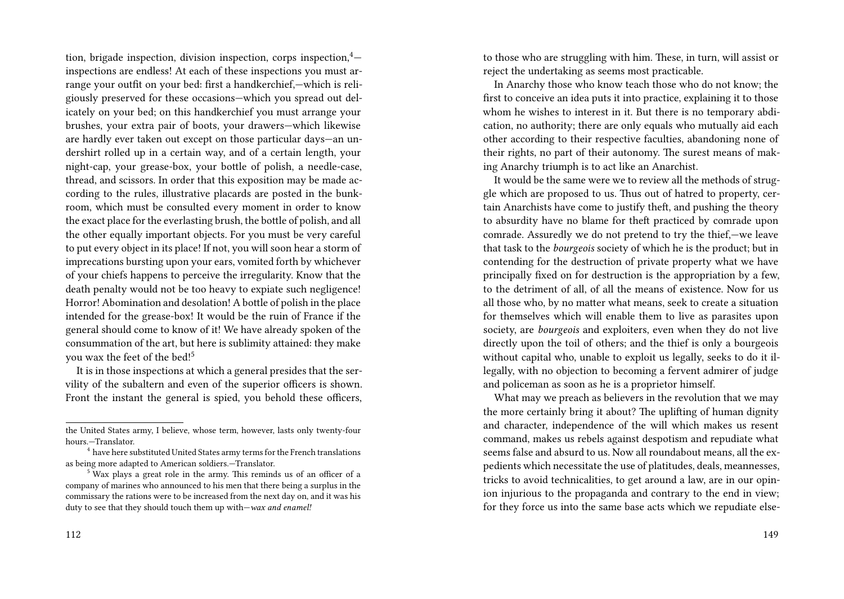tion, brigade inspection, division inspection, corps inspection,  $4$ inspections are endless! At each of these inspections you must arrange your outfit on your bed: first a handkerchief,—which is religiously preserved for these occasions—which you spread out delicately on your bed; on this handkerchief you must arrange your brushes, your extra pair of boots, your drawers—which likewise are hardly ever taken out except on those particular days—an undershirt rolled up in a certain way, and of a certain length, your night-cap, your grease-box, your bottle of polish, a needle-case, thread, and scissors. In order that this exposition may be made according to the rules, illustrative placards are posted in the bunkroom, which must be consulted every moment in order to know the exact place for the everlasting brush, the bottle of polish, and all the other equally important objects. For you must be very careful to put every object in its place! If not, you will soon hear a storm of imprecations bursting upon your ears, vomited forth by whichever of your chiefs happens to perceive the irregularity. Know that the death penalty would not be too heavy to expiate such negligence! Horror! Abomination and desolation! A bottle of polish in the place intended for the grease-box! It would be the ruin of France if the general should come to know of it! We have already spoken of the consummation of the art, but here is sublimity attained: they make you wax the feet of the bed!<sup>5</sup>

It is in those inspections at which a general presides that the servility of the subaltern and even of the superior officers is shown. Front the instant the general is spied, you behold these officers,

to those who are struggling with him. These, in turn, will assist or reject the undertaking as seems most practicable.

In Anarchy those who know teach those who do not know; the first to conceive an idea puts it into practice, explaining it to those whom he wishes to interest in it. But there is no temporary abdication, no authority; there are only equals who mutually aid each other according to their respective faculties, abandoning none of their rights, no part of their autonomy. The surest means of making Anarchy triumph is to act like an Anarchist.

It would be the same were we to review all the methods of struggle which are proposed to us. Thus out of hatred to property, certain Anarchists have come to justify theft, and pushing the theory to absurdity have no blame for theft practiced by comrade upon comrade. Assuredly we do not pretend to try the thief,—we leave that task to the *bourgeois* society of which he is the product; but in contending for the destruction of private property what we have principally fixed on for destruction is the appropriation by a few, to the detriment of all, of all the means of existence. Now for us all those who, by no matter what means, seek to create a situation for themselves which will enable them to live as parasites upon society, are *bourgeois* and exploiters, even when they do not live directly upon the toil of others; and the thief is only a bourgeois without capital who, unable to exploit us legally, seeks to do it illegally, with no objection to becoming a fervent admirer of judge and policeman as soon as he is a proprietor himself.

What may we preach as believers in the revolution that we may the more certainly bring it about? The uplifting of human dignity and character, independence of the will which makes us resent command, makes us rebels against despotism and repudiate what seems false and absurd to us. Now all roundabout means, all the expedients which necessitate the use of platitudes, deals, meannesses, tricks to avoid technicalities, to get around a law, are in our opinion injurious to the propaganda and contrary to the end in view; for they force us into the same base acts which we repudiate else-

the United States army, I believe, whose term, however, lasts only twenty-four hours.—Translator.

 $^4$  have here substituted United States army terms for the French translations as being more adapted to American soldiers.—Translator.

<sup>5</sup> Wax plays a great role in the army. This reminds us of an officer of a company of marines who announced to his men that there being a surplus in the commissary the rations were to be increased from the next day on, and it was his duty to see that they should touch them up with—*wax and enamel!*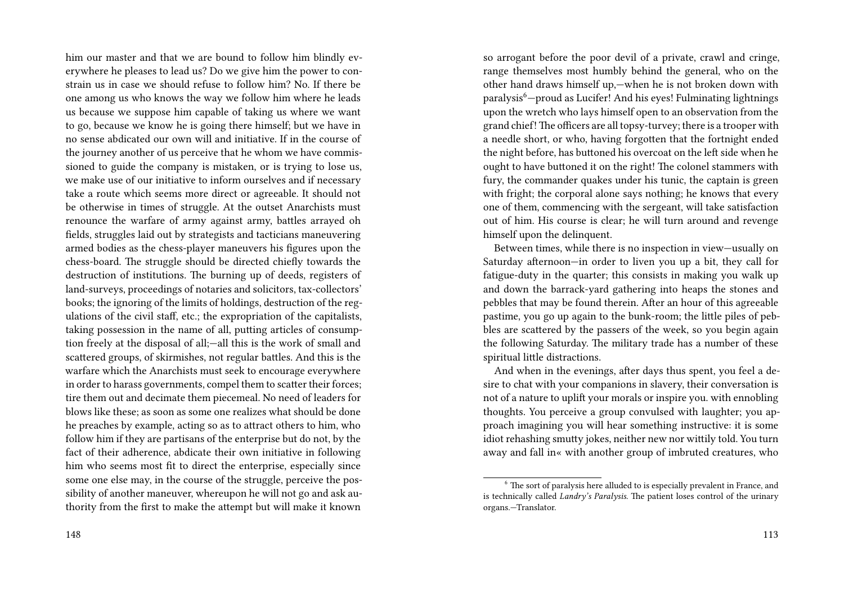him our master and that we are bound to follow him blindly everywhere he pleases to lead us? Do we give him the power to constrain us in case we should refuse to follow him? No. If there be one among us who knows the way we follow him where he leads us because we suppose him capable of taking us where we want to go, because we know he is going there himself; but we have in no sense abdicated our own will and initiative. If in the course of the journey another of us perceive that he whom we have commissioned to guide the company is mistaken, or is trying to lose us, we make use of our initiative to inform ourselves and if necessary take a route which seems more direct or agreeable. It should not be otherwise in times of struggle. At the outset Anarchists must renounce the warfare of army against army, battles arrayed oh fields, struggles laid out by strategists and tacticians maneuvering armed bodies as the chess-player maneuvers his figures upon the chess-board. The struggle should be directed chiefly towards the destruction of institutions. The burning up of deeds, registers of land-surveys, proceedings of notaries and solicitors, tax-collectors' books; the ignoring of the limits of holdings, destruction of the regulations of the civil staff, etc.; the expropriation of the capitalists, taking possession in the name of all, putting articles of consumption freely at the disposal of all;—all this is the work of small and scattered groups, of skirmishes, not regular battles. And this is the warfare which the Anarchists must seek to encourage everywhere in order to harass governments, compel them to scatter their forces; tire them out and decimate them piecemeal. No need of leaders for blows like these; as soon as some one realizes what should be done he preaches by example, acting so as to attract others to him, who follow him if they are partisans of the enterprise but do not, by the fact of their adherence, abdicate their own initiative in following him who seems most fit to direct the enterprise, especially since some one else may, in the course of the struggle, perceive the possibility of another maneuver, whereupon he will not go and ask authority from the first to make the attempt but will make it known so arrogant before the poor devil of a private, crawl and cringe, range themselves most humbly behind the general, who on the other hand draws himself up,—when he is not broken down with paralysis6—proud as Lucifer! And his eyes! Fulminating lightnings upon the wretch who lays himself open to an observation from the grand chief!The officers are all topsy-turvey; there is a trooper with a needle short, or who, having forgotten that the fortnight ended the night before, has buttoned his overcoat on the left side when he ought to have buttoned it on the right! The colonel stammers with fury, the commander quakes under his tunic, the captain is green with fright; the corporal alone says nothing; he knows that every one of them, commencing with the sergeant, will take satisfaction out of him. His course is clear; he will turn around and revenge himself upon the delinquent.

Between times, while there is no inspection in view—usually on Saturday afternoon—in order to liven you up a bit, they call for fatigue-duty in the quarter; this consists in making you walk up and down the barrack-yard gathering into heaps the stones and pebbles that may be found therein. After an hour of this agreeable pastime, you go up again to the bunk-room; the little piles of pebbles are scattered by the passers of the week, so you begin again the following Saturday. The military trade has a number of these spiritual little distractions.

And when in the evenings, after days thus spent, you feel a desire to chat with your companions in slavery, their conversation is not of a nature to uplift your morals or inspire you. with ennobling thoughts. You perceive a group convulsed with laughter; you approach imagining you will hear something instructive: it is some idiot rehashing smutty jokes, neither new nor wittily told. You turn away and fall in« with another group of imbruted creatures, who

<sup>6</sup> The sort of paralysis here alluded to is especially prevalent in France, and is technically called *Landry's Paralysis*. The patient loses control of the urinary organs.—Translator.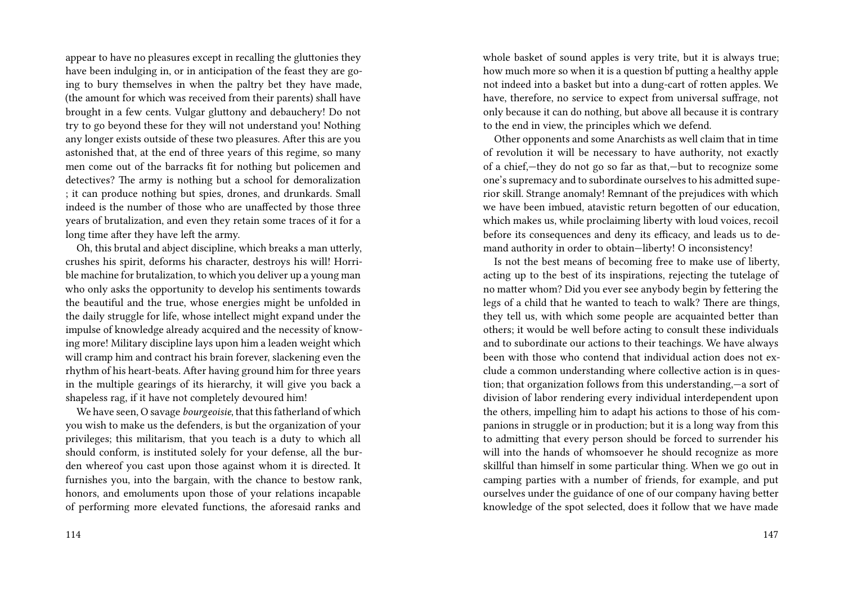appear to have no pleasures except in recalling the gluttonies they have been indulging in, or in anticipation of the feast they are going to bury themselves in when the paltry bet they have made, (the amount for which was received from their parents) shall have brought in a few cents. Vulgar gluttony and debauchery! Do not try to go beyond these for they will not understand you! Nothing any longer exists outside of these two pleasures. After this are you astonished that, at the end of three years of this regime, so many men come out of the barracks fit for nothing but policemen and detectives? The army is nothing but a school for demoralization ; it can produce nothing but spies, drones, and drunkards. Small indeed is the number of those who are unaffected by those three years of brutalization, and even they retain some traces of it for a long time after they have left the army.

Oh, this brutal and abject discipline, which breaks a man utterly, crushes his spirit, deforms his character, destroys his will! Horrible machine for brutalization, to which you deliver up a young man who only asks the opportunity to develop his sentiments towards the beautiful and the true, whose energies might be unfolded in the daily struggle for life, whose intellect might expand under the impulse of knowledge already acquired and the necessity of knowing more! Military discipline lays upon him a leaden weight which will cramp him and contract his brain forever, slackening even the rhythm of his heart-beats. After having ground him for three years in the multiple gearings of its hierarchy, it will give you back a shapeless rag, if it have not completely devoured him!

We have seen, O savage *bourgeoisie*, that this fatherland of which you wish to make us the defenders, is but the organization of your privileges; this militarism, that you teach is a duty to which all should conform, is instituted solely for your defense, all the burden whereof you cast upon those against whom it is directed. It furnishes you, into the bargain, with the chance to bestow rank, honors, and emoluments upon those of your relations incapable of performing more elevated functions, the aforesaid ranks and

whole basket of sound apples is very trite, but it is always true; how much more so when it is a question bf putting a healthy apple not indeed into a basket but into a dung-cart of rotten apples. We have, therefore, no service to expect from universal suffrage, not only because it can do nothing, but above all because it is contrary to the end in view, the principles which we defend.

Other opponents and some Anarchists as well claim that in time of revolution it will be necessary to have authority, not exactly of a chief,—they do not go so far as that,—but to recognize some one's supremacy and to subordinate ourselves to his admitted superior skill. Strange anomaly! Remnant of the prejudices with which we have been imbued, atavistic return begotten of our education, which makes us, while proclaiming liberty with loud voices, recoil before its consequences and deny its efficacy, and leads us to demand authority in order to obtain—liberty! O inconsistency!

Is not the best means of becoming free to make use of liberty, acting up to the best of its inspirations, rejecting the tutelage of no matter whom? Did you ever see anybody begin by fettering the legs of a child that he wanted to teach to walk? There are things, they tell us, with which some people are acquainted better than others; it would be well before acting to consult these individuals and to subordinate our actions to their teachings. We have always been with those who contend that individual action does not exclude a common understanding where collective action is in question; that organization follows from this understanding,—a sort of division of labor rendering every individual interdependent upon the others, impelling him to adapt his actions to those of his companions in struggle or in production; but it is a long way from this to admitting that every person should be forced to surrender his will into the hands of whomsoever he should recognize as more skillful than himself in some particular thing. When we go out in camping parties with a number of friends, for example, and put ourselves under the guidance of one of our company having better knowledge of the spot selected, does it follow that we have made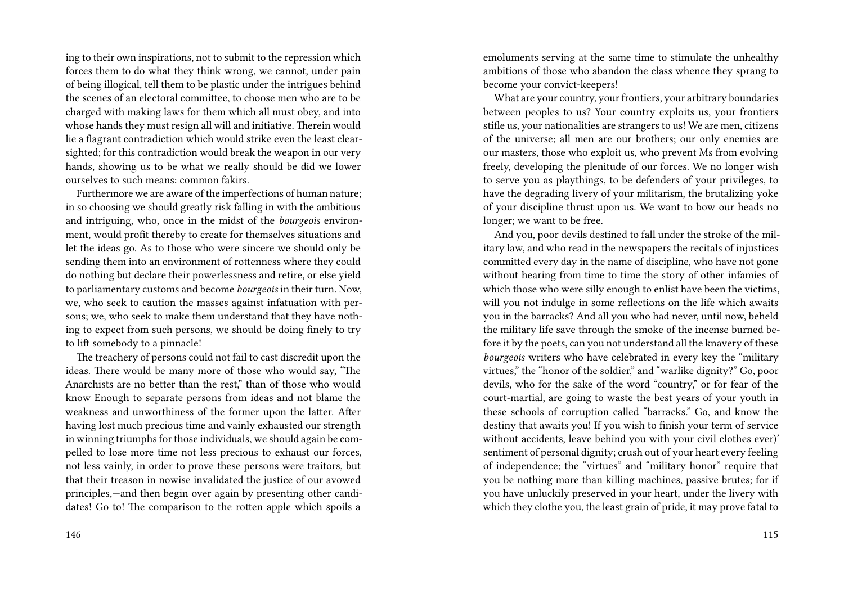ing to their own inspirations, not to submit to the repression which forces them to do what they think wrong, we cannot, under pain of being illogical, tell them to be plastic under the intrigues behind the scenes of an electoral committee, to choose men who are to be charged with making laws for them which all must obey, and into whose hands they must resign all will and initiative. Therein would lie a flagrant contradiction which would strike even the least clearsighted; for this contradiction would break the weapon in our very hands, showing us to be what we really should be did we lower ourselves to such means: common fakirs.

Furthermore we are aware of the imperfections of human nature; in so choosing we should greatly risk falling in with the ambitious and intriguing, who, once in the midst of the *bourgeois* environment, would profit thereby to create for themselves situations and let the ideas go. As to those who were sincere we should only be sending them into an environment of rottenness where they could do nothing but declare their powerlessness and retire, or else yield to parliamentary customs and become *bourgeois* in their turn. Now, we, who seek to caution the masses against infatuation with persons; we, who seek to make them understand that they have nothing to expect from such persons, we should be doing finely to try to lift somebody to a pinnacle!

The treachery of persons could not fail to cast discredit upon the ideas. There would be many more of those who would say, "The Anarchists are no better than the rest," than of those who would know Enough to separate persons from ideas and not blame the weakness and unworthiness of the former upon the latter. After having lost much precious time and vainly exhausted our strength in winning triumphs for those individuals, we should again be compelled to lose more time not less precious to exhaust our forces, not less vainly, in order to prove these persons were traitors, but that their treason in nowise invalidated the justice of our avowed principles,—and then begin over again by presenting other candidates! Go to! The comparison to the rotten apple which spoils a

emoluments serving at the same time to stimulate the unhealthy ambitions of those who abandon the class whence they sprang to become your convict-keepers!

What are your country, your frontiers, your arbitrary boundaries between peoples to us? Your country exploits us, your frontiers stifle us, your nationalities are strangers to us! We are men, citizens of the universe; all men are our brothers; our only enemies are our masters, those who exploit us, who prevent Ms from evolving freely, developing the plenitude of our forces. We no longer wish to serve you as playthings, to be defenders of your privileges, to have the degrading livery of your militarism, the brutalizing yoke of your discipline thrust upon us. We want to bow our heads no longer; we want to be free.

And you, poor devils destined to fall under the stroke of the military law, and who read in the newspapers the recitals of injustices committed every day in the name of discipline, who have not gone without hearing from time to time the story of other infamies of which those who were silly enough to enlist have been the victims, will you not indulge in some reflections on the life which awaits you in the barracks? And all you who had never, until now, beheld the military life save through the smoke of the incense burned before it by the poets, can you not understand all the knavery of these *bourgeois* writers who have celebrated in every key the "military virtues," the "honor of the soldier," and "warlike dignity?" Go, poor devils, who for the sake of the word "country," or for fear of the court-martial, are going to waste the best years of your youth in these schools of corruption called "barracks." Go, and know the destiny that awaits you! If you wish to finish your term of service without accidents, leave behind you with your civil clothes ever)' sentiment of personal dignity; crush out of your heart every feeling of independence; the "virtues" and "military honor" require that you be nothing more than killing machines, passive brutes; for if you have unluckily preserved in your heart, under the livery with which they clothe you, the least grain of pride, it may prove fatal to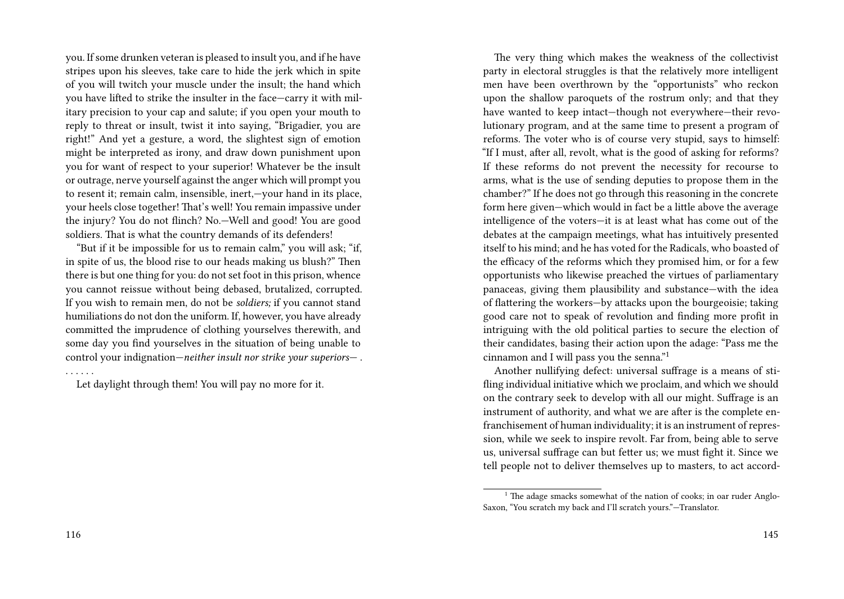you. If some drunken veteran is pleased to insult you, and if he have stripes upon his sleeves, take care to hide the jerk which in spite of you will twitch your muscle under the insult; the hand which you have lifted to strike the insulter in the face—carry it with military precision to your cap and salute; if you open your mouth to reply to threat or insult, twist it into saying, "Brigadier, you are right!" And yet a gesture, a word, the slightest sign of emotion might be interpreted as irony, and draw down punishment upon you for want of respect to your superior! Whatever be the insult or outrage, nerve yourself against the anger which will prompt you to resent it; remain calm, insensible, inert,—your hand in its place, your heels close together! That's well! You remain impassive under the injury? You do not flinch? No.—Well and good! You are good soldiers. That is what the country demands of its defenders!

"But if it be impossible for us to remain calm," you will ask; "if, in spite of us, the blood rise to our heads making us blush?" Then there is but one thing for you: do not set foot in this prison, whence you cannot reissue without being debased, brutalized, corrupted. If you wish to remain men, do not be *soldiers;* if you cannot stand humiliations do not don the uniform. If, however, you have already committed the imprudence of clothing yourselves therewith, and some day you find yourselves in the situation of being unable to control your indignation—*neither insult nor strike your superiors*— .

Let daylight through them! You will pay no more for it.

The very thing which makes the weakness of the collectivist party in electoral struggles is that the relatively more intelligent men have been overthrown by the "opportunists" who reckon upon the shallow paroquets of the rostrum only; and that they have wanted to keep intact—though not everywhere—their revolutionary program, and at the same time to present a program of reforms. The voter who is of course very stupid, says to himself: "If I must, after all, revolt, what is the good of asking for reforms? If these reforms do not prevent the necessity for recourse to arms, what is the use of sending deputies to propose them in the chamber?" If he does not go through this reasoning in the concrete form here given—which would in fact be a little above the average intelligence of the voters—it is at least what has come out of the debates at the campaign meetings, what has intuitively presented itself to his mind; and he has voted for the Radicals, who boasted of the efficacy of the reforms which they promised him, or for a few opportunists who likewise preached the virtues of parliamentary panaceas, giving them plausibility and substance—with the idea of flattering the workers—by attacks upon the bourgeoisie; taking good care not to speak of revolution and finding more profit in intriguing with the old political parties to secure the election of their candidates, basing their action upon the adage: "Pass me the cinnamon and I will pass you the senna."<sup>1</sup>

Another nullifying defect: universal suffrage is a means of stifling individual initiative which we proclaim, and which we should on the contrary seek to develop with all our might. Suffrage is an instrument of authority, and what we are after is the complete enfranchisement of human individuality; it is an instrument of repression, while we seek to inspire revolt. Far from, being able to serve us, universal suffrage can but fetter us; we must fight it. Since we tell people not to deliver themselves up to masters, to act accord-

. . . . . .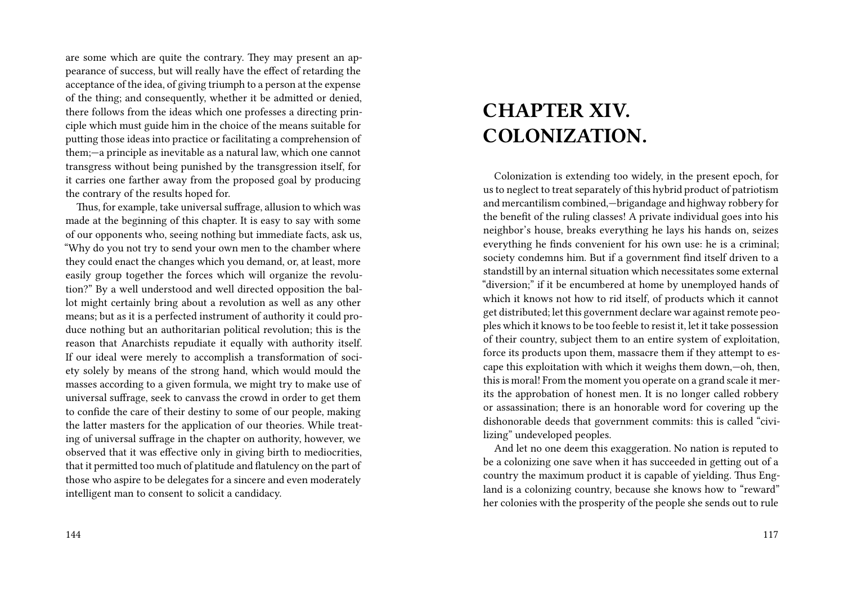are some which are quite the contrary. They may present an appearance of success, but will really have the effect of retarding the acceptance of the idea, of giving triumph to a person at the expense of the thing; and consequently, whether it be admitted or denied, there follows from the ideas which one professes a directing principle which must guide him in the choice of the means suitable for putting those ideas into practice or facilitating a comprehension of them;—a principle as inevitable as a natural law, which one cannot transgress without being punished by the transgression itself, for it carries one farther away from the proposed goal by producing the contrary of the results hoped for.

Thus, for example, take universal suffrage, allusion to which was made at the beginning of this chapter. It is easy to say with some of our opponents who, seeing nothing but immediate facts, ask us, "Why do you not try to send your own men to the chamber where they could enact the changes which you demand, or, at least, more easily group together the forces which will organize the revolution?" By a well understood and well directed opposition the ballot might certainly bring about a revolution as well as any other means; but as it is a perfected instrument of authority it could produce nothing but an authoritarian political revolution; this is the reason that Anarchists repudiate it equally with authority itself. If our ideal were merely to accomplish a transformation of society solely by means of the strong hand, which would mould the masses according to a given formula, we might try to make use of universal suffrage, seek to canvass the crowd in order to get them to confide the care of their destiny to some of our people, making the latter masters for the application of our theories. While treating of universal suffrage in the chapter on authority, however, we observed that it was effective only in giving birth to mediocrities, that it permitted too much of platitude and flatulency on the part of those who aspire to be delegates for a sincere and even moderately intelligent man to consent to solicit a candidacy.

# **CHAPTER XIV. COLONIZATION.**

Colonization is extending too widely, in the present epoch, for us to neglect to treat separately of this hybrid product of patriotism and mercantilism combined,—brigandage and highway robbery for the benefit of the ruling classes! A private individual goes into his neighbor's house, breaks everything he lays his hands on, seizes everything he finds convenient for his own use: he is a criminal; society condemns him. But if a government find itself driven to a standstill by an internal situation which necessitates some external "diversion;" if it be encumbered at home by unemployed hands of which it knows not how to rid itself, of products which it cannot get distributed; let this government declare war against remote peoples which it knows to be too feeble to resist it, let it take possession of their country, subject them to an entire system of exploitation, force its products upon them, massacre them if they attempt to escape this exploitation with which it weighs them down,—oh, then, this is moral! From the moment you operate on a grand scale it merits the approbation of honest men. It is no longer called robbery or assassination; there is an honorable word for covering up the dishonorable deeds that government commits: this is called "civilizing" undeveloped peoples.

And let no one deem this exaggeration. No nation is reputed to be a colonizing one save when it has succeeded in getting out of a country the maximum product it is capable of yielding. Thus England is a colonizing country, because she knows how to "reward" her colonies with the prosperity of the people she sends out to rule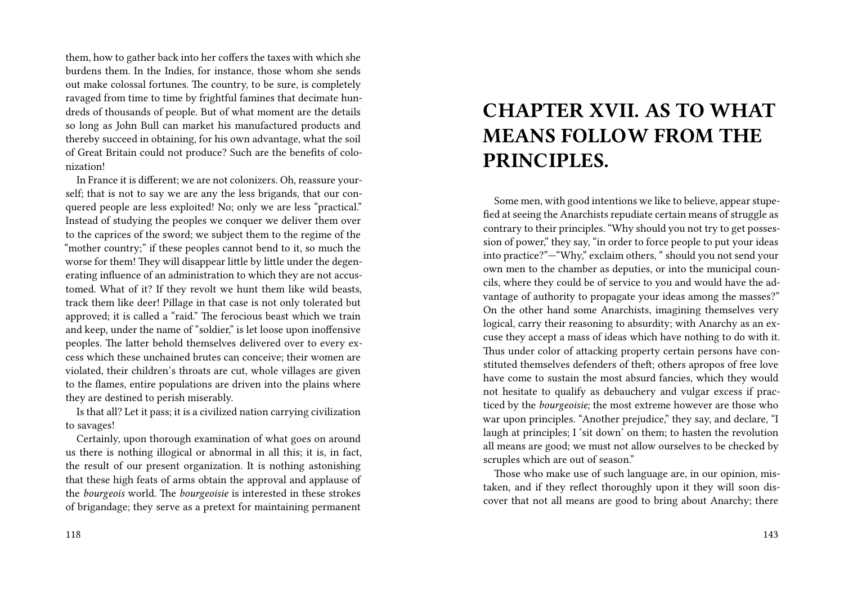them, how to gather back into her coffers the taxes with which she burdens them. In the Indies, for instance, those whom she sends out make colossal fortunes. The country, to be sure, is completely ravaged from time to time by frightful famines that decimate hundreds of thousands of people. But of what moment are the details so long as John Bull can market his manufactured products and thereby succeed in obtaining, for his own advantage, what the soil of Great Britain could not produce? Such are the benefits of colonization!

In France it is different; we are not colonizers. Oh, reassure yourself; that is not to say we are any the less brigands, that our conquered people are less exploited! No; only we are less "practical." Instead of studying the peoples we conquer we deliver them over to the caprices of the sword; we subject them to the regime of the "mother country;" if these peoples cannot bend to it, so much the worse for them! They will disappear little by little under the degenerating influence of an administration to which they are not accustomed. What of it? If they revolt we hunt them like wild beasts, track them like deer! Pillage in that case is not only tolerated but approved; it is called a "raid." The ferocious beast which we train and keep, under the name of "soldier," is let loose upon inoffensive peoples. The latter behold themselves delivered over to every excess which these unchained brutes can conceive; their women are violated, their children's throats are cut, whole villages are given to the flames, entire populations are driven into the plains where they are destined to perish miserably.

Is that all? Let it pass; it is a civilized nation carrying civilization to savages!

Certainly, upon thorough examination of what goes on around us there is nothing illogical or abnormal in all this; it is, in fact, the result of our present organization. It is nothing astonishing that these high feats of arms obtain the approval and applause of the *bourgeois* world. The *bourgeoisie* is interested in these strokes of brigandage; they serve as a pretext for maintaining permanent

#### 118

# **CHAPTER XVII. AS TO WHAT MEANS FOLLOW FROM THE PRINCIPLES.**

Some men, with good intentions we like to believe, appear stupefied at seeing the Anarchists repudiate certain means of struggle as contrary to their principles. "Why should you not try to get possession of power," they say, "in order to force people to put your ideas into practice?"—"Why," exclaim others, " should you not send your own men to the chamber as deputies, or into the municipal councils, where they could be of service to you and would have the advantage of authority to propagate your ideas among the masses?" On the other hand some Anarchists, imagining themselves very logical, carry their reasoning to absurdity; with Anarchy as an excuse they accept a mass of ideas which have nothing to do with it. Thus under color of attacking property certain persons have constituted themselves defenders of theft; others apropos of free love have come to sustain the most absurd fancies, which they would not hesitate to qualify as debauchery and vulgar excess if practiced by the *bourgeoisie;* the most extreme however are those who war upon principles. "Another prejudice," they say, and declare, "I laugh at principles; I 'sit down' on them; to hasten the revolution all means are good; we must not allow ourselves to be checked by scruples which are out of season."

Those who make use of such language are, in our opinion, mistaken, and if they reflect thoroughly upon it they will soon discover that not all means are good to bring about Anarchy; there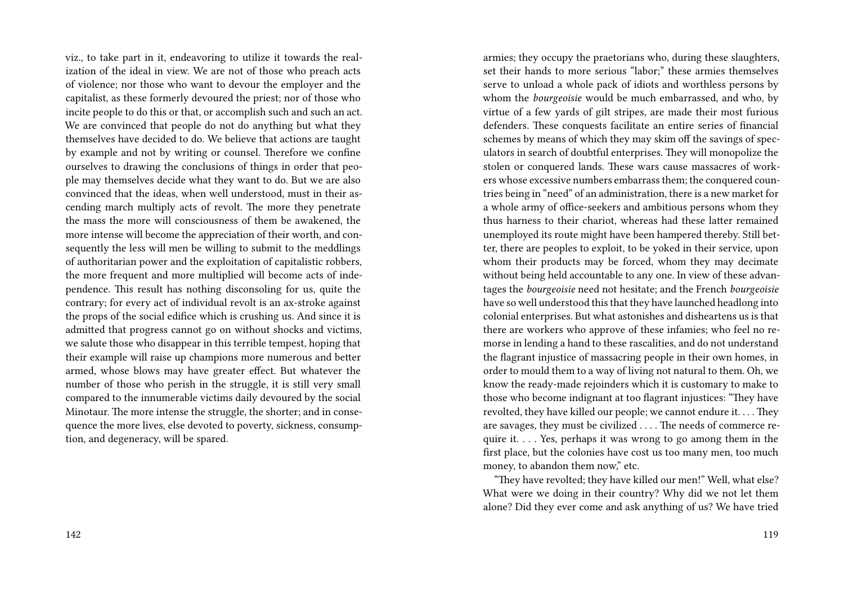viz., to take part in it, endeavoring to utilize it towards the realization of the ideal in view. We are not of those who preach acts of violence; nor those who want to devour the employer and the capitalist, as these formerly devoured the priest; nor of those who incite people to do this or that, or accomplish such and such an act. We are convinced that people do not do anything but what they themselves have decided to do. We believe that actions are taught by example and not by writing or counsel. Therefore we confine ourselves to drawing the conclusions of things in order that people may themselves decide what they want to do. But we are also convinced that the ideas, when well understood, must in their ascending march multiply acts of revolt. The more they penetrate the mass the more will consciousness of them be awakened, the more intense will become the appreciation of their worth, and consequently the less will men be willing to submit to the meddlings of authoritarian power and the exploitation of capitalistic robbers, the more frequent and more multiplied will become acts of independence. This result has nothing disconsoling for us, quite the contrary; for every act of individual revolt is an ax-stroke against the props of the social edifice which is crushing us. And since it is admitted that progress cannot go on without shocks and victims, we salute those who disappear in this terrible tempest, hoping that their example will raise up champions more numerous and better armed, whose blows may have greater effect. But whatever the number of those who perish in the struggle, it is still very small compared to the innumerable victims daily devoured by the social Minotaur. The more intense the struggle, the shorter; and in consequence the more lives, else devoted to poverty, sickness, consumption, and degeneracy, will be spared.

armies; they occupy the praetorians who, during these slaughters, set their hands to more serious "labor;" these armies themselves serve to unload a whole pack of idiots and worthless persons by whom the *bourgeoisie* would be much embarrassed, and who, by virtue of a few yards of gilt stripes, are made their most furious defenders. These conquests facilitate an entire series of financial schemes by means of which they may skim off the savings of speculators in search of doubtful enterprises. They will monopolize the stolen or conquered lands. These wars cause massacres of workers whose excessive numbers embarrass them; the conquered countries being in "need" of an administration, there is a new market for a whole army of office-seekers and ambitious persons whom they thus harness to their chariot, whereas had these latter remained unemployed its route might have been hampered thereby. Still better, there are peoples to exploit, to be yoked in their service, upon whom their products may be forced, whom they may decimate without being held accountable to any one. In view of these advantages the *bourgeoisie* need not hesitate; and the French *bourgeoisie* have so well understood this that they have launched headlong into colonial enterprises. But what astonishes and disheartens us is that there are workers who approve of these infamies; who feel no remorse in lending a hand to these rascalities, and do not understand the flagrant injustice of massacring people in their own homes, in order to mould them to a way of living not natural to them. Oh, we know the ready-made rejoinders which it is customary to make to those who become indignant at too flagrant injustices: "They have revolted, they have killed our people; we cannot endure it. . . . They are savages, they must be civilized . . . . The needs of commerce require it. . . . Yes, perhaps it was wrong to go among them in the first place, but the colonies have cost us too many men, too much money, to abandon them now," etc.

"They have revolted; they have killed our men!" Well, what else? What were we doing in their country? Why did we not let them alone? Did they ever come and ask anything of us? We have tried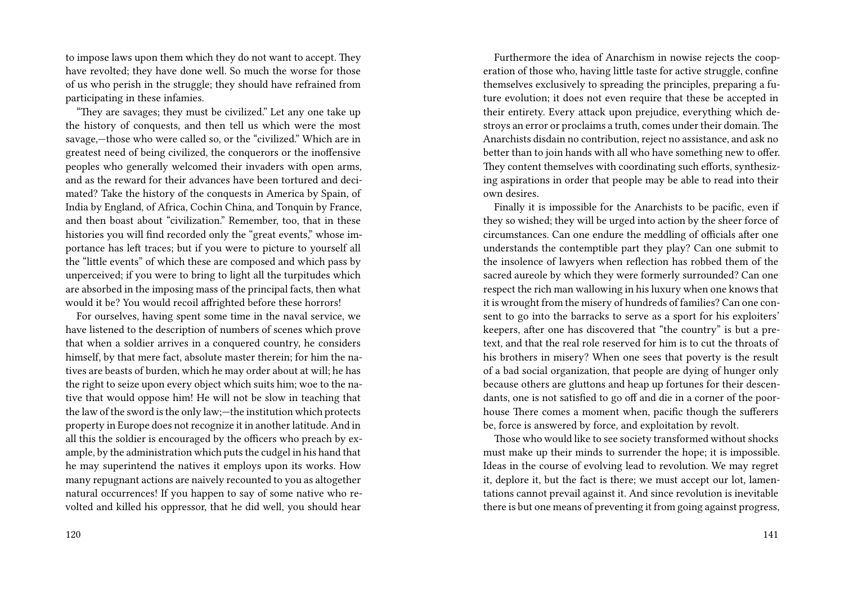to impose laws upon them which they do not want to accept. They have revolted; they have done well. So much the worse for those of us who perish in the struggle; they should have refrained from participating in these infamies.

"They are savages; they must be civilized." Let any one take up the history of conquests, and then tell us which were the most savage,—those who were called so, or the "civilized." Which are in greatest need of being civilized, the conquerors or the inoffensive peoples who generally welcomed their invaders with open arms, and as the reward for their advances have been tortured and decimated? Take the history of the conquests in America by Spain, of India by England, of Africa, Cochin China, and Tonquin by France, and then boast about "civilization." Remember, too, that in these histories you will find recorded only the "great events," whose importance has left traces; but if you were to picture to yourself all the "little events" of which these are composed and which pass by unperceived; if you were to bring to light all the turpitudes which are absorbed in the imposing mass of the principal facts, then what would it be? You would recoil affrighted before these horrors!

For ourselves, having spent some time in the naval service, we have listened to the description of numbers of scenes which prove that when a soldier arrives in a conquered country, he considers himself, by that mere fact, absolute master therein; for him the natives are beasts of burden, which he may order about at will; he has the right to seize upon every object which suits him; woe to the native that would oppose him! He will not be slow in teaching that the law of the sword is the only law;—the institution which protects property in Europe does not recognize it in another latitude. And in all this the soldier is encouraged by the officers who preach by example, by the administration which puts the cudgel in his hand that he may superintend the natives it employs upon its works. How many repugnant actions are naively recounted to you as altogether natural occurrences! If you happen to say of some native who revolted and killed his oppressor, that he did well, you should hear

Furthermore the idea of Anarchism in nowise rejects the cooperation of those who, having little taste for active struggle, confine themselves exclusively to spreading the principles, preparing a future evolution; it does not even require that these be accepted in their entirety. Every attack upon prejudice, everything which destroys an error or proclaims a truth, comes under their domain. The Anarchists disdain no contribution, reject no assistance, and ask no better than to join hands with all who have something new to offer. They content themselves with coordinating such efforts, synthesizing aspirations in order that people may be able to read into their own desires.

Finally it is impossible for the Anarchists to be pacific, even if they so wished; they will be urged into action by the sheer force of circumstances. Can one endure the meddling of officials after one understands the contemptible part they play? Can one submit to the insolence of lawyers when reflection has robbed them of the sacred aureole by which they were formerly surrounded? Can one respect the rich man wallowing in his luxury when one knows that it is wrought from the misery of hundreds of families? Can one consent to go into the barracks to serve as a sport for his exploiters' keepers, after one has discovered that "the country" is but a pretext, and that the real role reserved for him is to cut the throats of his brothers in misery? When one sees that poverty is the result of a bad social organization, that people are dying of hunger only because others are gluttons and heap up fortunes for their descendants, one is not satisfied to go off and die in a corner of the poorhouse There comes a moment when, pacific though the sufferers be, force is answered by force, and exploitation by revolt.

Those who would like to see society transformed without shocks must make up their minds to surrender the hope; it is impossible. Ideas in the course of evolving lead to revolution. We may regret it, deplore it, but the fact is there; we must accept our lot, lamentations cannot prevail against it. And since revolution is inevitable there is but one means of preventing it from going against progress,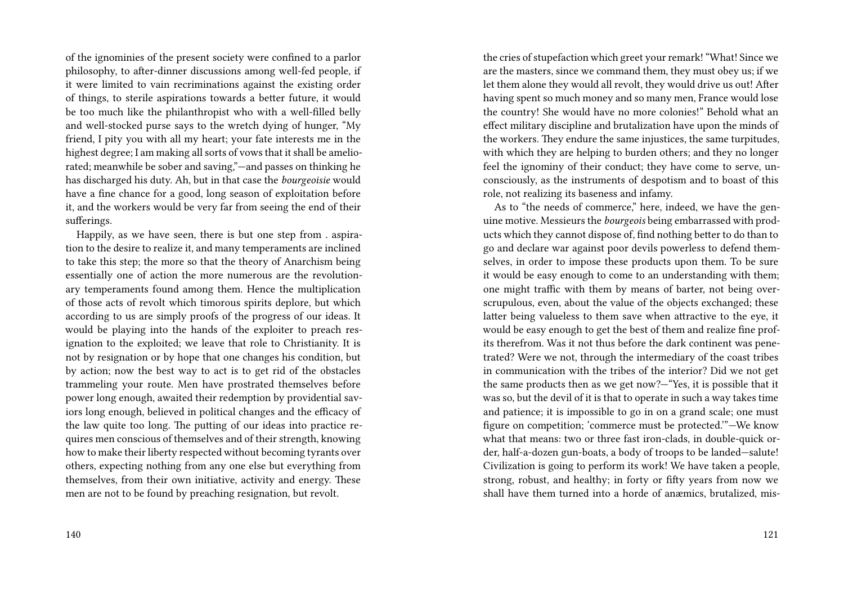of the ignominies of the present society were confined to a parlor philosophy, to after-dinner discussions among well-fed people, if it were limited to vain recriminations against the existing order of things, to sterile aspirations towards a better future, it would be too much like the philanthropist who with a well-filled belly and well-stocked purse says to the wretch dying of hunger, "My friend, I pity you with all my heart; your fate interests me in the highest degree; I am making all sorts of vows that it shall be ameliorated; meanwhile be sober and saving,"—and passes on thinking he has discharged his duty. Ah, but in that case the *bourgeoisie* would have a fine chance for a good, long season of exploitation before it, and the workers would be very far from seeing the end of their sufferings.

Happily, as we have seen, there is but one step from . aspiration to the desire to realize it, and many temperaments are inclined to take this step; the more so that the theory of Anarchism being essentially one of action the more numerous are the revolutionary temperaments found among them. Hence the multiplication of those acts of revolt which timorous spirits deplore, but which according to us are simply proofs of the progress of our ideas. It would be playing into the hands of the exploiter to preach resignation to the exploited; we leave that role to Christianity. It is not by resignation or by hope that one changes his condition, but by action; now the best way to act is to get rid of the obstacles trammeling your route. Men have prostrated themselves before power long enough, awaited their redemption by providential saviors long enough, believed in political changes and the efficacy of the law quite too long. The putting of our ideas into practice requires men conscious of themselves and of their strength, knowing how to make their liberty respected without becoming tyrants over others, expecting nothing from any one else but everything from themselves, from their own initiative, activity and energy. These men are not to be found by preaching resignation, but revolt.

the cries of stupefaction which greet your remark! "What! Since we are the masters, since we command them, they must obey us; if we let them alone they would all revolt, they would drive us out! After having spent so much money and so many men, France would lose the country! She would have no more colonies!" Behold what an effect military discipline and brutalization have upon the minds of the workers. They endure the same injustices, the same turpitudes, with which they are helping to burden others; and they no longer feel the ignominy of their conduct; they have come to serve, unconsciously, as the instruments of despotism and to boast of this role, not realizing its baseness and infamy.

As to "the needs of commerce," here, indeed, we have the genuine motive. Messieurs the *bourgeois* being embarrassed with products which they cannot dispose of, find nothing better to do than to go and declare war against poor devils powerless to defend themselves, in order to impose these products upon them. To be sure it would be easy enough to come to an understanding with them; one might traffic with them by means of barter, not being overscrupulous, even, about the value of the objects exchanged; these latter being valueless to them save when attractive to the eye, it would be easy enough to get the best of them and realize fine profits therefrom. Was it not thus before the dark continent was penetrated? Were we not, through the intermediary of the coast tribes in communication with the tribes of the interior? Did we not get the same products then as we get now?—"Yes, it is possible that it was so, but the devil of it is that to operate in such a way takes time and patience; it is impossible to go in on a grand scale; one must figure on competition; 'commerce must be protected.'"—We know what that means: two or three fast iron-clads, in double-quick order, half-a-dozen gun-boats, a body of troops to be landed—salute! Civilization is going to perform its work! We have taken a people, strong, robust, and healthy; in forty or fifty years from now we shall have them turned into a horde of anæmics, brutalized, mis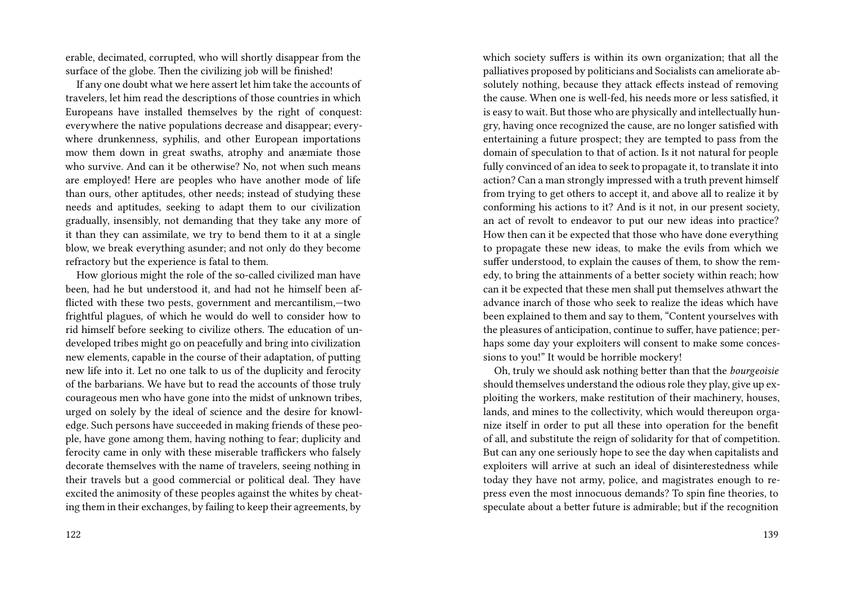erable, decimated, corrupted, who will shortly disappear from the surface of the globe. Then the civilizing job will be finished!

If any one doubt what we here assert let him take the accounts of travelers, let him read the descriptions of those countries in which Europeans have installed themselves by the right of conquest: everywhere the native populations decrease and disappear; everywhere drunkenness, syphilis, and other European importations mow them down in great swaths, atrophy and anæmiate those who survive. And can it be otherwise? No, not when such means are employed! Here are peoples who have another mode of life than ours, other aptitudes, other needs; instead of studying these needs and aptitudes, seeking to adapt them to our civilization gradually, insensibly, not demanding that they take any more of it than they can assimilate, we try to bend them to it at a single blow, we break everything asunder; and not only do they become refractory but the experience is fatal to them.

How glorious might the role of the so-called civilized man have been, had he but understood it, and had not he himself been afflicted with these two pests, government and mercantilism,—two frightful plagues, of which he would do well to consider how to rid himself before seeking to civilize others. The education of undeveloped tribes might go on peacefully and bring into civilization new elements, capable in the course of their adaptation, of putting new life into it. Let no one talk to us of the duplicity and ferocity of the barbarians. We have but to read the accounts of those truly courageous men who have gone into the midst of unknown tribes, urged on solely by the ideal of science and the desire for knowledge. Such persons have succeeded in making friends of these people, have gone among them, having nothing to fear; duplicity and ferocity came in only with these miserable traffickers who falsely decorate themselves with the name of travelers, seeing nothing in their travels but a good commercial or political deal. They have excited the animosity of these peoples against the whites by cheating them in their exchanges, by failing to keep their agreements, by which society suffers is within its own organization; that all the palliatives proposed by politicians and Socialists can ameliorate absolutely nothing, because they attack effects instead of removing the cause. When one is well-fed, his needs more or less satisfied, it is easy to wait. But those who are physically and intellectually hungry, having once recognized the cause, are no longer satisfied with entertaining a future prospect; they are tempted to pass from the domain of speculation to that of action. Is it not natural for people fully convinced of an idea to seek to propagate it, to translate it into action? Can a man strongly impressed with a truth prevent himself from trying to get others to accept it, and above all to realize it by conforming his actions to it? And is it not, in our present society, an act of revolt to endeavor to put our new ideas into practice? How then can it be expected that those who have done everything to propagate these new ideas, to make the evils from which we suffer understood, to explain the causes of them, to show the remedy, to bring the attainments of a better society within reach; how can it be expected that these men shall put themselves athwart the advance inarch of those who seek to realize the ideas which have been explained to them and say to them, "Content yourselves with the pleasures of anticipation, continue to suffer, have patience; perhaps some day your exploiters will consent to make some concessions to you!" It would be horrible mockery!

Oh, truly we should ask nothing better than that the *bourgeoisie* should themselves understand the odious role they play, give up exploiting the workers, make restitution of their machinery, houses, lands, and mines to the collectivity, which would thereupon organize itself in order to put all these into operation for the benefit of all, and substitute the reign of solidarity for that of competition. But can any one seriously hope to see the day when capitalists and exploiters will arrive at such an ideal of disinterestedness while today they have not army, police, and magistrates enough to repress even the most innocuous demands? To spin fine theories, to speculate about a better future is admirable; but if the recognition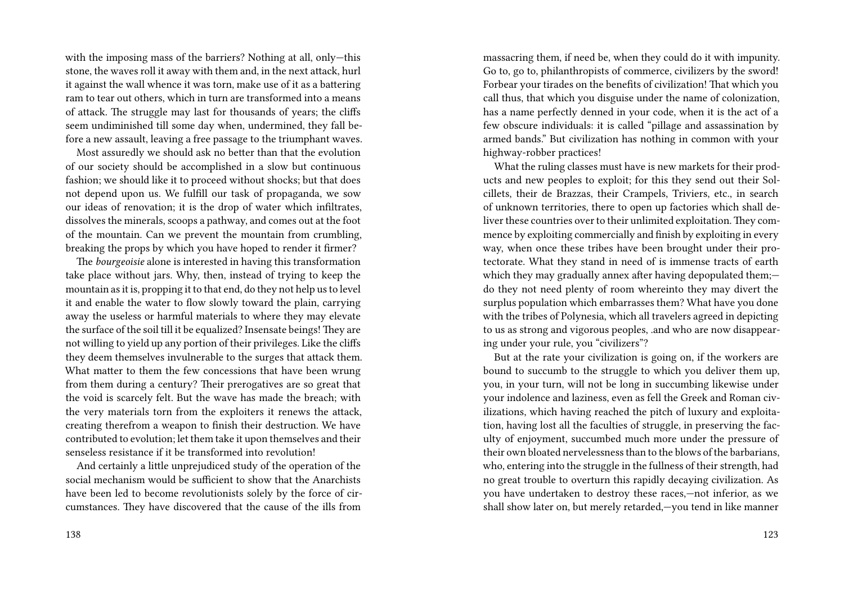with the imposing mass of the barriers? Nothing at all, only—this stone, the waves roll it away with them and, in the next attack, hurl it against the wall whence it was torn, make use of it as a battering ram to tear out others, which in turn are transformed into a means of attack. The struggle may last for thousands of years; the cliffs seem undiminished till some day when, undermined, they fall before a new assault, leaving a free passage to the triumphant waves.

Most assuredly we should ask no better than that the evolution of our society should be accomplished in a slow but continuous fashion; we should like it to proceed without shocks; but that does not depend upon us. We fulfill our task of propaganda, we sow our ideas of renovation; it is the drop of water which infiltrates, dissolves the minerals, scoops a pathway, and comes out at the foot of the mountain. Can we prevent the mountain from crumbling, breaking the props by which you have hoped to render it firmer?

The *bourgeoisie* alone is interested in having this transformation take place without jars. Why, then, instead of trying to keep the mountain as it is, propping it to that end, do they not help us to level it and enable the water to flow slowly toward the plain, carrying away the useless or harmful materials to where they may elevate the surface of the soil till it be equalized? Insensate beings! They are not willing to yield up any portion of their privileges. Like the cliffs they deem themselves invulnerable to the surges that attack them. What matter to them the few concessions that have been wrung from them during a century? Their prerogatives are so great that the void is scarcely felt. But the wave has made the breach; with the very materials torn from the exploiters it renews the attack, creating therefrom a weapon to finish their destruction. We have contributed to evolution; let them take it upon themselves and their senseless resistance if it be transformed into revolution!

And certainly a little unprejudiced study of the operation of the social mechanism would be sufficient to show that the Anarchists have been led to become revolutionists solely by the force of circumstances. They have discovered that the cause of the ills from massacring them, if need be, when they could do it with impunity. Go to, go to, philanthropists of commerce, civilizers by the sword! Forbear your tirades on the benefits of civilization! That which you call thus, that which you disguise under the name of colonization, has a name perfectly denned in your code, when it is the act of a few obscure individuals: it is called "pillage and assassination by armed bands." But civilization has nothing in common with your highway-robber practices!

What the ruling classes must have is new markets for their products and new peoples to exploit; for this they send out their Solcillets, their de Brazzas, their Crampels, Triviers, etc., in search of unknown territories, there to open up factories which shall deliver these countries over to their unlimited exploitation. They commence by exploiting commercially and finish by exploiting in every way, when once these tribes have been brought under their protectorate. What they stand in need of is immense tracts of earth which they may gradually annex after having depopulated them;do they not need plenty of room whereinto they may divert the surplus population which embarrasses them? What have you done with the tribes of Polynesia, which all travelers agreed in depicting to us as strong and vigorous peoples, .and who are now disappearing under your rule, you "civilizers"?

But at the rate your civilization is going on, if the workers are bound to succumb to the struggle to which you deliver them up, you, in your turn, will not be long in succumbing likewise under your indolence and laziness, even as fell the Greek and Roman civilizations, which having reached the pitch of luxury and exploitation, having lost all the faculties of struggle, in preserving the faculty of enjoyment, succumbed much more under the pressure of their own bloated nervelessness than to the blows of the barbarians, who, entering into the struggle in the fullness of their strength, had no great trouble to overturn this rapidly decaying civilization. As you have undertaken to destroy these races,—not inferior, as we shall show later on, but merely retarded,—you tend in like manner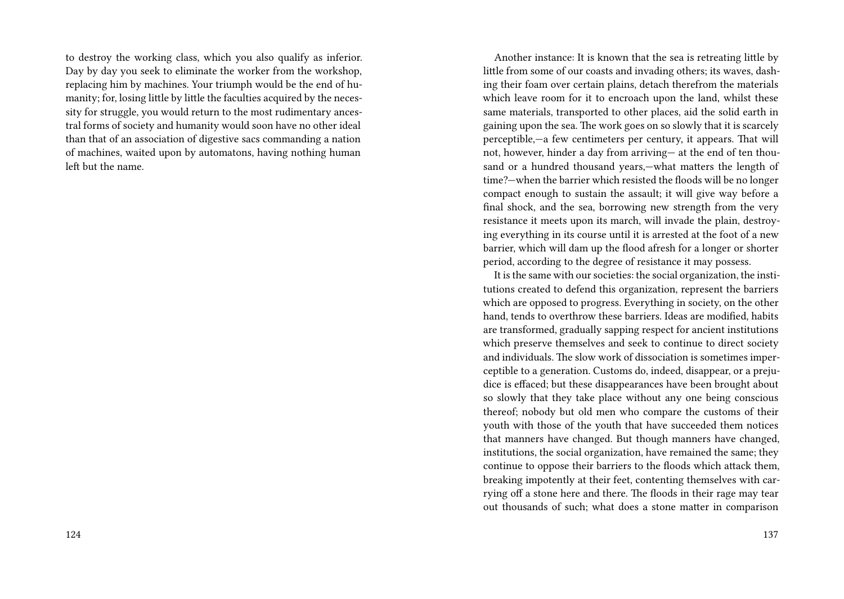to destroy the working class, which you also qualify as inferior. Day by day you seek to eliminate the worker from the workshop, replacing him by machines. Your triumph would be the end of humanity; for, losing little by little the faculties acquired by the necessity for struggle, you would return to the most rudimentary ancestral forms of society and humanity would soon have no other ideal than that of an association of digestive sacs commanding a nation of machines, waited upon by automatons, having nothing human left but the name.

Another instance: It is known that the sea is retreating little by little from some of our coasts and invading others; its waves, dashing their foam over certain plains, detach therefrom the materials which leave room for it to encroach upon the land, whilst these same materials, transported to other places, aid the solid earth in gaining upon the sea. The work goes on so slowly that it is scarcely perceptible,—a few centimeters per century, it appears. That will not, however, hinder a day from arriving— at the end of ten thousand or a hundred thousand years,—what matters the length of time?—when the barrier which resisted the floods will be no longer compact enough to sustain the assault; it will give way before a final shock, and the sea, borrowing new strength from the very resistance it meets upon its march, will invade the plain, destroying everything in its course until it is arrested at the foot of a new barrier, which will dam up the flood afresh for a longer or shorter period, according to the degree of resistance it may possess.

It is the same with our societies: the social organization, the institutions created to defend this organization, represent the barriers which are opposed to progress. Everything in society, on the other hand, tends to overthrow these barriers. Ideas are modified, habits are transformed, gradually sapping respect for ancient institutions which preserve themselves and seek to continue to direct society and individuals. The slow work of dissociation is sometimes imperceptible to a generation. Customs do, indeed, disappear, or a prejudice is effaced; but these disappearances have been brought about so slowly that they take place without any one being conscious thereof; nobody but old men who compare the customs of their youth with those of the youth that have succeeded them notices that manners have changed. But though manners have changed, institutions, the social organization, have remained the same; they continue to oppose their barriers to the floods which attack them, breaking impotently at their feet, contenting themselves with carrying off a stone here and there. The floods in their rage may tear out thousands of such; what does a stone matter in comparison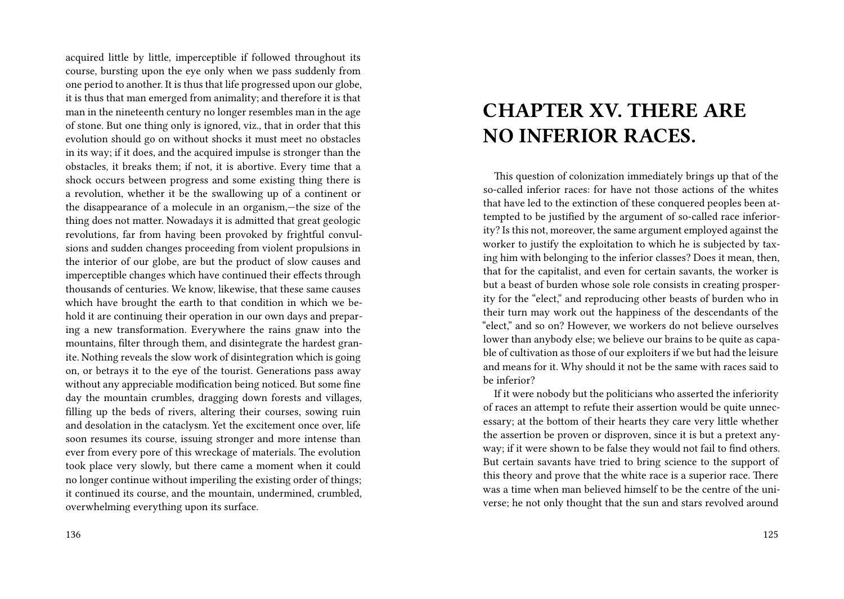acquired little by little, imperceptible if followed throughout its course, bursting upon the eye only when we pass suddenly from one period to another. It is thus that life progressed upon our globe, it is thus that man emerged from animality; and therefore it is that man in the nineteenth century no longer resembles man in the age of stone. But one thing only is ignored, viz., that in order that this evolution should go on without shocks it must meet no obstacles in its way; if it does, and the acquired impulse is stronger than the obstacles, it breaks them; if not, it is abortive. Every time that a shock occurs between progress and some existing thing there is a revolution, whether it be the swallowing up of a continent or the disappearance of a molecule in an organism,—the size of the thing does not matter. Nowadays it is admitted that great geologic revolutions, far from having been provoked by frightful convulsions and sudden changes proceeding from violent propulsions in the interior of our globe, are but the product of slow causes and imperceptible changes which have continued their effects through thousands of centuries. We know, likewise, that these same causes which have brought the earth to that condition in which we behold it are continuing their operation in our own days and preparing a new transformation. Everywhere the rains gnaw into the mountains, filter through them, and disintegrate the hardest granite. Nothing reveals the slow work of disintegration which is going on, or betrays it to the eye of the tourist. Generations pass away without any appreciable modification being noticed. But some fine day the mountain crumbles, dragging down forests and villages, filling up the beds of rivers, altering their courses, sowing ruin and desolation in the cataclysm. Yet the excitement once over, life soon resumes its course, issuing stronger and more intense than ever from every pore of this wreckage of materials. The evolution took place very slowly, but there came a moment when it could no longer continue without imperiling the existing order of things; it continued its course, and the mountain, undermined, crumbled, overwhelming everything upon its surface.

# **CHAPTER XV. THERE ARE NO INFERIOR RACES.**

This question of colonization immediately brings up that of the so-called inferior races: for have not those actions of the whites that have led to the extinction of these conquered peoples been attempted to be justified by the argument of so-called race inferiority? Is this not, moreover, the same argument employed against the worker to justify the exploitation to which he is subjected by taxing him with belonging to the inferior classes? Does it mean, then, that for the capitalist, and even for certain savants, the worker is but a beast of burden whose sole role consists in creating prosperity for the "elect," and reproducing other beasts of burden who in their turn may work out the happiness of the descendants of the "elect," and so on? However, we workers do not believe ourselves lower than anybody else; we believe our brains to be quite as capable of cultivation as those of our exploiters if we but had the leisure and means for it. Why should it not be the same with races said to be inferior?

If it were nobody but the politicians who asserted the inferiority of races an attempt to refute their assertion would be quite unnecessary; at the bottom of their hearts they care very little whether the assertion be proven or disproven, since it is but a pretext anyway; if it were shown to be false they would not fail to find others. But certain savants have tried to bring science to the support of this theory and prove that the white race is a superior race. There was a time when man believed himself to be the centre of the universe; he not only thought that the sun and stars revolved around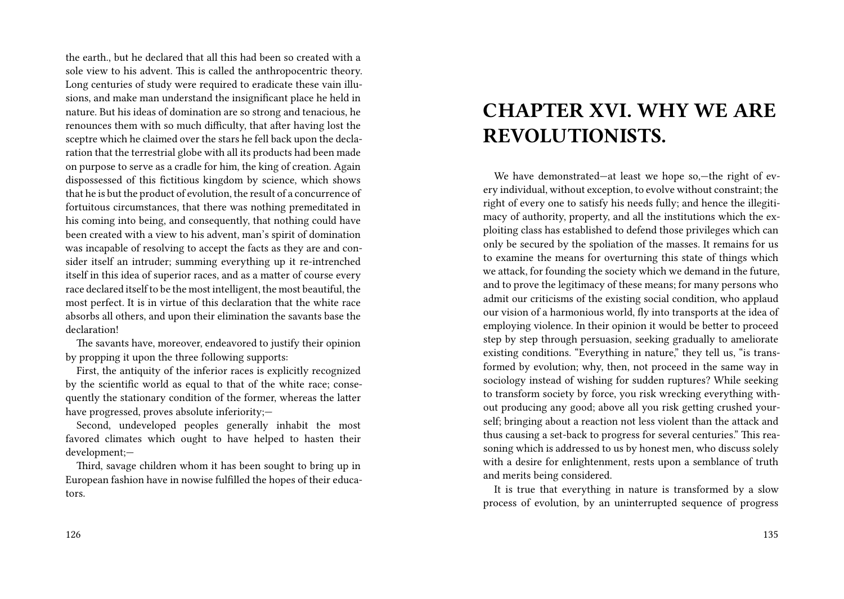the earth., but he declared that all this had been so created with a sole view to his advent. This is called the anthropocentric theory. Long centuries of study were required to eradicate these vain illusions, and make man understand the insignificant place he held in nature. But his ideas of domination are so strong and tenacious, he renounces them with so much difficulty, that after having lost the sceptre which he claimed over the stars he fell back upon the declaration that the terrestrial globe with all its products had been made on purpose to serve as a cradle for him, the king of creation. Again dispossessed of this fictitious kingdom by science, which shows that he is but the product of evolution, the result of a concurrence of fortuitous circumstances, that there was nothing premeditated in his coming into being, and consequently, that nothing could have been created with a view to his advent, man's spirit of domination was incapable of resolving to accept the facts as they are and consider itself an intruder; summing everything up it re-intrenched itself in this idea of superior races, and as a matter of course every race declared itself to be the most intelligent, the most beautiful, the most perfect. It is in virtue of this declaration that the white race absorbs all others, and upon their elimination the savants base the declaration!

The savants have, moreover, endeavored to justify their opinion by propping it upon the three following supports:

First, the antiquity of the inferior races is explicitly recognized by the scientific world as equal to that of the white race; consequently the stationary condition of the former, whereas the latter have progressed, proves absolute inferiority;—

Second, undeveloped peoples generally inhabit the most favored climates which ought to have helped to hasten their development;—

Third, savage children whom it has been sought to bring up in European fashion have in nowise fulfilled the hopes of their educators.

# **CHAPTER XVI. WHY WE ARE REVOLUTIONISTS.**

We have demonstrated—at least we hope so,—the right of every individual, without exception, to evolve without constraint; the right of every one to satisfy his needs fully; and hence the illegitimacy of authority, property, and all the institutions which the exploiting class has established to defend those privileges which can only be secured by the spoliation of the masses. It remains for us to examine the means for overturning this state of things which we attack, for founding the society which we demand in the future, and to prove the legitimacy of these means; for many persons who admit our criticisms of the existing social condition, who applaud our vision of a harmonious world, fly into transports at the idea of employing violence. In their opinion it would be better to proceed step by step through persuasion, seeking gradually to ameliorate existing conditions. "Everything in nature," they tell us, "is transformed by evolution; why, then, not proceed in the same way in sociology instead of wishing for sudden ruptures? While seeking to transform society by force, you risk wrecking everything without producing any good; above all you risk getting crushed yourself; bringing about a reaction not less violent than the attack and thus causing a set-back to progress for several centuries." This reasoning which is addressed to us by honest men, who discuss solely with a desire for enlightenment, rests upon a semblance of truth and merits being considered.

It is true that everything in nature is transformed by a slow process of evolution, by an uninterrupted sequence of progress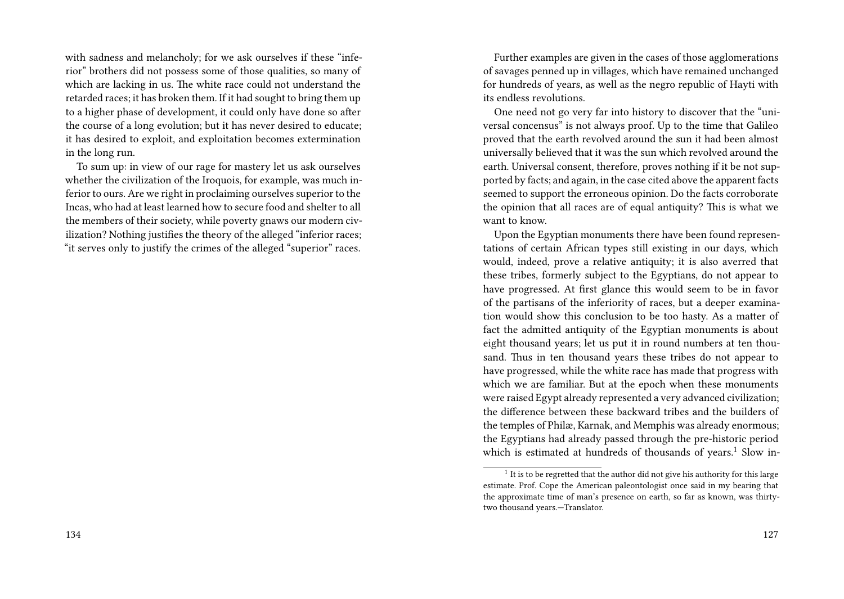with sadness and melancholy; for we ask ourselves if these "inferior" brothers did not possess some of those qualities, so many of which are lacking in us. The white race could not understand the retarded races; it has broken them. If it had sought to bring them up to a higher phase of development, it could only have done so after the course of a long evolution; but it has never desired to educate; it has desired to exploit, and exploitation becomes extermination in the long run.

To sum up: in view of our rage for mastery let us ask ourselves whether the civilization of the Iroquois, for example, was much inferior to ours. Are we right in proclaiming ourselves superior to the Incas, who had at least learned how to secure food and shelter to all the members of their society, while poverty gnaws our modern civilization? Nothing justifies the theory of the alleged "inferior races; "it serves only to justify the crimes of the alleged "superior" races.

Further examples are given in the cases of those agglomerations of savages penned up in villages, which have remained unchanged for hundreds of years, as well as the negro republic of Hayti with its endless revolutions.

One need not go very far into history to discover that the "universal concensus" is not always proof. Up to the time that Galileo proved that the earth revolved around the sun it had been almost universally believed that it was the sun which revolved around the earth. Universal consent, therefore, proves nothing if it be not supported by facts; and again, in the case cited above the apparent facts seemed to support the erroneous opinion. Do the facts corroborate the opinion that all races are of equal antiquity? This is what we want to know.

Upon the Egyptian monuments there have been found representations of certain African types still existing in our days, which would, indeed, prove a relative antiquity; it is also averred that these tribes, formerly subject to the Egyptians, do not appear to have progressed. At first glance this would seem to be in favor of the partisans of the inferiority of races, but a deeper examination would show this conclusion to be too hasty. As a matter of fact the admitted antiquity of the Egyptian monuments is about eight thousand years; let us put it in round numbers at ten thousand. Thus in ten thousand years these tribes do not appear to have progressed, while the white race has made that progress with which we are familiar. But at the epoch when these monuments were raised Egypt already represented a very advanced civilization; the difference between these backward tribes and the builders of the temples of Philæ, Karnak, and Memphis was already enormous; the Egyptians had already passed through the pre-historic period which is estimated at hundreds of thousands of years.<sup>1</sup> Slow in-

 $1$  It is to be regretted that the author did not give his authority for this large estimate. Prof. Cope the American paleontologist once said in my bearing that the approximate time of man's presence on earth, so far as known, was thirtytwo thousand years.—Translator.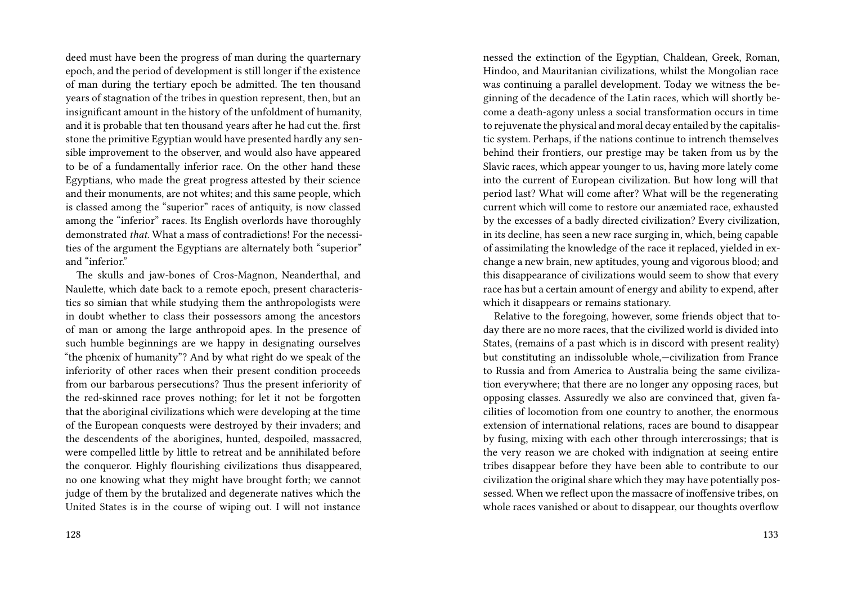deed must have been the progress of man during the quarternary epoch, and the period of development is still longer if the existence of man during the tertiary epoch be admitted. The ten thousand years of stagnation of the tribes in question represent, then, but an insignificant amount in the history of the unfoldment of humanity, and it is probable that ten thousand years after he had cut the. first stone the primitive Egyptian would have presented hardly any sensible improvement to the observer, and would also have appeared to be of a fundamentally inferior race. On the other hand these Egyptians, who made the great progress attested by their science and their monuments, are not whites; and this same people, which is classed among the "superior" races of antiquity, is now classed among the "inferior" races. Its English overlords have thoroughly demonstrated *that*. What a mass of contradictions! For the necessities of the argument the Egyptians are alternately both "superior" and "inferior."

The skulls and jaw-bones of Cros-Magnon, Neanderthal, and Naulette, which date back to a remote epoch, present characteristics so simian that while studying them the anthropologists were in doubt whether to class their possessors among the ancestors of man or among the large anthropoid apes. In the presence of such humble beginnings are we happy in designating ourselves "the phœnix of humanity"? And by what right do we speak of the inferiority of other races when their present condition proceeds from our barbarous persecutions? Thus the present inferiority of the red-skinned race proves nothing; for let it not be forgotten that the aboriginal civilizations which were developing at the time of the European conquests were destroyed by their invaders; and the descendents of the aborigines, hunted, despoiled, massacred, were compelled little by little to retreat and be annihilated before the conqueror. Highly flourishing civilizations thus disappeared, no one knowing what they might have brought forth; we cannot judge of them by the brutalized and degenerate natives which the United States is in the course of wiping out. I will not instance nessed the extinction of the Egyptian, Chaldean, Greek, Roman, Hindoo, and Mauritanian civilizations, whilst the Mongolian race was continuing a parallel development. Today we witness the beginning of the decadence of the Latin races, which will shortly become a death-agony unless a social transformation occurs in time to rejuvenate the physical and moral decay entailed by the capitalistic system. Perhaps, if the nations continue to intrench themselves behind their frontiers, our prestige may be taken from us by the Slavic races, which appear younger to us, having more lately come into the current of European civilization. But how long will that period last? What will come after? What will be the regenerating current which will come to restore our anæmiated race, exhausted by the excesses of a badly directed civilization? Every civilization, in its decline, has seen a new race surging in, which, being capable of assimilating the knowledge of the race it replaced, yielded in exchange a new brain, new aptitudes, young and vigorous blood; and this disappearance of civilizations would seem to show that every race has but a certain amount of energy and ability to expend, after which it disappears or remains stationary.

Relative to the foregoing, however, some friends object that today there are no more races, that the civilized world is divided into States, (remains of a past which is in discord with present reality) but constituting an indissoluble whole,—civilization from France to Russia and from America to Australia being the same civilization everywhere; that there are no longer any opposing races, but opposing classes. Assuredly we also are convinced that, given facilities of locomotion from one country to another, the enormous extension of international relations, races are bound to disappear by fusing, mixing with each other through intercrossings; that is the very reason we are choked with indignation at seeing entire tribes disappear before they have been able to contribute to our civilization the original share which they may have potentially possessed. When we reflect upon the massacre of inoffensive tribes, on whole races vanished or about to disappear, our thoughts overflow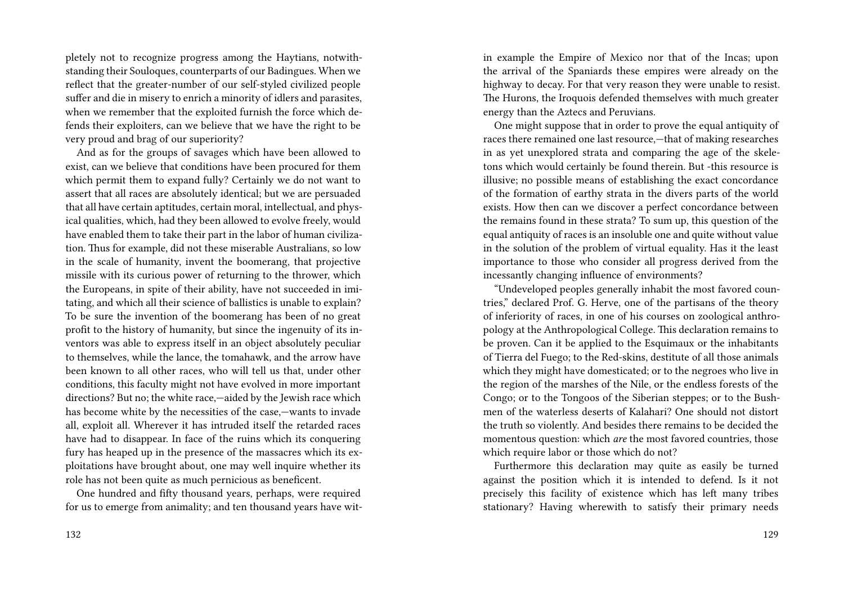pletely not to recognize progress among the Haytians, notwithstanding their Souloques, counterparts of our Badingues. When we reflect that the greater-number of our self-styled civilized people suffer and die in misery to enrich a minority of idlers and parasites, when we remember that the exploited furnish the force which defends their exploiters, can we believe that we have the right to be very proud and brag of our superiority?

And as for the groups of savages which have been allowed to exist, can we believe that conditions have been procured for them which permit them to expand fully? Certainly we do not want to assert that all races are absolutely identical; but we are persuaded that all have certain aptitudes, certain moral, intellectual, and physical qualities, which, had they been allowed to evolve freely, would have enabled them to take their part in the labor of human civilization. Thus for example, did not these miserable Australians, so low in the scale of humanity, invent the boomerang, that projective missile with its curious power of returning to the thrower, which the Europeans, in spite of their ability, have not succeeded in imitating, and which all their science of ballistics is unable to explain? To be sure the invention of the boomerang has been of no great profit to the history of humanity, but since the ingenuity of its inventors was able to express itself in an object absolutely peculiar to themselves, while the lance, the tomahawk, and the arrow have been known to all other races, who will tell us that, under other conditions, this faculty might not have evolved in more important directions? But no; the white race,—aided by the Jewish race which has become white by the necessities of the case,—wants to invade all, exploit all. Wherever it has intruded itself the retarded races have had to disappear. In face of the ruins which its conquering fury has heaped up in the presence of the massacres which its exploitations have brought about, one may well inquire whether its role has not been quite as much pernicious as beneficent.

One hundred and fifty thousand years, perhaps, were required for us to emerge from animality; and ten thousand years have witin example the Empire of Mexico nor that of the Incas; upon the arrival of the Spaniards these empires were already on the highway to decay. For that very reason they were unable to resist. The Hurons, the Iroquois defended themselves with much greater energy than the Aztecs and Peruvians.

One might suppose that in order to prove the equal antiquity of races there remained one last resource,—that of making researches in as yet unexplored strata and comparing the age of the skeletons which would certainly be found therein. But -this resource is illusive; no possible means of establishing the exact concordance of the formation of earthy strata in the divers parts of the world exists. How then can we discover a perfect concordance between the remains found in these strata? To sum up, this question of the equal antiquity of races is an insoluble one and quite without value in the solution of the problem of virtual equality. Has it the least importance to those who consider all progress derived from the incessantly changing influence of environments?

"Undeveloped peoples generally inhabit the most favored countries," declared Prof. G. Herve, one of the partisans of the theory of inferiority of races, in one of his courses on zoological anthropology at the Anthropological College. This declaration remains to be proven. Can it be applied to the Esquimaux or the inhabitants of Tierra del Fuego; to the Red-skins, destitute of all those animals which they might have domesticated; or to the negroes who live in the region of the marshes of the Nile, or the endless forests of the Congo; or to the Tongoos of the Siberian steppes; or to the Bushmen of the waterless deserts of Kalahari? One should not distort the truth so violently. And besides there remains to be decided the momentous question: which *are* the most favored countries, those which require labor or those which do not?

Furthermore this declaration may quite as easily be turned against the position which it is intended to defend. Is it not precisely this facility of existence which has left many tribes stationary? Having wherewith to satisfy their primary needs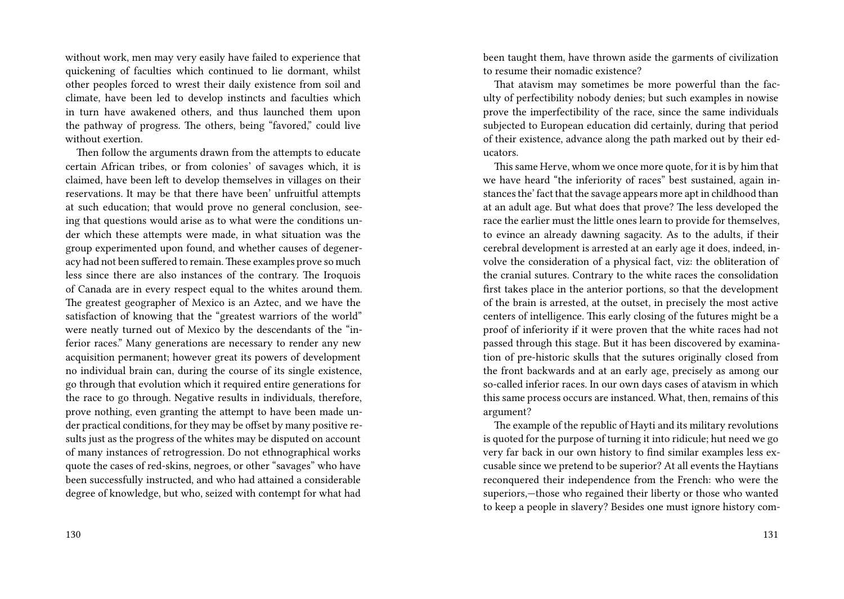without work, men may very easily have failed to experience that quickening of faculties which continued to lie dormant, whilst other peoples forced to wrest their daily existence from soil and climate, have been led to develop instincts and faculties which in turn have awakened others, and thus launched them upon the pathway of progress. The others, being "favored," could live without exertion.

Then follow the arguments drawn from the attempts to educate certain African tribes, or from colonies' of savages which, it is claimed, have been left to develop themselves in villages on their reservations. It may be that there have been' unfruitful attempts at such education; that would prove no general conclusion, seeing that questions would arise as to what were the conditions under which these attempts were made, in what situation was the group experimented upon found, and whether causes of degeneracy had not been suffered to remain.These examples prove so much less since there are also instances of the contrary. The Iroquois of Canada are in every respect equal to the whites around them. The greatest geographer of Mexico is an Aztec, and we have the satisfaction of knowing that the "greatest warriors of the world" were neatly turned out of Mexico by the descendants of the "inferior races." Many generations are necessary to render any new acquisition permanent; however great its powers of development no individual brain can, during the course of its single existence, go through that evolution which it required entire generations for the race to go through. Negative results in individuals, therefore, prove nothing, even granting the attempt to have been made under practical conditions, for they may be offset by many positive results just as the progress of the whites may be disputed on account of many instances of retrogression. Do not ethnographical works quote the cases of red-skins, negroes, or other "savages" who have been successfully instructed, and who had attained a considerable degree of knowledge, but who, seized with contempt for what had

been taught them, have thrown aside the garments of civilization to resume their nomadic existence?

That atavism may sometimes be more powerful than the faculty of perfectibility nobody denies; but such examples in nowise prove the imperfectibility of the race, since the same individuals subjected to European education did certainly, during that period of their existence, advance along the path marked out by their educators.

This same Herve, whom we once more quote, for it is by him that we have heard "the inferiority of races" best sustained, again instances the' fact that the savage appears more apt in childhood than at an adult age. But what does that prove? The less developed the race the earlier must the little ones learn to provide for themselves, to evince an already dawning sagacity. As to the adults, if their cerebral development is arrested at an early age it does, indeed, involve the consideration of a physical fact, viz: the obliteration of the cranial sutures. Contrary to the white races the consolidation first takes place in the anterior portions, so that the development of the brain is arrested, at the outset, in precisely the most active centers of intelligence. This early closing of the futures might be a proof of inferiority if it were proven that the white races had not passed through this stage. But it has been discovered by examination of pre-historic skulls that the sutures originally closed from the front backwards and at an early age, precisely as among our so-called inferior races. In our own days cases of atavism in which this same process occurs are instanced. What, then, remains of this argument?

The example of the republic of Hayti and its military revolutions is quoted for the purpose of turning it into ridicule; hut need we go very far back in our own history to find similar examples less excusable since we pretend to be superior? At all events the Haytians reconquered their independence from the French: who were the superiors,—those who regained their liberty or those who wanted to keep a people in slavery? Besides one must ignore history com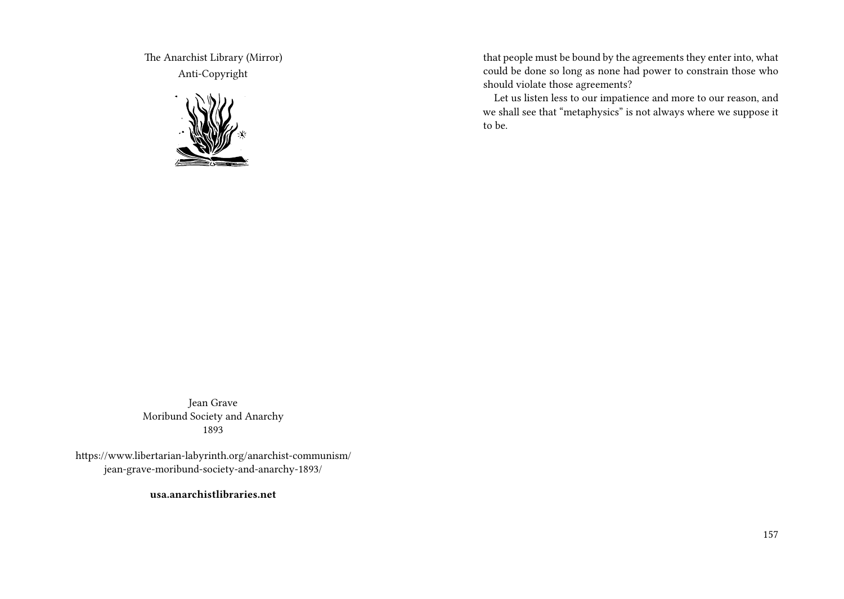The Anarchist Library (Mirror) Anti-Copyright



that people must be bound by the agreements they enter into, what could be done so long as none had power to constrain those who should violate those agreements?

Let us listen less to our impatience and more to our reason, and we shall see that "metaphysics" is not always where we suppose it to be.

Jean Grave Moribund Society and Anarchy 1893

https://www.libertarian-labyrinth.org/anarchist-communism/ jean-grave-moribund-society-and-anarchy-1893/

**usa.anarchistlibraries.net**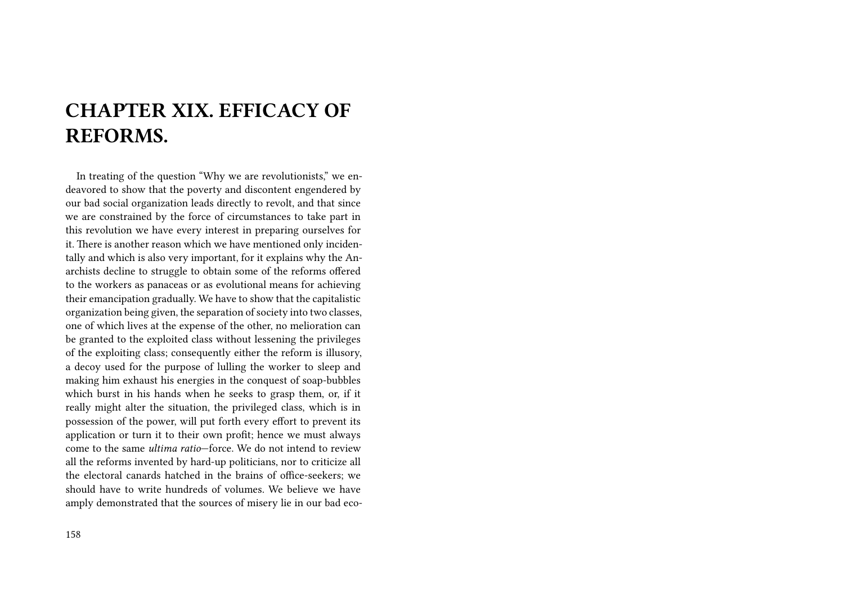## **CHAPTER XIX. EFFICACY OF REFORMS.**

In treating of the question "Why we are revolutionists," we endeavored to show that the poverty and discontent engendered by our bad social organization leads directly to revolt, and that since we are constrained by the force of circumstances to take part in this revolution we have every interest in preparing ourselves for it. There is another reason which we have mentioned only incidentally and which is also very important, for it explains why the Anarchists decline to struggle to obtain some of the reforms offered to the workers as panaceas or as evolutional means for achieving their emancipation gradually. We have to show that the capitalistic organization being given, the separation of society into two classes, one of which lives at the expense of the other, no melioration can be granted to the exploited class without lessening the privileges of the exploiting class; consequently either the reform is illusory, a decoy used for the purpose of lulling the worker to sleep and making him exhaust his energies in the conquest of soap-bubbles which burst in his hands when he seeks to grasp them, or, if it really might alter the situation, the privileged class, which is in possession of the power, will put forth every effort to prevent its application or turn it to their own profit; hence we must always come to the same *ultima ratio*—force. We do not intend to review all the reforms invented by hard-up politicians, nor to criticize all the electoral canards hatched in the brains of office-seekers; we should have to write hundreds of volumes. We believe we have amply demonstrated that the sources of misery lie in our bad eco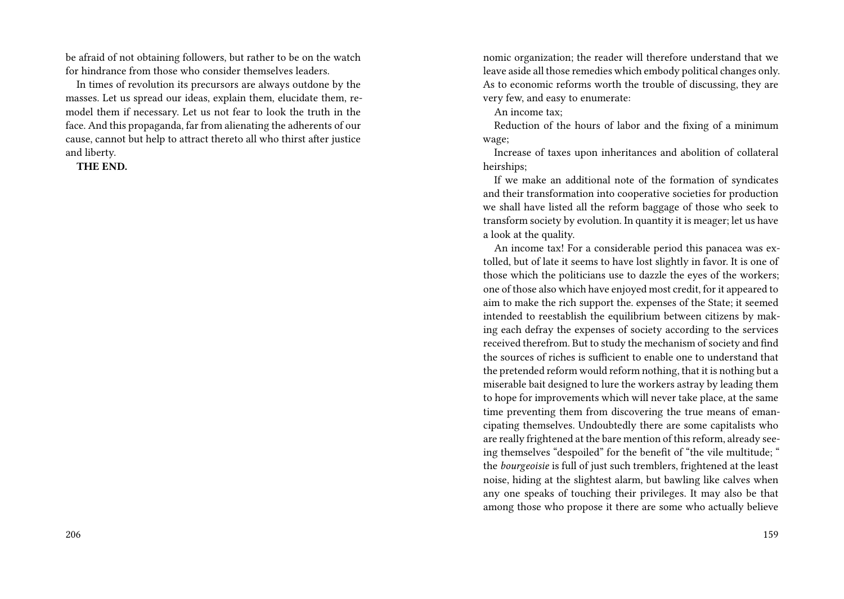be afraid of not obtaining followers, but rather to be on the watch for hindrance from those who consider themselves leaders.

In times of revolution its precursors are always outdone by the masses. Let us spread our ideas, explain them, elucidate them, remodel them if necessary. Let us not fear to look the truth in the face. And this propaganda, far from alienating the adherents of our cause, cannot but help to attract thereto all who thirst after justice and liberty.

**THE END.**

nomic organization; the reader will therefore understand that we leave aside all those remedies which embody political changes only. As to economic reforms worth the trouble of discussing, they are very few, and easy to enumerate:

An income tax;

Reduction of the hours of labor and the fixing of a minimum wage;

Increase of taxes upon inheritances and abolition of collateral heirships;

If we make an additional note of the formation of syndicates and their transformation into cooperative societies for production we shall have listed all the reform baggage of those who seek to transform society by evolution. In quantity it is meager; let us have a look at the quality.

An income tax! For a considerable period this panacea was extolled, but of late it seems to have lost slightly in favor. It is one of those which the politicians use to dazzle the eyes of the workers; one of those also which have enjoyed most credit, for it appeared to aim to make the rich support the. expenses of the State; it seemed intended to reestablish the equilibrium between citizens by making each defray the expenses of society according to the services received therefrom. But to study the mechanism of society and find the sources of riches is sufficient to enable one to understand that the pretended reform would reform nothing, that it is nothing but a miserable bait designed to lure the workers astray by leading them to hope for improvements which will never take place, at the same time preventing them from discovering the true means of emancipating themselves. Undoubtedly there are some capitalists who are really frightened at the bare mention of this reform, already seeing themselves "despoiled" for the benefit of "the vile multitude; " the *bourgeoisie* is full of just such tremblers, frightened at the least noise, hiding at the slightest alarm, but bawling like calves when any one speaks of touching their privileges. It may also be that among those who propose it there are some who actually believe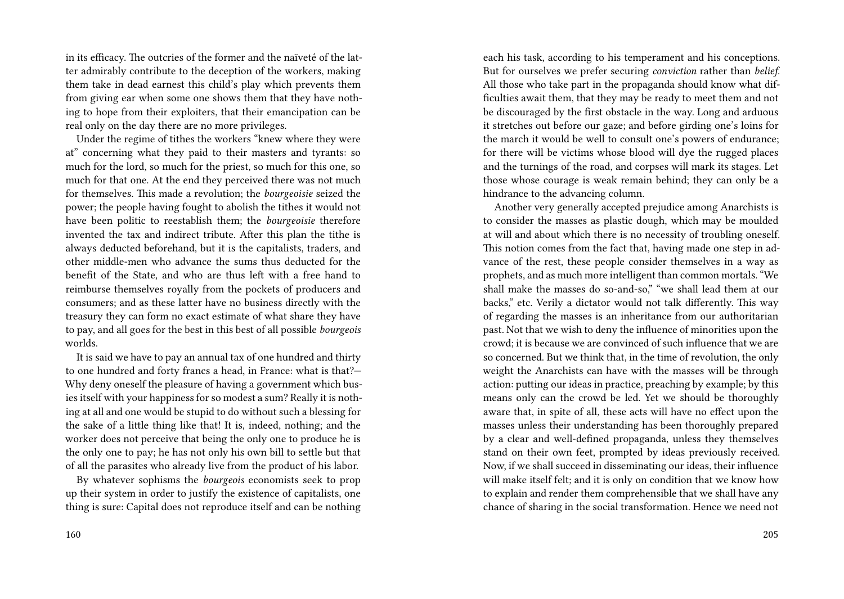in its efficacy. The outcries of the former and the naïveté of the latter admirably contribute to the deception of the workers, making them take in dead earnest this child's play which prevents them from giving ear when some one shows them that they have nothing to hope from their exploiters, that their emancipation can be real only on the day there are no more privileges.

Under the regime of tithes the workers "knew where they were at" concerning what they paid to their masters and tyrants: so much for the lord, so much for the priest, so much for this one, so much for that one. At the end they perceived there was not much for themselves. This made a revolution; the *bourgeoisie* seized the power; the people having fought to abolish the tithes it would not have been politic to reestablish them; the *bourgeoisie* therefore invented the tax and indirect tribute. After this plan the tithe is always deducted beforehand, but it is the capitalists, traders, and other middle-men who advance the sums thus deducted for the benefit of the State, and who are thus left with a free hand to reimburse themselves royally from the pockets of producers and consumers; and as these latter have no business directly with the treasury they can form no exact estimate of what share they have to pay, and all goes for the best in this best of all possible *bourgeois* worlds.

It is said we have to pay an annual tax of one hundred and thirty to one hundred and forty francs a head, in France: what is that?— Why deny oneself the pleasure of having a government which busies itself with your happiness for so modest a sum? Really it is nothing at all and one would be stupid to do without such a blessing for the sake of a little thing like that! It is, indeed, nothing; and the worker does not perceive that being the only one to produce he is the only one to pay; he has not only his own bill to settle but that of all the parasites who already live from the product of his labor.

By whatever sophisms the *bourgeois* economists seek to prop up their system in order to justify the existence of capitalists, one thing is sure: Capital does not reproduce itself and can be nothing each his task, according to his temperament and his conceptions. But for ourselves we prefer securing *conviction* rather than *belief*. All those who take part in the propaganda should know what difficulties await them, that they may be ready to meet them and not be discouraged by the first obstacle in the way. Long and arduous it stretches out before our gaze; and before girding one's loins for the march it would be well to consult one's powers of endurance; for there will be victims whose blood will dye the rugged places and the turnings of the road, and corpses will mark its stages. Let those whose courage is weak remain behind; they can only be a hindrance to the advancing column.

Another very generally accepted prejudice among Anarchists is to consider the masses as plastic dough, which may be moulded at will and about which there is no necessity of troubling oneself. This notion comes from the fact that, having made one step in advance of the rest, these people consider themselves in a way as prophets, and as much more intelligent than common mortals. "We shall make the masses do so-and-so," "we shall lead them at our backs," etc. Verily a dictator would not talk differently. This way of regarding the masses is an inheritance from our authoritarian past. Not that we wish to deny the influence of minorities upon the crowd; it is because we are convinced of such influence that we are so concerned. But we think that, in the time of revolution, the only weight the Anarchists can have with the masses will be through action: putting our ideas in practice, preaching by example; by this means only can the crowd be led. Yet we should be thoroughly aware that, in spite of all, these acts will have no effect upon the masses unless their understanding has been thoroughly prepared by a clear and well-defined propaganda, unless they themselves stand on their own feet, prompted by ideas previously received. Now, if we shall succeed in disseminating our ideas, their influence will make itself felt; and it is only on condition that we know how to explain and render them comprehensible that we shall have any chance of sharing in the social transformation. Hence we need not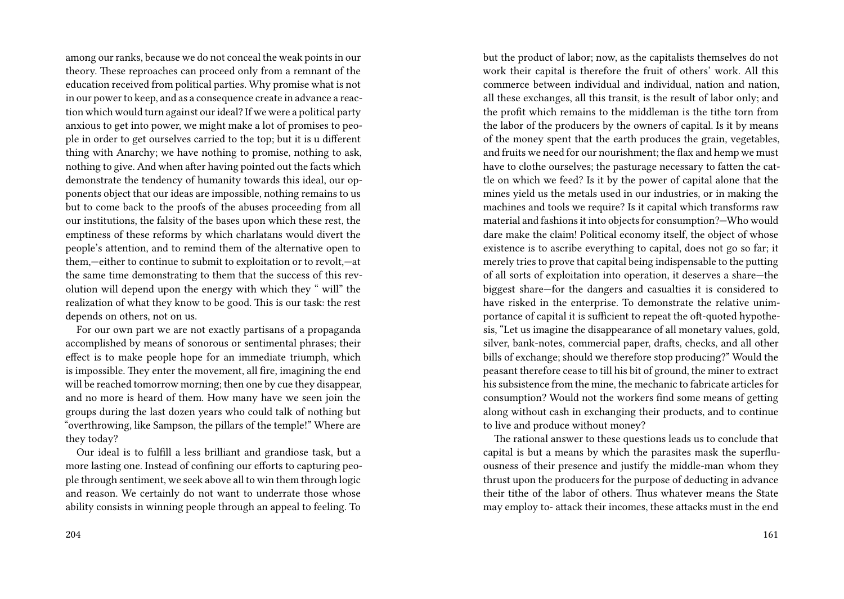among our ranks, because we do not conceal the weak points in our theory. These reproaches can proceed only from a remnant of the education received from political parties. Why promise what is not in our power to keep, and as a consequence create in advance a reaction which would turn against our ideal? If we were a political party anxious to get into power, we might make a lot of promises to people in order to get ourselves carried to the top; but it is u different thing with Anarchy; we have nothing to promise, nothing to ask, nothing to give. And when after having pointed out the facts which demonstrate the tendency of humanity towards this ideal, our opponents object that our ideas are impossible, nothing remains to us but to come back to the proofs of the abuses proceeding from all our institutions, the falsity of the bases upon which these rest, the emptiness of these reforms by which charlatans would divert the people's attention, and to remind them of the alternative open to them,—either to continue to submit to exploitation or to revolt,—at the same time demonstrating to them that the success of this revolution will depend upon the energy with which they " will" the realization of what they know to be good. This is our task: the rest depends on others, not on us.

For our own part we are not exactly partisans of a propaganda accomplished by means of sonorous or sentimental phrases; their effect is to make people hope for an immediate triumph, which is impossible. They enter the movement, all fire, imagining the end will be reached tomorrow morning; then one by cue they disappear, and no more is heard of them. How many have we seen join the groups during the last dozen years who could talk of nothing but "overthrowing, like Sampson, the pillars of the temple!" Where are they today?

Our ideal is to fulfill a less brilliant and grandiose task, but a more lasting one. Instead of confining our efforts to capturing people through sentiment, we seek above all to win them through logic and reason. We certainly do not want to underrate those whose ability consists in winning people through an appeal to feeling. To but the product of labor; now, as the capitalists themselves do not work their capital is therefore the fruit of others' work. All this commerce between individual and individual, nation and nation, all these exchanges, all this transit, is the result of labor only; and the profit which remains to the middleman is the tithe torn from the labor of the producers by the owners of capital. Is it by means of the money spent that the earth produces the grain, vegetables, and fruits we need for our nourishment; the flax and hemp we must have to clothe ourselves; the pasturage necessary to fatten the cattle on which we feed? Is it by the power of capital alone that the mines yield us the metals used in our industries, or in making the machines and tools we require? Is it capital which transforms raw material and fashions it into objects for consumption?—Who would dare make the claim! Political economy itself, the object of whose existence is to ascribe everything to capital, does not go so far; it merely tries to prove that capital being indispensable to the putting of all sorts of exploitation into operation, it deserves a share—the biggest share—for the dangers and casualties it is considered to have risked in the enterprise. To demonstrate the relative unimportance of capital it is sufficient to repeat the oft-quoted hypothesis, "Let us imagine the disappearance of all monetary values, gold, silver, bank-notes, commercial paper, drafts, checks, and all other bills of exchange; should we therefore stop producing?" Would the peasant therefore cease to till his bit of ground, the miner to extract his subsistence from the mine, the mechanic to fabricate articles for consumption? Would not the workers find some means of getting along without cash in exchanging their products, and to continue to live and produce without money?

The rational answer to these questions leads us to conclude that capital is but a means by which the parasites mask the superfluousness of their presence and justify the middle-man whom they thrust upon the producers for the purpose of deducting in advance their tithe of the labor of others. Thus whatever means the State may employ to- attack their incomes, these attacks must in the end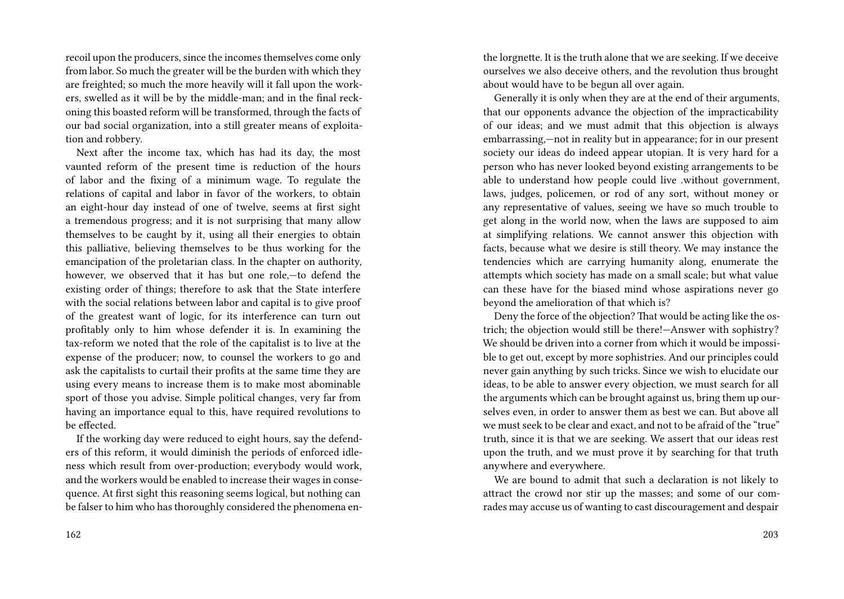recoil upon the producers, since the incomes themselves come only from labor. So much the greater will be the burden with which they are freighted; so much the more heavily will it fall upon the workers, swelled as it will be by the middle-man; and in the final reckoning this boasted reform will be transformed, through the facts of our bad social organization, into a still greater means of exploitation and robbery.

Next after the income tax, which has had its day, the most vaunted reform of the present time is reduction of the hours of labor and the fixing of a minimum wage. To regulate the relations of capital and labor in favor of the workers, to obtain an eight-hour day instead of one of twelve, seems at first sight a tremendous progress; and it is not surprising that many allow themselves to be caught by it, using all their energies to obtain this palliative, believing themselves to be thus working for the emancipation of the proletarian class. In the chapter on authority, however, we observed that it has but one role,—to defend the existing order of things; therefore to ask that the State interfere with the social relations between labor and capital is to give proof of the greatest want of logic, for its interference can turn out profitably only to him whose defender it is. In examining the tax-reform we noted that the role of the capitalist is to live at the expense of the producer; now, to counsel the workers to go and ask the capitalists to curtail their profits at the same time they are using every means to increase them is to make most abominable sport of those you advise. Simple political changes, very far from having an importance equal to this, have required revolutions to be effected.

If the working day were reduced to eight hours, say the defenders of this reform, it would diminish the periods of enforced idleness which result from over-production; everybody would work, and the workers would be enabled to increase their wages in consequence. At first sight this reasoning seems logical, but nothing can be falser to him who has thoroughly considered the phenomena en-

the lorgnette. It is the truth alone that we are seeking. If we deceive ourselves we also deceive others, and the revolution thus brought about would have to be begun all over again.

Generally it is only when they are at the end of their arguments, that our opponents advance the objection of the impracticability of our ideas; and we must admit that this objection is always embarrassing,—not in reality but in appearance; for in our present society our ideas do indeed appear utopian. It is very hard for a person who has never looked beyond existing arrangements to be able to understand how people could live .without government, laws, judges, policemen, or rod of any sort, without money or any representative of values, seeing we have so much trouble to get along in the world now, when the laws are supposed to aim at simplifying relations. We cannot answer this objection with facts, because what we desire is still theory. We may instance the tendencies which are carrying humanity along, enumerate the attempts which society has made on a small scale; but what value can these have for the biased mind whose aspirations never go beyond the amelioration of that which is?

Deny the force of the objection? That would be acting like the ostrich; the objection would still be there!—Answer with sophistry? We should be driven into a corner from which it would be impossible to get out, except by more sophistries. And our principles could never gain anything by such tricks. Since we wish to elucidate our ideas, to be able to answer every objection, we must search for all the arguments which can be brought against us, bring them up ourselves even, in order to answer them as best we can. But above all we must seek to be clear and exact, and not to be afraid of the "true" truth, since it is that we are seeking. We assert that our ideas rest upon the truth, and we must prove it by searching for that truth anywhere and everywhere.

We are bound to admit that such a declaration is not likely to attract the crowd nor stir up the masses; and some of our comrades may accuse us of wanting to cast discouragement and despair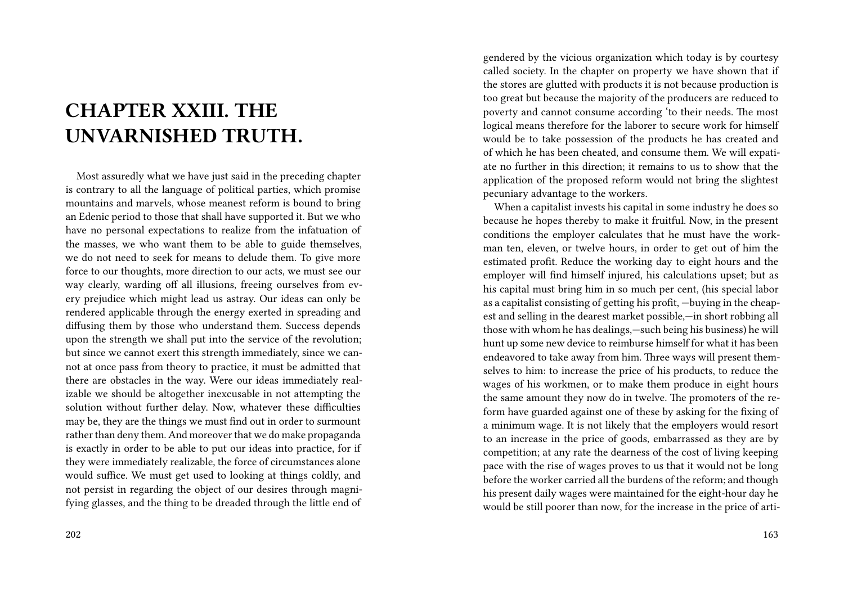# **CHAPTER XXIII. THE UNVARNISHED TRUTH.**

Most assuredly what we have just said in the preceding chapter is contrary to all the language of political parties, which promise mountains and marvels, whose meanest reform is bound to bring an Edenic period to those that shall have supported it. But we who have no personal expectations to realize from the infatuation of the masses, we who want them to be able to guide themselves, we do not need to seek for means to delude them. To give more force to our thoughts, more direction to our acts, we must see our way clearly, warding off all illusions, freeing ourselves from every prejudice which might lead us astray. Our ideas can only be rendered applicable through the energy exerted in spreading and diffusing them by those who understand them. Success depends upon the strength we shall put into the service of the revolution; but since we cannot exert this strength immediately, since we cannot at once pass from theory to practice, it must be admitted that there are obstacles in the way. Were our ideas immediately realizable we should be altogether inexcusable in not attempting the solution without further delay. Now, whatever these difficulties may be, they are the things we must find out in order to surmount rather than deny them. And moreover that we do make propaganda is exactly in order to be able to put our ideas into practice, for if they were immediately realizable, the force of circumstances alone would suffice. We must get used to looking at things coldly, and not persist in regarding the object of our desires through magnifying glasses, and the thing to be dreaded through the little end of gendered by the vicious organization which today is by courtesy called society. In the chapter on property we have shown that if the stores are glutted with products it is not because production is too great but because the majority of the producers are reduced to poverty and cannot consume according 'to their needs. The most logical means therefore for the laborer to secure work for himself would be to take possession of the products he has created and of which he has been cheated, and consume them. We will expatiate no further in this direction; it remains to us to show that the application of the proposed reform would not bring the slightest pecuniary advantage to the workers.

When a capitalist invests his capital in some industry he does so because he hopes thereby to make it fruitful. Now, in the present conditions the employer calculates that he must have the workman ten, eleven, or twelve hours, in order to get out of him the estimated profit. Reduce the working day to eight hours and the employer will find himself injured, his calculations upset; but as his capital must bring him in so much per cent, (his special labor as a capitalist consisting of getting his profit, —buying in the cheapest and selling in the dearest market possible,—in short robbing all those with whom he has dealings,—such being his business) he will hunt up some new device to reimburse himself for what it has been endeavored to take away from him. Three ways will present themselves to him: to increase the price of his products, to reduce the wages of his workmen, or to make them produce in eight hours the same amount they now do in twelve. The promoters of the reform have guarded against one of these by asking for the fixing of a minimum wage. It is not likely that the employers would resort to an increase in the price of goods, embarrassed as they are by competition; at any rate the dearness of the cost of living keeping pace with the rise of wages proves to us that it would not be long before the worker carried all the burdens of the reform; and though his present daily wages were maintained for the eight-hour day he would be still poorer than now, for the increase in the price of arti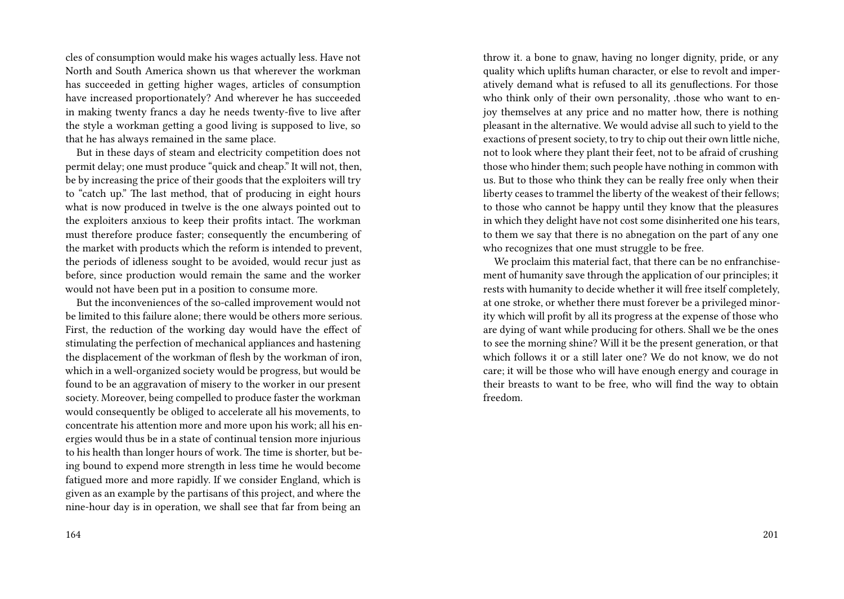cles of consumption would make his wages actually less. Have not North and South America shown us that wherever the workman has succeeded in getting higher wages, articles of consumption have increased proportionately? And wherever he has succeeded in making twenty francs a day he needs twenty-five to live after the style a workman getting a good living is supposed to live, so that he has always remained in the same place.

But in these days of steam and electricity competition does not permit delay; one must produce "quick and cheap." It will not, then, be by increasing the price of their goods that the exploiters will try to "catch up." The last method, that of producing in eight hours what is now produced in twelve is the one always pointed out to the exploiters anxious to keep their profits intact. The workman must therefore produce faster; consequently the encumbering of the market with products which the reform is intended to prevent, the periods of idleness sought to be avoided, would recur just as before, since production would remain the same and the worker would not have been put in a position to consume more.

But the inconveniences of the so-called improvement would not be limited to this failure alone; there would be others more serious. First, the reduction of the working day would have the effect of stimulating the perfection of mechanical appliances and hastening the displacement of the workman of flesh by the workman of iron, which in a well-organized society would be progress, but would be found to be an aggravation of misery to the worker in our present society. Moreover, being compelled to produce faster the workman would consequently be obliged to accelerate all his movements, to concentrate his attention more and more upon his work; all his energies would thus be in a state of continual tension more injurious to his health than longer hours of work. The time is shorter, but being bound to expend more strength in less time he would become fatigued more and more rapidly. If we consider England, which is given as an example by the partisans of this project, and where the nine-hour day is in operation, we shall see that far from being an

throw it. a bone to gnaw, having no longer dignity, pride, or any quality which uplifts human character, or else to revolt and imperatively demand what is refused to all its genuflections. For those who think only of their own personality, those who want to enjoy themselves at any price and no matter how, there is nothing pleasant in the alternative. We would advise all such to yield to the exactions of present society, to try to chip out their own little niche, not to look where they plant their feet, not to be afraid of crushing those who hinder them; such people have nothing in common with us. But to those who think they can be really free only when their liberty ceases to trammel the liberty of the weakest of their fellows; to those who cannot be happy until they know that the pleasures in which they delight have not cost some disinherited one his tears, to them we say that there is no abnegation on the part of any one who recognizes that one must struggle to be free.

We proclaim this material fact, that there can be no enfranchisement of humanity save through the application of our principles; it rests with humanity to decide whether it will free itself completely, at one stroke, or whether there must forever be a privileged minority which will profit by all its progress at the expense of those who are dying of want while producing for others. Shall we be the ones to see the morning shine? Will it be the present generation, or that which follows it or a still later one? We do not know, we do not care; it will be those who will have enough energy and courage in their breasts to want to be free, who will find the way to obtain freedom.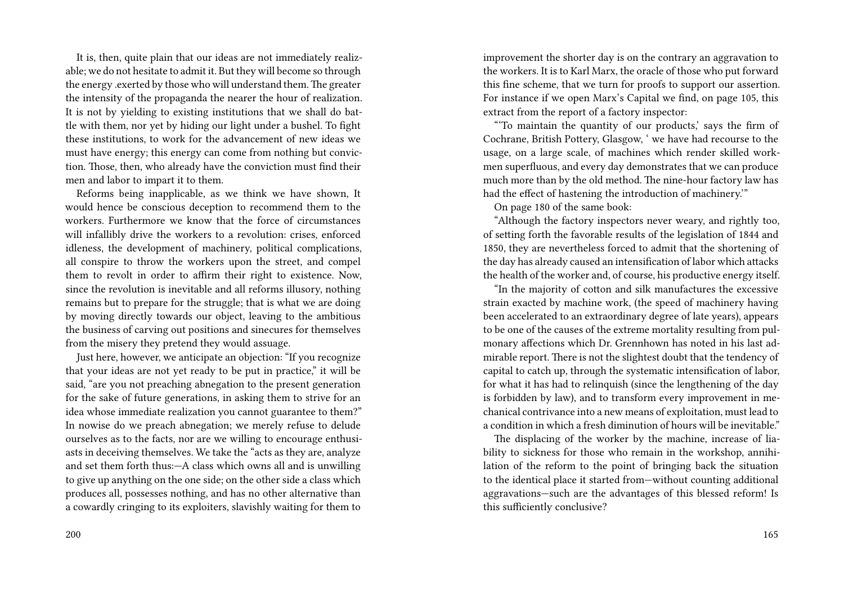It is, then, quite plain that our ideas are not immediately realizable; we do not hesitate to admit it. But they will become so through the energy .exerted by those who will understand them.The greater the intensity of the propaganda the nearer the hour of realization. It is not by yielding to existing institutions that we shall do battle with them, nor yet by hiding our light under a bushel. To fight these institutions, to work for the advancement of new ideas we must have energy; this energy can come from nothing but conviction. Those, then, who already have the conviction must find their men and labor to impart it to them.

Reforms being inapplicable, as we think we have shown, It would hence be conscious deception to recommend them to the workers. Furthermore we know that the force of circumstances will infallibly drive the workers to a revolution: crises, enforced idleness, the development of machinery, political complications, all conspire to throw the workers upon the street, and compel them to revolt in order to affirm their right to existence. Now, since the revolution is inevitable and all reforms illusory, nothing remains but to prepare for the struggle; that is what we are doing by moving directly towards our object, leaving to the ambitious the business of carving out positions and sinecures for themselves from the misery they pretend they would assuage.

Just here, however, we anticipate an objection: "If you recognize that your ideas are not yet ready to be put in practice," it will be said, "are you not preaching abnegation to the present generation for the sake of future generations, in asking them to strive for an idea whose immediate realization you cannot guarantee to them?" In nowise do we preach abnegation; we merely refuse to delude ourselves as to the facts, nor are we willing to encourage enthusiasts in deceiving themselves. We take the "acts as they are, analyze and set them forth thus:—A class which owns all and is unwilling to give up anything on the one side; on the other side a class which produces all, possesses nothing, and has no other alternative than a cowardly cringing to its exploiters, slavishly waiting for them to

improvement the shorter day is on the contrary an aggravation to the workers. It is to Karl Marx, the oracle of those who put forward this fine scheme, that we turn for proofs to support our assertion. For instance if we open Marx's Capital we find, on page 105, this extract from the report of a factory inspector:

"'To maintain the quantity of our products,' says the firm of Cochrane, British Pottery, Glasgow, ' we have had recourse to the usage, on a large scale, of machines which render skilled workmen superfluous, and every day demonstrates that we can produce much more than by the old method. The nine-hour factory law has had the effect of hastening the introduction of machinery.'"

On page 180 of the same book:

"Although the factory inspectors never weary, and rightly too, of setting forth the favorable results of the legislation of 1844 and 1850, they are nevertheless forced to admit that the shortening of the day has already caused an intensification of labor which attacks the health of the worker and, of course, his productive energy itself.

"In the majority of cotton and silk manufactures the excessive strain exacted by machine work, (the speed of machinery having been accelerated to an extraordinary degree of late years), appears to be one of the causes of the extreme mortality resulting from pulmonary affections which Dr. Grennhown has noted in his last admirable report. There is not the slightest doubt that the tendency of capital to catch up, through the systematic intensification of labor, for what it has had to relinquish (since the lengthening of the day is forbidden by law), and to transform every improvement in mechanical contrivance into a new means of exploitation, must lead to a condition in which a fresh diminution of hours will be inevitable."

The displacing of the worker by the machine, increase of liability to sickness for those who remain in the workshop, annihilation of the reform to the point of bringing back the situation to the identical place it started from—without counting additional aggravations—such are the advantages of this blessed reform! Is this sufficiently conclusive?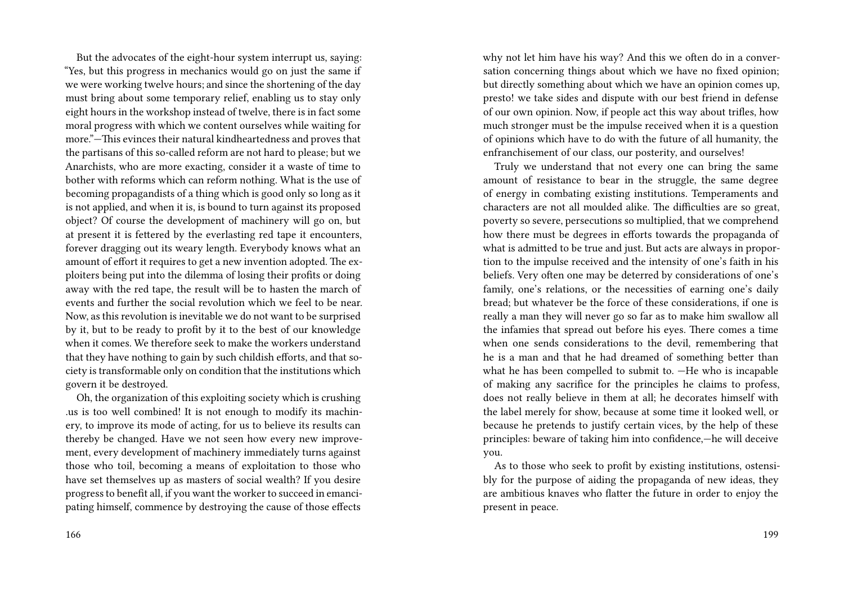But the advocates of the eight-hour system interrupt us, saying: "Yes, but this progress in mechanics would go on just the same if we were working twelve hours; and since the shortening of the day must bring about some temporary relief, enabling us to stay only eight hours in the workshop instead of twelve, there is in fact some moral progress with which we content ourselves while waiting for more."—This evinces their natural kindheartedness and proves that the partisans of this so-called reform are not hard to please; but we Anarchists, who are more exacting, consider it a waste of time to bother with reforms which can reform nothing. What is the use of becoming propagandists of a thing which is good only so long as it is not applied, and when it is, is bound to turn against its proposed object? Of course the development of machinery will go on, but at present it is fettered by the everlasting red tape it encounters, forever dragging out its weary length. Everybody knows what an amount of effort it requires to get a new invention adopted. The exploiters being put into the dilemma of losing their profits or doing away with the red tape, the result will be to hasten the march of events and further the social revolution which we feel to be near. Now, as this revolution is inevitable we do not want to be surprised by it, but to be ready to profit by it to the best of our knowledge when it comes. We therefore seek to make the workers understand that they have nothing to gain by such childish efforts, and that society is transformable only on condition that the institutions which govern it be destroyed.

Oh, the organization of this exploiting society which is crushing .us is too well combined! It is not enough to modify its machinery, to improve its mode of acting, for us to believe its results can thereby be changed. Have we not seen how every new improvement, every development of machinery immediately turns against those who toil, becoming a means of exploitation to those who have set themselves up as masters of social wealth? If you desire progress to benefit all, if you want the worker to succeed in emancipating himself, commence by destroying the cause of those effects

why not let him have his way? And this we often do in a conversation concerning things about which we have no fixed opinion; but directly something about which we have an opinion comes up, presto! we take sides and dispute with our best friend in defense of our own opinion. Now, if people act this way about trifles, how much stronger must be the impulse received when it is a question of opinions which have to do with the future of all humanity, the enfranchisement of our class, our posterity, and ourselves!

Truly we understand that not every one can bring the same amount of resistance to bear in the struggle, the same degree of energy in combating existing institutions. Temperaments and characters are not all moulded alike. The difficulties are so great, poverty so severe, persecutions so multiplied, that we comprehend how there must be degrees in efforts towards the propaganda of what is admitted to be true and just. But acts are always in proportion to the impulse received and the intensity of one's faith in his beliefs. Very often one may be deterred by considerations of one's family, one's relations, or the necessities of earning one's daily bread; but whatever be the force of these considerations, if one is really a man they will never go so far as to make him swallow all the infamies that spread out before his eyes. There comes a time when one sends considerations to the devil, remembering that he is a man and that he had dreamed of something better than what he has been compelled to submit to. —He who is incapable of making any sacrifice for the principles he claims to profess, does not really believe in them at all; he decorates himself with the label merely for show, because at some time it looked well, or because he pretends to justify certain vices, by the help of these principles: beware of taking him into confidence,—he will deceive you.

As to those who seek to profit by existing institutions, ostensibly for the purpose of aiding the propaganda of new ideas, they are ambitious knaves who flatter the future in order to enjoy the present in peace.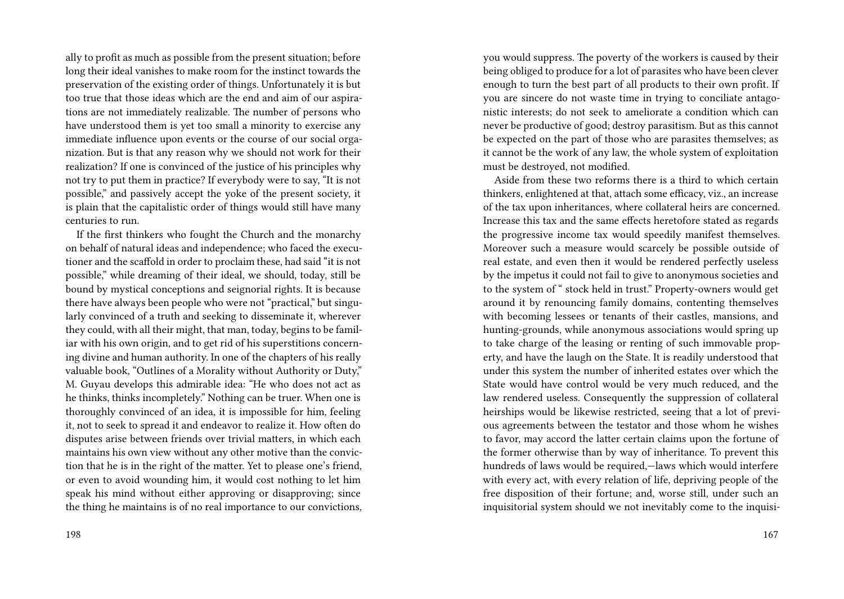ally to profit as much as possible from the present situation; before long their ideal vanishes to make room for the instinct towards the preservation of the existing order of things. Unfortunately it is but too true that those ideas which are the end and aim of our aspirations are not immediately realizable. The number of persons who have understood them is yet too small a minority to exercise any immediate influence upon events or the course of our social organization. But is that any reason why we should not work for their realization? If one is convinced of the justice of his principles why not try to put them in practice? If everybody were to say, "It is not possible," and passively accept the yoke of the present society, it is plain that the capitalistic order of things would still have many centuries to run.

If the first thinkers who fought the Church and the monarchy on behalf of natural ideas and independence; who faced the executioner and the scaffold in order to proclaim these, had said "it is not possible," while dreaming of their ideal, we should, today, still be bound by mystical conceptions and seignorial rights. It is because there have always been people who were not "practical," but singularly convinced of a truth and seeking to disseminate it, wherever they could, with all their might, that man, today, begins to be familiar with his own origin, and to get rid of his superstitions concerning divine and human authority. In one of the chapters of his really valuable book, "Outlines of a Morality without Authority or Duty," M. Guyau develops this admirable idea: "He who does not act as he thinks, thinks incompletely." Nothing can be truer. When one is thoroughly convinced of an idea, it is impossible for him, feeling it, not to seek to spread it and endeavor to realize it. How often do disputes arise between friends over trivial matters, in which each maintains his own view without any other motive than the conviction that he is in the right of the matter. Yet to please one's friend, or even to avoid wounding him, it would cost nothing to let him speak his mind without either approving or disapproving; since the thing he maintains is of no real importance to our convictions, you would suppress. The poverty of the workers is caused by their being obliged to produce for a lot of parasites who have been clever enough to turn the best part of all products to their own profit. If you are sincere do not waste time in trying to conciliate antagonistic interests; do not seek to ameliorate a condition which can never be productive of good; destroy parasitism. But as this cannot be expected on the part of those who are parasites themselves; as it cannot be the work of any law, the whole system of exploitation must be destroyed, not modified.

Aside from these two reforms there is a third to which certain thinkers, enlightened at that, attach some efficacy, viz., an increase of the tax upon inheritances, where collateral heirs are concerned. Increase this tax and the same effects heretofore stated as regards the progressive income tax would speedily manifest themselves. Moreover such a measure would scarcely be possible outside of real estate, and even then it would be rendered perfectly useless by the impetus it could not fail to give to anonymous societies and to the system of " stock held in trust." Property-owners would get around it by renouncing family domains, contenting themselves with becoming lessees or tenants of their castles, mansions, and hunting-grounds, while anonymous associations would spring up to take charge of the leasing or renting of such immovable property, and have the laugh on the State. It is readily understood that under this system the number of inherited estates over which the State would have control would be very much reduced, and the law rendered useless. Consequently the suppression of collateral heirships would be likewise restricted, seeing that a lot of previous agreements between the testator and those whom he wishes to favor, may accord the latter certain claims upon the fortune of the former otherwise than by way of inheritance. To prevent this hundreds of laws would be required,—laws which would interfere with every act, with every relation of life, depriving people of the free disposition of their fortune; and, worse still, under such an inquisitorial system should we not inevitably come to the inquisi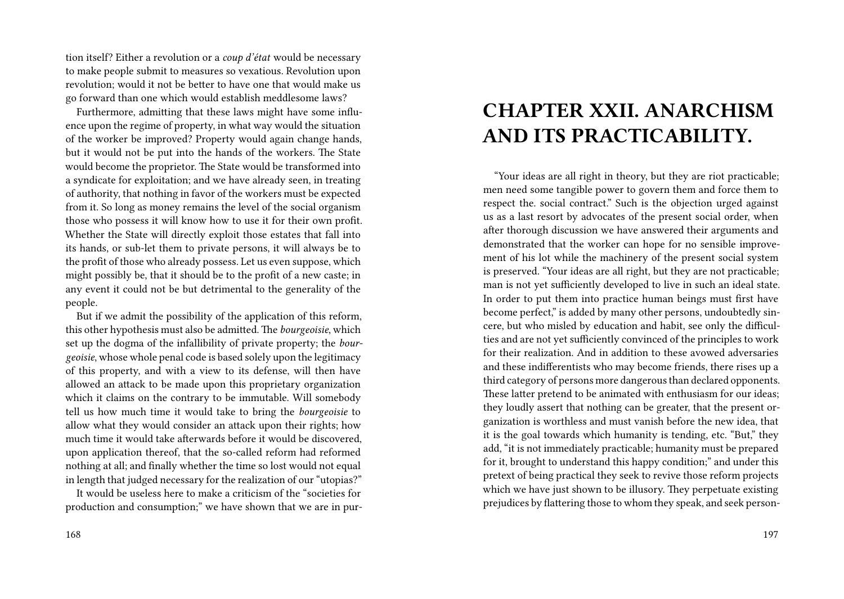tion itself? Either a revolution or a *coup d'état* would be necessary to make people submit to measures so vexatious. Revolution upon revolution; would it not be better to have one that would make us go forward than one which would establish meddlesome laws?

Furthermore, admitting that these laws might have some influence upon the regime of property, in what way would the situation of the worker be improved? Property would again change hands, but it would not be put into the hands of the workers. The State would become the proprietor. The State would be transformed into a syndicate for exploitation; and we have already seen, in treating of authority, that nothing in favor of the workers must be expected from it. So long as money remains the level of the social organism those who possess it will know how to use it for their own profit. Whether the State will directly exploit those estates that fall into its hands, or sub-let them to private persons, it will always be to the profit of those who already possess. Let us even suppose, which might possibly be, that it should be to the profit of a new caste; in any event it could not be but detrimental to the generality of the people.

But if we admit the possibility of the application of this reform, this other hypothesis must also be admitted. The *bourgeoisie*, which set up the dogma of the infallibility of private property; the *bourgeoisie*, whose whole penal code is based solely upon the legitimacy of this property, and with a view to its defense, will then have allowed an attack to be made upon this proprietary organization which it claims on the contrary to be immutable. Will somebody tell us how much time it would take to bring the *bourgeoisie* to allow what they would consider an attack upon their rights; how much time it would take afterwards before it would be discovered, upon application thereof, that the so-called reform had reformed nothing at all; and finally whether the time so lost would not equal in length that judged necessary for the realization of our "utopias?"

It would be useless here to make a criticism of the "societies for production and consumption;" we have shown that we are in pur-

# **CHAPTER XXII. ANARCHISM AND ITS PRACTICABILITY.**

"Your ideas are all right in theory, but they are riot practicable; men need some tangible power to govern them and force them to respect the. social contract." Such is the objection urged against us as a last resort by advocates of the present social order, when after thorough discussion we have answered their arguments and demonstrated that the worker can hope for no sensible improvement of his lot while the machinery of the present social system is preserved. "Your ideas are all right, but they are not practicable; man is not yet sufficiently developed to live in such an ideal state. In order to put them into practice human beings must first have become perfect," is added by many other persons, undoubtedly sincere, but who misled by education and habit, see only the difficulties and are not yet sufficiently convinced of the principles to work for their realization. And in addition to these avowed adversaries and these indifferentists who may become friends, there rises up a third category of persons more dangerous than declared opponents. These latter pretend to be animated with enthusiasm for our ideas; they loudly assert that nothing can be greater, that the present organization is worthless and must vanish before the new idea, that it is the goal towards which humanity is tending, etc. "But," they add, "it is not immediately practicable; humanity must be prepared for it, brought to understand this happy condition;" and under this pretext of being practical they seek to revive those reform projects which we have just shown to be illusory. They perpetuate existing prejudices by flattering those to whom they speak, and seek person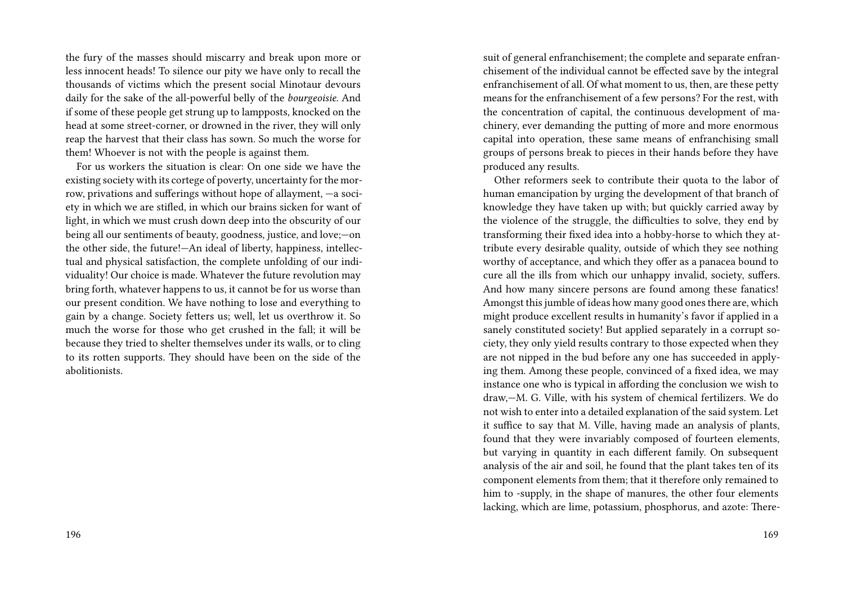the fury of the masses should miscarry and break upon more or less innocent heads! To silence our pity we have only to recall the thousands of victims which the present social Minotaur devours daily for the sake of the all-powerful belly of the *bourgeoisie*. And if some of these people get strung up to lampposts, knocked on the head at some street-corner, or drowned in the river, they will only reap the harvest that their class has sown. So much the worse for them! Whoever is not with the people is against them.

For us workers the situation is clear: On one side we have the existing society with its cortege of poverty, uncertainty for the morrow, privations and sufferings without hope of allayment, —a society in which we are stifled, in which our brains sicken for want of light, in which we must crush down deep into the obscurity of our being all our sentiments of beauty, goodness, justice, and love;—on the other side, the future!—An ideal of liberty, happiness, intellectual and physical satisfaction, the complete unfolding of our individuality! Our choice is made. Whatever the future revolution may bring forth, whatever happens to us, it cannot be for us worse than our present condition. We have nothing to lose and everything to gain by a change. Society fetters us; well, let us overthrow it. So much the worse for those who get crushed in the fall; it will be because they tried to shelter themselves under its walls, or to cling to its rotten supports. They should have been on the side of the abolitionists.

suit of general enfranchisement; the complete and separate enfranchisement of the individual cannot be effected save by the integral enfranchisement of all. Of what moment to us, then, are these petty means for the enfranchisement of a few persons? For the rest, with the concentration of capital, the continuous development of machinery, ever demanding the putting of more and more enormous capital into operation, these same means of enfranchising small groups of persons break to pieces in their hands before they have produced any results.

Other reformers seek to contribute their quota to the labor of human emancipation by urging the development of that branch of knowledge they have taken up with; but quickly carried away by the violence of the struggle, the difficulties to solve, they end by transforming their fixed idea into a hobby-horse to which they attribute every desirable quality, outside of which they see nothing worthy of acceptance, and which they offer as a panacea bound to cure all the ills from which our unhappy invalid, society, suffers. And how many sincere persons are found among these fanatics! Amongst this jumble of ideas how many good ones there are, which might produce excellent results in humanity's favor if applied in a sanely constituted society! But applied separately in a corrupt society, they only yield results contrary to those expected when they are not nipped in the bud before any one has succeeded in applying them. Among these people, convinced of a fixed idea, we may instance one who is typical in affording the conclusion we wish to draw,—M. G. Ville, with his system of chemical fertilizers. We do not wish to enter into a detailed explanation of the said system. Let it suffice to say that M. Ville, having made an analysis of plants, found that they were invariably composed of fourteen elements, but varying in quantity in each different family. On subsequent analysis of the air and soil, he found that the plant takes ten of its component elements from them; that it therefore only remained to him to -supply, in the shape of manures, the other four elements lacking, which are lime, potassium, phosphorus, and azote: There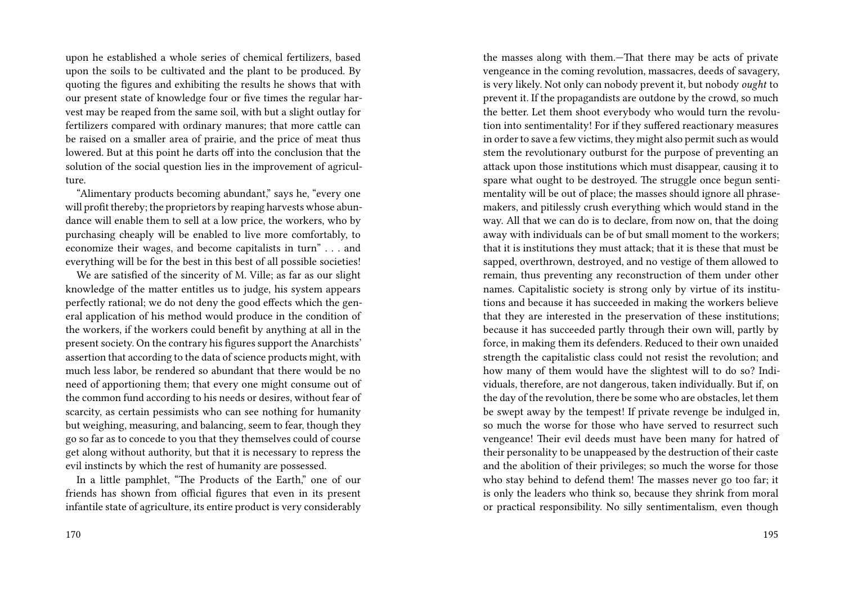upon he established a whole series of chemical fertilizers, based upon the soils to be cultivated and the plant to be produced. By quoting the figures and exhibiting the results he shows that with our present state of knowledge four or five times the regular harvest may be reaped from the same soil, with but a slight outlay for fertilizers compared with ordinary manures; that more cattle can be raised on a smaller area of prairie, and the price of meat thus lowered. But at this point he darts off into the conclusion that the solution of the social question lies in the improvement of agriculture.

"Alimentary products becoming abundant," says he, "every one will profit thereby; the proprietors by reaping harvests whose abundance will enable them to sell at a low price, the workers, who by purchasing cheaply will be enabled to live more comfortably, to economize their wages, and become capitalists in turn" . . . and everything will be for the best in this best of all possible societies!

We are satisfied of the sincerity of M. Ville; as far as our slight knowledge of the matter entitles us to judge, his system appears perfectly rational; we do not deny the good effects which the general application of his method would produce in the condition of the workers, if the workers could benefit by anything at all in the present society. On the contrary his figures support the Anarchists' assertion that according to the data of science products might, with much less labor, be rendered so abundant that there would be no need of apportioning them; that every one might consume out of the common fund according to his needs or desires, without fear of scarcity, as certain pessimists who can see nothing for humanity but weighing, measuring, and balancing, seem to fear, though they go so far as to concede to you that they themselves could of course get along without authority, but that it is necessary to repress the evil instincts by which the rest of humanity are possessed.

In a little pamphlet, "The Products of the Earth," one of our friends has shown from official figures that even in its present infantile state of agriculture, its entire product is very considerably

the masses along with them.—That there may be acts of private vengeance in the coming revolution, massacres, deeds of savagery, is very likely. Not only can nobody prevent it, but nobody *ought* to prevent it. If the propagandists are outdone by the crowd, so much the better. Let them shoot everybody who would turn the revolution into sentimentality! For if they suffered reactionary measures in order to save a few victims, they might also permit such as would stem the revolutionary outburst for the purpose of preventing an attack upon those institutions which must disappear, causing it to spare what ought to be destroyed. The struggle once begun sentimentality will be out of place; the masses should ignore all phrasemakers, and pitilessly crush everything which would stand in the way. All that we can do is to declare, from now on, that the doing away with individuals can be of but small moment to the workers; that it is institutions they must attack; that it is these that must be sapped, overthrown, destroyed, and no vestige of them allowed to remain, thus preventing any reconstruction of them under other names. Capitalistic society is strong only by virtue of its institutions and because it has succeeded in making the workers believe that they are interested in the preservation of these institutions; because it has succeeded partly through their own will, partly by force, in making them its defenders. Reduced to their own unaided strength the capitalistic class could not resist the revolution; and how many of them would have the slightest will to do so? Individuals, therefore, are not dangerous, taken individually. But if, on the day of the revolution, there be some who are obstacles, let them be swept away by the tempest! If private revenge be indulged in, so much the worse for those who have served to resurrect such vengeance! Their evil deeds must have been many for hatred of their personality to be unappeased by the destruction of their caste and the abolition of their privileges; so much the worse for those who stay behind to defend them! The masses never go too far; it is only the leaders who think so, because they shrink from moral or practical responsibility. No silly sentimentalism, even though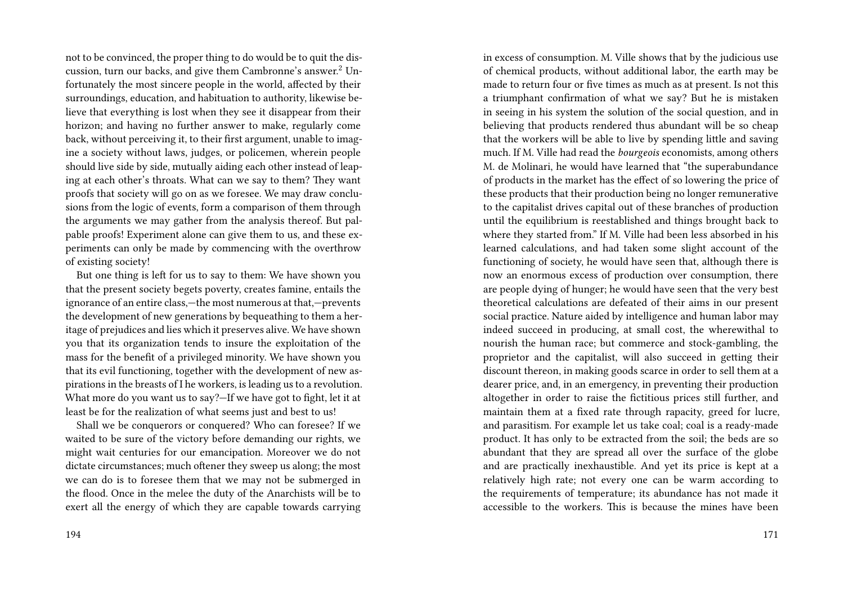not to be convinced, the proper thing to do would be to quit the discussion, turn our backs, and give them Cambronne's answer.<sup>2</sup> Unfortunately the most sincere people in the world, affected by their surroundings, education, and habituation to authority, likewise believe that everything is lost when they see it disappear from their horizon; and having no further answer to make, regularly come back, without perceiving it, to their first argument, unable to imagine a society without laws, judges, or policemen, wherein people should live side by side, mutually aiding each other instead of leaping at each other's throats. What can we say to them? They want proofs that society will go on as we foresee. We may draw conclusions from the logic of events, form a comparison of them through the arguments we may gather from the analysis thereof. But palpable proofs! Experiment alone can give them to us, and these experiments can only be made by commencing with the overthrow of existing society!

But one thing is left for us to say to them: We have shown you that the present society begets poverty, creates famine, entails the ignorance of an entire class,—the most numerous at that,—prevents the development of new generations by bequeathing to them a heritage of prejudices and lies which it preserves alive. We have shown you that its organization tends to insure the exploitation of the mass for the benefit of a privileged minority. We have shown you that its evil functioning, together with the development of new aspirations in the breasts of I he workers, is leading us to a revolution. What more do you want us to say?—If we have got to fight, let it at least be for the realization of what seems just and best to us!

Shall we be conquerors or conquered? Who can foresee? If we waited to be sure of the victory before demanding our rights, we might wait centuries for our emancipation. Moreover we do not dictate circumstances; much oftener they sweep us along; the most we can do is to foresee them that we may not be submerged in the flood. Once in the melee the duty of the Anarchists will be to exert all the energy of which they are capable towards carrying in excess of consumption. M. Ville shows that by the judicious use of chemical products, without additional labor, the earth may be made to return four or five times as much as at present. Is not this a triumphant confirmation of what we say? But he is mistaken in seeing in his system the solution of the social question, and in believing that products rendered thus abundant will be so cheap that the workers will be able to live by spending little and saving much. If M. Ville had read the *bourgeois* economists, among others M. de Molinari, he would have learned that "the superabundance of products in the market has the effect of so lowering the price of these products that their production being no longer remunerative to the capitalist drives capital out of these branches of production until the equilibrium is reestablished and things brought back to where they started from." If M. Ville had been less absorbed in his learned calculations, and had taken some slight account of the functioning of society, he would have seen that, although there is now an enormous excess of production over consumption, there are people dying of hunger; he would have seen that the very best theoretical calculations are defeated of their aims in our present social practice. Nature aided by intelligence and human labor may indeed succeed in producing, at small cost, the wherewithal to nourish the human race; but commerce and stock-gambling, the proprietor and the capitalist, will also succeed in getting their discount thereon, in making goods scarce in order to sell them at a dearer price, and, in an emergency, in preventing their production altogether in order to raise the fictitious prices still further, and maintain them at a fixed rate through rapacity, greed for lucre, and parasitism. For example let us take coal; coal is a ready-made product. It has only to be extracted from the soil; the beds are so abundant that they are spread all over the surface of the globe and are practically inexhaustible. And yet its price is kept at a relatively high rate; not every one can be warm according to the requirements of temperature; its abundance has not made it accessible to the workers. This is because the mines have been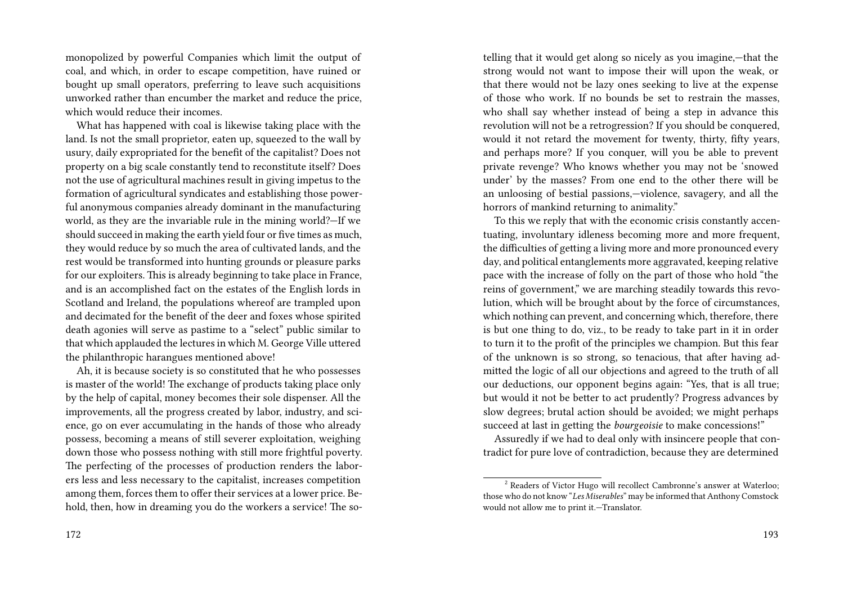monopolized by powerful Companies which limit the output of coal, and which, in order to escape competition, have ruined or bought up small operators, preferring to leave such acquisitions unworked rather than encumber the market and reduce the price, which would reduce their incomes.

What has happened with coal is likewise taking place with the land. Is not the small proprietor, eaten up, squeezed to the wall by usury, daily expropriated for the benefit of the capitalist? Does not property on a big scale constantly tend to reconstitute itself? Does not the use of agricultural machines result in giving impetus to the formation of agricultural syndicates and establishing those powerful anonymous companies already dominant in the manufacturing world, as they are the invariable rule in the mining world?—If we should succeed in making the earth yield four or five times as much, they would reduce by so much the area of cultivated lands, and the rest would be transformed into hunting grounds or pleasure parks for our exploiters. This is already beginning to take place in France, and is an accomplished fact on the estates of the English lords in Scotland and Ireland, the populations whereof are trampled upon and decimated for the benefit of the deer and foxes whose spirited death agonies will serve as pastime to a "select" public similar to that which applauded the lectures in which M. George Ville uttered the philanthropic harangues mentioned above!

Ah, it is because society is so constituted that he who possesses is master of the world! The exchange of products taking place only by the help of capital, money becomes their sole dispenser. All the improvements, all the progress created by labor, industry, and science, go on ever accumulating in the hands of those who already possess, becoming a means of still severer exploitation, weighing down those who possess nothing with still more frightful poverty. The perfecting of the processes of production renders the laborers less and less necessary to the capitalist, increases competition among them, forces them to offer their services at a lower price. Behold, then, how in dreaming you do the workers a service! The so-

telling that it would get along so nicely as you imagine,—that the strong would not want to impose their will upon the weak, or that there would not be lazy ones seeking to live at the expense of those who work. If no bounds be set to restrain the masses, who shall say whether instead of being a step in advance this revolution will not be a retrogression? If you should be conquered, would it not retard the movement for twenty, thirty, fifty years, and perhaps more? If you conquer, will you be able to prevent private revenge? Who knows whether you may not be 'snowed under' by the masses? From one end to the other there will be an unloosing of bestial passions,—violence, savagery, and all the horrors of mankind returning to animality."

To this we reply that with the economic crisis constantly accentuating, involuntary idleness becoming more and more frequent, the difficulties of getting a living more and more pronounced every day, and political entanglements more aggravated, keeping relative pace with the increase of folly on the part of those who hold "the reins of government," we are marching steadily towards this revolution, which will be brought about by the force of circumstances, which nothing can prevent, and concerning which, therefore, there is but one thing to do, viz., to be ready to take part in it in order to turn it to the profit of the principles we champion. But this fear of the unknown is so strong, so tenacious, that after having admitted the logic of all our objections and agreed to the truth of all our deductions, our opponent begins again: "Yes, that is all true; but would it not be better to act prudently? Progress advances by slow degrees; brutal action should be avoided; we might perhaps succeed at last in getting the *bourgeoisie* to make concessions!"

Assuredly if we had to deal only with insincere people that contradict for pure love of contradiction, because they are determined

<sup>2</sup> Readers of Victor Hugo will recollect Cambronne's answer at Waterloo; those who do not know "*Les Miserables*" may be informed that Anthony Comstock would not allow me to print it.—Translator.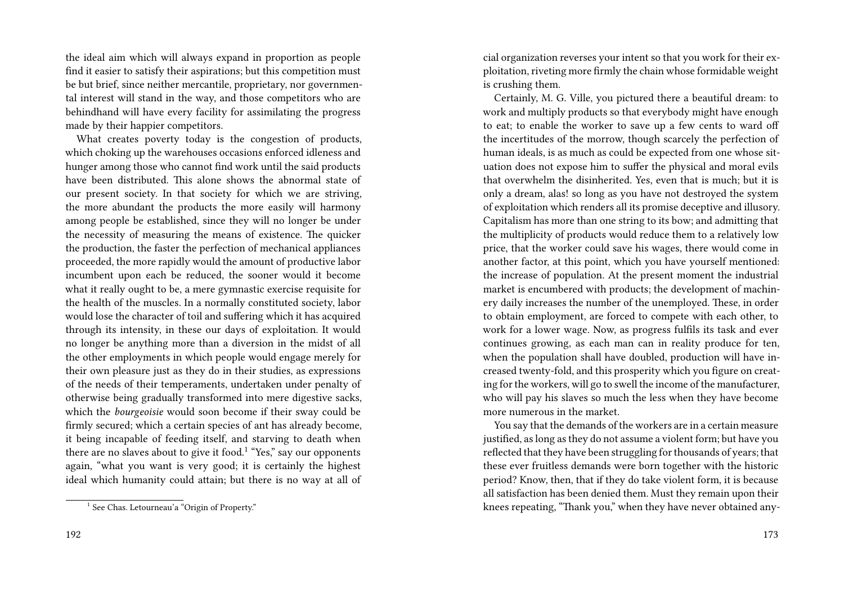the ideal aim which will always expand in proportion as people find it easier to satisfy their aspirations; but this competition must be but brief, since neither mercantile, proprietary, nor governmental interest will stand in the way, and those competitors who are behindhand will have every facility for assimilating the progress made by their happier competitors.

What creates poverty today is the congestion of products, which choking up the warehouses occasions enforced idleness and hunger among those who cannot find work until the said products have been distributed. This alone shows the abnormal state of our present society. In that society for which we are striving, the more abundant the products the more easily will harmony among people be established, since they will no longer be under the necessity of measuring the means of existence. The quicker the production, the faster the perfection of mechanical appliances proceeded, the more rapidly would the amount of productive labor incumbent upon each be reduced, the sooner would it become what it really ought to be, a mere gymnastic exercise requisite for the health of the muscles. In a normally constituted society, labor would lose the character of toil and suffering which it has acquired through its intensity, in these our days of exploitation. It would no longer be anything more than a diversion in the midst of all the other employments in which people would engage merely for their own pleasure just as they do in their studies, as expressions of the needs of their temperaments, undertaken under penalty of otherwise being gradually transformed into mere digestive sacks, which the *bourgeoisie* would soon become if their sway could be firmly secured; which a certain species of ant has already become, it being incapable of feeding itself, and starving to death when there are no slaves about to give it food.<sup>1</sup> "Yes," say our opponents again, "what you want is very good; it is certainly the highest ideal which humanity could attain; but there is no way at all of cial organization reverses your intent so that you work for their exploitation, riveting more firmly the chain whose formidable weight is crushing them.

Certainly, M. G. Ville, you pictured there a beautiful dream: to work and multiply products so that everybody might have enough to eat; to enable the worker to save up a few cents to ward off the incertitudes of the morrow, though scarcely the perfection of human ideals, is as much as could be expected from one whose situation does not expose him to suffer the physical and moral evils that overwhelm the disinherited. Yes, even that is much; but it is only a dream, alas! so long as you have not destroyed the system of exploitation which renders all its promise deceptive and illusory. Capitalism has more than one string to its bow; and admitting that the multiplicity of products would reduce them to a relatively low price, that the worker could save his wages, there would come in another factor, at this point, which you have yourself mentioned: the increase of population. At the present moment the industrial market is encumbered with products; the development of machinery daily increases the number of the unemployed. These, in order to obtain employment, are forced to compete with each other, to work for a lower wage. Now, as progress fulfils its task and ever continues growing, as each man can in reality produce for ten, when the population shall have doubled, production will have increased twenty-fold, and this prosperity which you figure on creating for the workers, will go to swell the income of the manufacturer, who will pay his slaves so much the less when they have become more numerous in the market.

You say that the demands of the workers are in a certain measure justified, as long as they do not assume a violent form; but have you reflected that they have been struggling for thousands of years; that these ever fruitless demands were born together with the historic period? Know, then, that if they do take violent form, it is because all satisfaction has been denied them. Must they remain upon their knees repeating, "Thank you," when they have never obtained any-

<sup>&</sup>lt;sup>1</sup> See Chas. Letourneau'a "Origin of Property."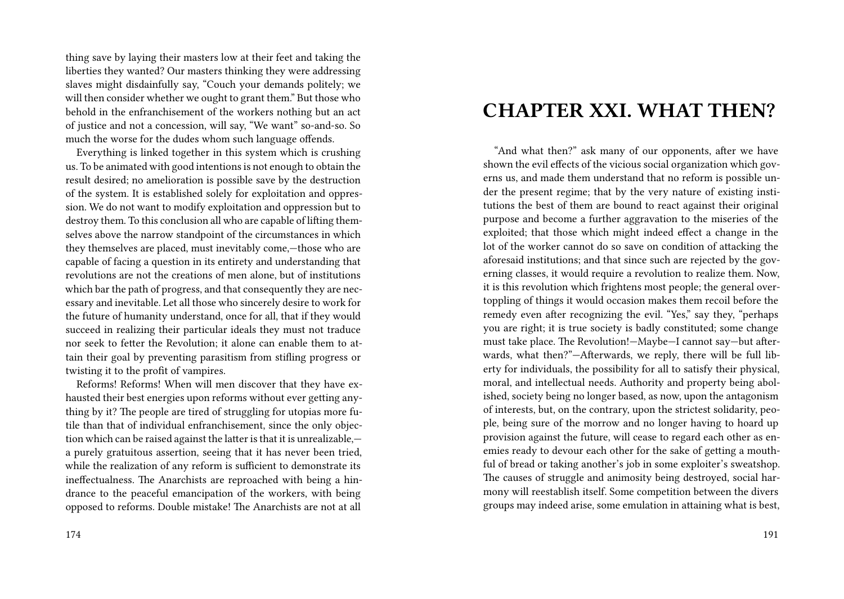thing save by laying their masters low at their feet and taking the liberties they wanted? Our masters thinking they were addressing slaves might disdainfully say, "Couch your demands politely; we will then consider whether we ought to grant them." But those who behold in the enfranchisement of the workers nothing but an act of justice and not a concession, will say, "We want" so-and-so. So much the worse for the dudes whom such language offends.

Everything is linked together in this system which is crushing us. To be animated with good intentions is not enough to obtain the result desired; no amelioration is possible save by the destruction of the system. It is established solely for exploitation and oppression. We do not want to modify exploitation and oppression but to destroy them. To this conclusion all who are capable of lifting themselves above the narrow standpoint of the circumstances in which they themselves are placed, must inevitably come,—those who are capable of facing a question in its entirety and understanding that revolutions are not the creations of men alone, but of institutions which bar the path of progress, and that consequently they are necessary and inevitable. Let all those who sincerely desire to work for the future of humanity understand, once for all, that if they would succeed in realizing their particular ideals they must not traduce nor seek to fetter the Revolution; it alone can enable them to attain their goal by preventing parasitism from stifling progress or twisting it to the profit of vampires.

Reforms! Reforms! When will men discover that they have exhausted their best energies upon reforms without ever getting anything by it? The people are tired of struggling for utopias more futile than that of individual enfranchisement, since the only objection which can be raised against the latter is that it is unrealizable, a purely gratuitous assertion, seeing that it has never been tried, while the realization of any reform is sufficient to demonstrate its ineffectualness. The Anarchists are reproached with being a hindrance to the peaceful emancipation of the workers, with being opposed to reforms. Double mistake! The Anarchists are not at all

#### **CHAPTER XXI. WHAT THEN?**

"And what then?" ask many of our opponents, after we have shown the evil effects of the vicious social organization which governs us, and made them understand that no reform is possible under the present regime; that by the very nature of existing institutions the best of them are bound to react against their original purpose and become a further aggravation to the miseries of the exploited; that those which might indeed effect a change in the lot of the worker cannot do so save on condition of attacking the aforesaid institutions; and that since such are rejected by the governing classes, it would require a revolution to realize them. Now, it is this revolution which frightens most people; the general overtoppling of things it would occasion makes them recoil before the remedy even after recognizing the evil. "Yes," say they, "perhaps you are right; it is true society is badly constituted; some change must take place. The Revolution!—Maybe—I cannot say—but afterwards, what then?"—Afterwards, we reply, there will be full liberty for individuals, the possibility for all to satisfy their physical, moral, and intellectual needs. Authority and property being abolished, society being no longer based, as now, upon the antagonism of interests, but, on the contrary, upon the strictest solidarity, people, being sure of the morrow and no longer having to hoard up provision against the future, will cease to regard each other as enemies ready to devour each other for the sake of getting a mouthful of bread or taking another's job in some exploiter's sweatshop. The causes of struggle and animosity being destroyed, social harmony will reestablish itself. Some competition between the divers groups may indeed arise, some emulation in attaining what is best,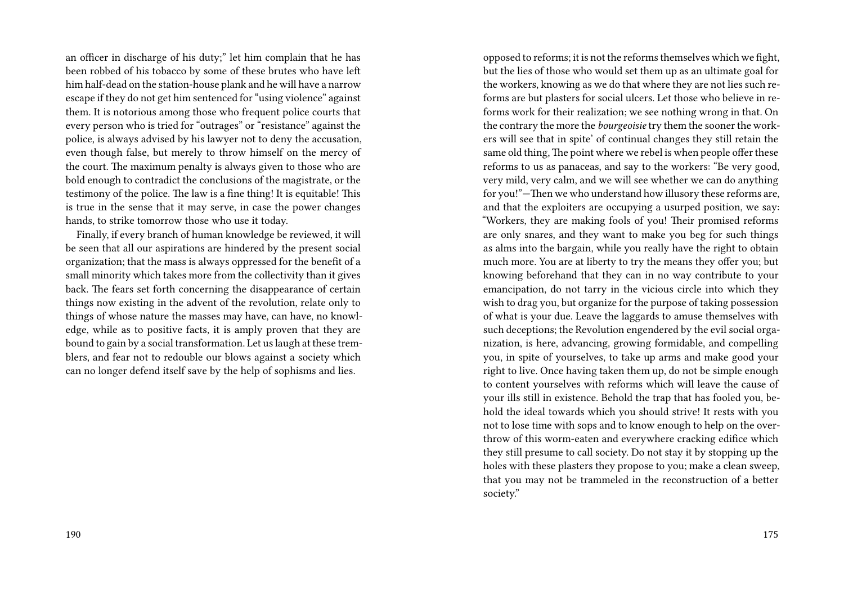an officer in discharge of his duty;" let him complain that he has been robbed of his tobacco by some of these brutes who have left him half-dead on the station-house plank and he will have a narrow escape if they do not get him sentenced for "using violence" against them. It is notorious among those who frequent police courts that every person who is tried for "outrages" or "resistance" against the police, is always advised by his lawyer not to deny the accusation, even though false, but merely to throw himself on the mercy of the court. The maximum penalty is always given to those who are bold enough to contradict the conclusions of the magistrate, or the testimony of the police. The law is a fine thing! It is equitable! This is true in the sense that it may serve, in case the power changes hands, to strike tomorrow those who use it today.

Finally, if every branch of human knowledge be reviewed, it will be seen that all our aspirations are hindered by the present social organization; that the mass is always oppressed for the benefit of a small minority which takes more from the collectivity than it gives back. The fears set forth concerning the disappearance of certain things now existing in the advent of the revolution, relate only to things of whose nature the masses may have, can have, no knowledge, while as to positive facts, it is amply proven that they are bound to gain by a social transformation. Let us laugh at these tremblers, and fear not to redouble our blows against a society which can no longer defend itself save by the help of sophisms and lies.

but the lies of those who would set them up as an ultimate goal for the workers, knowing as we do that where they are not lies such reforms are but plasters for social ulcers. Let those who believe in reforms work for their realization; we see nothing wrong in that. On the contrary the more the *bourgeoisie* try them the sooner the workers will see that in spite' of continual changes they still retain the same old thing, The point where we rebel is when people offer these reforms to us as panaceas, and say to the workers: "Be very good, very mild, very calm, and we will see whether we can do anything for you!"—Then we who understand how illusory these reforms are, and that the exploiters are occupying a usurped position, we say: "Workers, they are making fools of you! Their promised reforms are only snares, and they want to make you beg for such things as alms into the bargain, while you really have the right to obtain much more. You are at liberty to try the means they offer you; but knowing beforehand that they can in no way contribute to your emancipation, do not tarry in the vicious circle into which they wish to drag you, but organize for the purpose of taking possession of what is your due. Leave the laggards to amuse themselves with such deceptions; the Revolution engendered by the evil social organization, is here, advancing, growing formidable, and compelling you, in spite of yourselves, to take up arms and make good your right to live. Once having taken them up, do not be simple enough to content yourselves with reforms which will leave the cause of your ills still in existence. Behold the trap that has fooled you, behold the ideal towards which you should strive! It rests with you not to lose time with sops and to know enough to help on the overthrow of this worm-eaten and everywhere cracking edifice which they still presume to call society. Do not stay it by stopping up the holes with these plasters they propose to you; make a clean sweep, that you may not be trammeled in the reconstruction of a better society."

opposed to reforms; it is not the reforms themselves which we fight,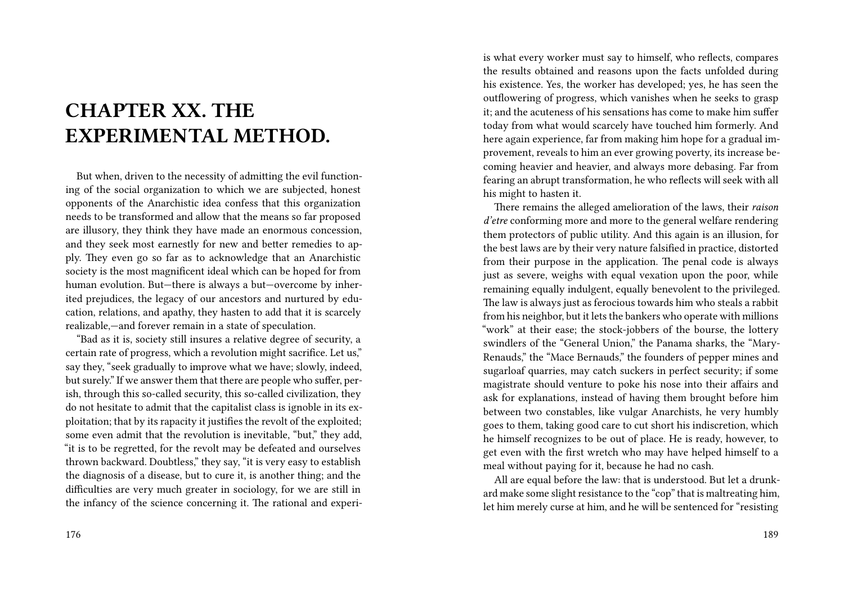# **CHAPTER XX. THE EXPERIMENTAL METHOD.**

But when, driven to the necessity of admitting the evil functioning of the social organization to which we are subjected, honest opponents of the Anarchistic idea confess that this organization needs to be transformed and allow that the means so far proposed are illusory, they think they have made an enormous concession, and they seek most earnestly for new and better remedies to apply. They even go so far as to acknowledge that an Anarchistic society is the most magnificent ideal which can be hoped for from human evolution. But—there is always a but—overcome by inherited prejudices, the legacy of our ancestors and nurtured by education, relations, and apathy, they hasten to add that it is scarcely realizable,—and forever remain in a state of speculation.

"Bad as it is, society still insures a relative degree of security, a certain rate of progress, which a revolution might sacrifice. Let us," say they, "seek gradually to improve what we have; slowly, indeed, but surely." If we answer them that there are people who suffer, perish, through this so-called security, this so-called civilization, they do not hesitate to admit that the capitalist class is ignoble in its exploitation; that by its rapacity it justifies the revolt of the exploited; some even admit that the revolution is inevitable, "but," they add, "it is to be regretted, for the revolt may be defeated and ourselves thrown backward. Doubtless," they say, "it is very easy to establish the diagnosis of a disease, but to cure it, is another thing; and the difficulties are very much greater in sociology, for we are still in the infancy of the science concerning it. The rational and experiis what every worker must say to himself, who reflects, compares the results obtained and reasons upon the facts unfolded during his existence. Yes, the worker has developed; yes, he has seen the outflowering of progress, which vanishes when he seeks to grasp it; and the acuteness of his sensations has come to make him suffer today from what would scarcely have touched him formerly. And here again experience, far from making him hope for a gradual improvement, reveals to him an ever growing poverty, its increase becoming heavier and heavier, and always more debasing. Far from fearing an abrupt transformation, he who reflects will seek with all his might to hasten it.

There remains the alleged amelioration of the laws, their *raison d'etre* conforming more and more to the general welfare rendering them protectors of public utility. And this again is an illusion, for the best laws are by their very nature falsified in practice, distorted from their purpose in the application. The penal code is always just as severe, weighs with equal vexation upon the poor, while remaining equally indulgent, equally benevolent to the privileged. The law is always just as ferocious towards him who steals a rabbit from his neighbor, but it lets the bankers who operate with millions "work" at their ease; the stock-jobbers of the bourse, the lottery swindlers of the "General Union," the Panama sharks, the "Mary-Renauds," the "Mace Bernauds," the founders of pepper mines and sugarloaf quarries, may catch suckers in perfect security; if some magistrate should venture to poke his nose into their affairs and ask for explanations, instead of having them brought before him between two constables, like vulgar Anarchists, he very humbly goes to them, taking good care to cut short his indiscretion, which he himself recognizes to be out of place. He is ready, however, to get even with the first wretch who may have helped himself to a meal without paying for it, because he had no cash.

All are equal before the law: that is understood. But let a drunkard make some slight resistance to the "cop" that is maltreating him, let him merely curse at him, and he will be sentenced for "resisting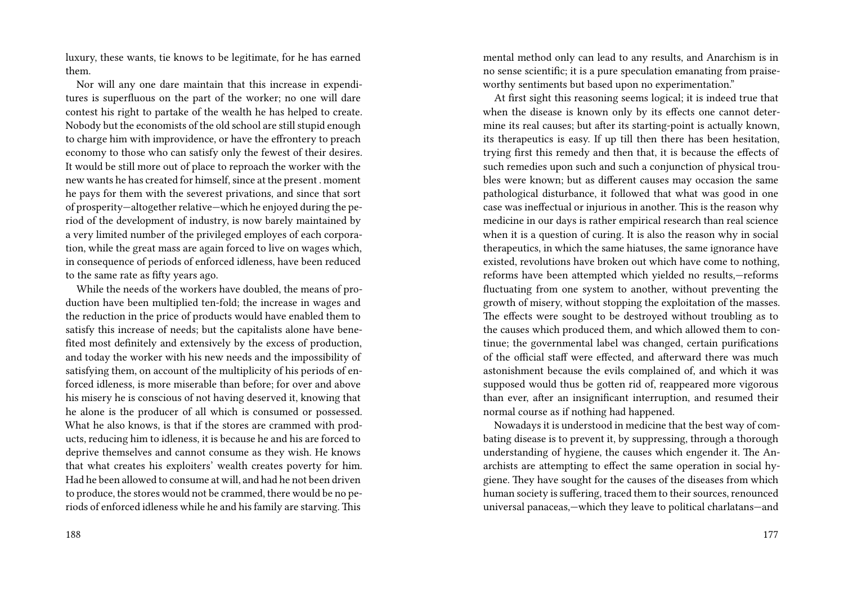luxury, these wants, tie knows to be legitimate, for he has earned them.

Nor will any one dare maintain that this increase in expenditures is superfluous on the part of the worker; no one will dare contest his right to partake of the wealth he has helped to create. Nobody but the economists of the old school are still stupid enough to charge him with improvidence, or have the effrontery to preach economy to those who can satisfy only the fewest of their desires. It would be still more out of place to reproach the worker with the new wants he has created for himself, since at the present . moment he pays for them with the severest privations, and since that sort of prosperity—altogether relative—which he enjoyed during the period of the development of industry, is now barely maintained by a very limited number of the privileged employes of each corporation, while the great mass are again forced to live on wages which, in consequence of periods of enforced idleness, have been reduced to the same rate as fifty years ago.

While the needs of the workers have doubled, the means of production have been multiplied ten-fold; the increase in wages and the reduction in the price of products would have enabled them to satisfy this increase of needs; but the capitalists alone have benefited most definitely and extensively by the excess of production, and today the worker with his new needs and the impossibility of satisfying them, on account of the multiplicity of his periods of enforced idleness, is more miserable than before; for over and above his misery he is conscious of not having deserved it, knowing that he alone is the producer of all which is consumed or possessed. What he also knows, is that if the stores are crammed with products, reducing him to idleness, it is because he and his are forced to deprive themselves and cannot consume as they wish. He knows that what creates his exploiters' wealth creates poverty for him. Had he been allowed to consume at will, and had he not been driven to produce, the stores would not be crammed, there would be no periods of enforced idleness while he and his family are starving. This mental method only can lead to any results, and Anarchism is in no sense scientific; it is a pure speculation emanating from praiseworthy sentiments but based upon no experimentation."

At first sight this reasoning seems logical; it is indeed true that when the disease is known only by its effects one cannot determine its real causes; but after its starting-point is actually known, its therapeutics is easy. If up till then there has been hesitation, trying first this remedy and then that, it is because the effects of such remedies upon such and such a conjunction of physical troubles were known; but as different causes may occasion the same pathological disturbance, it followed that what was good in one case was ineffectual or injurious in another. This is the reason why medicine in our days is rather empirical research than real science when it is a question of curing. It is also the reason why in social therapeutics, in which the same hiatuses, the same ignorance have existed, revolutions have broken out which have come to nothing, reforms have been attempted which yielded no results,—reforms fluctuating from one system to another, without preventing the growth of misery, without stopping the exploitation of the masses. The effects were sought to be destroyed without troubling as to the causes which produced them, and which allowed them to continue; the governmental label was changed, certain purifications of the official staff were effected, and afterward there was much astonishment because the evils complained of, and which it was supposed would thus be gotten rid of, reappeared more vigorous than ever, after an insignificant interruption, and resumed their normal course as if nothing had happened.

Nowadays it is understood in medicine that the best way of combating disease is to prevent it, by suppressing, through a thorough understanding of hygiene, the causes which engender it. The Anarchists are attempting to effect the same operation in social hygiene. They have sought for the causes of the diseases from which human society is suffering, traced them to their sources, renounced universal panaceas,—which they leave to political charlatans—and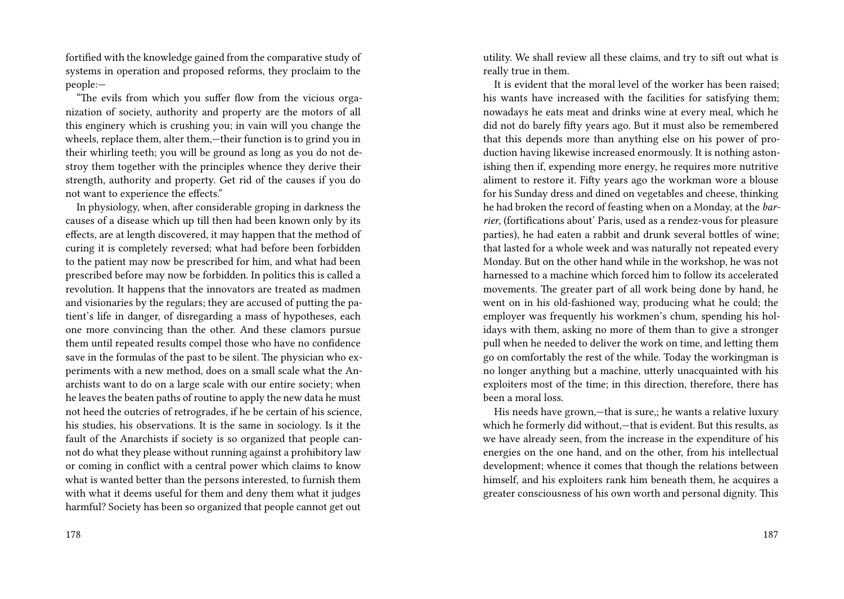fortified with the knowledge gained from the comparative study of systems in operation and proposed reforms, they proclaim to the people:—

"The evils from which you suffer flow from the vicious organization of society, authority and property are the motors of all this enginery which is crushing you; in vain will you change the wheels, replace them, alter them,—their function is to grind you in their whirling teeth; you will be ground as long as you do not destroy them together with the principles whence they derive their strength, authority and property. Get rid of the causes if you do not want to experience the effects."

In physiology, when, after considerable groping in darkness the causes of a disease which up till then had been known only by its effects, are at length discovered, it may happen that the method of curing it is completely reversed; what had before been forbidden to the patient may now be prescribed for him, and what had been prescribed before may now be forbidden. In politics this is called a revolution. It happens that the innovators are treated as madmen and visionaries by the regulars; they are accused of putting the patient's life in danger, of disregarding a mass of hypotheses, each one more convincing than the other. And these clamors pursue them until repeated results compel those who have no confidence save in the formulas of the past to be silent. The physician who experiments with a new method, does on a small scale what the Anarchists want to do on a large scale with our entire society; when he leaves the beaten paths of routine to apply the new data he must not heed the outcries of retrogrades, if he be certain of his science, his studies, his observations. It is the same in sociology. Is it the fault of the Anarchists if society is so organized that people cannot do what they please without running against a prohibitory law or coming in conflict with a central power which claims to know what is wanted better than the persons interested, to furnish them with what it deems useful for them and deny them what it judges harmful? Society has been so organized that people cannot get out utility. We shall review all these claims, and try to sift out what is really true in them.

It is evident that the moral level of the worker has been raised; his wants have increased with the facilities for satisfying them; nowadays he eats meat and drinks wine at every meal, which he did not do barely fifty years ago. But it must also be remembered that this depends more than anything else on his power of production having likewise increased enormously. It is nothing astonishing then if, expending more energy, he requires more nutritive aliment to restore it. Fifty years ago the workman wore a blouse for his Sunday dress and dined on vegetables and cheese, thinking he had broken the record of feasting when on a Monday, at the *barrier*, (fortifications about' Paris, used as a rendez-vous for pleasure parties), he had eaten a rabbit and drunk several bottles of wine; that lasted for a whole week and was naturally not repeated every Monday. But on the other hand while in the workshop, he was not harnessed to a machine which forced him to follow its accelerated movements. The greater part of all work being done by hand, he went on in his old-fashioned way, producing what he could; the employer was frequently his workmen's chum, spending his holidays with them, asking no more of them than to give a stronger pull when he needed to deliver the work on time, and letting them go on comfortably the rest of the while. Today the workingman is no longer anything but a machine, utterly unacquainted with his exploiters most of the time; in this direction, therefore, there has been a moral loss.

His needs have grown,—that is sure,; he wants a relative luxury which he formerly did without,—that is evident. But this results, as we have already seen, from the increase in the expenditure of his energies on the one hand, and on the other, from his intellectual development; whence it comes that though the relations between himself, and his exploiters rank him beneath them, he acquires a greater consciousness of his own worth and personal dignity. This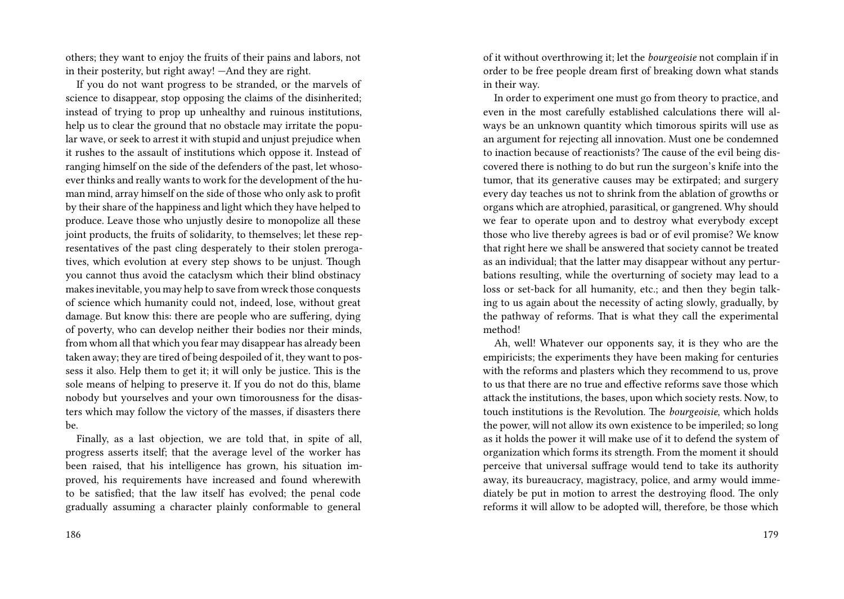others; they want to enjoy the fruits of their pains and labors, not in their posterity, but right away! —And they are right.

If you do not want progress to be stranded, or the marvels of science to disappear, stop opposing the claims of the disinherited; instead of trying to prop up unhealthy and ruinous institutions, help us to clear the ground that no obstacle may irritate the popular wave, or seek to arrest it with stupid and unjust prejudice when it rushes to the assault of institutions which oppose it. Instead of ranging himself on the side of the defenders of the past, let whosoever thinks and really wants to work for the development of the human mind, array himself on the side of those who only ask to profit by their share of the happiness and light which they have helped to produce. Leave those who unjustly desire to monopolize all these joint products, the fruits of solidarity, to themselves; let these representatives of the past cling desperately to their stolen prerogatives, which evolution at every step shows to be unjust. Though you cannot thus avoid the cataclysm which their blind obstinacy makes inevitable, you may help to save from wreck those conquests of science which humanity could not, indeed, lose, without great damage. But know this: there are people who are suffering, dying of poverty, who can develop neither their bodies nor their minds, from whom all that which you fear may disappear has already been taken away; they are tired of being despoiled of it, they want to possess it also. Help them to get it; it will only be justice. This is the sole means of helping to preserve it. If you do not do this, blame nobody but yourselves and your own timorousness for the disasters which may follow the victory of the masses, if disasters there be.

Finally, as a last objection, we are told that, in spite of all, progress asserts itself; that the average level of the worker has been raised, that his intelligence has grown, his situation improved, his requirements have increased and found wherewith to be satisfied; that the law itself has evolved; the penal code gradually assuming a character plainly conformable to general

of it without overthrowing it; let the *bourgeoisie* not complain if in order to be free people dream first of breaking down what stands in their way.

In order to experiment one must go from theory to practice, and even in the most carefully established calculations there will always be an unknown quantity which timorous spirits will use as an argument for rejecting all innovation. Must one be condemned to inaction because of reactionists? The cause of the evil being discovered there is nothing to do but run the surgeon's knife into the tumor, that its generative causes may be extirpated; and surgery every day teaches us not to shrink from the ablation of growths or organs which are atrophied, parasitical, or gangrened. Why should we fear to operate upon and to destroy what everybody except those who live thereby agrees is bad or of evil promise? We know that right here we shall be answered that society cannot be treated as an individual; that the latter may disappear without any perturbations resulting, while the overturning of society may lead to a loss or set-back for all humanity, etc.; and then they begin talking to us again about the necessity of acting slowly, gradually, by the pathway of reforms. That is what they call the experimental method!

Ah, well! Whatever our opponents say, it is they who are the empiricists; the experiments they have been making for centuries with the reforms and plasters which they recommend to us, prove to us that there are no true and effective reforms save those which attack the institutions, the bases, upon which society rests. Now, to touch institutions is the Revolution. The *bourgeoisie*, which holds the power, will not allow its own existence to be imperiled; so long as it holds the power it will make use of it to defend the system of organization which forms its strength. From the moment it should perceive that universal suffrage would tend to take its authority away, its bureaucracy, magistracy, police, and army would immediately be put in motion to arrest the destroying flood. The only reforms it will allow to be adopted will, therefore, be those which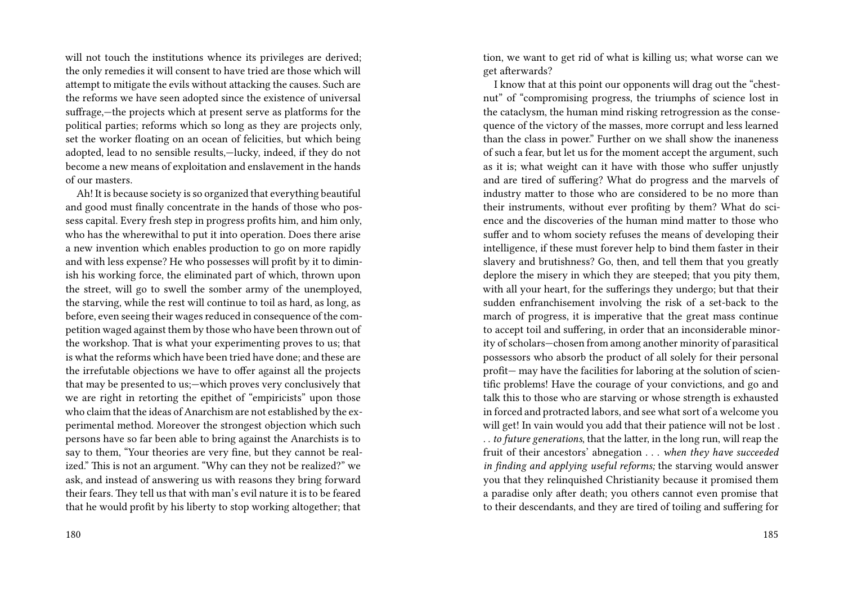will not touch the institutions whence its privileges are derived; the only remedies it will consent to have tried are those which will attempt to mitigate the evils without attacking the causes. Such are the reforms we have seen adopted since the existence of universal suffrage,—the projects which at present serve as platforms for the political parties; reforms which so long as they are projects only, set the worker floating on an ocean of felicities, but which being adopted, lead to no sensible results,—lucky, indeed, if they do not become a new means of exploitation and enslavement in the hands of our masters.

Ah! It is because society is so organized that everything beautiful and good must finally concentrate in the hands of those who possess capital. Every fresh step in progress profits him, and him only, who has the wherewithal to put it into operation. Does there arise a new invention which enables production to go on more rapidly and with less expense? He who possesses will profit by it to diminish his working force, the eliminated part of which, thrown upon the street, will go to swell the somber army of the unemployed, the starving, while the rest will continue to toil as hard, as long, as before, even seeing their wages reduced in consequence of the competition waged against them by those who have been thrown out of the workshop. That is what your experimenting proves to us; that is what the reforms which have been tried have done; and these are the irrefutable objections we have to offer against all the projects that may be presented to us;—which proves very conclusively that we are right in retorting the epithet of "empiricists" upon those who claim that the ideas of Anarchism are not established by the experimental method. Moreover the strongest objection which such persons have so far been able to bring against the Anarchists is to say to them, "Your theories are very fine, but they cannot be realized." This is not an argument. "Why can they not be realized?" we ask, and instead of answering us with reasons they bring forward their fears. They tell us that with man's evil nature it is to be feared that he would profit by his liberty to stop working altogether; that

tion, we want to get rid of what is killing us; what worse can we get afterwards?

I know that at this point our opponents will drag out the "chestnut" of "compromising progress, the triumphs of science lost in the cataclysm, the human mind risking retrogression as the consequence of the victory of the masses, more corrupt and less learned than the class in power." Further on we shall show the inaneness of such a fear, but let us for the moment accept the argument, such as it is; what weight can it have with those who suffer unjustly and are tired of suffering? What do progress and the marvels of industry matter to those who are considered to be no more than their instruments, without ever profiting by them? What do science and the discoveries of the human mind matter to those who suffer and to whom society refuses the means of developing their intelligence, if these must forever help to bind them faster in their slavery and brutishness? Go, then, and tell them that you greatly deplore the misery in which they are steeped; that you pity them, with all your heart, for the sufferings they undergo; but that their sudden enfranchisement involving the risk of a set-back to the march of progress, it is imperative that the great mass continue to accept toil and suffering, in order that an inconsiderable minority of scholars—chosen from among another minority of parasitical possessors who absorb the product of all solely for their personal profit— may have the facilities for laboring at the solution of scientific problems! Have the courage of your convictions, and go and talk this to those who are starving or whose strength is exhausted in forced and protracted labors, and see what sort of a welcome you will get! In vain would you add that their patience will not be lost. . . *to future generations*, that the latter, in the long run, will reap the fruit of their ancestors' abnegation . . . *when they have succeeded in finding and applying useful reforms;* the starving would answer you that they relinquished Christianity because it promised them a paradise only after death; you others cannot even promise that to their descendants, and they are tired of toiling and suffering for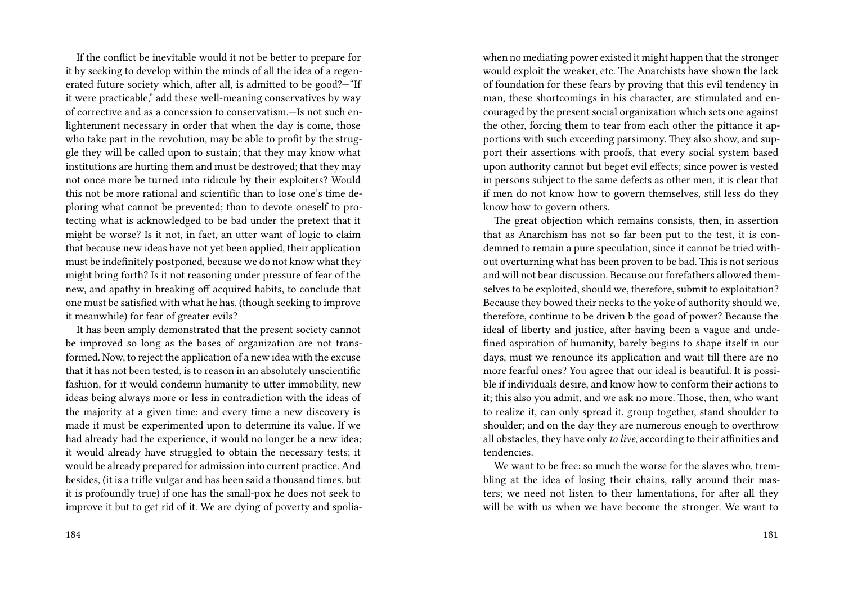If the conflict be inevitable would it not be better to prepare for it by seeking to develop within the minds of all the idea of a regenerated future society which, after all, is admitted to be good?—"If it were practicable," add these well-meaning conservatives by way of corrective and as a concession to conservatism.—Is not such enlightenment necessary in order that when the day is come, those who take part in the revolution, may be able to profit by the struggle they will be called upon to sustain; that they may know what institutions are hurting them and must be destroyed; that they may not once more be turned into ridicule by their exploiters? Would this not be more rational and scientific than to lose one's time deploring what cannot be prevented; than to devote oneself to protecting what is acknowledged to be bad under the pretext that it might be worse? Is it not, in fact, an utter want of logic to claim that because new ideas have not yet been applied, their application must be indefinitely postponed, because we do not know what they might bring forth? Is it not reasoning under pressure of fear of the new, and apathy in breaking off acquired habits, to conclude that one must be satisfied with what he has, (though seeking to improve it meanwhile) for fear of greater evils?

It has been amply demonstrated that the present society cannot be improved so long as the bases of organization are not transformed. Now, to reject the application of a new idea with the excuse that it has not been tested, is to reason in an absolutely unscientific fashion, for it would condemn humanity to utter immobility, new ideas being always more or less in contradiction with the ideas of the majority at a given time; and every time a new discovery is made it must be experimented upon to determine its value. If we had already had the experience, it would no longer be a new idea; it would already have struggled to obtain the necessary tests; it would be already prepared for admission into current practice. And besides, (it is a trifle vulgar and has been said a thousand times, but it is profoundly true) if one has the small-pox he does not seek to improve it but to get rid of it. We are dying of poverty and spoliawhen no mediating power existed it might happen that the stronger would exploit the weaker, etc. The Anarchists have shown the lack of foundation for these fears by proving that this evil tendency in man, these shortcomings in his character, are stimulated and encouraged by the present social organization which sets one against the other, forcing them to tear from each other the pittance it apportions with such exceeding parsimony. They also show, and support their assertions with proofs, that every social system based upon authority cannot but beget evil effects; since power is vested in persons subject to the same defects as other men, it is clear that if men do not know how to govern themselves, still less do they know how to govern others.

The great objection which remains consists, then, in assertion that as Anarchism has not so far been put to the test, it is condemned to remain a pure speculation, since it cannot be tried without overturning what has been proven to be bad. This is not serious and will not bear discussion. Because our forefathers allowed themselves to be exploited, should we, therefore, submit to exploitation? Because they bowed their necks to the yoke of authority should we, therefore, continue to be driven b the goad of power? Because the ideal of liberty and justice, after having been a vague and undefined aspiration of humanity, barely begins to shape itself in our days, must we renounce its application and wait till there are no more fearful ones? You agree that our ideal is beautiful. It is possible if individuals desire, and know how to conform their actions to it; this also you admit, and we ask no more. Those, then, who want to realize it, can only spread it, group together, stand shoulder to shoulder; and on the day they are numerous enough to overthrow all obstacles, they have only *to live*, according to their affinities and tendencies.

We want to be free: so much the worse for the slaves who, trembling at the idea of losing their chains, rally around their masters; we need not listen to their lamentations, for after all they will be with us when we have become the stronger. We want to